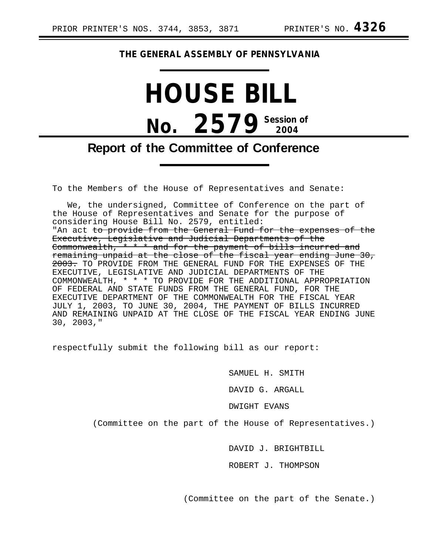## **THE GENERAL ASSEMBLY OF PENNSYLVANIA**

## **HOUSE BILL No.** 2579<sup> Session of</sup>

## **Report of the Committee of Conference**

To the Members of the House of Representatives and Senate:

We, the undersigned, Committee of Conference on the part of the House of Representatives and Senate for the purpose of considering House Bill No. 2579, entitled: "An act <del>to provide from the General Fund for the expenses of the</del> Executive, Legislative and Judicial Departments of the Commonwealth, \* \* \* and for the payment of bills incurred and remaining unpaid at the close of the fiscal year ending June 30, 2003. TO PROVIDE FROM THE GENERAL FUND FOR THE EXPENSES OF THE EXECUTIVE, LEGISLATIVE AND JUDICIAL DEPARTMENTS OF THE COMMONWEALTH, \* \* \* TO PROVIDE FOR THE ADDITIONAL APPROPRIATION OF FEDERAL AND STATE FUNDS FROM THE GENERAL FUND, FOR THE EXECUTIVE DEPARTMENT OF THE COMMONWEALTH FOR THE FISCAL YEAR JULY 1, 2003, TO JUNE 30, 2004, THE PAYMENT OF BILLS INCURRED AND REMAINING UNPAID AT THE CLOSE OF THE FISCAL YEAR ENDING JUNE

respectfully submit the following bill as our report:

30, 2003,"

SAMUEL H. SMITH DAVID G. ARGALL DWIGHT EVANS

(Committee on the part of the House of Representatives.)

DAVID J. BRIGHTBILL

ROBERT J. THOMPSON

(Committee on the part of the Senate.)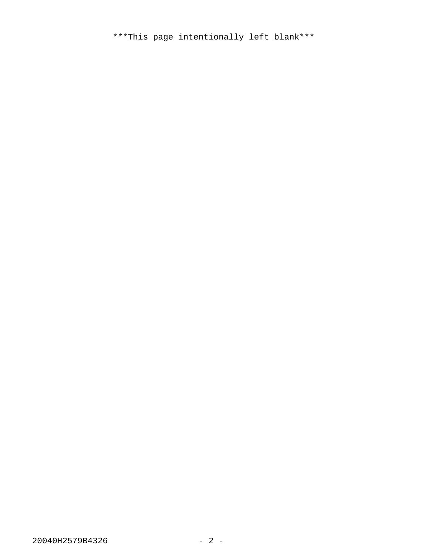\*\*\*This page intentionally left blank\*\*\*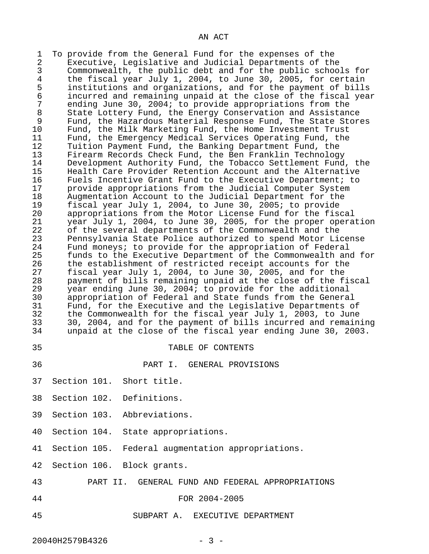1 To provide from the General Fund for the expenses of the 2 Executive, Legislative and Judicial Departments of the Commonwealth, the public debt and for the public schools for 4 the fiscal year July 1, 2004, to June 30, 2005, for certain 5 institutions and organizations, and for the payment of bills 6 incurred and remaining unpaid at the close of the fiscal year ending June 30, 2004; to provide appropriations from the 8 State Lottery Fund, the Energy Conservation and Assistance 9 Fund, the Hazardous Material Response Fund, The State Stores 10 Fund, the Milk Marketing Fund, the Home Investment Trust 11 Fund, the Emergency Medical Services Operating Fund, the 12 Tuition Payment Fund, the Banking Department Fund, the Firearm Records Check Fund, the Ben Franklin Technology 14 Development Authority Fund, the Tobacco Settlement Fund, the 15 Health Care Provider Retention Account and the Alternative 16 Fuels Incentive Grant Fund to the Executive Department; to<br>17 Servide appropriations from the Judicial Computer System 17 provide appropriations from the Judicial Computer System<br>18 Augmentation Account to the Judicial Department for the Augmentation Account to the Judicial Department for the 19 fiscal year July 1, 2004, to June 30, 2005; to provide appropriations from the Motor License Fund for the fiscal 21 year July 1, 2004, to June 30, 2005, for the proper operation 22 of the several departments of the Commonwealth and the 23 Pennsylvania State Police authorized to spend Motor License Fund moneys; to provide for the appropriation of Federal 25 funds to the Executive Department of the Commonwealth and for 26 the establishment of restricted receipt accounts for the 27 fiscal year July 1, 2004, to June 30, 2005, and for the 28 payment of bills remaining unpaid at the close of the fiscal<br>29 year ending June 30, 2004; to provide for the additional year ending June 30, 2004; to provide for the additional 30 appropriation of Federal and State funds from the General 31 Fund, for the Executive and the Legislative Departments of 32 the Commonwealth for the fiscal year July 1, 2003, to June<br>33 30, 2004, and for the payment of bills incurred and remain 33 30, 2004, and for the payment of bills incurred and remaining<br>34 unpaid at the close of the fiscal year ending June 30, 2003. unpaid at the close of the fiscal year ending June 30, 2003. 35 TABLE OF CONTENTS

36 PART I. GENERAL PROVISIONS

- 37 Section 101. Short title.
- 38 Section 102. Definitions.
- 39 Section 103. Abbreviations.

40 Section 104. State appropriations.

41 Section 105. Federal augmentation appropriations.

42 Section 106. Block grants.

43 PART II. GENERAL FUND AND FEDERAL APPROPRIATIONS

## 44 FOR 2004-2005

45 SUBPART A. EXECUTIVE DEPARTMENT

20040H2579B4326 - 3 -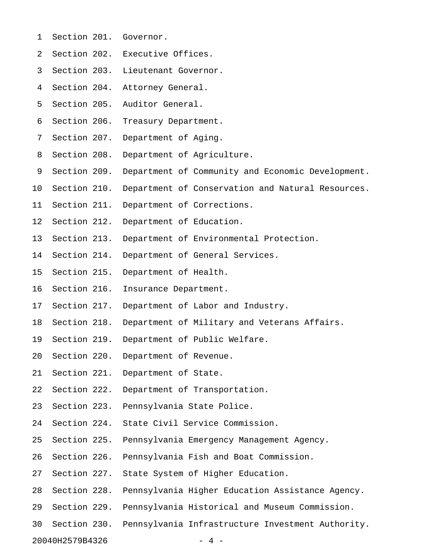- 1 Section 201. Governor.
- 2 Section 202. Executive Offices.
- 3 Section 203. Lieutenant Governor.
- 4 Section 204. Attorney General.
- 5 Section 205. Auditor General.
- 6 Section 206. Treasury Department.
- 7 Section 207. Department of Aging.
- 8 Section 208. Department of Agriculture.
- 9 Section 209. Department of Community and Economic Development.
- 10 Section 210. Department of Conservation and Natural Resources.
- 11 Section 211. Department of Corrections.
- 12 Section 212. Department of Education.
- 13 Section 213. Department of Environmental Protection.
- 14 Section 214. Department of General Services.
- 15 Section 215. Department of Health.
- 16 Section 216. Insurance Department.
- 17 Section 217. Department of Labor and Industry.
- 18 Section 218. Department of Military and Veterans Affairs.
- 19 Section 219. Department of Public Welfare.
- 20 Section 220. Department of Revenue.
- 21 Section 221. Department of State.
- 22 Section 222. Department of Transportation.
- 23 Section 223. Pennsylvania State Police.
- 24 Section 224. State Civil Service Commission.
- 25 Section 225. Pennsylvania Emergency Management Agency.
- 26 Section 226. Pennsylvania Fish and Boat Commission.
- 27 Section 227. State System of Higher Education.
- 28 Section 228. Pennsylvania Higher Education Assistance Agency.
- 29 Section 229. Pennsylvania Historical and Museum Commission.
- 30 Section 230. Pennsylvania Infrastructure Investment Authority.

20040H2579B4326 - 4 -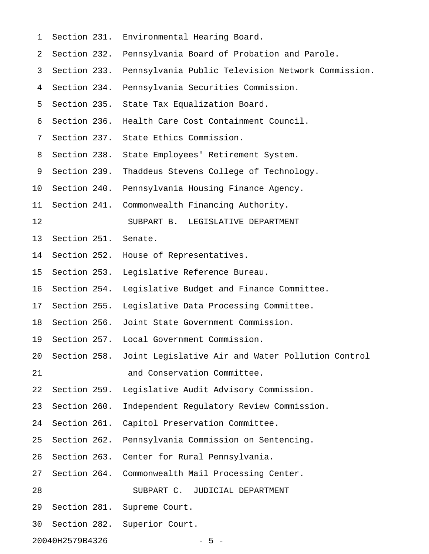| $\mathbf{1}$ |              | Section 231. Environmental Hearing Board.          |
|--------------|--------------|----------------------------------------------------|
| 2            | Section 232. | Pennsylvania Board of Probation and Parole.        |
| 3            | Section 233. | Pennsylvania Public Television Network Commission. |
| 4            | Section 234. | Pennsylvania Securities Commission.                |
| 5            | Section 235. | State Tax Equalization Board.                      |
| 6            | Section 236. | Health Care Cost Containment Council.              |
| 7            | Section 237. | State Ethics Commission.                           |
| 8            | Section 238. | State Employees' Retirement System.                |
| 9            | Section 239. | Thaddeus Stevens College of Technology.            |
| 10           | Section 240. | Pennsylvania Housing Finance Agency.               |
| 11           | Section 241. | Commonwealth Financing Authority.                  |
| 12           |              | SUBPART B.<br>LEGISLATIVE DEPARTMENT               |
| 13           | Section 251. | Senate.                                            |
| 14           |              | Section 252. House of Representatives.             |
| 15           | Section 253. | Legislative Reference Bureau.                      |
| 16           | Section 254. | Legislative Budget and Finance Committee.          |
| 17           | Section 255. | Legislative Data Processing Committee.             |
| 18           | Section 256. | Joint State Government Commission.                 |
| 19           | Section 257. | Local Government Commission.                       |
| 20           | Section 258. | Joint Legislative Air and Water Pollution Control  |
| 21           |              | and Conservation Committee.                        |
| 22           | Section 259. | Legislative Audit Advisory Commission.             |
| 23           | Section 260. | Independent Regulatory Review Commission.          |
| 24           | Section 261. | Capitol Preservation Committee.                    |
| 25           | Section 262. | Pennsylvania Commission on Sentencing.             |
| 26           | Section 263. | Center for Rural Pennsylvania.                     |
| 27           | Section 264. | Commonwealth Mail Processing Center.               |
| 28           |              | SUBPART C.<br>JUDICIAL DEPARTMENT                  |
| 29           | Section 281. | Supreme Court.                                     |
| 30           | Section 282. | Superior Court.                                    |
|              |              |                                                    |

20040H2579B4326 - 5 -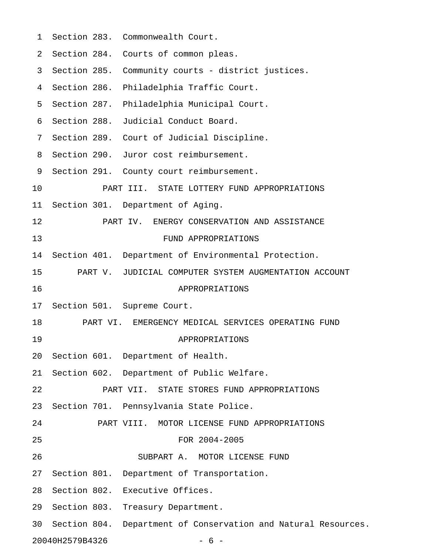| 1  |                 | Section 283. Commonwealth Court.                               |
|----|-----------------|----------------------------------------------------------------|
| 2  |                 | Section 284. Courts of common pleas.                           |
| 3  |                 | Section 285. Community courts - district justices.             |
| 4  |                 | Section 286. Philadelphia Traffic Court.                       |
| 5  |                 | Section 287. Philadelphia Municipal Court.                     |
| 6  |                 | Section 288. Judicial Conduct Board.                           |
| 7  |                 | Section 289. Court of Judicial Discipline.                     |
| 8  |                 | Section 290. Juror cost reimbursement.                         |
| 9  |                 | Section 291. County court reimbursement.                       |
| 10 |                 | PART III. STATE LOTTERY FUND APPROPRIATIONS                    |
| 11 |                 | Section 301. Department of Aging.                              |
| 12 |                 | PART IV. ENERGY CONSERVATION AND ASSISTANCE                    |
| 13 |                 | FUND APPROPRIATIONS                                            |
| 14 |                 | Section 401. Department of Environmental Protection.           |
| 15 |                 | PART V. JUDICIAL COMPUTER SYSTEM AUGMENTATION ACCOUNT          |
| 16 |                 | APPROPRIATIONS                                                 |
| 17 |                 | Section 501. Supreme Court.                                    |
| 18 |                 | PART VI. EMERGENCY MEDICAL SERVICES OPERATING FUND             |
| 19 |                 | APPROPRIATIONS                                                 |
| 20 |                 | Section 601. Department of Health.                             |
| 21 |                 | Section 602. Department of Public Welfare.                     |
| 22 |                 | PART VII. STATE STORES FUND APPROPRIATIONS                     |
| 23 |                 | Section 701. Pennsylvania State Police.                        |
| 24 |                 | PART VIII. MOTOR LICENSE FUND APPROPRIATIONS                   |
| 25 |                 | FOR 2004-2005                                                  |
| 26 |                 | SUBPART A. MOTOR LICENSE FUND                                  |
| 27 | Section 801.    | Department of Transportation.                                  |
| 28 |                 | Section 802. Executive Offices.                                |
| 29 |                 | Section 803. Treasury Department.                              |
| 30 |                 | Section 804. Department of Conservation and Natural Resources. |
|    | 20040H2579B4326 | - 6 -                                                          |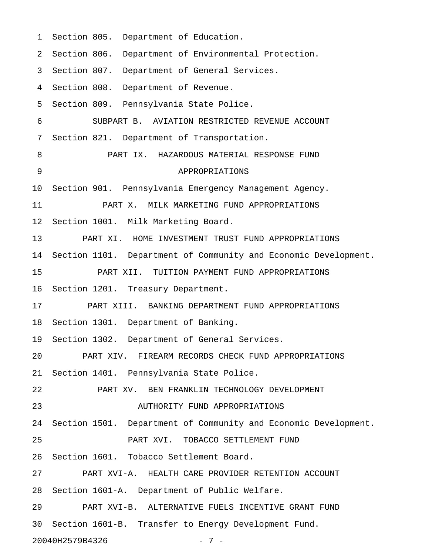1 Section 805. Department of Education. 2 Section 806. Department of Environmental Protection. 3 Section 807. Department of General Services. 4 Section 808. Department of Revenue. 5 Section 809. Pennsylvania State Police. 6 SUBPART B. AVIATION RESTRICTED REVENUE ACCOUNT 7 Section 821. Department of Transportation. 8 PART IX. HAZARDOUS MATERIAL RESPONSE FUND 9 APPROPRIATIONS 10 Section 901. Pennsylvania Emergency Management Agency. 11 PART X. MILK MARKETING FUND APPROPRIATIONS 12 Section 1001. Milk Marketing Board. 13 PART XI. HOME INVESTMENT TRUST FUND APPROPRIATIONS 14 Section 1101. Department of Community and Economic Development. 15 PART XII. TUITION PAYMENT FUND APPROPRIATIONS 16 Section 1201. Treasury Department. 17 PART XIII. BANKING DEPARTMENT FUND APPROPRIATIONS 18 Section 1301. Department of Banking. 19 Section 1302. Department of General Services. 20 PART XIV. FIREARM RECORDS CHECK FUND APPROPRIATIONS 21 Section 1401. Pennsylvania State Police. 22 PART XV. BEN FRANKLIN TECHNOLOGY DEVELOPMENT 23 AUTHORITY FUND APPROPRIATIONS 24 Section 1501. Department of Community and Economic Development. 25 PART XVI. TOBACCO SETTLEMENT FUND 26 Section 1601. Tobacco Settlement Board. 27 PART XVI-A. HEALTH CARE PROVIDER RETENTION ACCOUNT 28 Section 1601-A. Department of Public Welfare. 29 PART XVI-B. ALTERNATIVE FUELS INCENTIVE GRANT FUND 30 Section 1601-B. Transfer to Energy Development Fund.

20040H2579B4326 - 7 -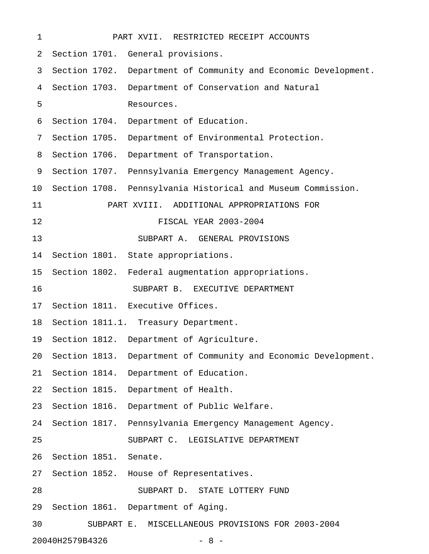| 1  |                       | PART XVII. RESTRICTED RECEIPT ACCOUNTS                          |
|----|-----------------------|-----------------------------------------------------------------|
| 2  |                       | Section 1701. General provisions.                               |
| 3  |                       | Section 1702. Department of Community and Economic Development. |
| 4  |                       | Section 1703. Department of Conservation and Natural            |
| 5  |                       | Resources.                                                      |
| 6  | Section 1704.         | Department of Education.                                        |
| 7  |                       | Section 1705. Department of Environmental Protection.           |
| 8  |                       | Section 1706. Department of Transportation.                     |
| 9  |                       | Section 1707. Pennsylvania Emergency Management Agency.         |
| 10 |                       | Section 1708. Pennsylvania Historical and Museum Commission.    |
| 11 |                       | PART XVIII. ADDITIONAL APPROPRIATIONS FOR                       |
| 12 |                       | FISCAL YEAR 2003-2004                                           |
| 13 |                       | SUBPART A. GENERAL PROVISIONS                                   |
| 14 |                       | Section 1801. State appropriations.                             |
| 15 |                       | Section 1802. Federal augmentation appropriations.              |
| 16 |                       | SUBPART B. EXECUTIVE DEPARTMENT                                 |
| 17 |                       | Section 1811. Executive Offices.                                |
| 18 |                       | Section 1811.1. Treasury Department.                            |
| 19 |                       | Section 1812. Department of Agriculture.                        |
| 20 |                       | Section 1813. Department of Community and Economic Development. |
| 21 |                       | Section 1814. Department of Education.                          |
| 22 |                       | Section 1815. Department of Health.                             |
| 23 |                       | Section 1816. Department of Public Welfare.                     |
| 24 |                       | Section 1817. Pennsylvania Emergency Management Agency.         |
| 25 |                       | SUBPART C. LEGISLATIVE DEPARTMENT                               |
| 26 | Section 1851. Senate. |                                                                 |
| 27 |                       | Section 1852. House of Representatives.                         |
| 28 |                       | SUBPART D. STATE LOTTERY FUND                                   |
| 29 |                       | Section 1861. Department of Aging.                              |
| 30 |                       | SUBPART E. MISCELLANEOUS PROVISIONS FOR 2003-2004               |
|    | 20040H2579B4326       | $-8-$                                                           |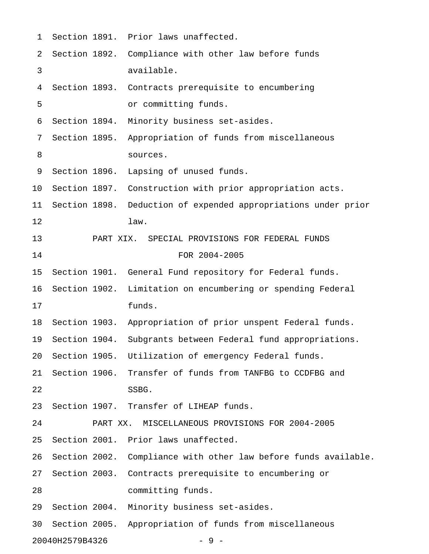| 1               |               | Section 1891. Prior laws unaffected.                            |
|-----------------|---------------|-----------------------------------------------------------------|
| 2               |               | Section 1892. Compliance with other law before funds            |
| 3               |               | available.                                                      |
| 4               |               | Section 1893. Contracts prerequisite to encumbering             |
| 5               |               | or committing funds.                                            |
| 6               | Section 1894. | Minority business set-asides.                                   |
| 7               |               | Section 1895. Appropriation of funds from miscellaneous         |
| 8               |               | sources.                                                        |
| 9               | Section 1896. | Lapsing of unused funds.                                        |
| 10              |               | Section 1897. Construction with prior appropriation acts.       |
| 11              | Section 1898. | Deduction of expended appropriations under prior                |
| 12              |               | law.                                                            |
| 13              |               | PART XIX. SPECIAL PROVISIONS FOR FEDERAL FUNDS                  |
| 14              |               | FOR 2004-2005                                                   |
| 15              |               | Section 1901. General Fund repository for Federal funds.        |
| 16              |               | Section 1902. Limitation on encumbering or spending Federal     |
| 17              |               | funds.                                                          |
| 18              | Section 1903. | Appropriation of prior unspent Federal funds.                   |
| 19              |               | Section 1904. Subgrants between Federal fund appropriations.    |
| 20              |               | Section 1905. Utilization of emergency Federal funds.           |
| 21              |               | Section 1906. Transfer of funds from TANFBG to CCDFBG and       |
| 22              |               | SSBG.                                                           |
| 23              |               | Section 1907. Transfer of LIHEAP funds.                         |
| 24              |               | PART XX. MISCELLANEOUS PROVISIONS FOR 2004-2005                 |
| 25              |               | Section 2001. Prior laws unaffected.                            |
| 26              |               | Section 2002. Compliance with other law before funds available. |
| 27              |               | Section 2003. Contracts prerequisite to encumbering or          |
| 28              |               | committing funds.                                               |
| 29              |               | Section 2004. Minority business set-asides.                     |
| 30              |               | Section 2005. Appropriation of funds from miscellaneous         |
| 20040H2579B4326 |               | $-9-$                                                           |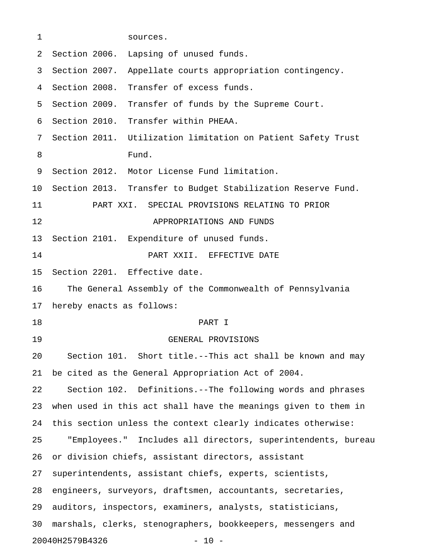| $\mathbf 1$    |                           | sources.                                                       |
|----------------|---------------------------|----------------------------------------------------------------|
| 2              | Section 2006.             | Lapsing of unused funds.                                       |
| 3              | Section 2007.             | Appellate courts appropriation contingency.                    |
| $\overline{4}$ | Section 2008.             | Transfer of excess funds.                                      |
| 5              | Section 2009.             | Transfer of funds by the Supreme Court.                        |
| 6              | Section 2010.             | Transfer within PHEAA.                                         |
| 7              |                           | Section 2011. Utilization limitation on Patient Safety Trust   |
| 8              |                           | Fund.                                                          |
| 9              |                           | Section 2012. Motor License Fund limitation.                   |
| 10             |                           | Section 2013. Transfer to Budget Stabilization Reserve Fund.   |
| 11             |                           | PART XXI. SPECIAL PROVISIONS RELATING TO PRIOR                 |
| 12             |                           | APPROPRIATIONS AND FUNDS                                       |
| 13             |                           | Section 2101. Expenditure of unused funds.                     |
| 14             |                           | PART XXII. EFFECTIVE DATE                                      |
| 15             |                           | Section 2201. Effective date.                                  |
| 16             |                           | The General Assembly of the Commonwealth of Pennsylvania       |
| 17             | hereby enacts as follows: |                                                                |
| 18             |                           | PART I                                                         |
| 19             |                           | GENERAL PROVISIONS                                             |
| 20             |                           | Section 101. Short title.--This act shall be known and may     |
| 21             |                           | be cited as the General Appropriation Act of 2004.             |
| 22             |                           | Section 102. Definitions.--The following words and phrases     |
| 23             |                           | when used in this act shall have the meanings given to them in |
| 24             |                           | this section unless the context clearly indicates otherwise:   |
| 25             |                           | "Employees." Includes all directors, superintendents, bureau   |
| 26             |                           | or division chiefs, assistant directors, assistant             |
| 27             |                           | superintendents, assistant chiefs, experts, scientists,        |
| 28             |                           | engineers, surveyors, draftsmen, accountants, secretaries,     |
| 29             |                           | auditors, inspectors, examiners, analysts, statisticians,      |
| 30             |                           | marshals, clerks, stenographers, bookkeepers, messengers and   |
|                | 20040H2579B4326           | $-10 -$                                                        |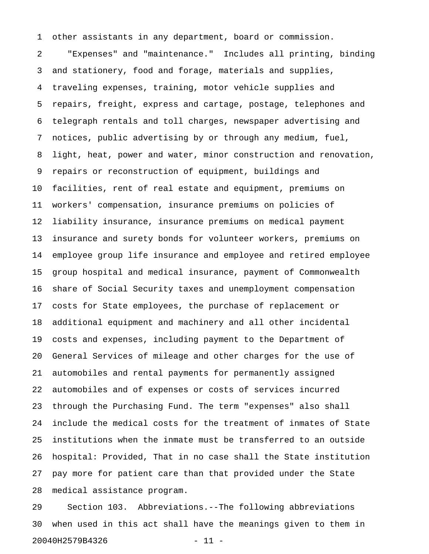1 other assistants in any department, board or commission.

2 "Expenses" and "maintenance." Includes all printing, binding 3 and stationery, food and forage, materials and supplies, 4 traveling expenses, training, motor vehicle supplies and 5 repairs, freight, express and cartage, postage, telephones and 6 telegraph rentals and toll charges, newspaper advertising and 7 notices, public advertising by or through any medium, fuel, 8 light, heat, power and water, minor construction and renovation, 9 repairs or reconstruction of equipment, buildings and 10 facilities, rent of real estate and equipment, premiums on 11 workers' compensation, insurance premiums on policies of 12 liability insurance, insurance premiums on medical payment 13 insurance and surety bonds for volunteer workers, premiums on 14 employee group life insurance and employee and retired employee 15 group hospital and medical insurance, payment of Commonwealth 16 share of Social Security taxes and unemployment compensation 17 costs for State employees, the purchase of replacement or 18 additional equipment and machinery and all other incidental 19 costs and expenses, including payment to the Department of 20 General Services of mileage and other charges for the use of 21 automobiles and rental payments for permanently assigned 22 automobiles and of expenses or costs of services incurred 23 through the Purchasing Fund. The term "expenses" also shall 24 include the medical costs for the treatment of inmates of State 25 institutions when the inmate must be transferred to an outside 26 hospital: Provided, That in no case shall the State institution 27 pay more for patient care than that provided under the State 28 medical assistance program.

29 Section 103. Abbreviations.--The following abbreviations 30 when used in this act shall have the meanings given to them in 20040H2579B4326 - 11 -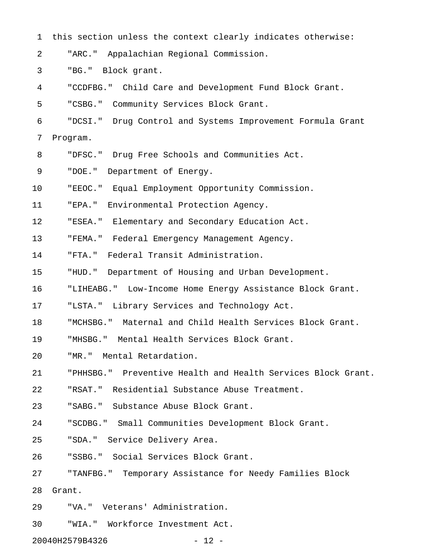1 this section unless the context clearly indicates otherwise:

2 "ARC." Appalachian Regional Commission.

3 "BG." Block grant.

4 "CCDFBG." Child Care and Development Fund Block Grant.

5 "CSBG." Community Services Block Grant.

6 "DCSI." Drug Control and Systems Improvement Formula Grant 7 Program.

- 8 "DFSC." Drug Free Schools and Communities Act.
- 9 "DOE." Department of Energy.
- 10 "EEOC." Equal Employment Opportunity Commission.

11 "EPA." Environmental Protection Agency.

- 12 "ESEA." Elementary and Secondary Education Act.
- 13 "FEMA." Federal Emergency Management Agency.

14 "FTA." Federal Transit Administration.

- 15 "HUD." Department of Housing and Urban Development.
- 16 "LIHEABG." Low-Income Home Energy Assistance Block Grant.
- 17 "LSTA." Library Services and Technology Act.
- 18 "MCHSBG." Maternal and Child Health Services Block Grant.
- 19 "MHSBG." Mental Health Services Block Grant.
- 20 "MR." Mental Retardation.
- 21 "PHHSBG." Preventive Health and Health Services Block Grant.
- 22 "RSAT." Residential Substance Abuse Treatment.
- 23 "SABG." Substance Abuse Block Grant.
- 24 "SCDBG." Small Communities Development Block Grant.
- 25 "SDA." Service Delivery Area.
- 26 "SSBG." Social Services Block Grant.

27 "TANFBG." Temporary Assistance for Needy Families Block 28 Grant.

- 29 "VA." Veterans' Administration.
- 30 "WIA." Workforce Investment Act.

20040H2579B4326 - 12 -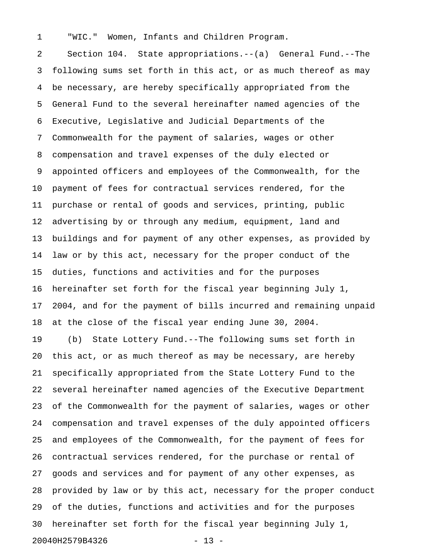1 "WIC." Women, Infants and Children Program.

2 Section 104. State appropriations.--(a) General Fund.--The 3 following sums set forth in this act, or as much thereof as may 4 be necessary, are hereby specifically appropriated from the 5 General Fund to the several hereinafter named agencies of the 6 Executive, Legislative and Judicial Departments of the 7 Commonwealth for the payment of salaries, wages or other 8 compensation and travel expenses of the duly elected or 9 appointed officers and employees of the Commonwealth, for the 10 payment of fees for contractual services rendered, for the 11 purchase or rental of goods and services, printing, public 12 advertising by or through any medium, equipment, land and 13 buildings and for payment of any other expenses, as provided by 14 law or by this act, necessary for the proper conduct of the 15 duties, functions and activities and for the purposes 16 hereinafter set forth for the fiscal year beginning July 1, 17 2004, and for the payment of bills incurred and remaining unpaid 18 at the close of the fiscal year ending June 30, 2004.

19 (b) State Lottery Fund.--The following sums set forth in 20 this act, or as much thereof as may be necessary, are hereby 21 specifically appropriated from the State Lottery Fund to the 22 several hereinafter named agencies of the Executive Department 23 of the Commonwealth for the payment of salaries, wages or other 24 compensation and travel expenses of the duly appointed officers 25 and employees of the Commonwealth, for the payment of fees for 26 contractual services rendered, for the purchase or rental of 27 goods and services and for payment of any other expenses, as 28 provided by law or by this act, necessary for the proper conduct 29 of the duties, functions and activities and for the purposes 30 hereinafter set forth for the fiscal year beginning July 1, 20040H2579B4326 - 13 -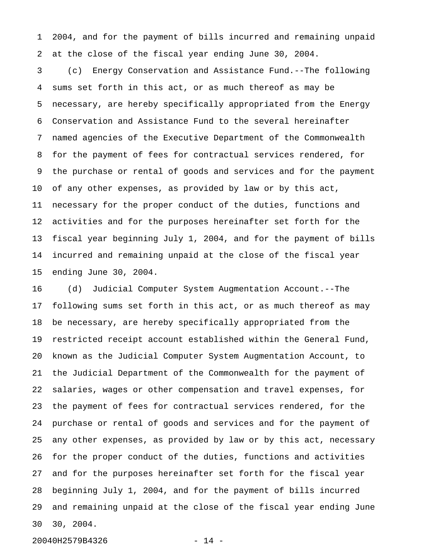1 2004, and for the payment of bills incurred and remaining unpaid 2 at the close of the fiscal year ending June 30, 2004.

3 (c) Energy Conservation and Assistance Fund.--The following 4 sums set forth in this act, or as much thereof as may be 5 necessary, are hereby specifically appropriated from the Energy 6 Conservation and Assistance Fund to the several hereinafter 7 named agencies of the Executive Department of the Commonwealth 8 for the payment of fees for contractual services rendered, for 9 the purchase or rental of goods and services and for the payment 10 of any other expenses, as provided by law or by this act, 11 necessary for the proper conduct of the duties, functions and 12 activities and for the purposes hereinafter set forth for the 13 fiscal year beginning July 1, 2004, and for the payment of bills 14 incurred and remaining unpaid at the close of the fiscal year 15 ending June 30, 2004.

16 (d) Judicial Computer System Augmentation Account.--The 17 following sums set forth in this act, or as much thereof as may 18 be necessary, are hereby specifically appropriated from the 19 restricted receipt account established within the General Fund, 20 known as the Judicial Computer System Augmentation Account, to 21 the Judicial Department of the Commonwealth for the payment of 22 salaries, wages or other compensation and travel expenses, for 23 the payment of fees for contractual services rendered, for the 24 purchase or rental of goods and services and for the payment of 25 any other expenses, as provided by law or by this act, necessary 26 for the proper conduct of the duties, functions and activities 27 and for the purposes hereinafter set forth for the fiscal year 28 beginning July 1, 2004, and for the payment of bills incurred 29 and remaining unpaid at the close of the fiscal year ending June 30 30, 2004.

20040H2579B4326 - 14 -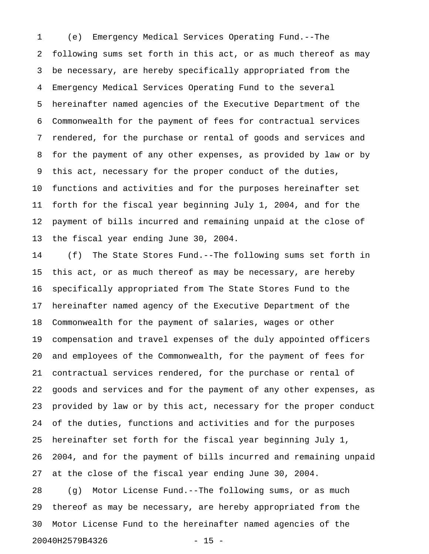1 (e) Emergency Medical Services Operating Fund.--The 2 following sums set forth in this act, or as much thereof as may 3 be necessary, are hereby specifically appropriated from the 4 Emergency Medical Services Operating Fund to the several 5 hereinafter named agencies of the Executive Department of the 6 Commonwealth for the payment of fees for contractual services 7 rendered, for the purchase or rental of goods and services and 8 for the payment of any other expenses, as provided by law or by 9 this act, necessary for the proper conduct of the duties, 10 functions and activities and for the purposes hereinafter set 11 forth for the fiscal year beginning July 1, 2004, and for the 12 payment of bills incurred and remaining unpaid at the close of 13 the fiscal year ending June 30, 2004.

14 (f) The State Stores Fund.--The following sums set forth in 15 this act, or as much thereof as may be necessary, are hereby 16 specifically appropriated from The State Stores Fund to the 17 hereinafter named agency of the Executive Department of the 18 Commonwealth for the payment of salaries, wages or other 19 compensation and travel expenses of the duly appointed officers 20 and employees of the Commonwealth, for the payment of fees for 21 contractual services rendered, for the purchase or rental of 22 goods and services and for the payment of any other expenses, as 23 provided by law or by this act, necessary for the proper conduct 24 of the duties, functions and activities and for the purposes 25 hereinafter set forth for the fiscal year beginning July 1, 26 2004, and for the payment of bills incurred and remaining unpaid 27 at the close of the fiscal year ending June 30, 2004.

28 (g) Motor License Fund.--The following sums, or as much 29 thereof as may be necessary, are hereby appropriated from the 30 Motor License Fund to the hereinafter named agencies of the 20040H2579B4326 - 15 -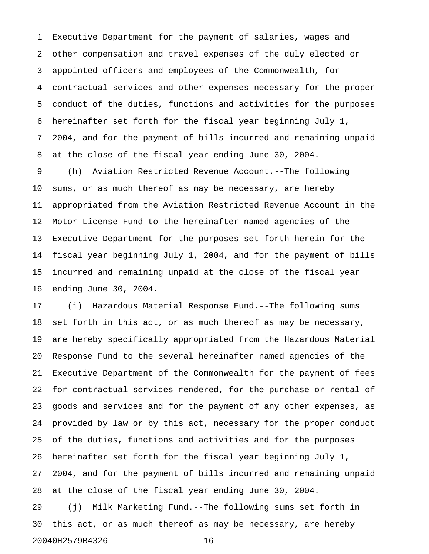1 Executive Department for the payment of salaries, wages and 2 other compensation and travel expenses of the duly elected or 3 appointed officers and employees of the Commonwealth, for 4 contractual services and other expenses necessary for the proper 5 conduct of the duties, functions and activities for the purposes 6 hereinafter set forth for the fiscal year beginning July 1, 7 2004, and for the payment of bills incurred and remaining unpaid 8 at the close of the fiscal year ending June 30, 2004.

9 (h) Aviation Restricted Revenue Account.--The following 10 sums, or as much thereof as may be necessary, are hereby 11 appropriated from the Aviation Restricted Revenue Account in the 12 Motor License Fund to the hereinafter named agencies of the 13 Executive Department for the purposes set forth herein for the 14 fiscal year beginning July 1, 2004, and for the payment of bills 15 incurred and remaining unpaid at the close of the fiscal year 16 ending June 30, 2004.

17 (i) Hazardous Material Response Fund.--The following sums 18 set forth in this act, or as much thereof as may be necessary, 19 are hereby specifically appropriated from the Hazardous Material 20 Response Fund to the several hereinafter named agencies of the 21 Executive Department of the Commonwealth for the payment of fees 22 for contractual services rendered, for the purchase or rental of 23 goods and services and for the payment of any other expenses, as 24 provided by law or by this act, necessary for the proper conduct 25 of the duties, functions and activities and for the purposes 26 hereinafter set forth for the fiscal year beginning July 1, 27 2004, and for the payment of bills incurred and remaining unpaid 28 at the close of the fiscal year ending June 30, 2004.

29 (j) Milk Marketing Fund.--The following sums set forth in 30 this act, or as much thereof as may be necessary, are hereby 20040H2579B4326 - 16 -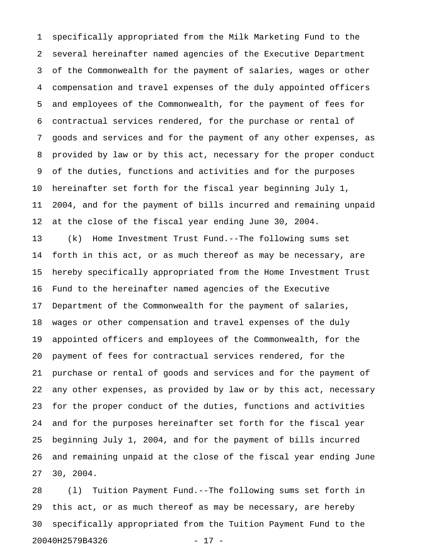1 specifically appropriated from the Milk Marketing Fund to the 2 several hereinafter named agencies of the Executive Department 3 of the Commonwealth for the payment of salaries, wages or other 4 compensation and travel expenses of the duly appointed officers 5 and employees of the Commonwealth, for the payment of fees for 6 contractual services rendered, for the purchase or rental of 7 goods and services and for the payment of any other expenses, as 8 provided by law or by this act, necessary for the proper conduct 9 of the duties, functions and activities and for the purposes 10 hereinafter set forth for the fiscal year beginning July 1, 11 2004, and for the payment of bills incurred and remaining unpaid 12 at the close of the fiscal year ending June 30, 2004.

13 (k) Home Investment Trust Fund.--The following sums set 14 forth in this act, or as much thereof as may be necessary, are 15 hereby specifically appropriated from the Home Investment Trust 16 Fund to the hereinafter named agencies of the Executive 17 Department of the Commonwealth for the payment of salaries, 18 wages or other compensation and travel expenses of the duly 19 appointed officers and employees of the Commonwealth, for the 20 payment of fees for contractual services rendered, for the 21 purchase or rental of goods and services and for the payment of 22 any other expenses, as provided by law or by this act, necessary 23 for the proper conduct of the duties, functions and activities 24 and for the purposes hereinafter set forth for the fiscal year 25 beginning July 1, 2004, and for the payment of bills incurred 26 and remaining unpaid at the close of the fiscal year ending June 27 30, 2004.

28 (l) Tuition Payment Fund.--The following sums set forth in 29 this act, or as much thereof as may be necessary, are hereby 30 specifically appropriated from the Tuition Payment Fund to the 20040H2579B4326 - 17 -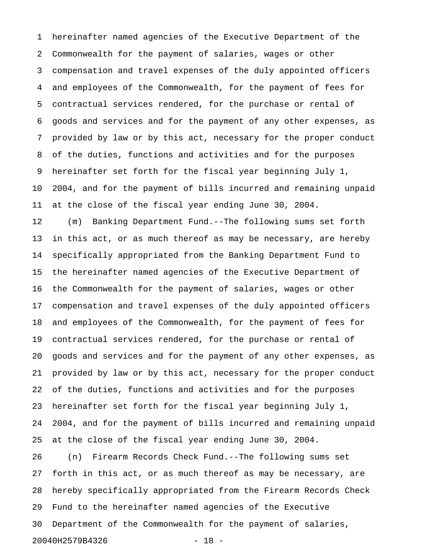1 hereinafter named agencies of the Executive Department of the 2 Commonwealth for the payment of salaries, wages or other 3 compensation and travel expenses of the duly appointed officers 4 and employees of the Commonwealth, for the payment of fees for 5 contractual services rendered, for the purchase or rental of 6 goods and services and for the payment of any other expenses, as 7 provided by law or by this act, necessary for the proper conduct 8 of the duties, functions and activities and for the purposes 9 hereinafter set forth for the fiscal year beginning July 1, 10 2004, and for the payment of bills incurred and remaining unpaid 11 at the close of the fiscal year ending June 30, 2004.

12 (m) Banking Department Fund.--The following sums set forth 13 in this act, or as much thereof as may be necessary, are hereby 14 specifically appropriated from the Banking Department Fund to 15 the hereinafter named agencies of the Executive Department of 16 the Commonwealth for the payment of salaries, wages or other 17 compensation and travel expenses of the duly appointed officers 18 and employees of the Commonwealth, for the payment of fees for 19 contractual services rendered, for the purchase or rental of 20 goods and services and for the payment of any other expenses, as 21 provided by law or by this act, necessary for the proper conduct 22 of the duties, functions and activities and for the purposes 23 hereinafter set forth for the fiscal year beginning July 1, 24 2004, and for the payment of bills incurred and remaining unpaid 25 at the close of the fiscal year ending June 30, 2004.

26 (n) Firearm Records Check Fund.--The following sums set 27 forth in this act, or as much thereof as may be necessary, are 28 hereby specifically appropriated from the Firearm Records Check 29 Fund to the hereinafter named agencies of the Executive 30 Department of the Commonwealth for the payment of salaries, 20040H2579B4326 - 18 -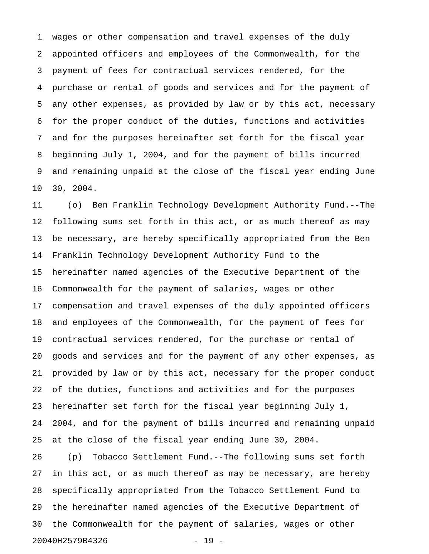1 wages or other compensation and travel expenses of the duly 2 appointed officers and employees of the Commonwealth, for the 3 payment of fees for contractual services rendered, for the 4 purchase or rental of goods and services and for the payment of 5 any other expenses, as provided by law or by this act, necessary 6 for the proper conduct of the duties, functions and activities 7 and for the purposes hereinafter set forth for the fiscal year 8 beginning July 1, 2004, and for the payment of bills incurred 9 and remaining unpaid at the close of the fiscal year ending June 10 30, 2004.

11 (o) Ben Franklin Technology Development Authority Fund.--The 12 following sums set forth in this act, or as much thereof as may 13 be necessary, are hereby specifically appropriated from the Ben 14 Franklin Technology Development Authority Fund to the 15 hereinafter named agencies of the Executive Department of the 16 Commonwealth for the payment of salaries, wages or other 17 compensation and travel expenses of the duly appointed officers 18 and employees of the Commonwealth, for the payment of fees for 19 contractual services rendered, for the purchase or rental of 20 goods and services and for the payment of any other expenses, as 21 provided by law or by this act, necessary for the proper conduct 22 of the duties, functions and activities and for the purposes 23 hereinafter set forth for the fiscal year beginning July 1, 24 2004, and for the payment of bills incurred and remaining unpaid 25 at the close of the fiscal year ending June 30, 2004.

26 (p) Tobacco Settlement Fund.--The following sums set forth 27 in this act, or as much thereof as may be necessary, are hereby 28 specifically appropriated from the Tobacco Settlement Fund to 29 the hereinafter named agencies of the Executive Department of 30 the Commonwealth for the payment of salaries, wages or other 20040H2579B4326 - 19 -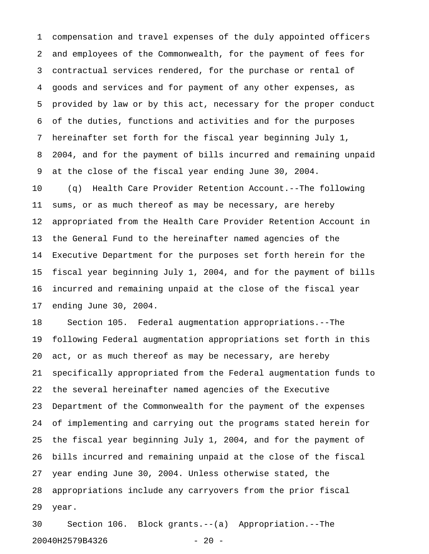1 compensation and travel expenses of the duly appointed officers 2 and employees of the Commonwealth, for the payment of fees for 3 contractual services rendered, for the purchase or rental of 4 goods and services and for payment of any other expenses, as 5 provided by law or by this act, necessary for the proper conduct 6 of the duties, functions and activities and for the purposes 7 hereinafter set forth for the fiscal year beginning July 1, 8 2004, and for the payment of bills incurred and remaining unpaid 9 at the close of the fiscal year ending June 30, 2004.

10 (q) Health Care Provider Retention Account.--The following 11 sums, or as much thereof as may be necessary, are hereby 12 appropriated from the Health Care Provider Retention Account in 13 the General Fund to the hereinafter named agencies of the 14 Executive Department for the purposes set forth herein for the 15 fiscal year beginning July 1, 2004, and for the payment of bills 16 incurred and remaining unpaid at the close of the fiscal year 17 ending June 30, 2004.

18 Section 105. Federal augmentation appropriations.--The 19 following Federal augmentation appropriations set forth in this 20 act, or as much thereof as may be necessary, are hereby 21 specifically appropriated from the Federal augmentation funds to 22 the several hereinafter named agencies of the Executive 23 Department of the Commonwealth for the payment of the expenses 24 of implementing and carrying out the programs stated herein for 25 the fiscal year beginning July 1, 2004, and for the payment of 26 bills incurred and remaining unpaid at the close of the fiscal 27 year ending June 30, 2004. Unless otherwise stated, the 28 appropriations include any carryovers from the prior fiscal 29 year.

30 Section 106. Block grants.--(a) Appropriation.--The 20040H2579B4326 - 20 -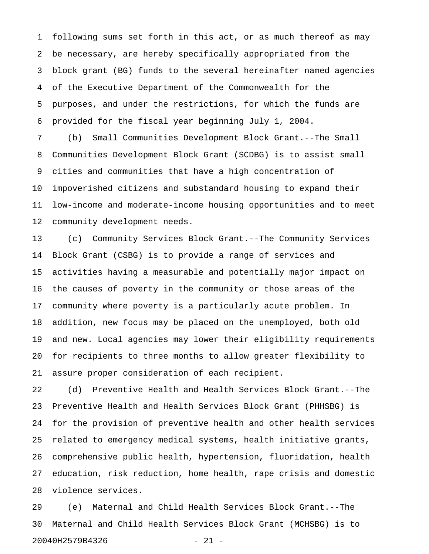1 following sums set forth in this act, or as much thereof as may 2 be necessary, are hereby specifically appropriated from the 3 block grant (BG) funds to the several hereinafter named agencies 4 of the Executive Department of the Commonwealth for the 5 purposes, and under the restrictions, for which the funds are 6 provided for the fiscal year beginning July 1, 2004.

7 (b) Small Communities Development Block Grant.--The Small 8 Communities Development Block Grant (SCDBG) is to assist small 9 cities and communities that have a high concentration of 10 impoverished citizens and substandard housing to expand their 11 low-income and moderate-income housing opportunities and to meet 12 community development needs.

13 (c) Community Services Block Grant.--The Community Services 14 Block Grant (CSBG) is to provide a range of services and 15 activities having a measurable and potentially major impact on 16 the causes of poverty in the community or those areas of the 17 community where poverty is a particularly acute problem. In 18 addition, new focus may be placed on the unemployed, both old 19 and new. Local agencies may lower their eligibility requirements 20 for recipients to three months to allow greater flexibility to 21 assure proper consideration of each recipient.

22 (d) Preventive Health and Health Services Block Grant.--The 23 Preventive Health and Health Services Block Grant (PHHSBG) is 24 for the provision of preventive health and other health services 25 related to emergency medical systems, health initiative grants, 26 comprehensive public health, hypertension, fluoridation, health 27 education, risk reduction, home health, rape crisis and domestic 28 violence services.

29 (e) Maternal and Child Health Services Block Grant.--The 30 Maternal and Child Health Services Block Grant (MCHSBG) is to 20040H2579B4326 - 21 -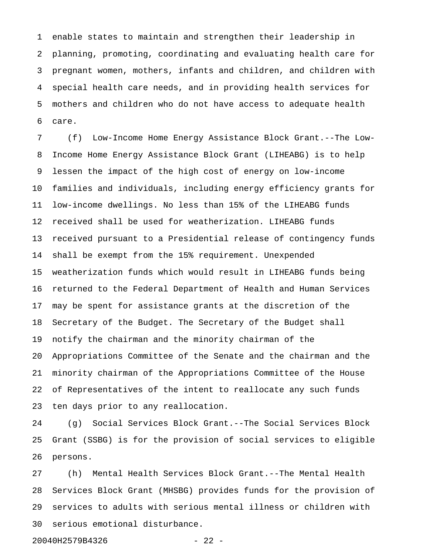1 enable states to maintain and strengthen their leadership in 2 planning, promoting, coordinating and evaluating health care for 3 pregnant women, mothers, infants and children, and children with 4 special health care needs, and in providing health services for 5 mothers and children who do not have access to adequate health 6 care.

7 (f) Low-Income Home Energy Assistance Block Grant.--The Low-8 Income Home Energy Assistance Block Grant (LIHEABG) is to help 9 lessen the impact of the high cost of energy on low-income 10 families and individuals, including energy efficiency grants for 11 low-income dwellings. No less than 15% of the LIHEABG funds 12 received shall be used for weatherization. LIHEABG funds 13 received pursuant to a Presidential release of contingency funds 14 shall be exempt from the 15% requirement. Unexpended 15 weatherization funds which would result in LIHEABG funds being 16 returned to the Federal Department of Health and Human Services 17 may be spent for assistance grants at the discretion of the 18 Secretary of the Budget. The Secretary of the Budget shall 19 notify the chairman and the minority chairman of the 20 Appropriations Committee of the Senate and the chairman and the 21 minority chairman of the Appropriations Committee of the House 22 of Representatives of the intent to reallocate any such funds 23 ten days prior to any reallocation.

24 (g) Social Services Block Grant.--The Social Services Block 25 Grant (SSBG) is for the provision of social services to eligible 26 persons.

27 (h) Mental Health Services Block Grant.--The Mental Health 28 Services Block Grant (MHSBG) provides funds for the provision of 29 services to adults with serious mental illness or children with 30 serious emotional disturbance.

20040H2579B4326 - 22 -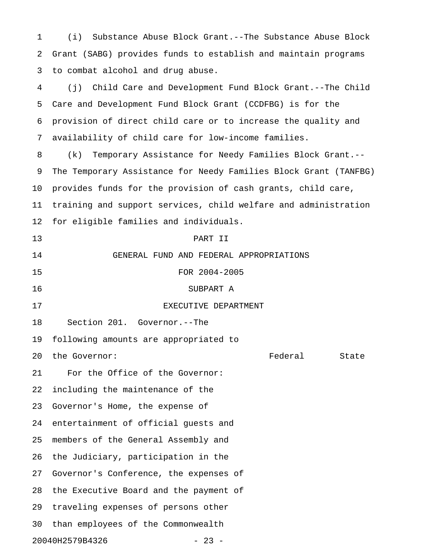1 (i) Substance Abuse Block Grant.--The Substance Abuse Block 2 Grant (SABG) provides funds to establish and maintain programs 3 to combat alcohol and drug abuse.

4 (j) Child Care and Development Fund Block Grant.--The Child 5 Care and Development Fund Block Grant (CCDFBG) is for the 6 provision of direct child care or to increase the quality and 7 availability of child care for low-income families.

8 (k) Temporary Assistance for Needy Families Block Grant.-- 9 The Temporary Assistance for Needy Families Block Grant (TANFBG) 10 provides funds for the provision of cash grants, child care, 11 training and support services, child welfare and administration 12 for eligible families and individuals.

13 PART II 14 GENERAL FUND AND FEDERAL APPROPRIATIONS 15 FOR 2004-2005 16 SUBPART A 17 EXECUTIVE DEPARTMENT 18 Section 201. Governor.--The 19 following amounts are appropriated to 20 the Governor: The Governor State State State State State State State State State 21 For the Office of the Governor: 22 including the maintenance of the 23 Governor's Home, the expense of 24 entertainment of official guests and 25 members of the General Assembly and 26 the Judiciary, participation in the 27 Governor's Conference, the expenses of 28 the Executive Board and the payment of 29 traveling expenses of persons other 30 than employees of the Commonwealth 20040H2579B4326 - 23 -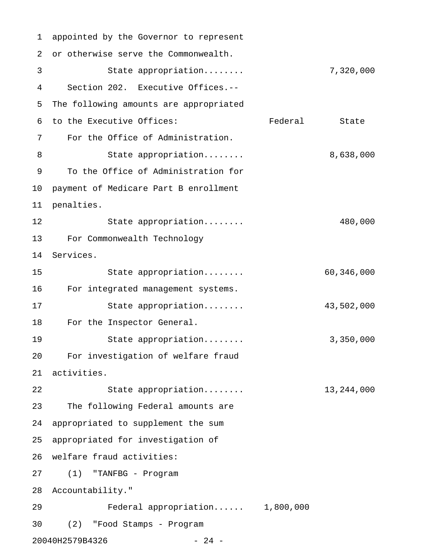1 appointed by the Governor to represent 2 or otherwise serve the Commonwealth. 3 State appropriation........ 7,320,000 4 Section 202. Executive Offices.-- 5 The following amounts are appropriated 6 to the Executive Offices: The State State State State 7 For the Office of Administration. 8 State appropriation........ 8,638,000 9 To the Office of Administration for 10 payment of Medicare Part B enrollment 11 penalties. 12 State appropriation........ 480,000 13 For Commonwealth Technology 14 Services. 15 State appropriation........ 60,346,000 16 For integrated management systems. 17 State appropriation........ 43,502,000 18 For the Inspector General. 19 State appropriation........ 3,350,000 20 For investigation of welfare fraud 21 activities. 22 State appropriation........ 13,244,000 23 The following Federal amounts are 24 appropriated to supplement the sum 25 appropriated for investigation of 26 welfare fraud activities: 27 (1) "TANFBG - Program 28 Accountability." 29 Federal appropriation...... 1,800,000 30 (2) "Food Stamps - Program 20040H2579B4326 - 24 -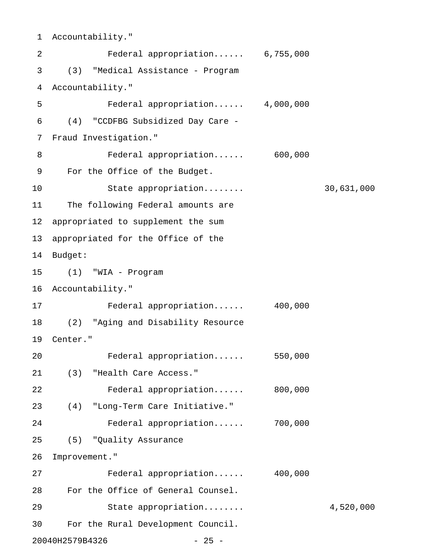1 Accountability." 2 Federal appropriation...... 6,755,000 3 (3) "Medical Assistance - Program 4 Accountability." 5 Federal appropriation...... 4,000,000 6 (4) "CCDFBG Subsidized Day Care - 7 Fraud Investigation." 8 Federal appropriation...... 600,000 9 For the Office of the Budget. 10 State appropriation........ 30,631,000 11 The following Federal amounts are 12 appropriated to supplement the sum 13 appropriated for the Office of the 14 Budget: 15 (1) "WIA - Program 16 Accountability." 17 Federal appropriation...... 400,000 18 (2) "Aging and Disability Resource 19 Center." 20 Federal appropriation...... 550,000 21 (3) "Health Care Access." 22 Federal appropriation...... 800,000 23 (4) "Long-Term Care Initiative." 24 Federal appropriation...... 700,000 25 (5) "Quality Assurance 26 Improvement." 27 Federal appropriation...... 400,000 28 For the Office of General Counsel. 29 State appropriation........ 4,520,000 30 For the Rural Development Council.

```
20040H2579B4326 - 25 -
```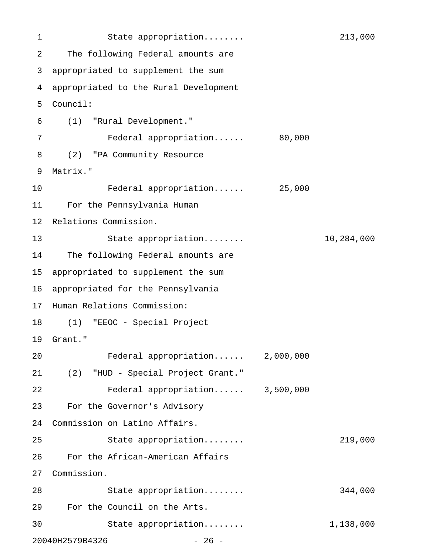1 State appropriation........ 213,000 2 The following Federal amounts are 3 appropriated to supplement the sum 4 appropriated to the Rural Development 5 Council: 6 (1) "Rural Development." 7 Federal appropriation...... 80,000 8 (2) "PA Community Resource 9 Matrix." 10 Federal appropriation...... 25,000 11 For the Pennsylvania Human 12 Relations Commission. 13 State appropriation........ 10,284,000 14 The following Federal amounts are 15 appropriated to supplement the sum 16 appropriated for the Pennsylvania 17 Human Relations Commission: 18 (1) "EEOC - Special Project 19 Grant." 20 Federal appropriation...... 2,000,000 21 (2) "HUD - Special Project Grant." 22 Federal appropriation...... 3,500,000 23 For the Governor's Advisory 24 Commission on Latino Affairs. 25 State appropriation........ 219,000 26 For the African-American Affairs 27 Commission. 28 State appropriation........ 344,000 29 For the Council on the Arts. 30 State appropriation........ 1,138,000 20040H2579B4326 - 26 -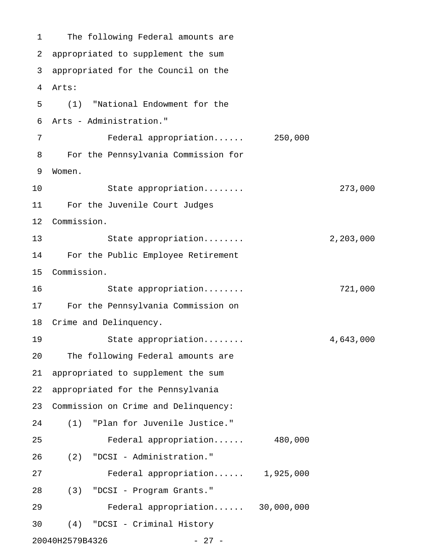1 The following Federal amounts are 2 appropriated to supplement the sum 3 appropriated for the Council on the 4 Arts: 5 (1) "National Endowment for the 6 Arts - Administration." 7 Federal appropriation...... 250,000 8 For the Pennsylvania Commission for 9 Women. 10 State appropriation....... 273,000 11 For the Juvenile Court Judges 12 Commission. 13 State appropriation........ 2,203,000 14 For the Public Employee Retirement 15 Commission. 16 State appropriation........ 721,000 17 For the Pennsylvania Commission on 18 Crime and Delinquency. 19 State appropriation........ 4,643,000 20 The following Federal amounts are 21 appropriated to supplement the sum 22 appropriated for the Pennsylvania 23 Commission on Crime and Delinquency: 24 (1) "Plan for Juvenile Justice." 25 Federal appropriation...... 480,000 26 (2) "DCSI - Administration." 27 Federal appropriation...... 1,925,000 28 (3) "DCSI - Program Grants." 29 Federal appropriation...... 30,000,000 30 (4) "DCSI - Criminal History 20040H2579B4326 - 27 -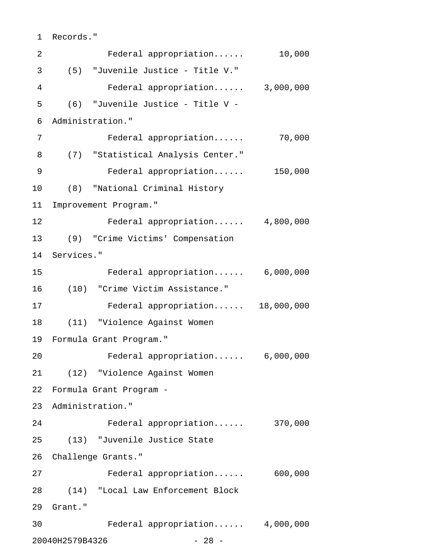```
1 Records."
```
2 Federal appropriation...... 10,000 3 (5) "Juvenile Justice - Title V." 4 Federal appropriation...... 3,000,000 5 (6) "Juvenile Justice - Title V - 6 Administration." 7 Federal appropriation...... 70,000 8 (7) "Statistical Analysis Center." 9 Federal appropriation...... 150,000 10 (8) "National Criminal History 11 Improvement Program." 12 Federal appropriation...... 4,800,000 13 (9) "Crime Victims' Compensation 14 Services." 15 Federal appropriation...... 6,000,000 16 (10) "Crime Victim Assistance." 17 Federal appropriation...... 18,000,000 18 (11) "Violence Against Women 19 Formula Grant Program." 20 Federal appropriation...... 6,000,000 21 (12) "Violence Against Women 22 Formula Grant Program - 23 Administration." 24 Federal appropriation...... 370,000 25 (13) "Juvenile Justice State 26 Challenge Grants." 27 Federal appropriation...... 600,000 28 (14) "Local Law Enforcement Block 29 Grant." 30 Federal appropriation...... 4,000,000 20040H2579B4326 - 28 -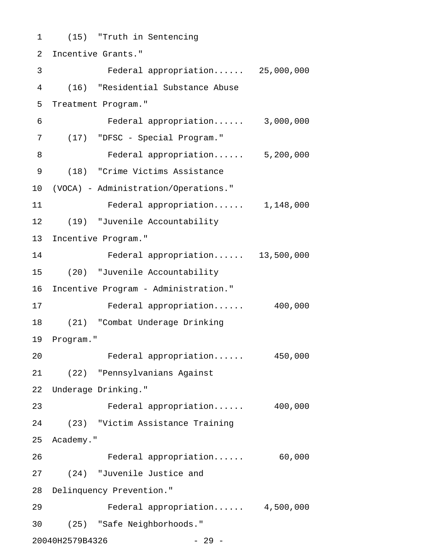1 (15) "Truth in Sentencing 2 Incentive Grants." 3 Federal appropriation...... 25,000,000 4 (16) "Residential Substance Abuse 5 Treatment Program." 6 Federal appropriation...... 3,000,000 7 (17) "DFSC - Special Program." 8 Federal appropriation...... 5,200,000 9 (18) "Crime Victims Assistance 10 (VOCA) - Administration/Operations." 11 Federal appropriation...... 1,148,000 12 (19) "Juvenile Accountability 13 Incentive Program." 14 Federal appropriation...... 13,500,000 15 (20) "Juvenile Accountability 16 Incentive Program - Administration." 17 Federal appropriation...... 400,000 18 (21) "Combat Underage Drinking 19 Program." 20 Federal appropriation...... 450,000 21 (22) "Pennsylvanians Against 22 Underage Drinking." 23 Federal appropriation...... 400,000 24 (23) "Victim Assistance Training 25 Academy." 26 Federal appropriation...... 60,000 27 (24) "Juvenile Justice and 28 Delinquency Prevention." 29 Federal appropriation...... 4,500,000 30 (25) "Safe Neighborhoods."

20040H2579B4326 - 29 -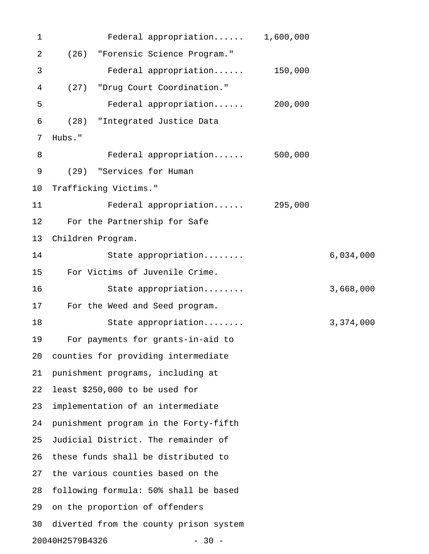| 1  | Federal appropriation                  | 1,600,000 |           |
|----|----------------------------------------|-----------|-----------|
| 2  | "Forensic Science Program."<br>(26)    |           |           |
| 3  | Federal appropriation 150,000          |           |           |
| 4  | "Drug Court Coordination."<br>(27)     |           |           |
| 5  | Federal appropriation                  | 200,000   |           |
| 6  | "Integrated Justice Data<br>(28)       |           |           |
| 7  | Hubs."                                 |           |           |
| 8  | Federal appropriation                  | 500,000   |           |
| 9  | (29) "Services for Human               |           |           |
| 10 | Trafficking Victims."                  |           |           |
| 11 | Federal appropriation                  | 295,000   |           |
| 12 | For the Partnership for Safe           |           |           |
| 13 | Children Program.                      |           |           |
| 14 | State appropriation                    |           | 6,034,000 |
| 15 | For Victims of Juvenile Crime.         |           |           |
| 16 | State appropriation                    |           | 3,668,000 |
| 17 | For the Weed and Seed program.         |           |           |
| 18 | State appropriation                    |           | 3,374,000 |
| 19 | For payments for grants-in-aid to      |           |           |
| 20 | counties for providing intermediate    |           |           |
| 21 | punishment programs, including at      |           |           |
| 22 | least \$250,000 to be used for         |           |           |
| 23 | implementation of an intermediate      |           |           |
| 24 | punishment program in the Forty-fifth  |           |           |
| 25 | Judicial District. The remainder of    |           |           |
| 26 | these funds shall be distributed to    |           |           |
| 27 | the various counties based on the      |           |           |
| 28 | following formula: 50% shall be based  |           |           |
| 29 | on the proportion of offenders         |           |           |
| 30 | diverted from the county prison system |           |           |
|    | 20040H2579B4326<br>$-30 -$             |           |           |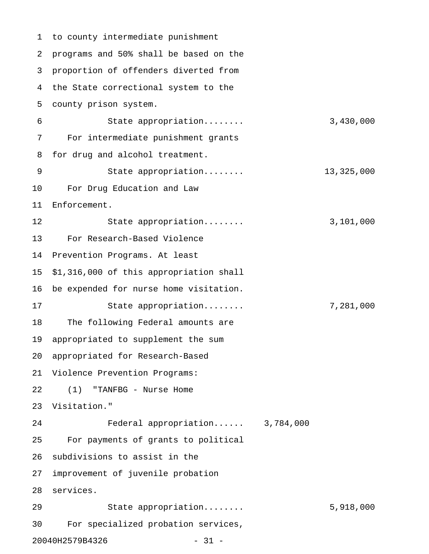1 to county intermediate punishment 2 programs and 50% shall be based on the 3 proportion of offenders diverted from 4 the State correctional system to the 5 county prison system. 6 State appropriation........ 3,430,000 7 For intermediate punishment grants 8 for drug and alcohol treatment. 9 State appropriation........ 13,325,000 10 For Drug Education and Law 11 Enforcement. 12 State appropriation........ 3,101,000 13 For Research-Based Violence 14 Prevention Programs. At least 15 \$1,316,000 of this appropriation shall 16 be expended for nurse home visitation. 17 State appropriation........ 7,281,000 18 The following Federal amounts are 19 appropriated to supplement the sum 20 appropriated for Research-Based 21 Violence Prevention Programs: 22 (1) "TANFBG - Nurse Home 23 Visitation." 24 Federal appropriation...... 3,784,000 25 For payments of grants to political 26 subdivisions to assist in the 27 improvement of juvenile probation 28 services. 29 State appropriation........ 5,918,000 30 For specialized probation services, 20040H2579B4326 - 31 -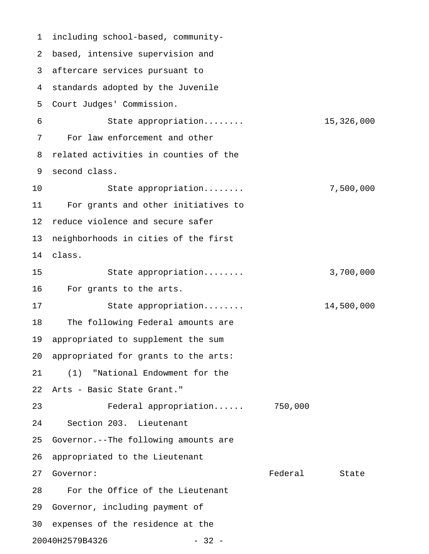1 including school-based, community-2 based, intensive supervision and 3 aftercare services pursuant to 4 standards adopted by the Juvenile 5 Court Judges' Commission. 6 State appropriation........ 15,326,000 7 For law enforcement and other 8 related activities in counties of the 9 second class. 10 State appropriation....... 7,500,000 11 For grants and other initiatives to 12 reduce violence and secure safer 13 neighborhoods in cities of the first 14 class. 15 State appropriation........ 3,700,000 16 For grants to the arts. 17 State appropriation........ 14,500,000 18 The following Federal amounts are 19 appropriated to supplement the sum 20 appropriated for grants to the arts: 21 (1) "National Endowment for the 22 Arts - Basic State Grant." 23 Federal appropriation...... 750,000 24 Section 203. Lieutenant 25 Governor.--The following amounts are 26 appropriated to the Lieutenant 27 Governor: Enlacement of the State State State State State State State State State 28 For the Office of the Lieutenant 29 Governor, including payment of 30 expenses of the residence at the 20040H2579B4326 - 32 -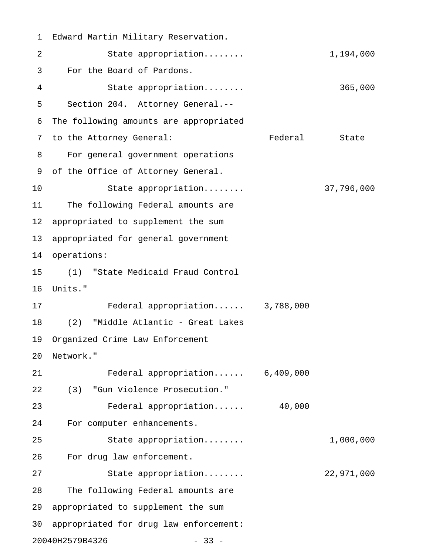1 Edward Martin Military Reservation. 2 State appropriation........ 1,194,000 3 For the Board of Pardons. 4 State appropriation........ 365,000 5 Section 204. Attorney General.-- 6 The following amounts are appropriated 7 to the Attorney General: The State State State State 8 For general government operations 9 of the Office of Attorney General. 10 State appropriation........ 37,796,000 11 The following Federal amounts are 12 appropriated to supplement the sum 13 appropriated for general government 14 operations: 15 (1) "State Medicaid Fraud Control 16 Units." 17 Federal appropriation...... 3,788,000 18 (2) "Middle Atlantic - Great Lakes 19 Organized Crime Law Enforcement 20 Network." 21 Federal appropriation...... 6,409,000 22 (3) "Gun Violence Prosecution." 23 Federal appropriation...... 40,000 24 For computer enhancements. 25 State appropriation........ 1,000,000 26 For drug law enforcement. 27 State appropriation........ 22,971,000 28 The following Federal amounts are 29 appropriated to supplement the sum 30 appropriated for drug law enforcement: 20040H2579B4326 - 33 -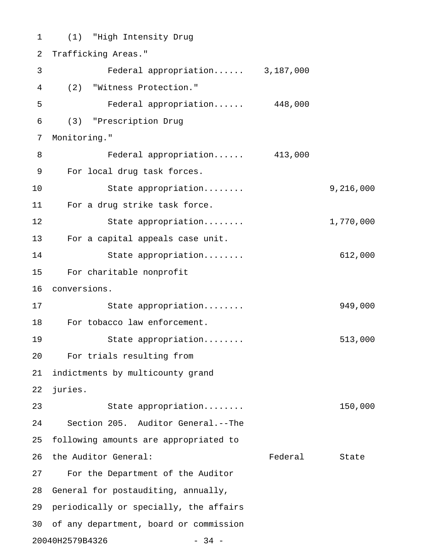1 (1) "High Intensity Drug 2 Trafficking Areas." 3 Federal appropriation...... 3,187,000 4 (2) "Witness Protection." 5 Federal appropriation...... 448,000 6 (3) "Prescription Drug 7 Monitoring." 8 Federal appropriation...... 413,000 9 For local drug task forces. 10 State appropriation........ 9,216,000 11 For a drug strike task force. 12 State appropriation........ 1,770,000 13 For a capital appeals case unit. 14 State appropriation........ 612,000 15 For charitable nonprofit 16 conversions. 17 State appropriation........ 949,000 18 For tobacco law enforcement. 19 State appropriation........ 513,000 20 For trials resulting from 21 indictments by multicounty grand 22 juries. 23 State appropriation........ 150,000 24 Section 205. Auditor General.--The 25 following amounts are appropriated to 26 the Auditor General: The State State State State State 27 For the Department of the Auditor 28 General for postauditing, annually, 29 periodically or specially, the affairs 30 of any department, board or commission 20040H2579B4326 - 34 -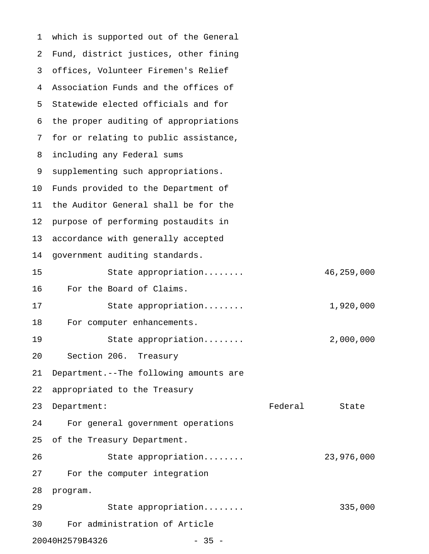| $\mathbf 1$ | which is supported out of the General  |         |            |
|-------------|----------------------------------------|---------|------------|
| 2           | Fund, district justices, other fining  |         |            |
| 3           | offices, Volunteer Firemen's Relief    |         |            |
| 4           | Association Funds and the offices of   |         |            |
| 5           | Statewide elected officials and for    |         |            |
| 6           | the proper auditing of appropriations  |         |            |
| 7           | for or relating to public assistance,  |         |            |
| 8           | including any Federal sums             |         |            |
| 9           | supplementing such appropriations.     |         |            |
| 10          | Funds provided to the Department of    |         |            |
| 11          | the Auditor General shall be for the   |         |            |
| 12          | purpose of performing postaudits in    |         |            |
| 13          | accordance with generally accepted     |         |            |
| 14          | government auditing standards.         |         |            |
| 15          | State appropriation                    |         | 46,259,000 |
| 16          | For the Board of Claims.               |         |            |
| 17          | State appropriation                    |         | 1,920,000  |
| 18          | For computer enhancements.             |         |            |
| 19          | State appropriation                    |         | 2,000,000  |
| 20          | Section 206. Treasury                  |         |            |
| 21          | Department.--The following amounts are |         |            |
| 22          | appropriated to the Treasury           |         |            |
| 23          | Department:                            | Federal | State      |
| 24          | For general government operations      |         |            |
| 25          | of the Treasury Department.            |         |            |
| 26          | State appropriation                    |         | 23,976,000 |
| 27          | For the computer integration           |         |            |
| 28          | program.                               |         |            |
| 29          | State appropriation                    |         | 335,000    |
| 30          | For administration of Article          |         |            |
|             | 20040H2579B4326<br>$-35 -$             |         |            |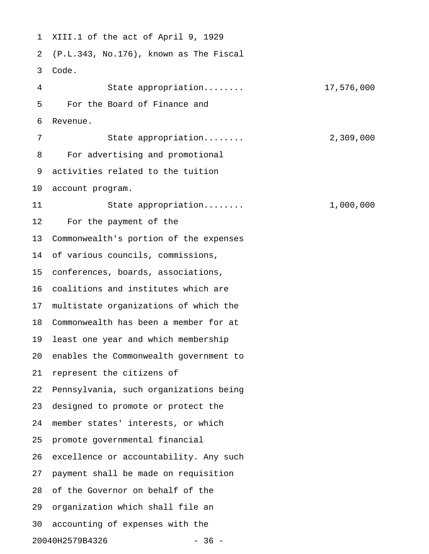1 XIII.1 of the act of April 9, 1929 2 (P.L.343, No.176), known as The Fiscal 3 Code. 4 State appropriation........ 17,576,000 5 For the Board of Finance and 6 Revenue. 7 State appropriation........ 2,309,000 8 For advertising and promotional 9 activities related to the tuition 10 account program. 11 State appropriation........ 1,000,000 12 For the payment of the 13 Commonwealth's portion of the expenses 14 of various councils, commissions, 15 conferences, boards, associations, 16 coalitions and institutes which are 17 multistate organizations of which the 18 Commonwealth has been a member for at 19 least one year and which membership 20 enables the Commonwealth government to 21 represent the citizens of 22 Pennsylvania, such organizations being 23 designed to promote or protect the 24 member states' interests, or which 25 promote governmental financial 26 excellence or accountability. Any such 27 payment shall be made on requisition 28 of the Governor on behalf of the 29 organization which shall file an 30 accounting of expenses with the 20040H2579B4326 - 36 -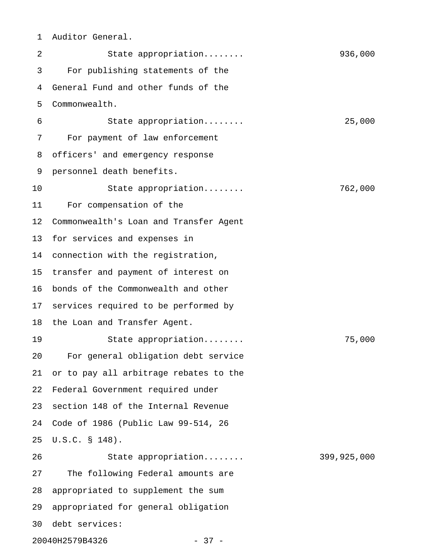1 Auditor General.

| 2  | State appropriation                       | 936,000     |
|----|-------------------------------------------|-------------|
| 3  | For publishing statements of the          |             |
| 4  | General Fund and other funds of the       |             |
| 5  | Commonwealth.                             |             |
| 6  | State appropriation                       | 25,000      |
| 7  | For payment of law enforcement            |             |
| 8  | officers' and emergency response          |             |
| 9  | personnel death benefits.                 |             |
| 10 | State appropriation                       | 762,000     |
| 11 | For compensation of the                   |             |
| 12 | Commonwealth's Loan and Transfer Agent    |             |
| 13 | for services and expenses in              |             |
| 14 | connection with the registration,         |             |
| 15 | transfer and payment of interest on       |             |
| 16 | bonds of the Commonwealth and other       |             |
| 17 | services required to be performed by      |             |
| 18 | the Loan and Transfer Agent.              |             |
| 19 | State appropriation                       | 75,000      |
| 20 | For general obligation debt service       |             |
|    | 21 or to pay all arbitrage rebates to the |             |
| 22 | Federal Government required under         |             |
| 23 | section 148 of the Internal Revenue       |             |
| 24 | Code of 1986 (Public Law 99-514, 26       |             |
| 25 | U.S.C. § 148).                            |             |
| 26 | State appropriation                       | 399,925,000 |
| 27 | The following Federal amounts are         |             |
| 28 | appropriated to supplement the sum        |             |
| 29 | appropriated for general obligation       |             |
| 30 | debt services:                            |             |
|    | 20040H2579B4326<br>$-37 -$                |             |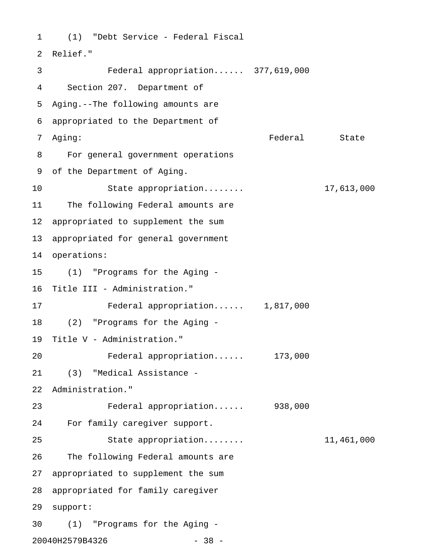1 (1) "Debt Service - Federal Fiscal 2 Relief." 3 Federal appropriation...... 377,619,000 4 Section 207. Department of 5 Aging.--The following amounts are 6 appropriated to the Department of 7 Aging: Federal State 8 For general government operations 9 of the Department of Aging. 10 State appropriation........ 17,613,000 11 The following Federal amounts are 12 appropriated to supplement the sum 13 appropriated for general government 14 operations: 15 (1) "Programs for the Aging - 16 Title III - Administration." 17 Federal appropriation...... 1,817,000 18 (2) "Programs for the Aging - 19 Title V - Administration." 20 Federal appropriation...... 173,000 21 (3) "Medical Assistance - 22 Administration." 23 Federal appropriation...... 938,000 24 For family caregiver support. 25 State appropriation........ 11,461,000 26 The following Federal amounts are 27 appropriated to supplement the sum 28 appropriated for family caregiver 29 support: 30 (1) "Programs for the Aging -

20040H2579B4326 - 38 -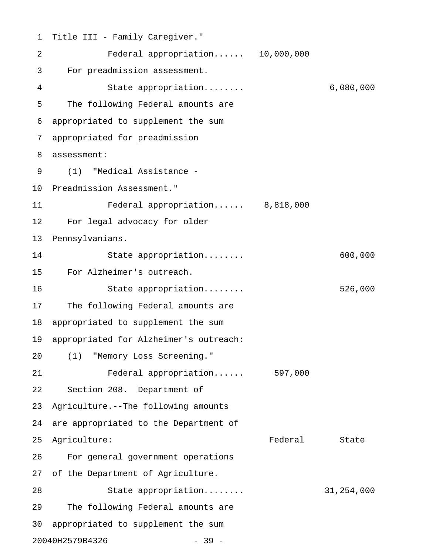1 Title III - Family Caregiver." 2 Federal appropriation...... 10,000,000 3 For preadmission assessment. 4 State appropriation........ 6,080,000 5 The following Federal amounts are 6 appropriated to supplement the sum 7 appropriated for preadmission 8 assessment: 9 (1) "Medical Assistance - 10 Preadmission Assessment." 11 Federal appropriation...... 8,818,000 12 For legal advocacy for older 13 Pennsylvanians. 14 State appropriation........ 600,000 15 For Alzheimer's outreach. 16 State appropriation........ 526,000 17 The following Federal amounts are 18 appropriated to supplement the sum 19 appropriated for Alzheimer's outreach: 20 (1) "Memory Loss Screening." 21 Federal appropriation...... 597,000 22 Section 208. Department of 23 Agriculture.--The following amounts 24 are appropriated to the Department of 25 Agriculture: Federal State 26 For general government operations 27 of the Department of Agriculture. 28 State appropriation........ 31,254,000 29 The following Federal amounts are 30 appropriated to supplement the sum 20040H2579B4326 - 39 -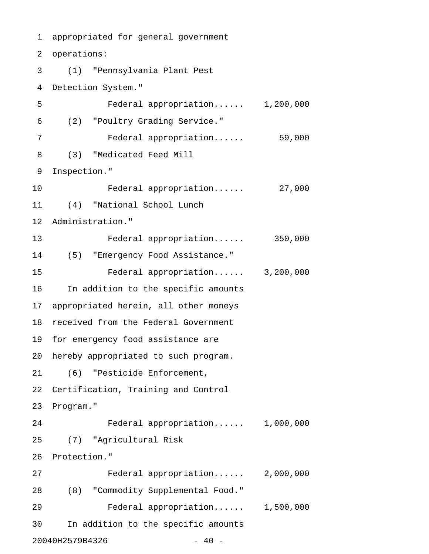1 appropriated for general government 2 operations: 3 (1) "Pennsylvania Plant Pest 4 Detection System." 5 Federal appropriation...... 1,200,000 6 (2) "Poultry Grading Service." 7 Federal appropriation...... 59,000 8 (3) "Medicated Feed Mill 9 Inspection." 10 Federal appropriation...... 27,000 11 (4) "National School Lunch 12 Administration." 13 Federal appropriation...... 350,000 14 (5) "Emergency Food Assistance." 15 Federal appropriation...... 3,200,000 16 In addition to the specific amounts 17 appropriated herein, all other moneys 18 received from the Federal Government 19 for emergency food assistance are 20 hereby appropriated to such program. 21 (6) "Pesticide Enforcement, 22 Certification, Training and Control 23 Program." 24 Federal appropriation...... 1,000,000 25 (7) "Agricultural Risk 26 Protection." 27 Federal appropriation...... 2,000,000 28 (8) "Commodity Supplemental Food." 29 Federal appropriation...... 1,500,000 30 In addition to the specific amounts

20040H2579B4326 - 40 -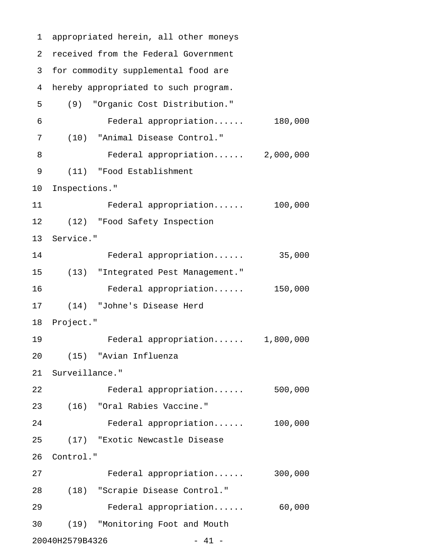1 appropriated herein, all other moneys 2 received from the Federal Government 3 for commodity supplemental food are 4 hereby appropriated to such program. 5 (9) "Organic Cost Distribution." 6 Federal appropriation...... 180,000 7 (10) "Animal Disease Control." 8 Federal appropriation...... 2,000,000 9 (11) "Food Establishment 10 Inspections." 11 Federal appropriation...... 100,000 12 (12) "Food Safety Inspection 13 Service." 14 Federal appropriation...... 35,000 15 (13) "Integrated Pest Management." 16 Federal appropriation...... 150,000 17 (14) "Johne's Disease Herd 18 Project." 19 Federal appropriation...... 1,800,000 20 (15) "Avian Influenza 21 Surveillance." 22 Federal appropriation...... 500,000 23 (16) "Oral Rabies Vaccine." 24 Federal appropriation...... 100,000 25 (17) "Exotic Newcastle Disease 26 Control." 27 Federal appropriation...... 300,000 28 (18) "Scrapie Disease Control." 29 Federal appropriation...... 60,000 30 (19) "Monitoring Foot and Mouth 20040H2579B4326 - 41 -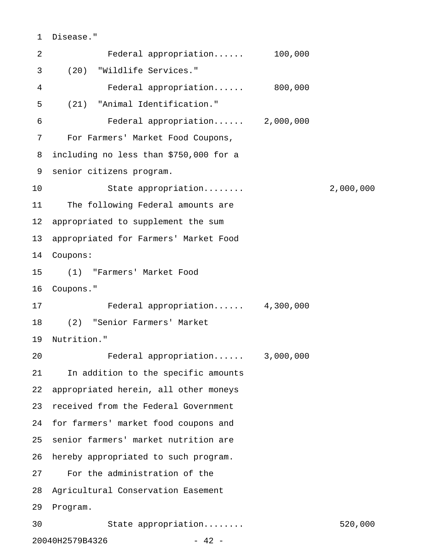1 Disease."

| $\overline{2}$ | Federal appropriation                  | 100,000   |           |  |  |
|----------------|----------------------------------------|-----------|-----------|--|--|
| 3              | "Wildlife Services."<br>(20)           |           |           |  |  |
| $\overline{4}$ | Federal appropriation                  | 800,000   |           |  |  |
| 5              | (21) "Animal Identification."          |           |           |  |  |
| 6              | Federal appropriation 2,000,000        |           |           |  |  |
| 7              | For Farmers' Market Food Coupons,      |           |           |  |  |
| 8              | including no less than \$750,000 for a |           |           |  |  |
| 9              | senior citizens program.               |           |           |  |  |
| 10             | State appropriation                    |           | 2,000,000 |  |  |
| 11             | The following Federal amounts are      |           |           |  |  |
| 12             | appropriated to supplement the sum     |           |           |  |  |
| 13             | appropriated for Farmers' Market Food  |           |           |  |  |
| 14             | Coupons:                               |           |           |  |  |
| 15             | (1) "Farmers' Market Food              |           |           |  |  |
| 16             | Coupons."                              |           |           |  |  |
| 17             | Federal appropriation $4,300,000$      |           |           |  |  |
| 18             | (2) "Senior Farmers' Market            |           |           |  |  |
| 19             | Nutrition."                            |           |           |  |  |
| 20             | Federal appropriation                  | 3,000,000 |           |  |  |
| 21             | In addition to the specific amounts    |           |           |  |  |
| 22             | appropriated herein, all other moneys  |           |           |  |  |
| 23             | received from the Federal Government   |           |           |  |  |
| 24             | for farmers' market food coupons and   |           |           |  |  |
| 25             | senior farmers' market nutrition are   |           |           |  |  |
| 26             | hereby appropriated to such program.   |           |           |  |  |
| 27             | For the administration of the          |           |           |  |  |
| 28             | Agricultural Conservation Easement     |           |           |  |  |
| 29             | Program.                               |           |           |  |  |
| 30             | State appropriation                    |           | 520,000   |  |  |
|                | 20040H2579B4326<br>$-42 -$             |           |           |  |  |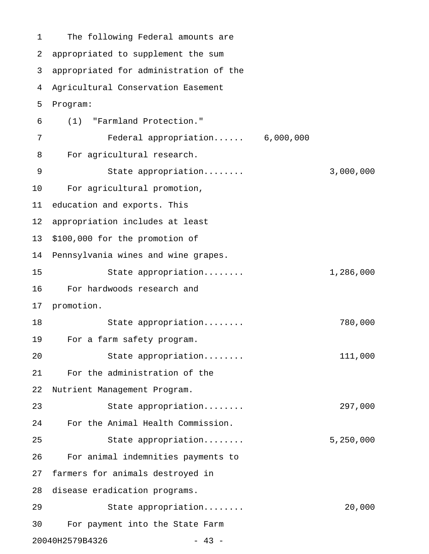1 The following Federal amounts are 2 appropriated to supplement the sum 3 appropriated for administration of the 4 Agricultural Conservation Easement 5 Program: 6 (1) "Farmland Protection." 7 Federal appropriation...... 6,000,000 8 For agricultural research. 9 State appropriation........ 3,000,000 10 For agricultural promotion, 11 education and exports. This 12 appropriation includes at least 13 \$100,000 for the promotion of 14 Pennsylvania wines and wine grapes. 15 State appropriation........ 1,286,000 16 For hardwoods research and 17 promotion. 18 State appropriation........ 780,000 19 For a farm safety program. 20 State appropriation........ 111,000 21 For the administration of the 22 Nutrient Management Program. 23 State appropriation........ 297,000 24 For the Animal Health Commission. 25 State appropriation........ 5,250,000 26 For animal indemnities payments to 27 farmers for animals destroyed in 28 disease eradication programs. 29 State appropriation........ 20,000 30 For payment into the State Farm 20040H2579B4326 - 43 -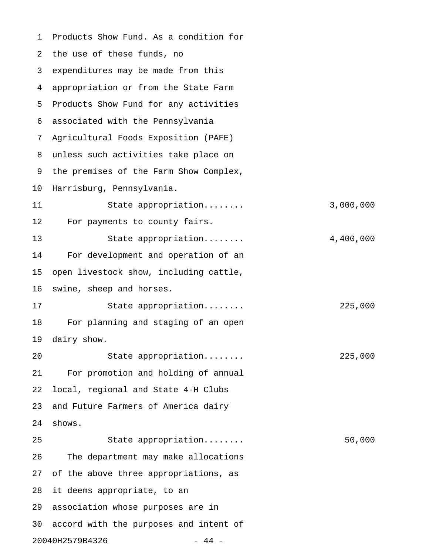1 Products Show Fund. As a condition for 2 the use of these funds, no 3 expenditures may be made from this 4 appropriation or from the State Farm 5 Products Show Fund for any activities 6 associated with the Pennsylvania 7 Agricultural Foods Exposition (PAFE) 8 unless such activities take place on 9 the premises of the Farm Show Complex, 10 Harrisburg, Pennsylvania. 11 State appropriation........ 3,000,000 12 For payments to county fairs. 13 State appropriation........ 4,400,000 14 For development and operation of an 15 open livestock show, including cattle, 16 swine, sheep and horses. 17 State appropriation........ 225,000 18 For planning and staging of an open 19 dairy show. 20 State appropriation........ 225,000 21 For promotion and holding of annual 22 local, regional and State 4-H Clubs 23 and Future Farmers of America dairy 24 shows. 25 State appropriation........ 50,000 26 The department may make allocations 27 of the above three appropriations, as 28 it deems appropriate, to an 29 association whose purposes are in 30 accord with the purposes and intent of 20040H2579B4326 - 44 -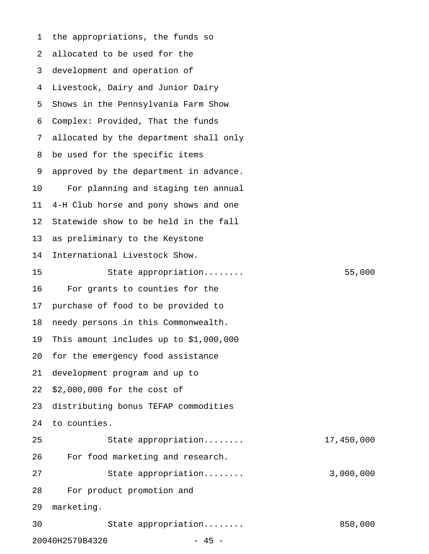1 the appropriations, the funds so 2 allocated to be used for the 3 development and operation of 4 Livestock, Dairy and Junior Dairy 5 Shows in the Pennsylvania Farm Show 6 Complex: Provided, That the funds 7 allocated by the department shall only 8 be used for the specific items 9 approved by the department in advance. 10 For planning and staging ten annual 11 4-H Club horse and pony shows and one 12 Statewide show to be held in the fall 13 as preliminary to the Keystone 14 International Livestock Show. 15 State appropriation........ 55,000 16 For grants to counties for the 17 purchase of food to be provided to 18 needy persons in this Commonwealth. 19 This amount includes up to \$1,000,000 20 for the emergency food assistance 21 development program and up to 22 \$2,000,000 for the cost of 23 distributing bonus TEFAP commodities 24 to counties. 25 State appropriation........ 17,450,000 26 For food marketing and research. 27 State appropriation........ 3,000,000 28 For product promotion and 29 marketing. 30 State appropriation........ 850,000

20040H2579B4326 - 45 -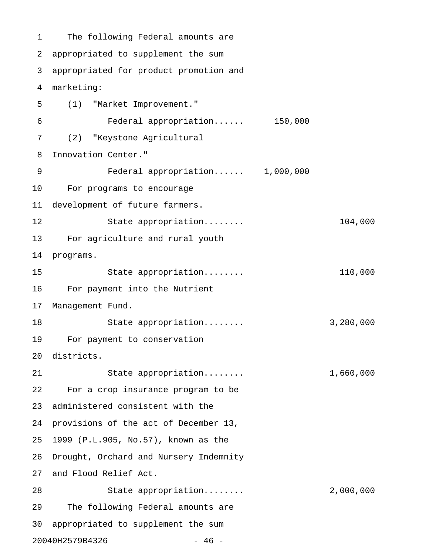1 The following Federal amounts are 2 appropriated to supplement the sum 3 appropriated for product promotion and 4 marketing: 5 (1) "Market Improvement." 6 Federal appropriation...... 150,000 7 (2) "Keystone Agricultural 8 Innovation Center." 9 Federal appropriation...... 1,000,000 10 For programs to encourage 11 development of future farmers. 12 State appropriation........ 104,000 13 For agriculture and rural youth 14 programs. 15 State appropriation........ 110,000 16 For payment into the Nutrient 17 Management Fund. 18 State appropriation........ 3,280,000 19 For payment to conservation 20 districts. 21 State appropriation........ 1,660,000 22 For a crop insurance program to be 23 administered consistent with the 24 provisions of the act of December 13, 25 1999 (P.L.905, No.57), known as the 26 Drought, Orchard and Nursery Indemnity 27 and Flood Relief Act. 28 State appropriation........ 2,000,000 29 The following Federal amounts are 30 appropriated to supplement the sum 20040H2579B4326 - 46 -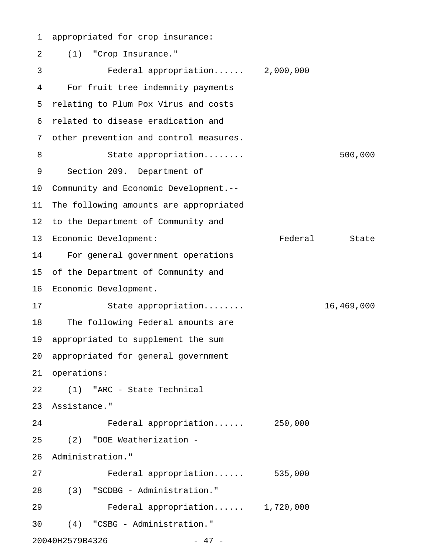1 appropriated for crop insurance: 2 (1) "Crop Insurance." 3 Federal appropriation...... 2,000,000 4 For fruit tree indemnity payments 5 relating to Plum Pox Virus and costs 6 related to disease eradication and 7 other prevention and control measures. 8 State appropriation........ 500,000 9 Section 209. Department of 10 Community and Economic Development.-- 11 The following amounts are appropriated 12 to the Department of Community and 13 Economic Development: The State State State State 14 For general government operations 15 of the Department of Community and 16 Economic Development. 17 State appropriation........ 16,469,000 18 The following Federal amounts are 19 appropriated to supplement the sum 20 appropriated for general government 21 operations: 22 (1) "ARC - State Technical 23 Assistance." 24 Federal appropriation...... 250,000 25 (2) "DOE Weatherization - 26 Administration." 27 Federal appropriation...... 535,000 28 (3) "SCDBG - Administration." 29 Federal appropriation...... 1,720,000 30 (4) "CSBG - Administration."

20040H2579B4326 - 47 -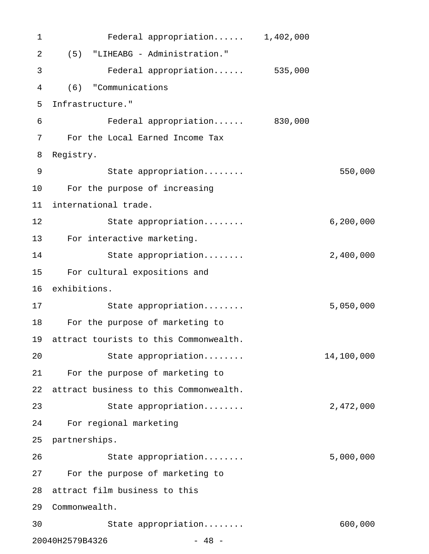1 Federal appropriation...... 1,402,000 2 (5) "LIHEABG - Administration." 3 Federal appropriation...... 535,000 4 (6) "Communications 5 Infrastructure." 6 Federal appropriation...... 830,000 7 For the Local Earned Income Tax 8 Registry. 9 State appropriation........ 550,000 10 For the purpose of increasing 11 international trade. 12 State appropriation........ 6,200,000 13 For interactive marketing. 14 State appropriation........ 2,400,000 15 For cultural expositions and 16 exhibitions. 17 State appropriation........ 5,050,000 18 For the purpose of marketing to 19 attract tourists to this Commonwealth. 20 State appropriation........ 14,100,000 21 For the purpose of marketing to 22 attract business to this Commonwealth. 23 State appropriation........ 2,472,000 24 For regional marketing 25 partnerships. 26 State appropriation........ 5,000,000 27 For the purpose of marketing to 28 attract film business to this 29 Commonwealth. 30 State appropriation........ 600,000 20040H2579B4326 - 48 -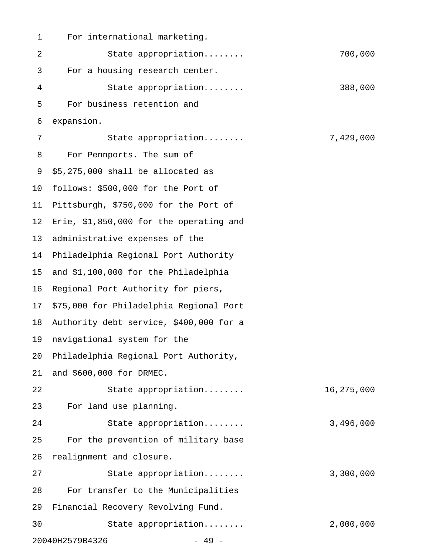1 For international marketing. 2 State appropriation........ 700,000 3 For a housing research center. 4 State appropriation........ 388,000 5 For business retention and 6 expansion. 7 State appropriation....... 7,429,000 8 For Pennports. The sum of 9 \$5,275,000 shall be allocated as 10 follows: \$500,000 for the Port of 11 Pittsburgh, \$750,000 for the Port of 12 Erie, \$1,850,000 for the operating and 13 administrative expenses of the 14 Philadelphia Regional Port Authority 15 and \$1,100,000 for the Philadelphia 16 Regional Port Authority for piers, 17 \$75,000 for Philadelphia Regional Port 18 Authority debt service, \$400,000 for a 19 navigational system for the 20 Philadelphia Regional Port Authority, 21 and \$600,000 for DRMEC. 22 State appropriation........ 16,275,000 23 For land use planning. 24 State appropriation........ 3,496,000 25 For the prevention of military base 26 realignment and closure. 27 State appropriation........ 3,300,000 28 For transfer to the Municipalities 29 Financial Recovery Revolving Fund. 30 State appropriation........ 2,000,000 20040H2579B4326 - 49 -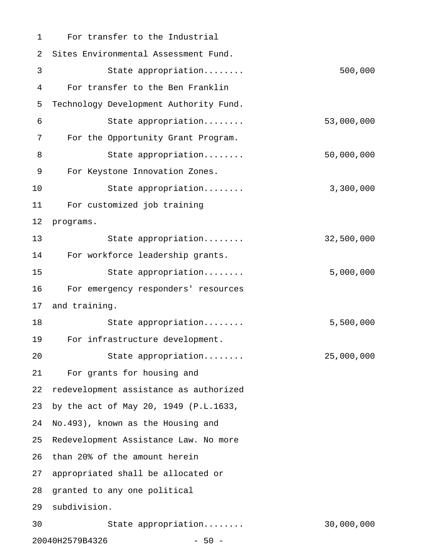| 1  | For transfer to the Industrial         |            |
|----|----------------------------------------|------------|
| 2  | Sites Environmental Assessment Fund.   |            |
| 3  | State appropriation                    | 500,000    |
| 4  | For transfer to the Ben Franklin       |            |
| 5  | Technology Development Authority Fund. |            |
| 6  | State appropriation                    | 53,000,000 |
| 7  | For the Opportunity Grant Program.     |            |
| 8  | State appropriation                    | 50,000,000 |
| 9  | For Keystone Innovation Zones.         |            |
| 10 | State appropriation                    | 3,300,000  |
| 11 | For customized job training            |            |
| 12 | programs.                              |            |
| 13 | State appropriation                    | 32,500,000 |
| 14 | For workforce leadership grants.       |            |
| 15 | State appropriation                    | 5,000,000  |
| 16 | For emergency responders' resources    |            |
| 17 | and training.                          |            |
| 18 | State appropriation                    | 5,500,000  |
| 19 | For infrastructure development.        |            |
| 20 | State appropriation                    | 25,000,000 |
| 21 | For grants for housing and             |            |
| 22 | redevelopment assistance as authorized |            |
| 23 | by the act of May 20, 1949 (P.L.1633,  |            |
| 24 | No. 493), known as the Housing and     |            |
| 25 | Redevelopment Assistance Law. No more  |            |
| 26 | than 20% of the amount herein          |            |
| 27 | appropriated shall be allocated or     |            |
| 28 | granted to any one political           |            |
| 29 | subdivision.                           |            |
| 30 | State appropriation                    | 30,000,000 |
|    | 20040H2579B4326<br>$-50 -$             |            |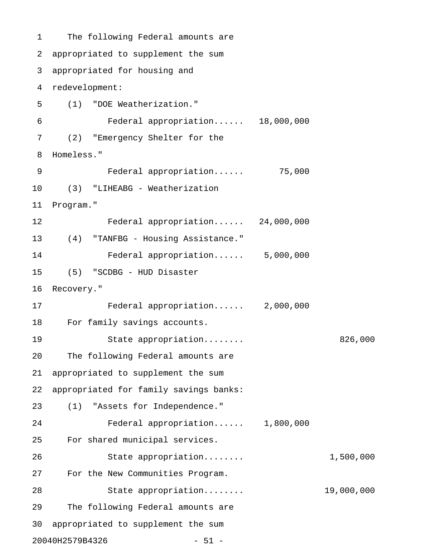1 The following Federal amounts are 2 appropriated to supplement the sum 3 appropriated for housing and 4 redevelopment: 5 (1) "DOE Weatherization." 6 Federal appropriation...... 18,000,000 7 (2) "Emergency Shelter for the 8 Homeless." 9 Federal appropriation...... 75,000 10 (3) "LIHEABG - Weatherization 11 Program." 12 Federal appropriation...... 24,000,000 13 (4) "TANFBG - Housing Assistance." 14 Federal appropriation...... 5,000,000 15 (5) "SCDBG - HUD Disaster 16 Recovery." 17 Federal appropriation...... 2,000,000 18 For family savings accounts. 19 State appropriation........ 826,000 20 The following Federal amounts are 21 appropriated to supplement the sum 22 appropriated for family savings banks: 23 (1) "Assets for Independence." 24 Federal appropriation...... 1,800,000 25 For shared municipal services. 26 State appropriation........ 1,500,000 27 For the New Communities Program. 28 State appropriation........ 19,000,000 29 The following Federal amounts are 30 appropriated to supplement the sum 20040H2579B4326 - 51 -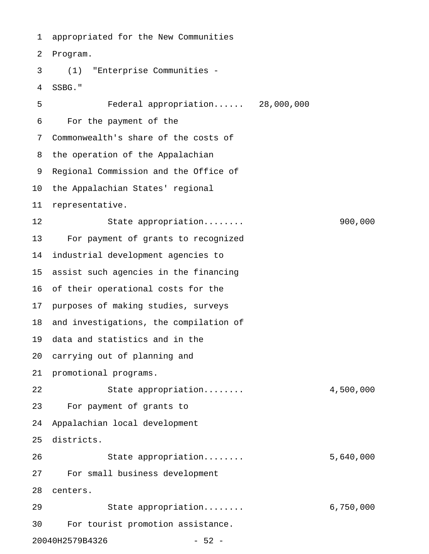1 appropriated for the New Communities 2 Program. 3 (1) "Enterprise Communities - 4 SSBG." 5 Federal appropriation...... 28,000,000 6 For the payment of the 7 Commonwealth's share of the costs of 8 the operation of the Appalachian 9 Regional Commission and the Office of 10 the Appalachian States' regional 11 representative. 12 State appropriation........ 900,000 13 For payment of grants to recognized 14 industrial development agencies to 15 assist such agencies in the financing 16 of their operational costs for the 17 purposes of making studies, surveys 18 and investigations, the compilation of 19 data and statistics and in the 20 carrying out of planning and 21 promotional programs. 22 State appropriation........ 4,500,000 23 For payment of grants to 24 Appalachian local development 25 districts. 26 State appropriation........ 5,640,000 27 For small business development 28 centers. 29 State appropriation........ 6,750,000 30 For tourist promotion assistance. 20040H2579B4326 - 52 -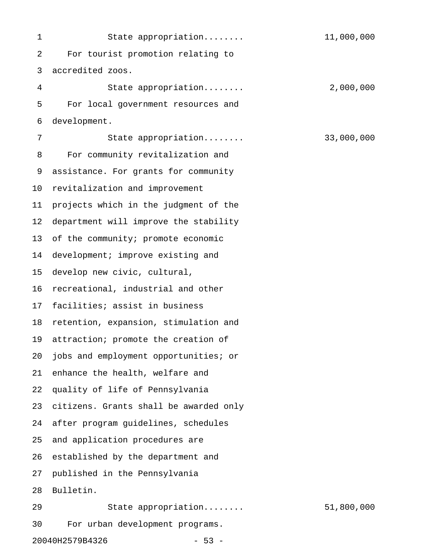1 State appropriation........ 11,000,000 2 For tourist promotion relating to 3 accredited zoos. 4 State appropriation........ 2,000,000 5 For local government resources and 6 development. 7 State appropriation....... 33,000,000 8 For community revitalization and 9 assistance. For grants for community 10 revitalization and improvement 11 projects which in the judgment of the 12 department will improve the stability 13 of the community; promote economic 14 development; improve existing and 15 develop new civic, cultural, 16 recreational, industrial and other 17 facilities; assist in business 18 retention, expansion, stimulation and 19 attraction; promote the creation of 20 jobs and employment opportunities; or 21 enhance the health, welfare and 22 quality of life of Pennsylvania 23 citizens. Grants shall be awarded only 24 after program guidelines, schedules 25 and application procedures are 26 established by the department and 27 published in the Pennsylvania 28 Bulletin. 29 State appropriation........ 51,800,000 30 For urban development programs.

20040H2579B4326 - 53 -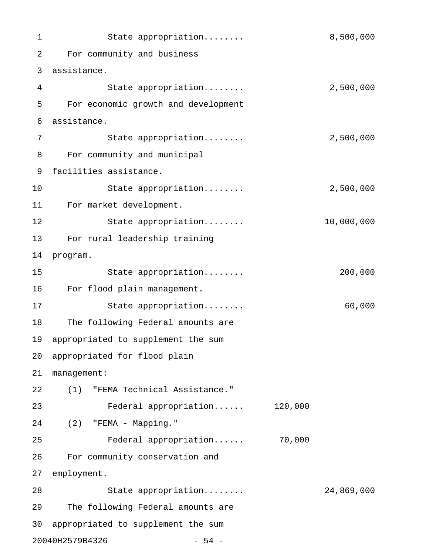1 State appropriation........ 8,500,000 2 For community and business 3 assistance. 4 State appropriation........ 2,500,000 5 For economic growth and development 6 assistance. 7 State appropriation....... 2,500,000 8 For community and municipal 9 facilities assistance. 10 State appropriation........ 2,500,000 11 For market development. 12 State appropriation........ 10,000,000 13 For rural leadership training 14 program. 15 State appropriation........ 200,000 16 For flood plain management. 17 State appropriation........ 60,000 18 The following Federal amounts are 19 appropriated to supplement the sum 20 appropriated for flood plain 21 management: 22 (1) "FEMA Technical Assistance." 23 Federal appropriation...... 120,000 24 (2) "FEMA - Mapping." 25 Federal appropriation...... 70,000 26 For community conservation and 27 employment. 28 State appropriation........ 24,869,000 29 The following Federal amounts are 30 appropriated to supplement the sum 20040H2579B4326 - 54 -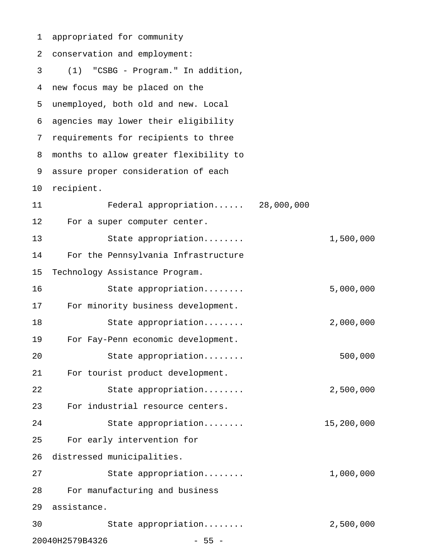1 appropriated for community 2 conservation and employment: 3 (1) "CSBG - Program." In addition, 4 new focus may be placed on the 5 unemployed, both old and new. Local 6 agencies may lower their eligibility 7 requirements for recipients to three 8 months to allow greater flexibility to 9 assure proper consideration of each 10 recipient. 11 Federal appropriation...... 28,000,000 12 For a super computer center. 13 State appropriation........ 1,500,000 14 For the Pennsylvania Infrastructure 15 Technology Assistance Program. 16 State appropriation........ 5,000,000 17 For minority business development. 18 State appropriation........ 2,000,000 19 For Fay-Penn economic development. 20 State appropriation........ 500,000 21 For tourist product development. 22 State appropriation........ 2,500,000 23 For industrial resource centers. 24 State appropriation........ 15,200,000 25 For early intervention for 26 distressed municipalities. 27 State appropriation........ 1,000,000 28 For manufacturing and business 29 assistance. 30 State appropriation........ 2,500,000 20040H2579B4326 - 55 -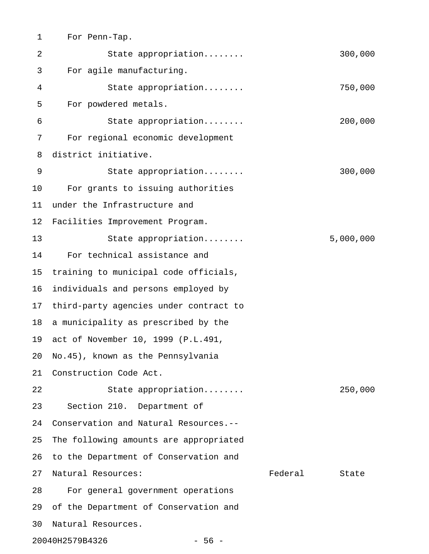1 For Penn-Tap. 2 State appropriation........ 300,000 3 For agile manufacturing. 4 State appropriation........ 750,000 5 For powdered metals. 6 State appropriation........ 200,000 7 For regional economic development 8 district initiative. 9 State appropriation........ 300,000 10 For grants to issuing authorities 11 under the Infrastructure and 12 Facilities Improvement Program. 13 State appropriation........ 5,000,000 14 For technical assistance and 15 training to municipal code officials, 16 individuals and persons employed by 17 third-party agencies under contract to 18 a municipality as prescribed by the 19 act of November 10, 1999 (P.L.491, 20 No.45), known as the Pennsylvania 21 Construction Code Act. 22 State appropriation........ 250,000 23 Section 210. Department of 24 Conservation and Natural Resources.-- 25 The following amounts are appropriated 26 to the Department of Conservation and 27 Natural Resources: The State State State State State 28 For general government operations 29 of the Department of Conservation and 30 Natural Resources.

20040H2579B4326 - 56 -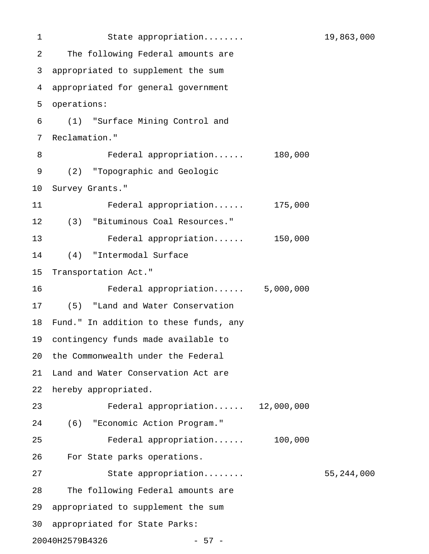1 State appropriation........ 19,863,000 2 The following Federal amounts are 3 appropriated to supplement the sum 4 appropriated for general government 5 operations: 6 (1) "Surface Mining Control and 7 Reclamation." 8 Federal appropriation...... 180,000 9 (2) "Topographic and Geologic 10 Survey Grants." 11 Federal appropriation...... 175,000 12 (3) "Bituminous Coal Resources." 13 Federal appropriation...... 150,000 14 (4) "Intermodal Surface 15 Transportation Act." 16 Federal appropriation...... 5,000,000 17 (5) "Land and Water Conservation 18 Fund." In addition to these funds, any 19 contingency funds made available to 20 the Commonwealth under the Federal 21 Land and Water Conservation Act are 22 hereby appropriated. 23 Federal appropriation...... 12,000,000 24 (6) "Economic Action Program." 25 Federal appropriation...... 100,000 26 For State parks operations. 27 State appropriation........ 55,244,000 28 The following Federal amounts are 29 appropriated to supplement the sum 30 appropriated for State Parks: 20040H2579B4326 - 57 -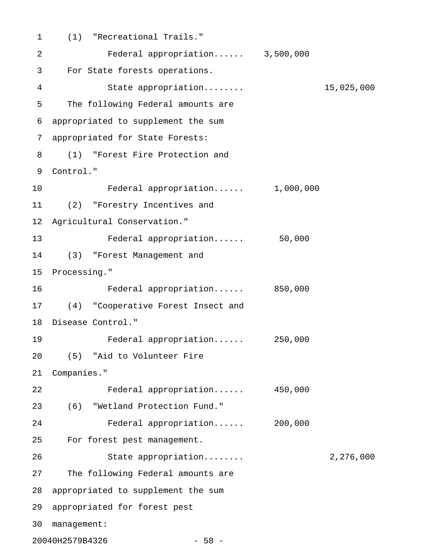1 (1) "Recreational Trails." 2 Federal appropriation...... 3,500,000 3 For State forests operations. 4 State appropriation........ 15,025,000 5 The following Federal amounts are 6 appropriated to supplement the sum 7 appropriated for State Forests: 8 (1) "Forest Fire Protection and 9 Control." 10 Federal appropriation...... 1,000,000 11 (2) "Forestry Incentives and 12 Agricultural Conservation." 13 Federal appropriation...... 50,000 14 (3) "Forest Management and 15 Processing." 16 Federal appropriation...... 850,000 17 (4) "Cooperative Forest Insect and 18 Disease Control." 19 Federal appropriation...... 250,000 20 (5) "Aid to Volunteer Fire 21 Companies." 22 Federal appropriation...... 450,000 23 (6) "Wetland Protection Fund." 24 Federal appropriation...... 200,000 25 For forest pest management. 26 State appropriation........ 2,276,000 27 The following Federal amounts are 28 appropriated to supplement the sum 29 appropriated for forest pest 30 management:

20040H2579B4326 - 58 -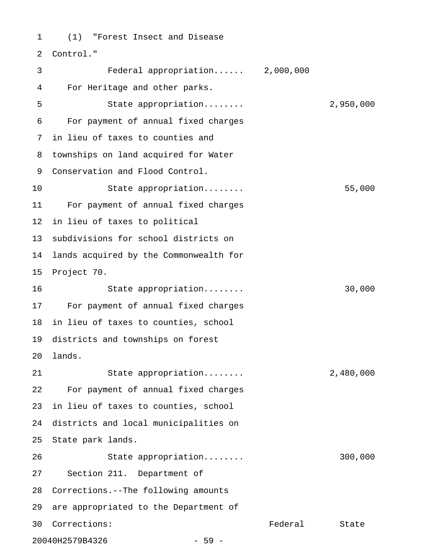1 (1) "Forest Insect and Disease 2 Control." 3 Federal appropriation...... 2,000,000 4 For Heritage and other parks. 5 State appropriation........ 2,950,000 6 For payment of annual fixed charges 7 in lieu of taxes to counties and 8 townships on land acquired for Water 9 Conservation and Flood Control. 10 State appropriation........ 55,000 11 For payment of annual fixed charges 12 in lieu of taxes to political 13 subdivisions for school districts on 14 lands acquired by the Commonwealth for 15 Project 70. 16 State appropriation........ 30,000 17 For payment of annual fixed charges 18 in lieu of taxes to counties, school 19 districts and townships on forest 20 lands. 21 State appropriation........ 2,480,000 22 For payment of annual fixed charges 23 in lieu of taxes to counties, school 24 districts and local municipalities on 25 State park lands. 26 State appropriation........ 300,000 27 Section 211. Department of 28 Corrections.--The following amounts 29 are appropriated to the Department of 30 Corrections: Federal State

20040H2579B4326 - 59 -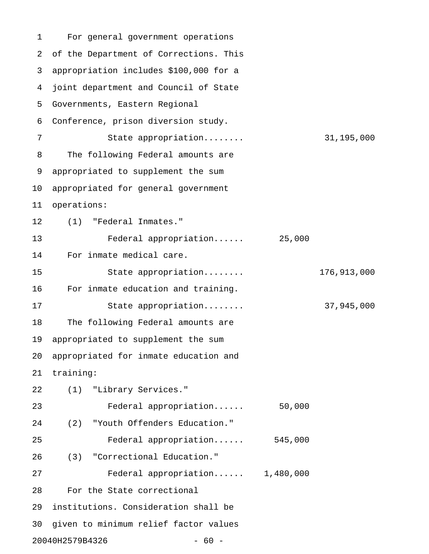1 For general government operations 2 of the Department of Corrections. This 3 appropriation includes \$100,000 for a 4 joint department and Council of State 5 Governments, Eastern Regional 6 Conference, prison diversion study. 7 State appropriation....... 31,195,000 8 The following Federal amounts are 9 appropriated to supplement the sum 10 appropriated for general government 11 operations: 12 (1) "Federal Inmates." 13 Federal appropriation...... 25,000 14 For inmate medical care. 15 State appropriation........ 176,913,000 16 For inmate education and training. 17 State appropriation........ 37,945,000 18 The following Federal amounts are 19 appropriated to supplement the sum 20 appropriated for inmate education and 21 training: 22 (1) "Library Services." 23 Federal appropriation...... 50,000 24 (2) "Youth Offenders Education." 25 Federal appropriation...... 545,000 26 (3) "Correctional Education." 27 Federal appropriation...... 1,480,000 28 For the State correctional 29 institutions. Consideration shall be 30 given to minimum relief factor values 20040H2579B4326 - 60 -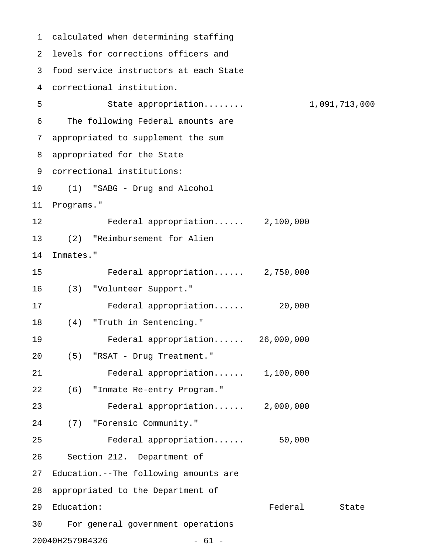1 calculated when determining staffing 2 levels for corrections officers and 3 food service instructors at each State 4 correctional institution. 5 State appropriation........ 1,091,713,000 6 The following Federal amounts are 7 appropriated to supplement the sum 8 appropriated for the State 9 correctional institutions: 10 (1) "SABG - Drug and Alcohol 11 Programs." 12 Federal appropriation...... 2,100,000 13 (2) "Reimbursement for Alien 14 Inmates." 15 Federal appropriation...... 2,750,000 16 (3) "Volunteer Support." 17 Federal appropriation...... 20,000 18 (4) "Truth in Sentencing." 19 Federal appropriation...... 26,000,000 20 (5) "RSAT - Drug Treatment." 21 Federal appropriation...... 1,100,000 22 (6) "Inmate Re-entry Program." 23 Federal appropriation...... 2,000,000 24 (7) "Forensic Community." 25 Federal appropriation...... 50,000 26 Section 212. Department of 27 Education.--The following amounts are 28 appropriated to the Department of 29 Education: Federal State 30 For general government operations 20040H2579B4326 - 61 -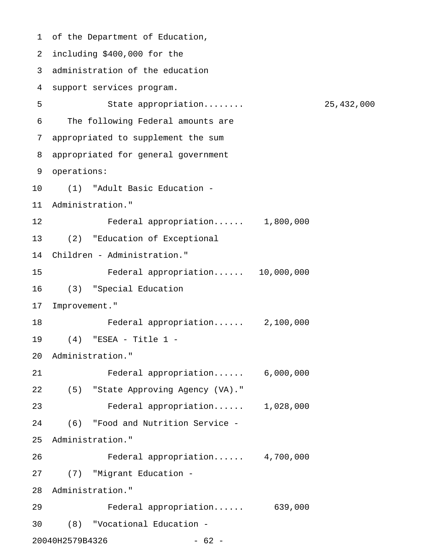1 of the Department of Education, 2 including \$400,000 for the 3 administration of the education 4 support services program. 5 State appropriation........ 25,432,000 6 The following Federal amounts are 7 appropriated to supplement the sum 8 appropriated for general government 9 operations: 10 (1) "Adult Basic Education - 11 Administration." 12 Federal appropriation...... 1,800,000 13 (2) "Education of Exceptional 14 Children - Administration." 15 Federal appropriation...... 10,000,000 16 (3) "Special Education 17 Improvement." 18 Federal appropriation...... 2,100,000 19 (4) "ESEA - Title 1 - 20 Administration." 21 Federal appropriation...... 6,000,000 22 (5) "State Approving Agency (VA)." 23 Federal appropriation...... 1,028,000 24 (6) "Food and Nutrition Service - 25 Administration." 26 Federal appropriation...... 4,700,000 27 (7) "Migrant Education - 28 Administration." 29 Federal appropriation...... 639,000 30 (8) "Vocational Education - 20040H2579B4326 - 62 -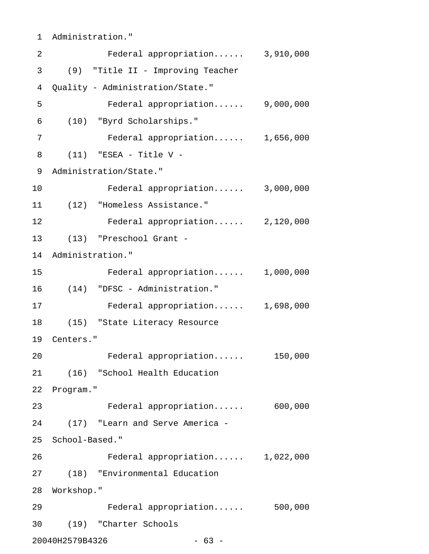1 Administration."

| 2  |                        | $Federal approximation$ 3,910,000 |         |  |
|----|------------------------|-----------------------------------|---------|--|
| 3  |                        | (9) "Title II - Improving Teacher |         |  |
| 4  |                        | Quality - Administration/State."  |         |  |
| 5  |                        | Federal appropriation $9,000,000$ |         |  |
| 6  |                        | (10) "Byrd Scholarships."         |         |  |
| 7  |                        | Federal appropriation $1,656,000$ |         |  |
| 8  |                        | $(11)$ "ESEA - Title V -          |         |  |
| 9  | Administration/State." |                                   |         |  |
| 10 |                        | $Federal approximation$ 3,000,000 |         |  |
| 11 |                        | (12) "Homeless Assistance."       |         |  |
| 12 |                        | Federal appropriation $2,120,000$ |         |  |
| 13 |                        | (13) "Preschool Grant -           |         |  |
| 14 | Administration."       |                                   |         |  |
| 15 |                        | Federal appropriation $1,000,000$ |         |  |
| 16 |                        | (14) "DFSC - Administration."     |         |  |
| 17 |                        | Federal appropriation $1,698,000$ |         |  |
| 18 |                        | (15) "State Literacy Resource     |         |  |
| 19 | Centers."              |                                   |         |  |
| 20 |                        | Federal appropriation             | 150,000 |  |
|    |                        | 21 (16) "School Health Education  |         |  |
|    | 22 Program."           |                                   |         |  |
| 23 |                        | Federal appropriation 600,000     |         |  |
|    | 24                     | (17) "Learn and Serve America -   |         |  |
|    | 25 School-Based."      |                                   |         |  |
| 26 |                        | Federal appropriation $1,022,000$ |         |  |
| 27 |                        | (18) "Environmental Education     |         |  |
| 28 | Workshop."             |                                   |         |  |
| 29 |                        | Federal appropriation 500,000     |         |  |
| 30 |                        | (19) "Charter Schools             |         |  |
|    | 20040H2579B4326        | $-63 -$                           |         |  |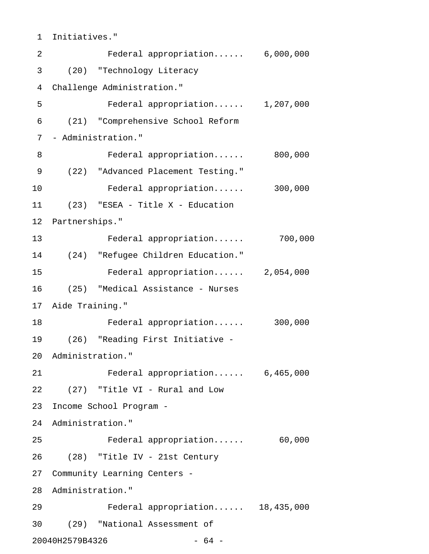1 Initiatives." 2 Federal appropriation...... 6,000,000 3 (20) "Technology Literacy 4 Challenge Administration." 5 Federal appropriation...... 1,207,000 6 (21) "Comprehensive School Reform 7 - Administration." 8 Federal appropriation...... 800,000 9 (22) "Advanced Placement Testing." 10 Federal appropriation...... 300,000 11 (23) "ESEA - Title X - Education 12 Partnerships." 13 Federal appropriation...... 700,000 14 (24) "Refugee Children Education." 15 Federal appropriation...... 2,054,000 16 (25) "Medical Assistance - Nurses 17 Aide Training." 18 Federal appropriation...... 300,000 19 (26) "Reading First Initiative - 20 Administration." 21 Federal appropriation...... 6,465,000 22 (27) "Title VI - Rural and Low 23 Income School Program - 24 Administration." 25 Federal appropriation...... 60,000 26 (28) "Title IV - 21st Century 27 Community Learning Centers - 28 Administration." 29 Federal appropriation...... 18,435,000 30 (29) "National Assessment of

20040H2579B4326 - 64 -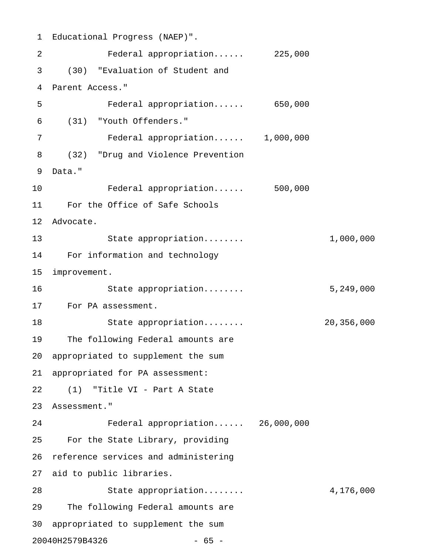1 Educational Progress (NAEP)". 2 Federal appropriation...... 225,000 3 (30) "Evaluation of Student and 4 Parent Access." 5 Federal appropriation...... 650,000 6 (31) "Youth Offenders." 7 Federal appropriation...... 1,000,000 8 (32) "Drug and Violence Prevention 9 Data." 10 Federal appropriation...... 500,000 11 For the Office of Safe Schools 12 Advocate. 13 State appropriation........ 1,000,000 14 For information and technology 15 improvement. 16 State appropriation........ 5,249,000 17 For PA assessment. 18 State appropriation........ 20,356,000 19 The following Federal amounts are 20 appropriated to supplement the sum 21 appropriated for PA assessment: 22 (1) "Title VI - Part A State 23 Assessment." 24 Federal appropriation...... 26,000,000 25 For the State Library, providing 26 reference services and administering 27 aid to public libraries. 28 State appropriation........ 4,176,000 29 The following Federal amounts are 30 appropriated to supplement the sum 20040H2579B4326 - 65 -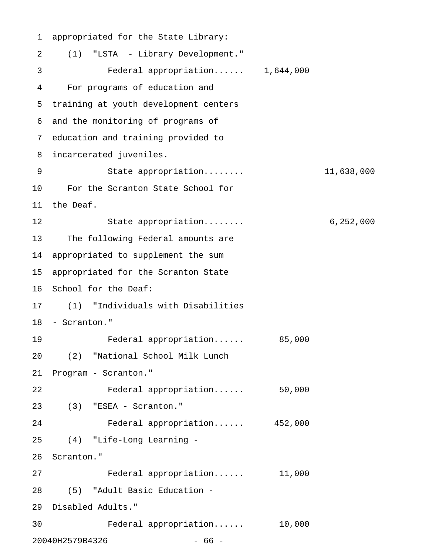1 appropriated for the State Library: 2 (1) "LSTA - Library Development." 3 Federal appropriation...... 1,644,000 4 For programs of education and 5 training at youth development centers 6 and the monitoring of programs of 7 education and training provided to 8 incarcerated juveniles. 9 State appropriation........ 11,638,000 10 For the Scranton State School for 11 the Deaf. 12 State appropriation........ 6,252,000 13 The following Federal amounts are 14 appropriated to supplement the sum 15 appropriated for the Scranton State 16 School for the Deaf: 17 (1) "Individuals with Disabilities 18 - Scranton." 19 Federal appropriation...... 85,000 20 (2) "National School Milk Lunch 21 Program - Scranton." 22 Federal appropriation...... 50,000 23 (3) "ESEA - Scranton." 24 Federal appropriation...... 452,000 25 (4) "Life-Long Learning - 26 Scranton." 27 Federal appropriation...... 11,000 28 (5) "Adult Basic Education - 29 Disabled Adults." 30 Federal appropriation...... 10,000 20040H2579B4326 - 66 -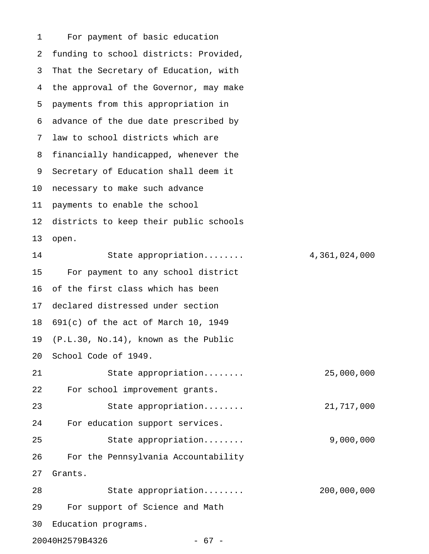1 For payment of basic education 2 funding to school districts: Provided, 3 That the Secretary of Education, with 4 the approval of the Governor, may make 5 payments from this appropriation in 6 advance of the due date prescribed by 7 law to school districts which are 8 financially handicapped, whenever the 9 Secretary of Education shall deem it 10 necessary to make such advance 11 payments to enable the school 12 districts to keep their public schools 13 open. 14 State appropriation........ 4,361,024,000 15 For payment to any school district 16 of the first class which has been 17 declared distressed under section 18 691(c) of the act of March 10, 1949 19 (P.L.30, No.14), known as the Public 20 School Code of 1949. 21 State appropriation........ 25,000,000 22 For school improvement grants. 23 State appropriation........ 21,717,000 24 For education support services. 25 State appropriation........ 9,000,000 26 For the Pennsylvania Accountability 27 Grants. 28 State appropriation........ 200,000,000 29 For support of Science and Math 30 Education programs. 20040H2579B4326 - 67 -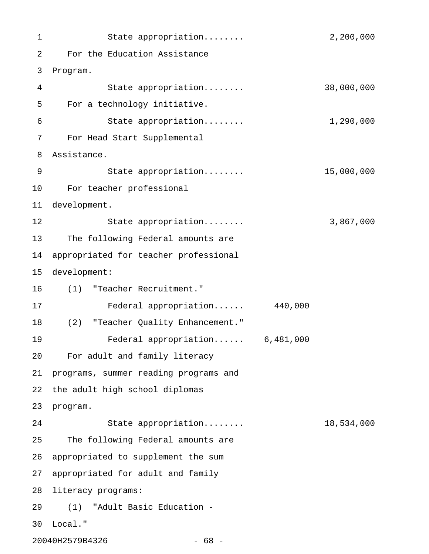1 State appropriation........ 2,200,000 2 For the Education Assistance 3 Program. 4 State appropriation........ 38,000,000 5 For a technology initiative. 6 State appropriation........ 1,290,000 7 For Head Start Supplemental 8 Assistance. 9 State appropriation........ 15,000,000 10 For teacher professional 11 development. 12 State appropriation........ 3,867,000 13 The following Federal amounts are 14 appropriated for teacher professional 15 development: 16 (1) "Teacher Recruitment." 17 Federal appropriation...... 440,000 18 (2) "Teacher Quality Enhancement." 19 Federal appropriation...... 6,481,000 20 For adult and family literacy 21 programs, summer reading programs and 22 the adult high school diplomas 23 program. 24 State appropriation........ 18,534,000 25 The following Federal amounts are 26 appropriated to supplement the sum 27 appropriated for adult and family 28 literacy programs: 29 (1) "Adult Basic Education - 30 Local."

20040H2579B4326 - 68 -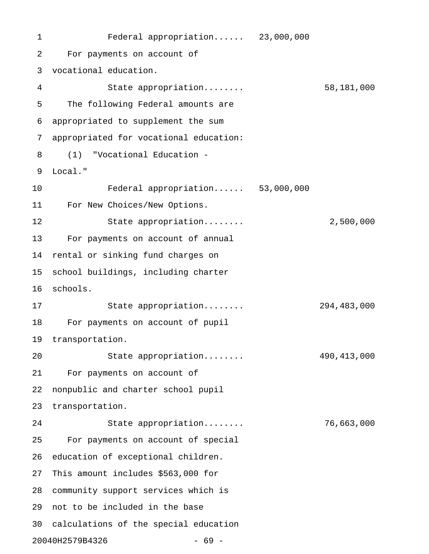1 Federal appropriation...... 23,000,000 2 For payments on account of 3 vocational education. 4 State appropriation........ 58,181,000 5 The following Federal amounts are 6 appropriated to supplement the sum 7 appropriated for vocational education: 8 (1) "Vocational Education - 9 Local." 10 Federal appropriation...... 53,000,000 11 For New Choices/New Options. 12 State appropriation........ 2,500,000 13 For payments on account of annual 14 rental or sinking fund charges on 15 school buildings, including charter 16 schools. 17 State appropriation........ 294,483,000 18 For payments on account of pupil 19 transportation. 20 State appropriation........ 490,413,000 21 For payments on account of 22 nonpublic and charter school pupil 23 transportation. 24 State appropriation........ 76,663,000 25 For payments on account of special 26 education of exceptional children. 27 This amount includes \$563,000 for 28 community support services which is 29 not to be included in the base 30 calculations of the special education 20040H2579B4326 - 69 -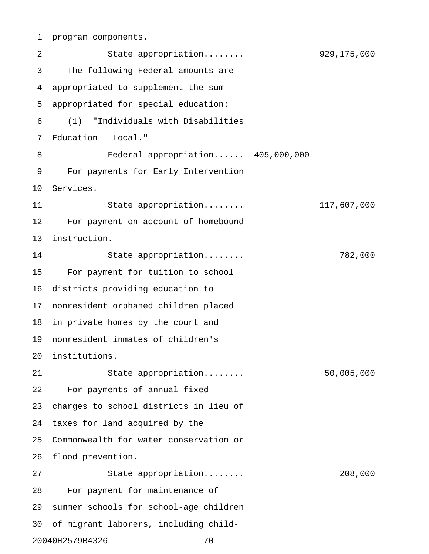1 program components.

2 State appropriation........ 929,175,000 3 The following Federal amounts are 4 appropriated to supplement the sum 5 appropriated for special education: 6 (1) "Individuals with Disabilities 7 Education - Local." 8 Federal appropriation...... 405,000,000 9 For payments for Early Intervention 10 Services. 11 State appropriation........ 117,607,000 12 For payment on account of homebound 13 instruction. 14 State appropriation........ 782,000 15 For payment for tuition to school 16 districts providing education to 17 nonresident orphaned children placed 18 in private homes by the court and 19 nonresident inmates of children's 20 institutions. 21 State appropriation........ 50,005,000 22 For payments of annual fixed 23 charges to school districts in lieu of 24 taxes for land acquired by the 25 Commonwealth for water conservation or 26 flood prevention. 27 State appropriation........ 208,000 28 For payment for maintenance of 29 summer schools for school-age children 30 of migrant laborers, including child-20040H2579B4326 - 70 -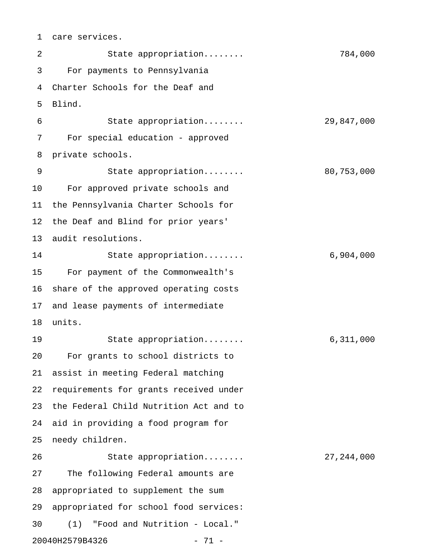1 care services.

2 State appropriation........ 784,000 3 For payments to Pennsylvania 4 Charter Schools for the Deaf and 5 Blind. 6 State appropriation........ 29,847,000 7 For special education - approved 8 private schools. 9 State appropriation........ 80,753,000 10 For approved private schools and 11 the Pennsylvania Charter Schools for 12 the Deaf and Blind for prior years' 13 audit resolutions. 14 State appropriation........ 6,904,000 15 For payment of the Commonwealth's 16 share of the approved operating costs 17 and lease payments of intermediate 18 units. 19 State appropriation........ 6,311,000 20 For grants to school districts to 21 assist in meeting Federal matching 22 requirements for grants received under 23 the Federal Child Nutrition Act and to 24 aid in providing a food program for 25 needy children. 26 State appropriation........ 27,244,000 27 The following Federal amounts are 28 appropriated to supplement the sum 29 appropriated for school food services: 30 (1) "Food and Nutrition - Local." 20040H2579B4326 - 71 -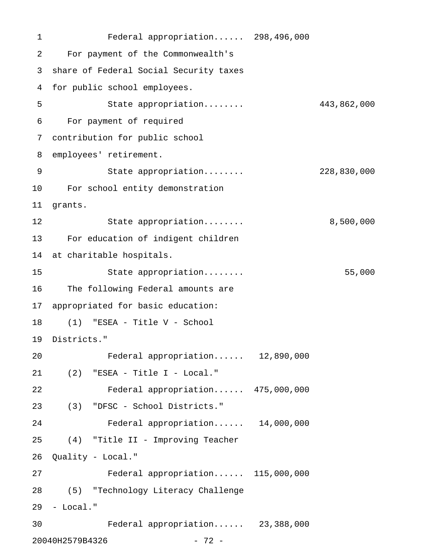1 Federal appropriation...... 298,496,000 2 For payment of the Commonwealth's 3 share of Federal Social Security taxes 4 for public school employees. 5 State appropriation........ 443,862,000 6 For payment of required 7 contribution for public school 8 employees' retirement. 9 State appropriation........ 228,830,000 10 For school entity demonstration 11 grants. 12 State appropriation........ 8,500,000 13 For education of indigent children 14 at charitable hospitals. 15 State appropriation........ 55,000 16 The following Federal amounts are 17 appropriated for basic education: 18 (1) "ESEA - Title V - School 19 Districts." 20 Federal appropriation...... 12,890,000 21 (2) "ESEA - Title I - Local." 22 Federal appropriation...... 475,000,000 23 (3) "DFSC - School Districts." 24 Federal appropriation...... 14,000,000 25 (4) "Title II - Improving Teacher 26 Quality - Local." 27 Federal appropriation...... 115,000,000 28 (5) "Technology Literacy Challenge 29 - Local." 30 Federal appropriation...... 23,388,000 20040H2579B4326 - 72 -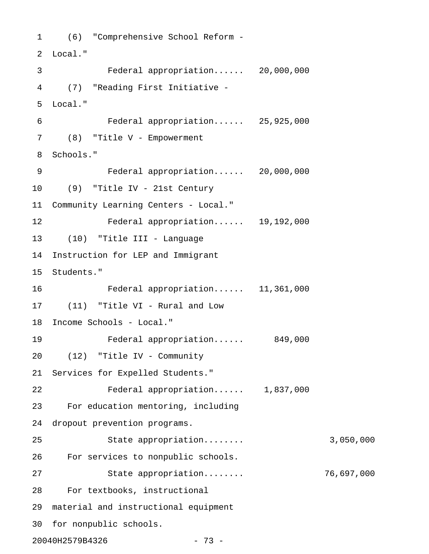```
1 (6) "Comprehensive School Reform -
2 Local."3 Federal appropriation...... 20,000,000
4 (7) "Reading First Initiative -
5 Local."
6 Federal appropriation...... 25,925,000
7 (8) "Title V - Empowerment
8 Schools."
9 Federal appropriation...... 20,000,000
10 (9) "Title IV - 21st Century
11 Community Learning Centers - Local."
12 Federal appropriation...... 19,192,000
13 (10) "Title III - Language
14 Instruction for LEP and Immigrant
15 Students."
16 Federal appropriation...... 11,361,000
17 (11) "Title VI - Rural and Low
18 Income Schools - Local."
19 Federal appropriation...... 849,000
20 (12) "Title IV - Community
21 Services for Expelled Students."
22 Federal appropriation...... 1,837,000
23 For education mentoring, including
24 dropout prevention programs.
25 State appropriation........ 3,050,000
26 For services to nonpublic schools.
27 State appropriation........ 76,697,000
28 For textbooks, instructional
29 material and instructional equipment
30 for nonpublic schools.
```
20040H2579B4326 - 73 -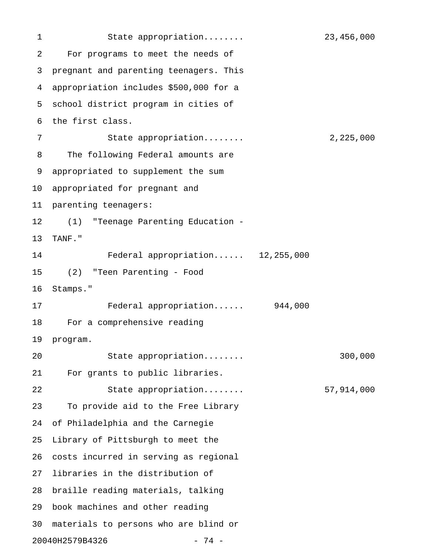1 State appropriation........ 23,456,000 2 For programs to meet the needs of 3 pregnant and parenting teenagers. This 4 appropriation includes \$500,000 for a 5 school district program in cities of 6 the first class. 7 State appropriation....... 2,225,000 8 The following Federal amounts are 9 appropriated to supplement the sum 10 appropriated for pregnant and 11 parenting teenagers: 12 (1) "Teenage Parenting Education - 13 TANF." 14 Federal appropriation...... 12,255,000 15 (2) "Teen Parenting - Food 16 Stamps." 17 Federal appropriation...... 944,000 18 For a comprehensive reading 19 program. 20 State appropriation........ 300,000 21 For grants to public libraries. 22 State appropriation........ 57,914,000 23 To provide aid to the Free Library 24 of Philadelphia and the Carnegie 25 Library of Pittsburgh to meet the 26 costs incurred in serving as regional 27 libraries in the distribution of 28 braille reading materials, talking 29 book machines and other reading 30 materials to persons who are blind or 20040H2579B4326 - 74 -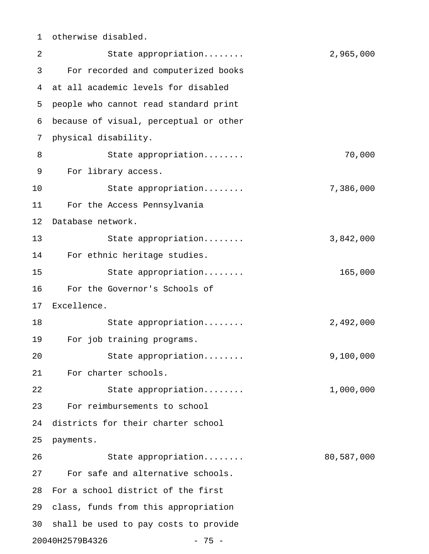1 otherwise disabled.

| 2  | State appropriation                    | 2,965,000  |
|----|----------------------------------------|------------|
| 3  | For recorded and computerized books    |            |
| 4  | at all academic levels for disabled    |            |
| 5  | people who cannot read standard print  |            |
| 6  | because of visual, perceptual or other |            |
| 7  | physical disability.                   |            |
| 8  | State appropriation                    | 70,000     |
| 9  | For library access.                    |            |
| 10 | State appropriation                    | 7,386,000  |
| 11 | For the Access Pennsylvania            |            |
| 12 | Database network.                      |            |
| 13 | State appropriation                    | 3,842,000  |
| 14 | For ethnic heritage studies.           |            |
| 15 | State appropriation                    | 165,000    |
| 16 | For the Governor's Schools of          |            |
| 17 | Excellence.                            |            |
| 18 | State appropriation                    | 2,492,000  |
| 19 | For job training programs.             |            |
| 20 | State appropriation                    | 9,100,000  |
| 21 | For charter schools.                   |            |
| 22 | State appropriation                    | 1,000,000  |
| 23 | For reimbursements to school           |            |
| 24 | districts for their charter school     |            |
| 25 | payments.                              |            |
| 26 | State appropriation                    | 80,587,000 |
| 27 | For safe and alternative schools.      |            |
| 28 | For a school district of the first     |            |
| 29 | class, funds from this appropriation   |            |
| 30 | shall be used to pay costs to provide  |            |
|    | 20040H2579B4326<br>$75 -$              |            |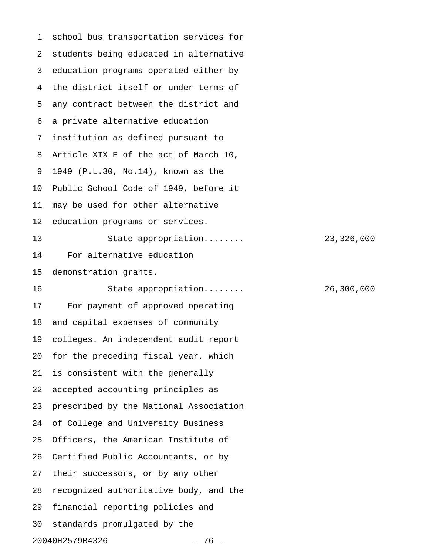1 school bus transportation services for 2 students being educated in alternative 3 education programs operated either by 4 the district itself or under terms of 5 any contract between the district and 6 a private alternative education 7 institution as defined pursuant to 8 Article XIX-E of the act of March 10, 9 1949 (P.L.30, No.14), known as the 10 Public School Code of 1949, before it 11 may be used for other alternative 12 education programs or services. 13 State appropriation........ 23,326,000 14 For alternative education 15 demonstration grants. 16 State appropriation........ 26,300,000 17 For payment of approved operating 18 and capital expenses of community 19 colleges. An independent audit report 20 for the preceding fiscal year, which 21 is consistent with the generally 22 accepted accounting principles as 23 prescribed by the National Association 24 of College and University Business 25 Officers, the American Institute of 26 Certified Public Accountants, or by 27 their successors, or by any other 28 recognized authoritative body, and the 29 financial reporting policies and 30 standards promulgated by the

20040H2579B4326 - 76 -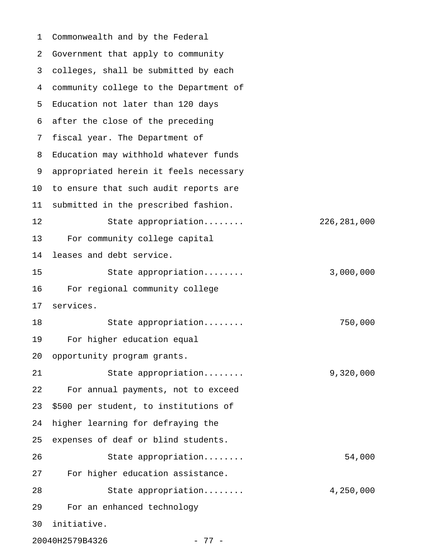1 Commonwealth and by the Federal 2 Government that apply to community 3 colleges, shall be submitted by each 4 community college to the Department of 5 Education not later than 120 days 6 after the close of the preceding 7 fiscal year. The Department of 8 Education may withhold whatever funds 9 appropriated herein it feels necessary 10 to ensure that such audit reports are 11 submitted in the prescribed fashion. 12 State appropriation........ 226,281,000 13 For community college capital 14 leases and debt service. 15 State appropriation........ 3,000,000 16 For regional community college 17 services. 18 State appropriation........ 750,000 19 For higher education equal 20 opportunity program grants. 21 State appropriation........ 9,320,000 22 For annual payments, not to exceed 23 \$500 per student, to institutions of 24 higher learning for defraying the 25 expenses of deaf or blind students. 26 State appropriation........ 54,000 27 For higher education assistance. 28 State appropriation........ 4,250,000 29 For an enhanced technology 30 initiative.

20040H2579B4326 - 77 -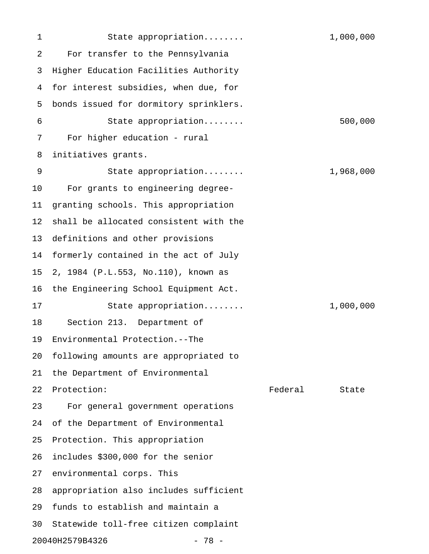1 State appropriation........ 1,000,000 2 For transfer to the Pennsylvania 3 Higher Education Facilities Authority 4 for interest subsidies, when due, for 5 bonds issued for dormitory sprinklers. 6 State appropriation........ 500,000 7 For higher education - rural 8 initiatives grants. 9 State appropriation........ 1,968,000 10 For grants to engineering degree-11 granting schools. This appropriation 12 shall be allocated consistent with the 13 definitions and other provisions 14 formerly contained in the act of July 15 2, 1984 (P.L.553, No.110), known as 16 the Engineering School Equipment Act. 17 State appropriation....... 1,000,000 18 Section 213. Department of 19 Environmental Protection.--The 20 following amounts are appropriated to 21 the Department of Environmental 22 Protection: The State State State State State State State State State State State 23 For general government operations 24 of the Department of Environmental 25 Protection. This appropriation 26 includes \$300,000 for the senior 27 environmental corps. This 28 appropriation also includes sufficient 29 funds to establish and maintain a 30 Statewide toll-free citizen complaint 20040H2579B4326 - 78 -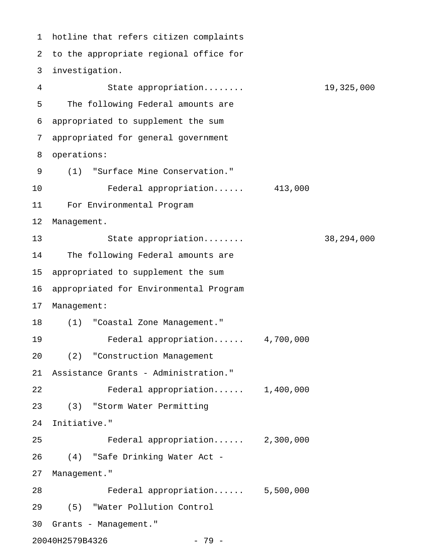1 hotline that refers citizen complaints 2 to the appropriate regional office for 3 investigation. 4 State appropriation........ 19,325,000 5 The following Federal amounts are 6 appropriated to supplement the sum 7 appropriated for general government 8 operations: 9 (1) "Surface Mine Conservation." 10 Federal appropriation...... 413,000 11 For Environmental Program 12 Management. 13 State appropriation........ 38,294,000 14 The following Federal amounts are 15 appropriated to supplement the sum 16 appropriated for Environmental Program 17 Management: 18 (1) "Coastal Zone Management." 19 Federal appropriation...... 4,700,000 20 (2) "Construction Management 21 Assistance Grants - Administration." 22 Federal appropriation...... 1,400,000 23 (3) "Storm Water Permitting 24 Initiative." 25 Federal appropriation...... 2,300,000 26 (4) "Safe Drinking Water Act - 27 Management." 28 Federal appropriation...... 5,500,000 29 (5) "Water Pollution Control 30 Grants - Management."

20040H2579B4326 - 79 -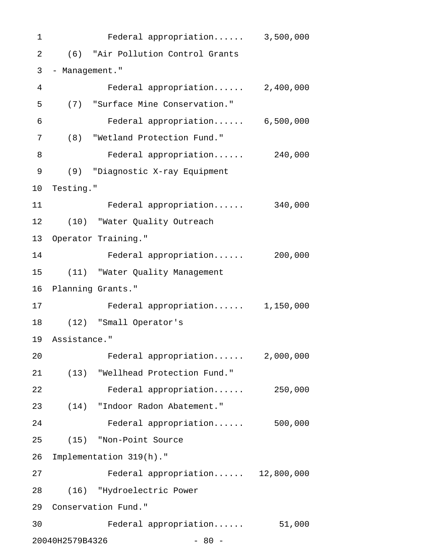| 1  | Federal appropriation 3,500,000    |         |
|----|------------------------------------|---------|
| 2  | (6) "Air Pollution Control Grants  |         |
| 3  | - Management."                     |         |
| 4  | Federal appropriation $2,400,000$  |         |
| 5  | (7) "Surface Mine Conservation."   |         |
| 6  | Federal appropriation 6,500,000    |         |
| 7  | (8) "Wetland Protection Fund."     |         |
| 8  | Federal appropriation 240,000      |         |
| 9  | (9) "Diagnostic X-ray Equipment    |         |
| 10 | Testing."                          |         |
| 11 | Federal appropriation 340,000      |         |
| 12 | (10) "Water Quality Outreach       |         |
| 13 | Operator Training."                |         |
| 14 | Federal appropriation 200,000      |         |
| 15 | (11) "Water Quality Management     |         |
| 16 | Planning Grants."                  |         |
| 17 | Federal appropriation $1,150,000$  |         |
| 18 | (12) "Small Operator's             |         |
| 19 | Assistance."                       |         |
| 20 | Federal appropriation 2,000,000    |         |
| 21 | (13) "Wellhead Protection Fund."   |         |
| 22 | Federal appropriation              | 250,000 |
| 23 | (14) "Indoor Radon Abatement."     |         |
| 24 | Federal appropriation              | 500,000 |
| 25 | (15) "Non-Point Source             |         |
| 26 | Implementation 319(h)."            |         |
| 27 | Federal appropriation $12,800,000$ |         |
| 28 | (16) "Hydroelectric Power          |         |
| 29 | Conservation Fund."                |         |
| 30 | Federal appropriation              | 51,000  |
|    |                                    |         |

20040H2579B4326 - 80 -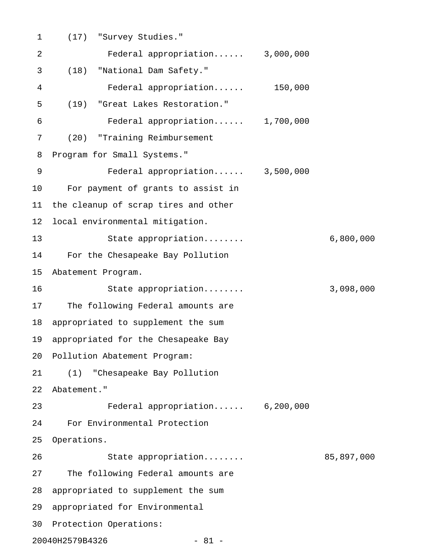1 (17) "Survey Studies." 2 Federal appropriation...... 3,000,000 3 (18) "National Dam Safety." 4 Federal appropriation...... 150,000 5 (19) "Great Lakes Restoration." 6 Federal appropriation...... 1,700,000 7 (20) "Training Reimbursement 8 Program for Small Systems." 9 Federal appropriation...... 3,500,000 10 For payment of grants to assist in 11 the cleanup of scrap tires and other 12 local environmental mitigation. 13 State appropriation........ 6,800,000 14 For the Chesapeake Bay Pollution 15 Abatement Program. 16 State appropriation........ 3,098,000 17 The following Federal amounts are 18 appropriated to supplement the sum 19 appropriated for the Chesapeake Bay 20 Pollution Abatement Program: 21 (1) "Chesapeake Bay Pollution 22 Abatement." 23 Federal appropriation...... 6,200,000 24 For Environmental Protection 25 Operations. 26 State appropriation........ 85,897,000 27 The following Federal amounts are 28 appropriated to supplement the sum 29 appropriated for Environmental 30 Protection Operations: 20040H2579B4326 - 81 -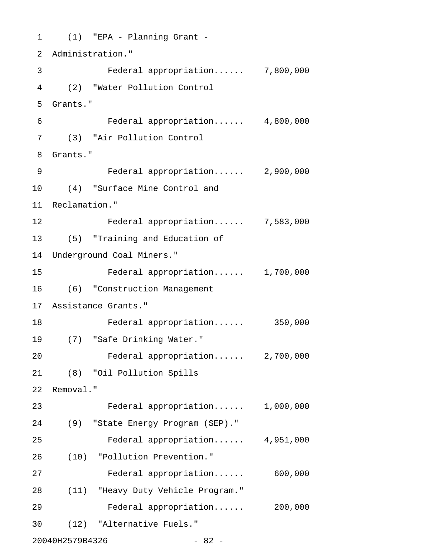1 (1) "EPA - Planning Grant - 2 Administration." 3 Federal appropriation...... 7,800,000 4 (2) "Water Pollution Control 5 Grants." 6 Federal appropriation...... 4,800,000 7 (3) "Air Pollution Control 8 Grants." 9 Federal appropriation...... 2,900,000 10 (4) "Surface Mine Control and 11 Reclamation." 12 Federal appropriation...... 7,583,000 13 (5) "Training and Education of 14 Underground Coal Miners." 15 Federal appropriation...... 1,700,000 16 (6) "Construction Management 17 Assistance Grants." 18 Federal appropriation...... 350,000 19 (7) "Safe Drinking Water." 20 Federal appropriation...... 2,700,000 21 (8) "Oil Pollution Spills 22 Removal." 23 Federal appropriation...... 1,000,000 24 (9) "State Energy Program (SEP)." 25 Federal appropriation...... 4,951,000 26 (10) "Pollution Prevention." 27 Federal appropriation...... 600,000 28 (11) "Heavy Duty Vehicle Program." 29 Federal appropriation...... 200,000 30 (12) "Alternative Fuels." 20040H2579B4326 - 82 -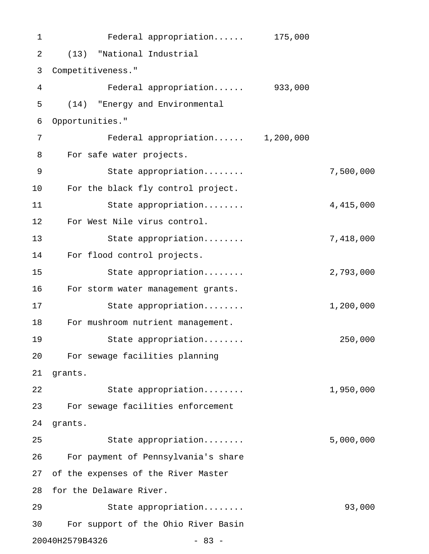| 1  | Federal appropriation               | 175,000 |             |
|----|-------------------------------------|---------|-------------|
| 2  | (13) "National Industrial           |         |             |
| 3  | Competitiveness."                   |         |             |
| 4  | Federal appropriation 933,000       |         |             |
| 5  | (14) "Energy and Environmental      |         |             |
| 6  | Opportunities."                     |         |             |
| 7  | Federal appropriation $1,200,000$   |         |             |
| 8  | For safe water projects.            |         |             |
| 9  | State appropriation                 |         | 7,500,000   |
| 10 | For the black fly control project.  |         |             |
| 11 | State appropriation                 |         | 4, 415, 000 |
| 12 | For West Nile virus control.        |         |             |
| 13 | State appropriation                 |         | 7,418,000   |
| 14 | For flood control projects.         |         |             |
| 15 | State appropriation                 |         | 2,793,000   |
| 16 | For storm water management grants.  |         |             |
| 17 | State appropriation                 |         | 1,200,000   |
| 18 | For mushroom nutrient management.   |         |             |
| 19 | State appropriation                 |         | 250,000     |
| 20 | For sewage facilities planning      |         |             |
| 21 | grants.                             |         |             |
| 22 | State appropriation                 |         | 1,950,000   |
| 23 | For sewage facilities enforcement   |         |             |
| 24 | grants.                             |         |             |
| 25 | State appropriation                 |         | 5,000,000   |
| 26 | For payment of Pennsylvania's share |         |             |
| 27 | of the expenses of the River Master |         |             |
| 28 | for the Delaware River.             |         |             |
| 29 | State appropriation                 |         | 93,000      |
| 30 | For support of the Ohio River Basin |         |             |
|    | 20040H2579B4326<br>$-83 -$          |         |             |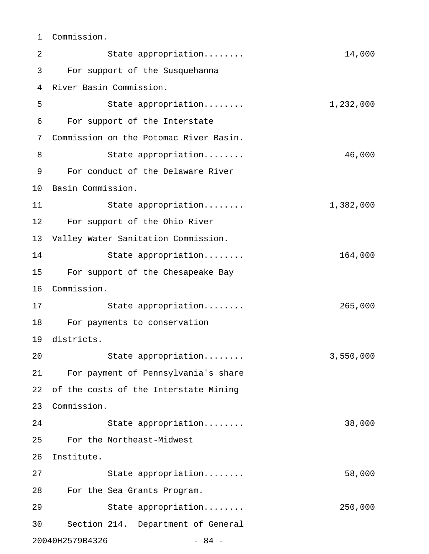1 Commission.

| 2  | State appropriation                    | 14,000    |
|----|----------------------------------------|-----------|
| 3  | For support of the Susquehanna         |           |
| 4  | River Basin Commission.                |           |
| 5  | State appropriation                    | 1,232,000 |
| 6  | For support of the Interstate          |           |
| 7  | Commission on the Potomac River Basin. |           |
| 8  | State appropriation                    | 46,000    |
| 9  | For conduct of the Delaware River      |           |
| 10 | Basin Commission.                      |           |
| 11 | State appropriation                    | 1,382,000 |
| 12 | For support of the Ohio River          |           |
| 13 | Valley Water Sanitation Commission.    |           |
| 14 | State appropriation                    | 164,000   |
| 15 | For support of the Chesapeake Bay      |           |
| 16 | Commission.                            |           |
| 17 | State appropriation                    | 265,000   |
| 18 | For payments to conservation           |           |
| 19 | districts.                             |           |
| 20 | State appropriation                    | 3,550,000 |
| 21 | For payment of Pennsylvania's share    |           |
| 22 | of the costs of the Interstate Mining  |           |
| 23 | Commission.                            |           |
| 24 | State appropriation                    | 38,000    |
| 25 | For the Northeast-Midwest              |           |
| 26 | Institute.                             |           |
| 27 | State appropriation                    | 58,000    |
| 28 | For the Sea Grants Program.            |           |
| 29 | State appropriation                    | 250,000   |
| 30 | Section 214. Department of General     |           |
|    | 20040H2579B4326<br>$-84 -$             |           |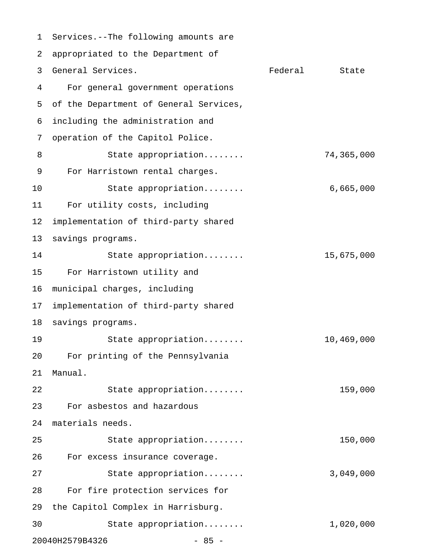1 Services.--The following amounts are 2 appropriated to the Department of 3 General Services. The State of the State State State State 4 For general government operations 5 of the Department of General Services, 6 including the administration and 7 operation of the Capitol Police. 8 State appropriation........ 74,365,000 9 For Harristown rental charges. 10 State appropriation........ 6,665,000 11 For utility costs, including 12 implementation of third-party shared 13 savings programs. 14 State appropriation........ 15,675,000 15 For Harristown utility and 16 municipal charges, including 17 implementation of third-party shared 18 savings programs. 19 State appropriation........ 10,469,000 20 For printing of the Pennsylvania 21 Manual. 22 State appropriation........ 159,000 23 For asbestos and hazardous 24 materials needs. 25 State appropriation........ 150,000 26 For excess insurance coverage. 27 State appropriation........ 3,049,000 28 For fire protection services for 29 the Capitol Complex in Harrisburg. 30 State appropriation........ 1,020,000 20040H2579B4326 - 85 -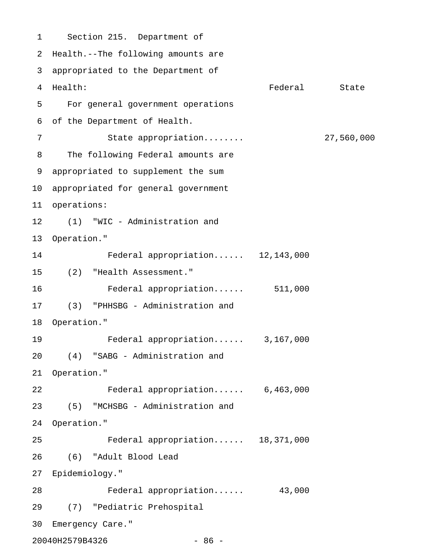1 Section 215. Department of 2 Health.--The following amounts are 3 appropriated to the Department of 4 Health: Federal State 5 For general government operations 6 of the Department of Health. 7 State appropriation........ 27,560,000 8 The following Federal amounts are 9 appropriated to supplement the sum 10 appropriated for general government 11 operations: 12 (1) "WIC - Administration and 13 Operation." 14 Federal appropriation...... 12,143,000 15 (2) "Health Assessment." 16 Federal appropriation...... 511,000 17 (3) "PHHSBG - Administration and 18 Operation." 19 Federal appropriation...... 3,167,000 20 (4) "SABG - Administration and 21 Operation." 22 Federal appropriation...... 6,463,000 23 (5) "MCHSBG - Administration and 24 Operation." 25 Federal appropriation...... 18,371,000 26 (6) "Adult Blood Lead 27 Epidemiology." 28 Federal appropriation...... 43,000 29 (7) "Pediatric Prehospital 30 Emergency Care." 20040H2579B4326 - 86 -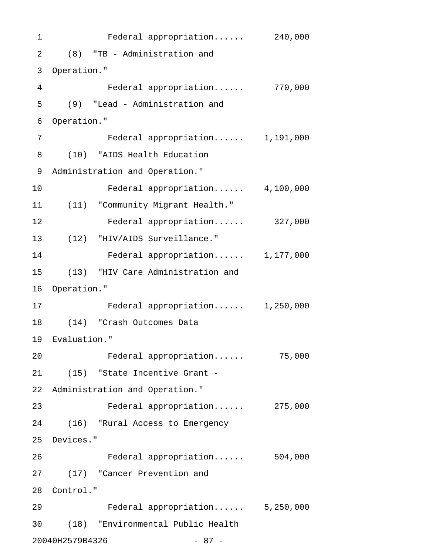1 Federal appropriation...... 240,000 2 (8) "TB - Administration and 3 Operation." 4 Federal appropriation...... 770,000 5 (9) "Lead - Administration and 6 Operation." 7 Federal appropriation...... 1,191,000 8 (10) "AIDS Health Education 9 Administration and Operation." 10 Federal appropriation...... 4,100,000 11 (11) "Community Migrant Health." 12 Federal appropriation...... 327,000 13 (12) "HIV/AIDS Surveillance." 14 Federal appropriation...... 1,177,000 15 (13) "HIV Care Administration and 16 Operation." 17 Federal appropriation...... 1,250,000 18 (14) "Crash Outcomes Data 19 Evaluation." 20 Federal appropriation...... 75,000 21 (15) "State Incentive Grant - 22 Administration and Operation." 23 Federal appropriation...... 275,000 24 (16) "Rural Access to Emergency 25 Devices." 26 Federal appropriation...... 504,000 27 (17) "Cancer Prevention and 28 Control." 29 Federal appropriation...... 5,250,000 30 (18) "Environmental Public Health 20040H2579B4326 - 87 -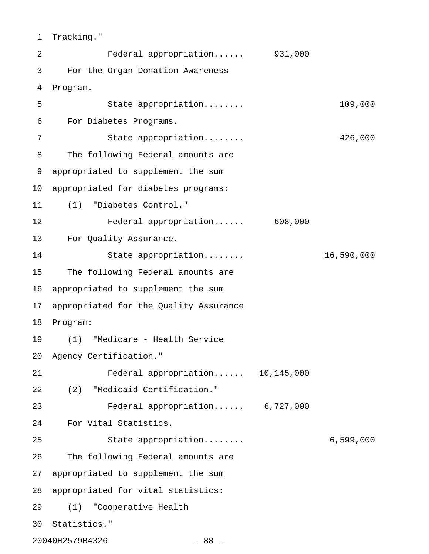1 Tracking."

2 Federal appropriation...... 931,000 3 For the Organ Donation Awareness 4 Program. 5 State appropriation........ 109,000 6 For Diabetes Programs. 7 State appropriation........ 426,000 8 The following Federal amounts are 9 appropriated to supplement the sum 10 appropriated for diabetes programs: 11 (1) "Diabetes Control." 12 Federal appropriation...... 608,000 13 For Quality Assurance. 14 State appropriation........ 16,590,000 15 The following Federal amounts are 16 appropriated to supplement the sum 17 appropriated for the Quality Assurance 18 Program: 19 (1) "Medicare - Health Service 20 Agency Certification." 21 Federal appropriation...... 10,145,000 22 (2) "Medicaid Certification." 23 Federal appropriation...... 6,727,000 24 For Vital Statistics. 25 State appropriation........ 6,599,000 26 The following Federal amounts are 27 appropriated to supplement the sum 28 appropriated for vital statistics: 29 (1) "Cooperative Health 30 Statistics."

20040H2579B4326 - 88 -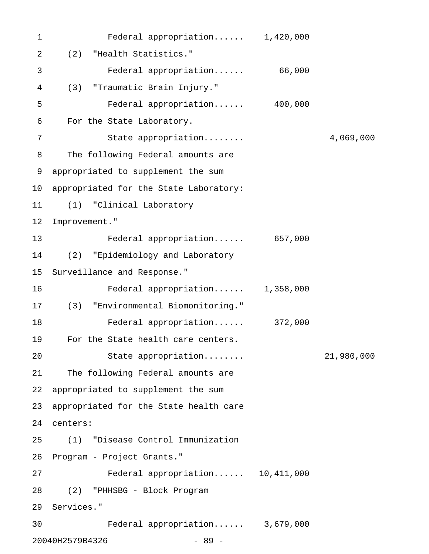1 Federal appropriation...... 1,420,000 2 (2) "Health Statistics." 3 Federal appropriation...... 66,000 4 (3) "Traumatic Brain Injury." 5 Federal appropriation...... 400,000 6 For the State Laboratory. 7 State appropriation....... 4,069,000 8 The following Federal amounts are 9 appropriated to supplement the sum 10 appropriated for the State Laboratory: 11 (1) "Clinical Laboratory 12 Improvement." 13 Federal appropriation...... 657,000 14 (2) "Epidemiology and Laboratory 15 Surveillance and Response." 16 Federal appropriation...... 1,358,000 17 (3) "Environmental Biomonitoring." 18 Federal appropriation...... 372,000 19 For the State health care centers. 20 State appropriation........ 21,980,000 21 The following Federal amounts are 22 appropriated to supplement the sum 23 appropriated for the State health care 24 centers: 25 (1) "Disease Control Immunization 26 Program - Project Grants." 27 Federal appropriation...... 10,411,000 28 (2) "PHHSBG - Block Program 29 Services." 30 Federal appropriation...... 3,679,000 20040H2579B4326 - 89 -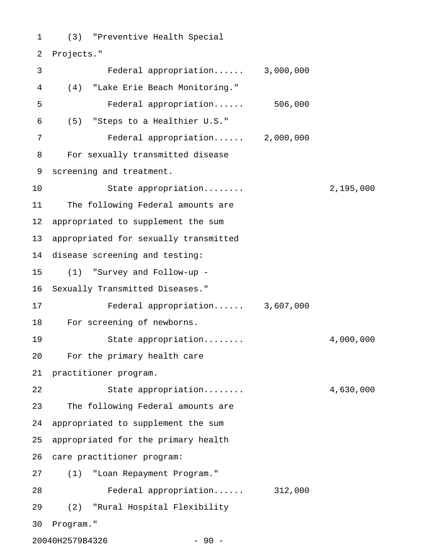1 (3) "Preventive Health Special

2 Projects." 3 Federal appropriation...... 3,000,000 4 (4) "Lake Erie Beach Monitoring." 5 Federal appropriation...... 506,000 6 (5) "Steps to a Healthier U.S." 7 Federal appropriation...... 2,000,000 8 For sexually transmitted disease 9 screening and treatment. 10 State appropriation........ 2,195,000 11 The following Federal amounts are 12 appropriated to supplement the sum 13 appropriated for sexually transmitted 14 disease screening and testing: 15 (1) "Survey and Follow-up - 16 Sexually Transmitted Diseases." 17 Federal appropriation...... 3,607,000 18 For screening of newborns. 19 State appropriation........ 4,000,000 20 For the primary health care 21 practitioner program. 22 State appropriation........ 4,630,000 23 The following Federal amounts are 24 appropriated to supplement the sum 25 appropriated for the primary health 26 care practitioner program: 27 (1) "Loan Repayment Program." 28 Federal appropriation...... 312,000 29 (2) "Rural Hospital Flexibility 30 Program." 20040H2579B4326 - 90 -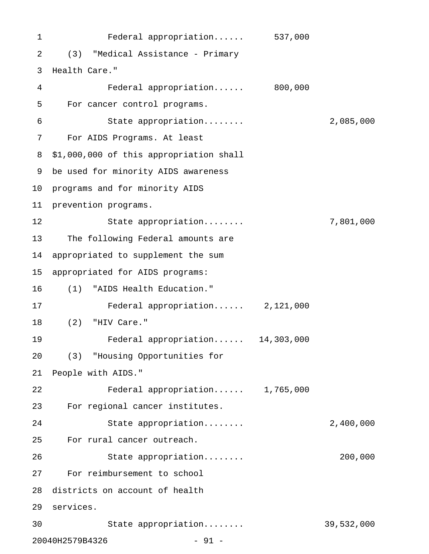1 Federal appropriation...... 537,000 2 (3) "Medical Assistance - Primary 3 Health Care." 4 Federal appropriation...... 800,000 5 For cancer control programs. 6 State appropriation........ 2,085,000 7 For AIDS Programs. At least 8 \$1,000,000 of this appropriation shall 9 be used for minority AIDS awareness 10 programs and for minority AIDS 11 prevention programs. 12 State appropriation........ 7,801,000 13 The following Federal amounts are 14 appropriated to supplement the sum 15 appropriated for AIDS programs: 16 (1) "AIDS Health Education." 17 Federal appropriation...... 2,121,000 18 (2) "HIV Care." 19 Federal appropriation...... 14,303,000 20 (3) "Housing Opportunities for 21 People with AIDS." 22 Federal appropriation...... 1,765,000 23 For regional cancer institutes. 24 State appropriation........ 2,400,000 25 For rural cancer outreach. 26 State appropriation........ 200,000 27 For reimbursement to school 28 districts on account of health 29 services. 30 State appropriation........ 39,532,000 20040H2579B4326 - 91 -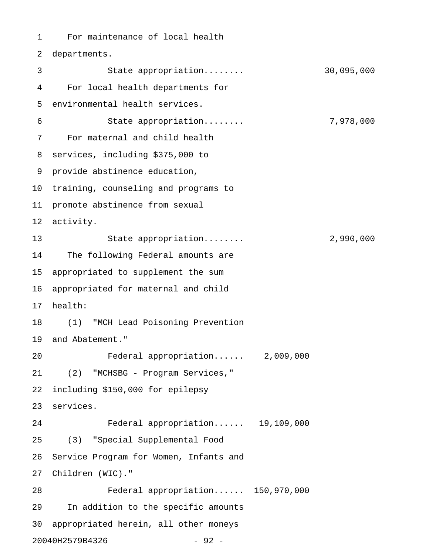1 For maintenance of local health 2 departments. 3 State appropriation........ 30,095,000 4 For local health departments for 5 environmental health services. 6 State appropriation........ 7,978,000 7 For maternal and child health 8 services, including \$375,000 to 9 provide abstinence education, 10 training, counseling and programs to 11 promote abstinence from sexual 12 activity. 13 State appropriation........ 2,990,000 14 The following Federal amounts are 15 appropriated to supplement the sum 16 appropriated for maternal and child 17 health: 18 (1) "MCH Lead Poisoning Prevention 19 and Abatement." 20 Federal appropriation...... 2,009,000 21 (2) "MCHSBG - Program Services," 22 including \$150,000 for epilepsy 23 services. 24 Federal appropriation...... 19,109,000 25 (3) "Special Supplemental Food 26 Service Program for Women, Infants and 27 Children (WIC)." 28 Federal appropriation...... 150,970,000 29 In addition to the specific amounts 30 appropriated herein, all other moneys

20040H2579B4326 - 92 -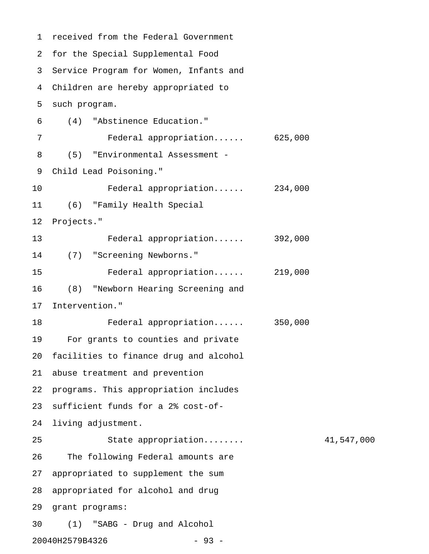1 received from the Federal Government 2 for the Special Supplemental Food 3 Service Program for Women, Infants and 4 Children are hereby appropriated to 5 such program. 6 (4) "Abstinence Education." 7 Federal appropriation...... 625,000 8 (5) "Environmental Assessment - 9 Child Lead Poisoning." 10 Federal appropriation...... 234,000 11 (6) "Family Health Special 12 Projects." 13 Federal appropriation...... 392,000 14 (7) "Screening Newborns." 15 Federal appropriation...... 219,000 16 (8) "Newborn Hearing Screening and 17 Intervention." 18 Federal appropriation...... 350,000 19 For grants to counties and private 20 facilities to finance drug and alcohol 21 abuse treatment and prevention 22 programs. This appropriation includes 23 sufficient funds for a 2% cost-of-24 living adjustment. 25 State appropriation........ 41,547,000 26 The following Federal amounts are 27 appropriated to supplement the sum 28 appropriated for alcohol and drug 29 grant programs: 30 (1) "SABG - Drug and Alcohol 20040H2579B4326 - 93 -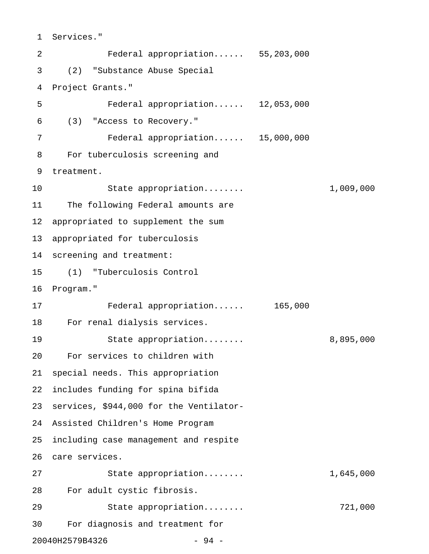2 Federal appropriation...... 55,203,000 3 (2) "Substance Abuse Special 4 Project Grants." 5 Federal appropriation...... 12,053,000 6 (3) "Access to Recovery." 7 Federal appropriation...... 15,000,000 8 For tuberculosis screening and 9 treatment. 10 State appropriation....... 1,009,000 11 The following Federal amounts are 12 appropriated to supplement the sum 13 appropriated for tuberculosis 14 screening and treatment: 15 (1) "Tuberculosis Control 16 Program." 17 Federal appropriation...... 165,000 18 For renal dialysis services. 19 State appropriation........ 8,895,000 20 For services to children with 21 special needs. This appropriation 22 includes funding for spina bifida 23 services, \$944,000 for the Ventilator-24 Assisted Children's Home Program 25 including case management and respite 26 care services. 27 State appropriation........ 1,645,000 28 For adult cystic fibrosis. 29 State appropriation........ 721,000 30 For diagnosis and treatment for 20040H2579B4326 - 94 -

1 Services."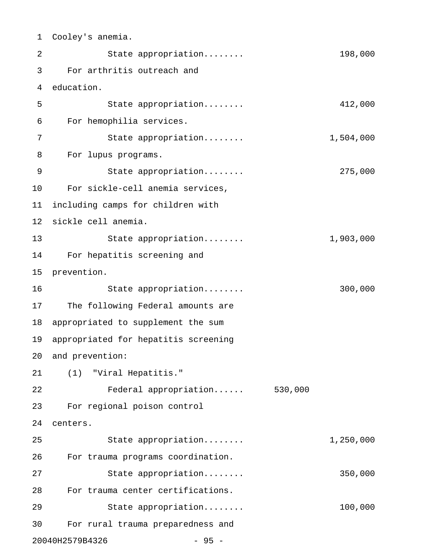1 Cooley's anemia.

2 State appropriation........ 198,000 3 For arthritis outreach and 4 education. 5 State appropriation........ 412,000 6 For hemophilia services. 7 State appropriation....... 1,504,000 8 For lupus programs. 9 State appropriation........ 275,000 10 For sickle-cell anemia services, 11 including camps for children with 12 sickle cell anemia. 13 State appropriation........ 1,903,000 14 For hepatitis screening and 15 prevention. 16 State appropriation....... 300,000 17 The following Federal amounts are 18 appropriated to supplement the sum 19 appropriated for hepatitis screening 20 and prevention: 21 (1) "Viral Hepatitis." 22 Federal appropriation...... 530,000 23 For regional poison control 24 centers. 25 State appropriation........ 1,250,000 26 For trauma programs coordination. 27 State appropriation........ 350,000 28 For trauma center certifications. 29 State appropriation........ 100,000 30 For rural trauma preparedness and 20040H2579B4326 - 95 -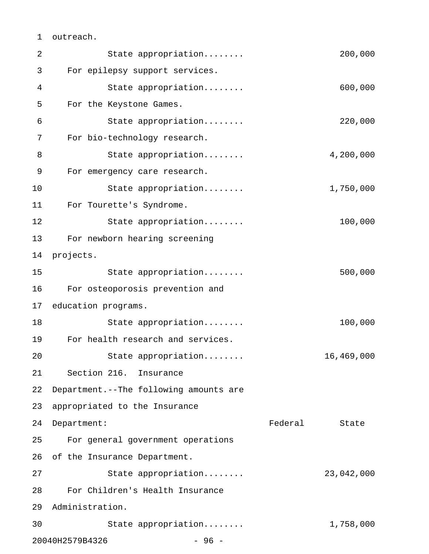1 outreach.

| 2  | State appropriation                      |         | 200,000    |
|----|------------------------------------------|---------|------------|
| 3  | For epilepsy support services.           |         |            |
| 4  | State appropriation                      |         | 600,000    |
| 5  | For the Keystone Games.                  |         |            |
| 6  | State appropriation                      |         | 220,000    |
| 7  | For bio-technology research.             |         |            |
| 8  | State appropriation                      |         | 4,200,000  |
| 9  | For emergency care research.             |         |            |
| 10 | State appropriation                      |         | 1,750,000  |
| 11 | For Tourette's Syndrome.                 |         |            |
| 12 | State appropriation                      |         | 100,000    |
| 13 | For newborn hearing screening            |         |            |
| 14 | projects.                                |         |            |
| 15 | State appropriation                      |         | 500,000    |
| 16 | For osteoporosis prevention and          |         |            |
| 17 | education programs.                      |         |            |
| 18 | State appropriation                      |         | 100,000    |
| 19 | For health research and services.        |         |            |
| 20 | State appropriation                      |         | 16,469,000 |
| 21 | Section 216. Insurance                   |         |            |
| 22 | Department. -- The following amounts are |         |            |
| 23 | appropriated to the Insurance            |         |            |
| 24 | Department:                              | Federal | State      |
| 25 | For general government operations        |         |            |
| 26 | of the Insurance Department.             |         |            |
| 27 | State appropriation                      |         | 23,042,000 |
| 28 | For Children's Health Insurance          |         |            |
| 29 | Administration.                          |         |            |
| 30 | State appropriation                      |         | 1,758,000  |
|    | $-96 -$<br>20040H2579B4326               |         |            |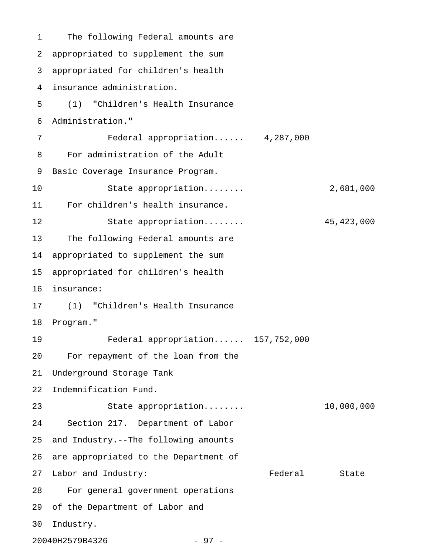1 The following Federal amounts are 2 appropriated to supplement the sum 3 appropriated for children's health 4 insurance administration. 5 (1) "Children's Health Insurance 6 Administration." 7 Federal appropriation...... 4,287,000 8 For administration of the Adult 9 Basic Coverage Insurance Program. 10 State appropriation........ 2,681,000 11 For children's health insurance. 12 State appropriation........ 45,423,000 13 The following Federal amounts are 14 appropriated to supplement the sum 15 appropriated for children's health 16 insurance: 17 (1) "Children's Health Insurance 18 Program." 19 Federal appropriation...... 157,752,000 20 For repayment of the loan from the 21 Underground Storage Tank 22 Indemnification Fund. 23 State appropriation........ 10,000,000 24 Section 217. Department of Labor 25 and Industry.--The following amounts 26 are appropriated to the Department of 27 Labor and Industry: The State State State State State State 28 For general government operations 29 of the Department of Labor and 30 Industry.

20040H2579B4326 - 97 -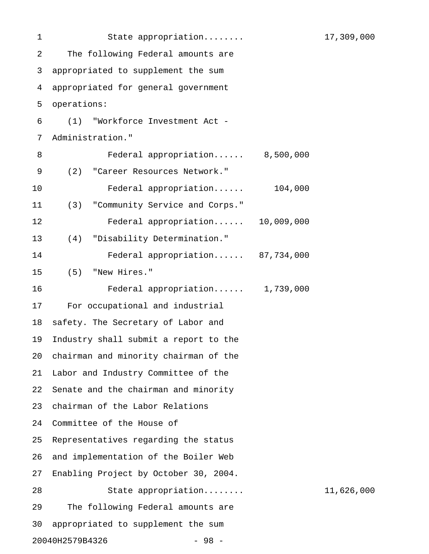| 1              | State appropriation                   |  | 17,309,000 |
|----------------|---------------------------------------|--|------------|
| $\sqrt{2}$     | The following Federal amounts are     |  |            |
| $\mathsf{3}$   | appropriated to supplement the sum    |  |            |
| $\overline{4}$ | appropriated for general government   |  |            |
| 5              | operations:                           |  |            |
| 6              | (1) "Workforce Investment Act -       |  |            |
| 7              | Administration."                      |  |            |
| 8              | Federal appropriation 8,500,000       |  |            |
| 9              | (2) "Career Resources Network."       |  |            |
| 10             | Federal appropriation 104,000         |  |            |
| 11             | (3) "Community Service and Corps."    |  |            |
| 12             | Federal appropriation 10,009,000      |  |            |
| 13             | (4) "Disability Determination."       |  |            |
| 14             | Federal appropriation $87,734,000$    |  |            |
| 15             | $(5)$ "New Hires."                    |  |            |
| 16             | Federal appropriation $1,739,000$     |  |            |
| 17             | For occupational and industrial       |  |            |
| 18             | safety. The Secretary of Labor and    |  |            |
| 19             | Industry shall submit a report to the |  |            |
| 20             | chairman and minority chairman of the |  |            |
| 21             | Labor and Industry Committee of the   |  |            |
| 22             | Senate and the chairman and minority  |  |            |
| 23             | chairman of the Labor Relations       |  |            |
| 24             | Committee of the House of             |  |            |
| 25             | Representatives regarding the status  |  |            |
| 26             | and implementation of the Boiler Web  |  |            |
| 27             | Enabling Project by October 30, 2004. |  |            |
| 28             | State appropriation                   |  | 11,626,000 |
| 29             | The following Federal amounts are     |  |            |
| 30             | appropriated to supplement the sum    |  |            |
|                | 20040H2579B4326<br>$-98 -$            |  |            |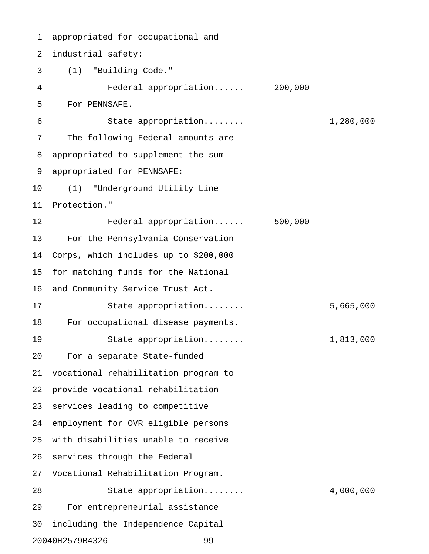1 appropriated for occupational and 2 industrial safety: 3 (1) "Building Code." 4 Federal appropriation...... 200,000 5 For PENNSAFE. 6 State appropriation........ 1,280,000 7 The following Federal amounts are 8 appropriated to supplement the sum 9 appropriated for PENNSAFE: 10 (1) "Underground Utility Line 11 Protection." 12 Federal appropriation...... 500,000 13 For the Pennsylvania Conservation 14 Corps, which includes up to \$200,000 15 for matching funds for the National 16 and Community Service Trust Act. 17 State appropriation........ 5,665,000 18 For occupational disease payments. 19 State appropriation........ 1,813,000 20 For a separate State-funded 21 vocational rehabilitation program to 22 provide vocational rehabilitation 23 services leading to competitive 24 employment for OVR eligible persons 25 with disabilities unable to receive 26 services through the Federal 27 Vocational Rehabilitation Program. 28 State appropriation........ 4,000,000 29 For entrepreneurial assistance 30 including the Independence Capital 20040H2579B4326 - 99 -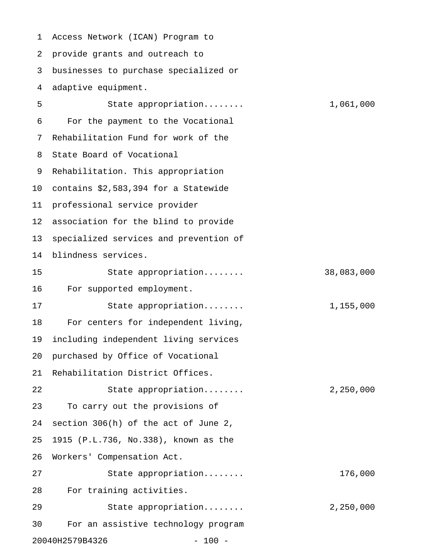1 Access Network (ICAN) Program to 2 provide grants and outreach to 3 businesses to purchase specialized or 4 adaptive equipment. 5 State appropriation........ 1,061,000 6 For the payment to the Vocational 7 Rehabilitation Fund for work of the 8 State Board of Vocational 9 Rehabilitation. This appropriation 10 contains \$2,583,394 for a Statewide 11 professional service provider 12 association for the blind to provide 13 specialized services and prevention of 14 blindness services. 15 State appropriation........ 38,083,000 16 For supported employment. 17 State appropriation........ 1,155,000 18 For centers for independent living, 19 including independent living services 20 purchased by Office of Vocational 21 Rehabilitation District Offices. 22 State appropriation........ 2,250,000 23 To carry out the provisions of 24 section 306(h) of the act of June 2, 25 1915 (P.L.736, No.338), known as the 26 Workers' Compensation Act. 27 State appropriation........ 176,000 28 For training activities. 29 State appropriation........ 2,250,000 30 For an assistive technology program 20040H2579B4326 - 100 -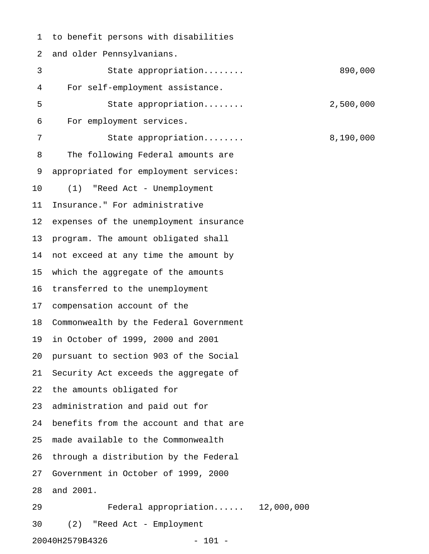1 to benefit persons with disabilities

2 and older Pennsylvanians. 3 State appropriation........ 890,000 4 For self-employment assistance. 5 State appropriation........ 2,500,000 6 For employment services. 7 State appropriation........ 8,190,000 8 The following Federal amounts are 9 appropriated for employment services: 10 (1) "Reed Act - Unemployment 11 Insurance." For administrative 12 expenses of the unemployment insurance 13 program. The amount obligated shall 14 not exceed at any time the amount by 15 which the aggregate of the amounts 16 transferred to the unemployment 17 compensation account of the 18 Commonwealth by the Federal Government 19 in October of 1999, 2000 and 2001 20 pursuant to section 903 of the Social 21 Security Act exceeds the aggregate of 22 the amounts obligated for 23 administration and paid out for 24 benefits from the account and that are 25 made available to the Commonwealth 26 through a distribution by the Federal 27 Government in October of 1999, 2000 28 and 2001. 29 Federal appropriation...... 12,000,000 30 (2) "Reed Act - Employment

20040H2579B4326 - 101 -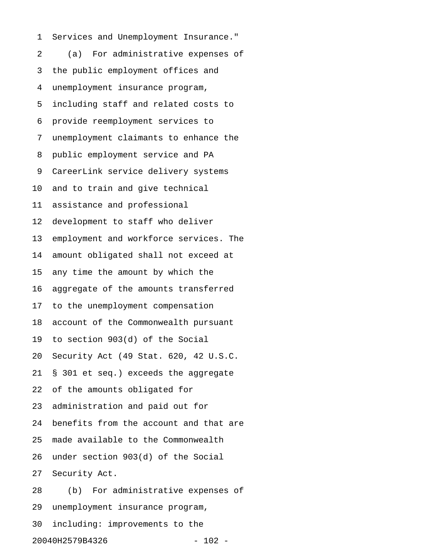1 Services and Unemployment Insurance." 2 (a) For administrative expenses of 3 the public employment offices and 4 unemployment insurance program, 5 including staff and related costs to 6 provide reemployment services to 7 unemployment claimants to enhance the 8 public employment service and PA 9 CareerLink service delivery systems 10 and to train and give technical 11 assistance and professional 12 development to staff who deliver 13 employment and workforce services. The 14 amount obligated shall not exceed at 15 any time the amount by which the 16 aggregate of the amounts transferred 17 to the unemployment compensation 18 account of the Commonwealth pursuant 19 to section 903(d) of the Social 20 Security Act (49 Stat. 620, 42 U.S.C. 21 § 301 et seq.) exceeds the aggregate 22 of the amounts obligated for 23 administration and paid out for 24 benefits from the account and that are 25 made available to the Commonwealth 26 under section 903(d) of the Social 27 Security Act. 28 (b) For administrative expenses of 29 unemployment insurance program, 30 including: improvements to the

20040H2579B4326 - 102 -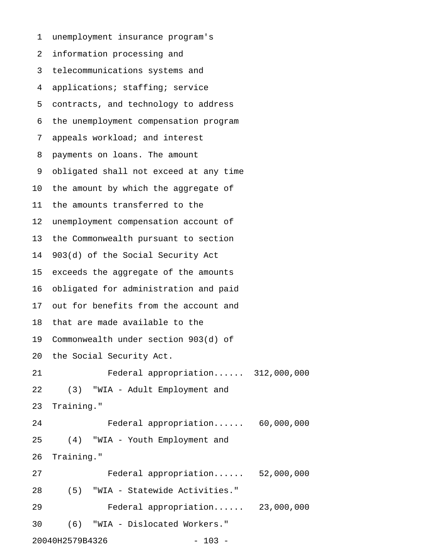1 unemployment insurance program's 2 information processing and 3 telecommunications systems and 4 applications; staffing; service 5 contracts, and technology to address 6 the unemployment compensation program 7 appeals workload; and interest 8 payments on loans. The amount 9 obligated shall not exceed at any time 10 the amount by which the aggregate of 11 the amounts transferred to the 12 unemployment compensation account of 13 the Commonwealth pursuant to section 14 903(d) of the Social Security Act 15 exceeds the aggregate of the amounts 16 obligated for administration and paid 17 out for benefits from the account and 18 that are made available to the 19 Commonwealth under section 903(d) of 20 the Social Security Act. 21 Federal appropriation...... 312,000,000 22 (3) "WIA - Adult Employment and 23 Training." 24 Federal appropriation...... 60,000,000 25 (4) "WIA - Youth Employment and 26 Training." 27 Federal appropriation...... 52,000,000 28 (5) "WIA - Statewide Activities." 29 Federal appropriation...... 23,000,000 30 (6) "WIA - Dislocated Workers." 20040H2579B4326 - 103 -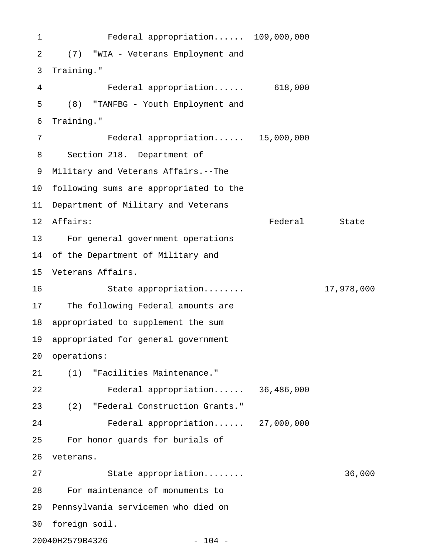1 Federal appropriation...... 109,000,000 2 (7) "WIA - Veterans Employment and 3 Training." 4 Federal appropriation...... 618,000 5 (8) "TANFBG - Youth Employment and 6 Training." 7 Federal appropriation...... 15,000,000 8 Section 218. Department of 9 Military and Veterans Affairs.--The 10 following sums are appropriated to the 11 Department of Military and Veterans 12 Affairs: State State State State State State State State State State State State 13 For general government operations 14 of the Department of Military and 15 Veterans Affairs. 16 State appropriation........ 17,978,000 17 The following Federal amounts are 18 appropriated to supplement the sum 19 appropriated for general government 20 operations: 21 (1) "Facilities Maintenance." 22 Federal appropriation...... 36,486,000 23 (2) "Federal Construction Grants." 24 Federal appropriation...... 27,000,000 25 For honor guards for burials of 26 veterans. 27 State appropriation........ 36,000 28 For maintenance of monuments to 29 Pennsylvania servicemen who died on 30 foreign soil. 20040H2579B4326 - 104 -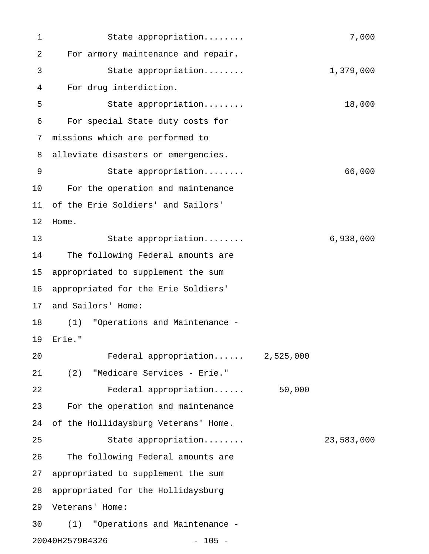1 State appropriation........ 7,000 2 For armory maintenance and repair. 3 State appropriation........ 1,379,000 4 For drug interdiction. 5 State appropriation........ 18,000 6 For special State duty costs for 7 missions which are performed to 8 alleviate disasters or emergencies. 9 State appropriation........ 66,000 10 For the operation and maintenance 11 of the Erie Soldiers' and Sailors' 12 Home. 13 State appropriation........ 6,938,000 14 The following Federal amounts are 15 appropriated to supplement the sum 16 appropriated for the Erie Soldiers' 17 and Sailors' Home: 18 (1) "Operations and Maintenance - 19 Erie." 20 Federal appropriation...... 2,525,000 21 (2) "Medicare Services - Erie." 22 Federal appropriation...... 50,000 23 For the operation and maintenance 24 of the Hollidaysburg Veterans' Home. 25 State appropriation........ 23,583,000 26 The following Federal amounts are 27 appropriated to supplement the sum 28 appropriated for the Hollidaysburg 29 Veterans' Home: 30 (1) "Operations and Maintenance -

20040H2579B4326 - 105 -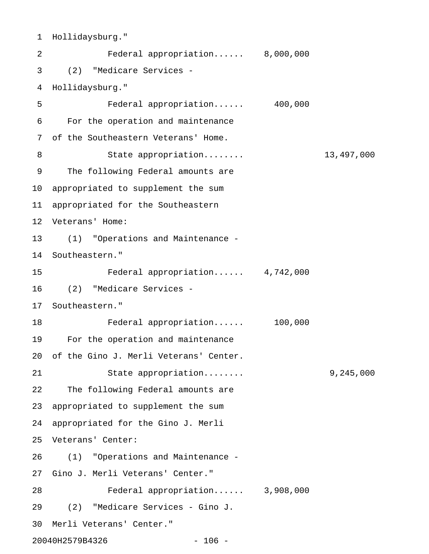1 Hollidaysburg."

2 Federal appropriation...... 8,000,000 3 (2) "Medicare Services - 4 Hollidaysburg." 5 Federal appropriation...... 400,000 6 For the operation and maintenance 7 of the Southeastern Veterans' Home. 8 State appropriation....... 13,497,000 9 The following Federal amounts are 10 appropriated to supplement the sum 11 appropriated for the Southeastern 12 Veterans' Home: 13 (1) "Operations and Maintenance - 14 Southeastern." 15 Federal appropriation...... 4,742,000 16 (2) "Medicare Services - 17 Southeastern." 18 Federal appropriation...... 100,000 19 For the operation and maintenance 20 of the Gino J. Merli Veterans' Center. 21 State appropriation........ 9,245,000 22 The following Federal amounts are 23 appropriated to supplement the sum 24 appropriated for the Gino J. Merli 25 Veterans' Center: 26 (1) "Operations and Maintenance - 27 Gino J. Merli Veterans' Center." 28 Federal appropriation...... 3,908,000 29 (2) "Medicare Services - Gino J. 30 Merli Veterans' Center." 20040H2579B4326 - 106 -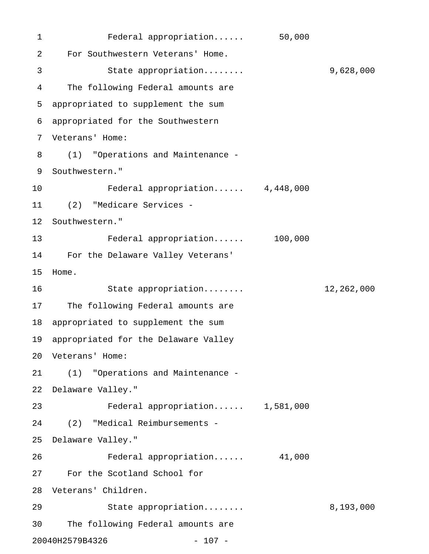1 Federal appropriation...... 50,000 2 For Southwestern Veterans' Home. 3 State appropriation........ 9,628,000 4 The following Federal amounts are 5 appropriated to supplement the sum 6 appropriated for the Southwestern 7 Veterans' Home: 8 (1) "Operations and Maintenance - 9 Southwestern." 10 Federal appropriation...... 4,448,000 11 (2) "Medicare Services - 12 Southwestern." 13 Federal appropriation...... 100,000 14 For the Delaware Valley Veterans' 15 Home. 16 State appropriation........ 12,262,000 17 The following Federal amounts are 18 appropriated to supplement the sum 19 appropriated for the Delaware Valley 20 Veterans' Home: 21 (1) "Operations and Maintenance - 22 Delaware Valley." 23 Federal appropriation...... 1,581,000 24 (2) "Medical Reimbursements - 25 Delaware Valley." 26 Federal appropriation...... 41,000 27 For the Scotland School for 28 Veterans' Children. 29 State appropriation........ 8,193,000 30 The following Federal amounts are 20040H2579B4326 - 107 -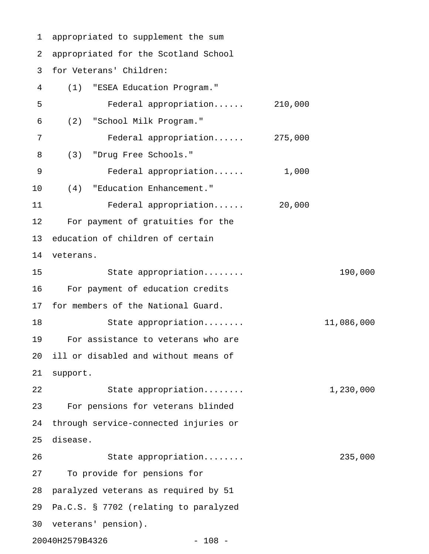1 appropriated to supplement the sum 2 appropriated for the Scotland School 3 for Veterans' Children: 4 (1) "ESEA Education Program." 5 Federal appropriation...... 210,000 6 (2) "School Milk Program." 7 Federal appropriation...... 275,000 8 (3) "Drug Free Schools." 9 Federal appropriation...... 1,000 10 (4) "Education Enhancement." 11 Federal appropriation...... 20,000 12 For payment of gratuities for the 13 education of children of certain 14 veterans. 15 State appropriation........ 190,000 16 For payment of education credits 17 for members of the National Guard. 18 State appropriation........ 11,086,000 19 For assistance to veterans who are 20 ill or disabled and without means of 21 support. 22 State appropriation........ 1,230,000 23 For pensions for veterans blinded 24 through service-connected injuries or 25 disease. 26 State appropriation........ 235,000 27 To provide for pensions for 28 paralyzed veterans as required by 51 29 Pa.C.S. § 7702 (relating to paralyzed 30 veterans' pension).

20040H2579B4326 - 108 -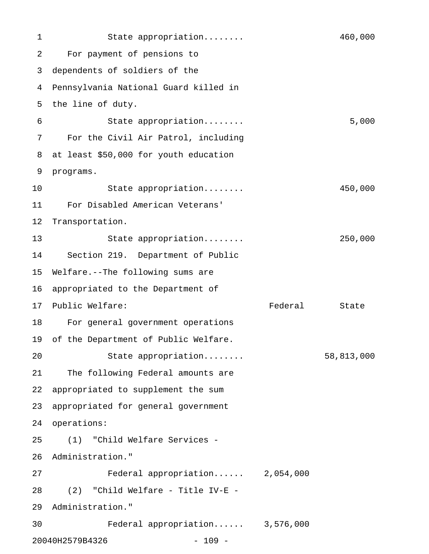1 State appropriation........ 460,000 2 For payment of pensions to 3 dependents of soldiers of the 4 Pennsylvania National Guard killed in 5 the line of duty. 6 State appropriation........ 5,000 7 For the Civil Air Patrol, including 8 at least \$50,000 for youth education 9 programs. 10 State appropriation....... 450,000 11 For Disabled American Veterans' 12 Transportation. 13 State appropriation........ 250,000 14 Section 219. Department of Public 15 Welfare.--The following sums are 16 appropriated to the Department of 17 Public Welfare: Federal State 18 For general government operations 19 of the Department of Public Welfare. 20 State appropriation........ 58,813,000 21 The following Federal amounts are 22 appropriated to supplement the sum 23 appropriated for general government 24 operations: 25 (1) "Child Welfare Services - 26 Administration." 27 Federal appropriation...... 2,054,000 28 (2) "Child Welfare - Title IV-E - 29 Administration." 30 Federal appropriation...... 3,576,000 20040H2579B4326 - 109 -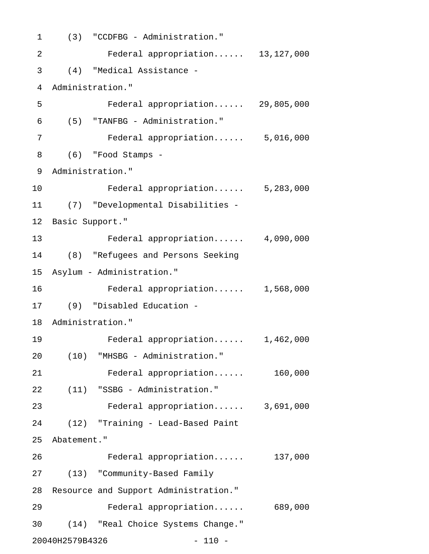1 (3) "CCDFBG - Administration." 2 Federal appropriation...... 13,127,000 3 (4) "Medical Assistance - 4 Administration." 5 Federal appropriation...... 29,805,000 6 (5) "TANFBG - Administration." 7 Federal appropriation...... 5,016,000 8 (6) "Food Stamps - 9 Administration." 10 Federal appropriation...... 5,283,000 11 (7) "Developmental Disabilities - 12 Basic Support." 13 Federal appropriation...... 4,090,000 14 (8) "Refugees and Persons Seeking 15 Asylum - Administration." 16 Federal appropriation...... 1,568,000 17 (9) "Disabled Education - 18 Administration." 19 Federal appropriation...... 1,462,000 20 (10) "MHSBG - Administration." 21 Federal appropriation...... 160,000 22 (11) "SSBG - Administration." 23 Federal appropriation...... 3,691,000 24 (12) "Training - Lead-Based Paint 25 Abatement." 26 Federal appropriation...... 137,000 27 (13) "Community-Based Family 28 Resource and Support Administration." 29 Federal appropriation...... 689,000 30 (14) "Real Choice Systems Change." 20040H2579B4326 - 110 -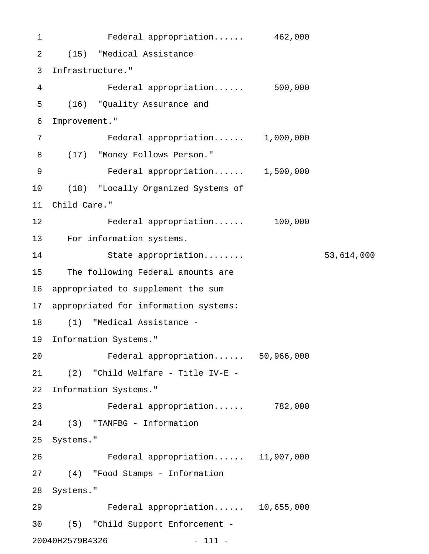1 Federal appropriation...... 462,000 2 (15) "Medical Assistance 3 Infrastructure." 4 Federal appropriation...... 500,000 5 (16) "Quality Assurance and 6 Improvement." 7 Federal appropriation...... 1,000,000 8 (17) "Money Follows Person." 9 Federal appropriation...... 1,500,000 10 (18) "Locally Organized Systems of 11 Child Care." 12 Federal appropriation...... 100,000 13 For information systems. 14 State appropriation........ 53,614,000 15 The following Federal amounts are 16 appropriated to supplement the sum 17 appropriated for information systems: 18 (1) "Medical Assistance - 19 Information Systems." 20 Federal appropriation...... 50,966,000 21 (2) "Child Welfare - Title IV-E - 22 Information Systems." 23 Federal appropriation...... 782,000 24 (3) "TANFBG - Information 25 Systems." 26 Federal appropriation...... 11,907,000 27 (4) "Food Stamps - Information 28 Systems." 29 Federal appropriation...... 10,655,000 30 (5) "Child Support Enforcement - 20040H2579B4326 - 111 -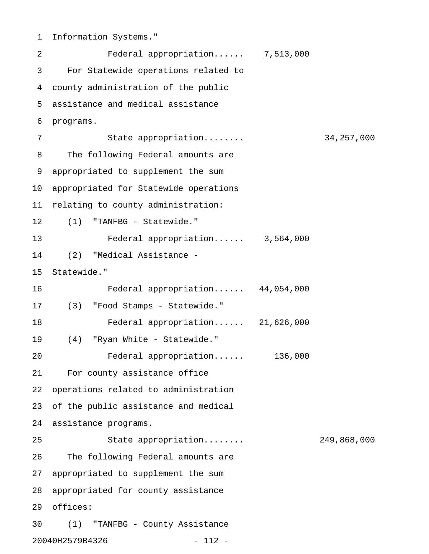1 Information Systems."

2 Federal appropriation...... 7,513,000 3 For Statewide operations related to 4 county administration of the public 5 assistance and medical assistance 6 programs. 7 State appropriation....... 34,257,000 8 The following Federal amounts are 9 appropriated to supplement the sum 10 appropriated for Statewide operations 11 relating to county administration: 12 (1) "TANFBG - Statewide." 13 Federal appropriation...... 3,564,000 14 (2) "Medical Assistance - 15 Statewide." 16 Federal appropriation...... 44,054,000 17 (3) "Food Stamps - Statewide." 18 Federal appropriation...... 21,626,000 19 (4) "Ryan White - Statewide." 20 Federal appropriation...... 136,000 21 For county assistance office 22 operations related to administration 23 of the public assistance and medical 24 assistance programs. 25 State appropriation........ 249,868,000 26 The following Federal amounts are 27 appropriated to supplement the sum 28 appropriated for county assistance 29 offices: 30 (1) "TANFBG - County Assistance

20040H2579B4326 - 112 -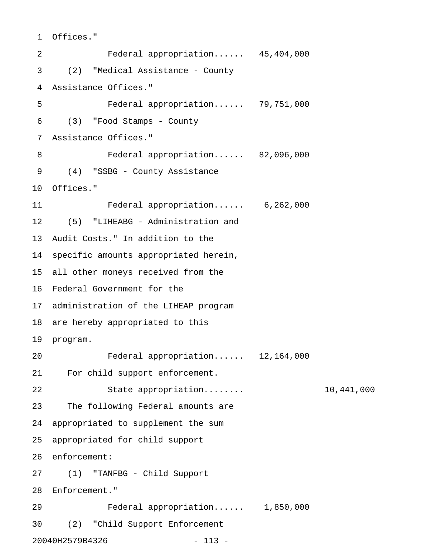```
1 Offices."
2 Federal appropriation...... 45,404,000
3 (2) "Medical Assistance - County
4 Assistance Offices."
5 Federal appropriation...... 79,751,000
6 (3) "Food Stamps - County
7 Assistance Offices."
8 Federal appropriation...... 82,096,000
9 (4) "SSBG - County Assistance
10 Offices."
11 Federal appropriation...... 6,262,000
12 (5) "LIHEABG - Administration and
13 Audit Costs." In addition to the
14 specific amounts appropriated herein,
15 all other moneys received from the
16 Federal Government for the
17 administration of the LIHEAP program
18 are hereby appropriated to this
19 program.
20 Federal appropriation...... 12,164,000
21 For child support enforcement.
22 State appropriation........ 10,441,000
23 The following Federal amounts are
24 appropriated to supplement the sum
25 appropriated for child support
26 enforcement:
27 (1) "TANFBG - Child Support
28 Enforcement."
29 Federal appropriation...... 1,850,000
30 (2) "Child Support Enforcement
```
20040H2579B4326 - 113 -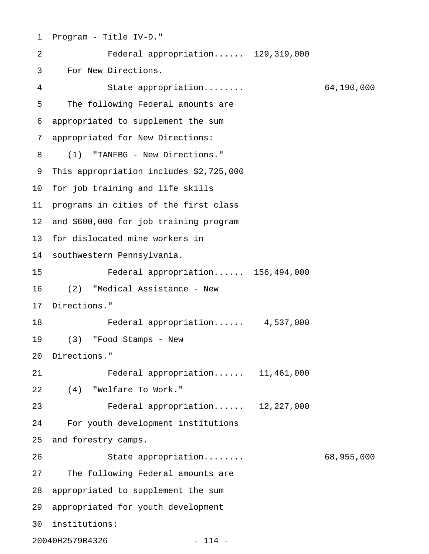1 Program - Title IV-D."

2 Federal appropriation...... 129,319,000 3 For New Directions. 4 State appropriation........ 64,190,000 5 The following Federal amounts are 6 appropriated to supplement the sum 7 appropriated for New Directions: 8 (1) "TANFBG - New Directions." 9 This appropriation includes \$2,725,000 10 for job training and life skills 11 programs in cities of the first class 12 and \$600,000 for job training program 13 for dislocated mine workers in 14 southwestern Pennsylvania. 15 Federal appropriation...... 156,494,000 16 (2) "Medical Assistance - New 17 Directions." 18 Federal appropriation...... 4,537,000 19 (3) "Food Stamps - New 20 Directions." 21 Federal appropriation...... 11,461,000 22 (4) "Welfare To Work." 23 Federal appropriation...... 12,227,000 24 For youth development institutions 25 and forestry camps. 26 State appropriation........ 68,955,000 27 The following Federal amounts are 28 appropriated to supplement the sum 29 appropriated for youth development 30 institutions:

20040H2579B4326 - 114 -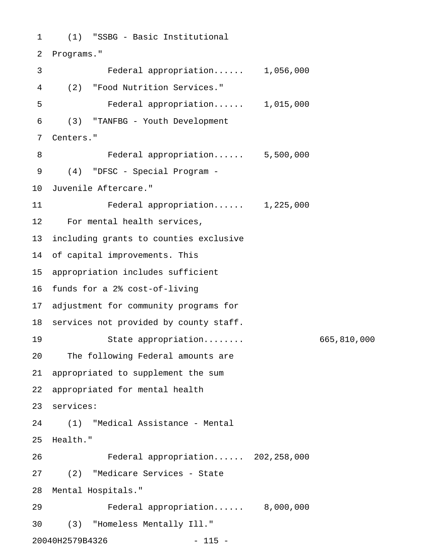1 (1) "SSBG - Basic Institutional 2 Programs." 3 Federal appropriation...... 1,056,000 4 (2) "Food Nutrition Services." 5 Federal appropriation...... 1,015,000 6 (3) "TANFBG - Youth Development 7 Centers." 8 Federal appropriation...... 5,500,000 9 (4) "DFSC - Special Program - 10 Juvenile Aftercare." 11 Federal appropriation...... 1,225,000 12 For mental health services, 13 including grants to counties exclusive 14 of capital improvements. This 15 appropriation includes sufficient 16 funds for a 2% cost-of-living 17 adjustment for community programs for 18 services not provided by county staff. 19 State appropriation........ 665,810,000 20 The following Federal amounts are 21 appropriated to supplement the sum 22 appropriated for mental health 23 services: 24 (1) "Medical Assistance - Mental 25 Health." 26 Federal appropriation...... 202,258,000 27 (2) "Medicare Services - State 28 Mental Hospitals." 29 Federal appropriation...... 8,000,000 30 (3) "Homeless Mentally Ill." 20040H2579B4326 - 115 -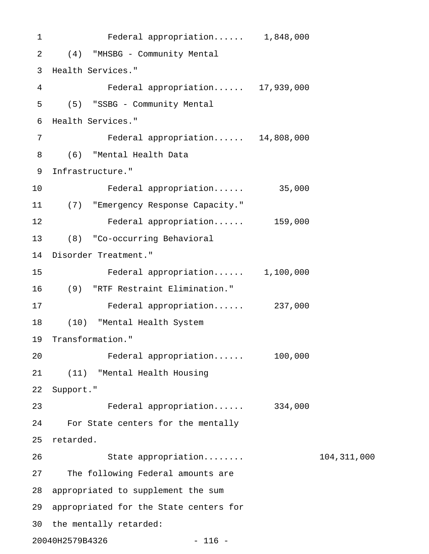| 1  | Federal appropriation 1,848,000        |         |               |  |  |
|----|----------------------------------------|---------|---------------|--|--|
| 2  | (4) "MHSBG - Community Mental          |         |               |  |  |
| 3  | Health Services."                      |         |               |  |  |
| 4  | Federal appropriation 17,939,000       |         |               |  |  |
| 5  | "SSBG - Community Mental<br>(5)        |         |               |  |  |
| 6  | Health Services."                      |         |               |  |  |
| 7  | Federal appropriation 14,808,000       |         |               |  |  |
| 8  | (6)<br>"Mental Health Data             |         |               |  |  |
| 9  | Infrastructure."                       |         |               |  |  |
| 10 | Federal appropriation                  | 35,000  |               |  |  |
| 11 | "Emergency Response Capacity."<br>(7)  |         |               |  |  |
| 12 | Federal appropriation 159,000          |         |               |  |  |
| 13 | "Co-occurring Behavioral<br>(8)        |         |               |  |  |
| 14 | Disorder Treatment."                   |         |               |  |  |
| 15 | Federal appropriation 1,100,000        |         |               |  |  |
| 16 | "RTF Restraint Elimination."<br>(9)    |         |               |  |  |
| 17 | Federal appropriation 237,000          |         |               |  |  |
| 18 | (10)<br>"Mental Health System          |         |               |  |  |
| 19 | Transformation."                       |         |               |  |  |
| 20 | Federal appropriation                  | 100,000 |               |  |  |
| 21 | (11) "Mental Health Housing            |         |               |  |  |
| 22 | Support."                              |         |               |  |  |
| 23 | Federal appropriation 334,000          |         |               |  |  |
| 24 | For State centers for the mentally     |         |               |  |  |
| 25 | retarded.                              |         |               |  |  |
| 26 | State appropriation                    |         | 104, 311, 000 |  |  |
| 27 | The following Federal amounts are      |         |               |  |  |
| 28 | appropriated to supplement the sum     |         |               |  |  |
| 29 | appropriated for the State centers for |         |               |  |  |
| 30 | the mentally retarded:                 |         |               |  |  |
|    | 20040H2579B4326<br>$-116 -$            |         |               |  |  |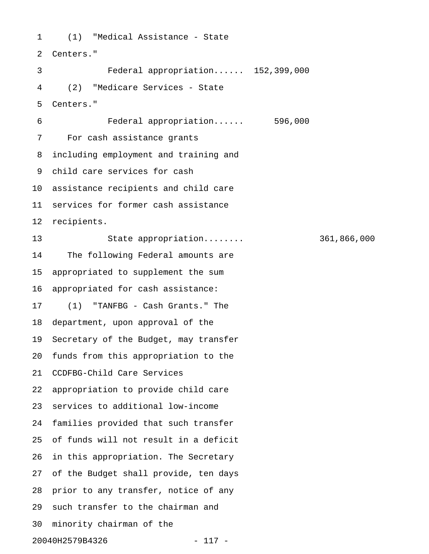1 (1) "Medical Assistance - State 2 Centers." 3 Federal appropriation...... 152,399,000 4 (2) "Medicare Services - State 5 Centers." 6 Federal appropriation...... 596,000 7 For cash assistance grants 8 including employment and training and 9 child care services for cash 10 assistance recipients and child care 11 services for former cash assistance 12 recipients. 13 State appropriation........ 361,866,000 14 The following Federal amounts are 15 appropriated to supplement the sum 16 appropriated for cash assistance: 17 (1) "TANFBG - Cash Grants." The 18 department, upon approval of the 19 Secretary of the Budget, may transfer 20 funds from this appropriation to the 21 CCDFBG-Child Care Services 22 appropriation to provide child care 23 services to additional low-income 24 families provided that such transfer 25 of funds will not result in a deficit 26 in this appropriation. The Secretary 27 of the Budget shall provide, ten days 28 prior to any transfer, notice of any 29 such transfer to the chairman and 30 minority chairman of the

20040H2579B4326 - 117 -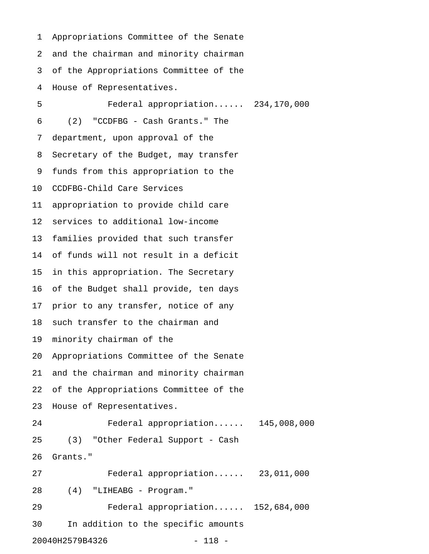1 Appropriations Committee of the Senate 2 and the chairman and minority chairman 3 of the Appropriations Committee of the 4 House of Representatives. 5 Federal appropriation...... 234,170,000 6 (2) "CCDFBG - Cash Grants." The 7 department, upon approval of the 8 Secretary of the Budget, may transfer 9 funds from this appropriation to the 10 CCDFBG-Child Care Services 11 appropriation to provide child care 12 services to additional low-income 13 families provided that such transfer 14 of funds will not result in a deficit 15 in this appropriation. The Secretary 16 of the Budget shall provide, ten days 17 prior to any transfer, notice of any 18 such transfer to the chairman and 19 minority chairman of the 20 Appropriations Committee of the Senate 21 and the chairman and minority chairman 22 of the Appropriations Committee of the 23 House of Representatives. 24 Federal appropriation...... 145,008,000 25 (3) "Other Federal Support - Cash 26 Grants." 27 Federal appropriation...... 23,011,000 28 (4) "LIHEABG - Program." 29 Federal appropriation...... 152,684,000 30 In addition to the specific amounts 20040H2579B4326 - 118 -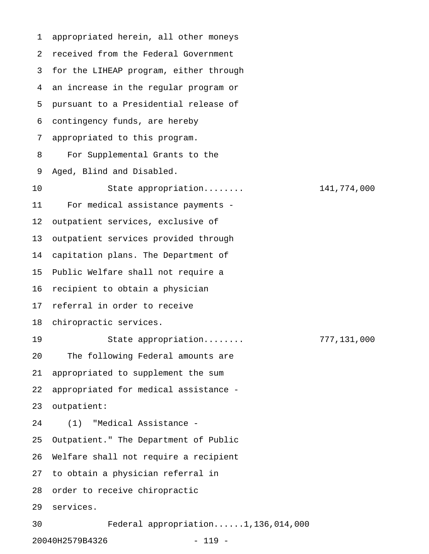1 appropriated herein, all other moneys 2 received from the Federal Government 3 for the LIHEAP program, either through 4 an increase in the regular program or 5 pursuant to a Presidential release of 6 contingency funds, are hereby 7 appropriated to this program. 8 For Supplemental Grants to the 9 Aged, Blind and Disabled. 10 State appropriation........ 141,774,000 11 For medical assistance payments - 12 outpatient services, exclusive of 13 outpatient services provided through 14 capitation plans. The Department of 15 Public Welfare shall not require a 16 recipient to obtain a physician 17 referral in order to receive 18 chiropractic services. 19 State appropriation........ 777,131,000 20 The following Federal amounts are 21 appropriated to supplement the sum 22 appropriated for medical assistance - 23 outpatient: 24 (1) "Medical Assistance - 25 Outpatient." The Department of Public 26 Welfare shall not require a recipient 27 to obtain a physician referral in 28 order to receive chiropractic 29 services. 30 Federal appropriation......1,136,014,000

20040H2579B4326 - 119 -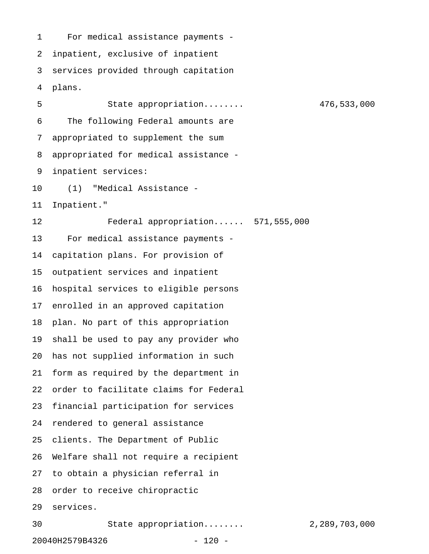1 For medical assistance payments - 2 inpatient, exclusive of inpatient 3 services provided through capitation 4 plans. 5 State appropriation........ 476,533,000 6 The following Federal amounts are 7 appropriated to supplement the sum 8 appropriated for medical assistance - 9 inpatient services:

10 (1) "Medical Assistance -

11 Inpatient."

12 Federal appropriation...... 571,555,000 13 For medical assistance payments - 14 capitation plans. For provision of 15 outpatient services and inpatient 16 hospital services to eligible persons 17 enrolled in an approved capitation 18 plan. No part of this appropriation 19 shall be used to pay any provider who 20 has not supplied information in such 21 form as required by the department in 22 order to facilitate claims for Federal 23 financial participation for services 24 rendered to general assistance 25 clients. The Department of Public 26 Welfare shall not require a recipient 27 to obtain a physician referral in 28 order to receive chiropractic 29 services. 30 State appropriation........ 2,289,703,000

20040H2579B4326 - 120 -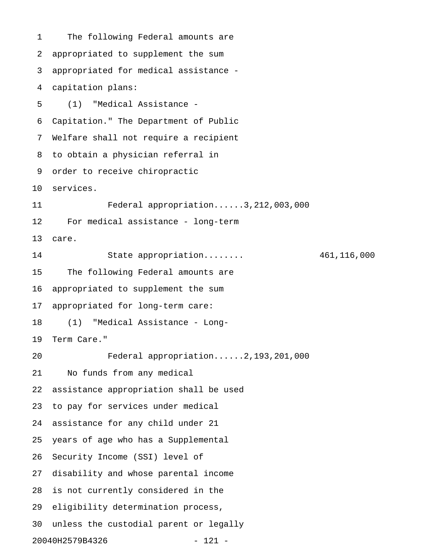1 The following Federal amounts are 2 appropriated to supplement the sum 3 appropriated for medical assistance - 4 capitation plans: 5 (1) "Medical Assistance - 6 Capitation." The Department of Public 7 Welfare shall not require a recipient 8 to obtain a physician referral in 9 order to receive chiropractic 10 services. 11 Federal appropriation......3,212,003,000 12 For medical assistance - long-term 13 care. 14 State appropriation........ 461,116,000 15 The following Federal amounts are 16 appropriated to supplement the sum 17 appropriated for long-term care: 18 (1) "Medical Assistance - Long-19 Term Care." 20 Federal appropriation......2,193,201,000 21 No funds from any medical 22 assistance appropriation shall be used 23 to pay for services under medical 24 assistance for any child under 21 25 years of age who has a Supplemental 26 Security Income (SSI) level of 27 disability and whose parental income 28 is not currently considered in the 29 eligibility determination process, 30 unless the custodial parent or legally 20040H2579B4326 - 121 -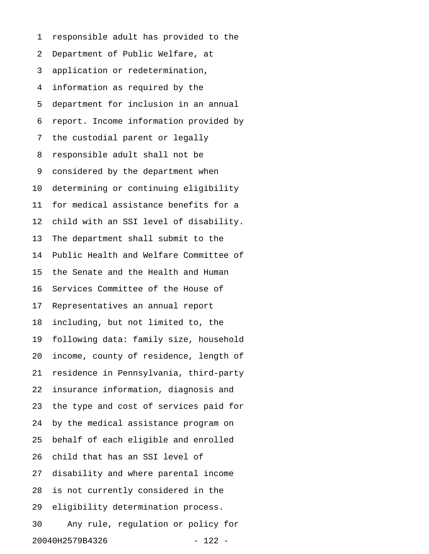1 responsible adult has provided to the 2 Department of Public Welfare, at 3 application or redetermination, 4 information as required by the 5 department for inclusion in an annual 6 report. Income information provided by 7 the custodial parent or legally 8 responsible adult shall not be 9 considered by the department when 10 determining or continuing eligibility 11 for medical assistance benefits for a 12 child with an SSI level of disability. 13 The department shall submit to the 14 Public Health and Welfare Committee of 15 the Senate and the Health and Human 16 Services Committee of the House of 17 Representatives an annual report 18 including, but not limited to, the 19 following data: family size, household 20 income, county of residence, length of 21 residence in Pennsylvania, third-party 22 insurance information, diagnosis and 23 the type and cost of services paid for 24 by the medical assistance program on 25 behalf of each eligible and enrolled 26 child that has an SSI level of 27 disability and where parental income 28 is not currently considered in the 29 eligibility determination process. 30 Any rule, regulation or policy for 20040H2579B4326 - 122 -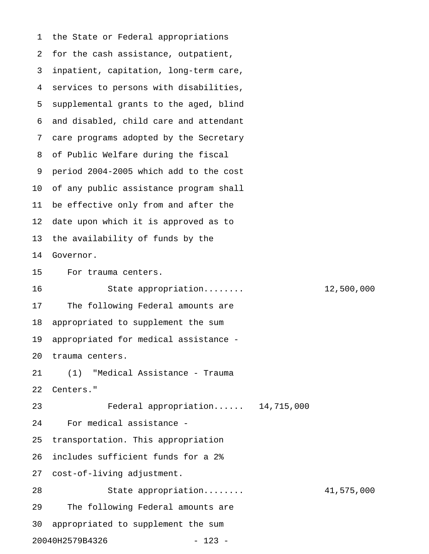1 the State or Federal appropriations 2 for the cash assistance, outpatient, 3 inpatient, capitation, long-term care, 4 services to persons with disabilities, 5 supplemental grants to the aged, blind 6 and disabled, child care and attendant 7 care programs adopted by the Secretary 8 of Public Welfare during the fiscal 9 period 2004-2005 which add to the cost 10 of any public assistance program shall 11 be effective only from and after the 12 date upon which it is approved as to 13 the availability of funds by the 14 Governor. 15 For trauma centers. 16 State appropriation........ 12,500,000 17 The following Federal amounts are 18 appropriated to supplement the sum 19 appropriated for medical assistance - 20 trauma centers. 21 (1) "Medical Assistance - Trauma 22 Centers." 23 Federal appropriation...... 14,715,000 24 For medical assistance - 25 transportation. This appropriation 26 includes sufficient funds for a 2% 27 cost-of-living adjustment. 28 State appropriation........ 41,575,000 29 The following Federal amounts are 30 appropriated to supplement the sum

20040H2579B4326 - 123 -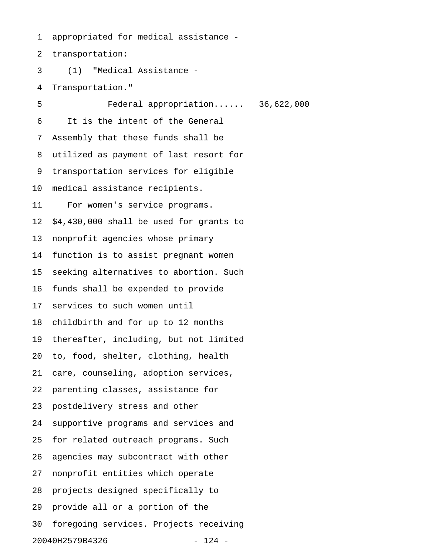1 appropriated for medical assistance -

2 transportation:

3 (1) "Medical Assistance -

4 Transportation."

5 Federal appropriation...... 36,622,000 6 It is the intent of the General 7 Assembly that these funds shall be 8 utilized as payment of last resort for 9 transportation services for eligible 10 medical assistance recipients. 11 For women's service programs. 12 \$4,430,000 shall be used for grants to 13 nonprofit agencies whose primary 14 function is to assist pregnant women 15 seeking alternatives to abortion. Such 16 funds shall be expended to provide 17 services to such women until 18 childbirth and for up to 12 months 19 thereafter, including, but not limited 20 to, food, shelter, clothing, health 21 care, counseling, adoption services, 22 parenting classes, assistance for 23 postdelivery stress and other 24 supportive programs and services and 25 for related outreach programs. Such 26 agencies may subcontract with other 27 nonprofit entities which operate 28 projects designed specifically to 29 provide all or a portion of the 30 foregoing services. Projects receiving 20040H2579B4326 - 124 -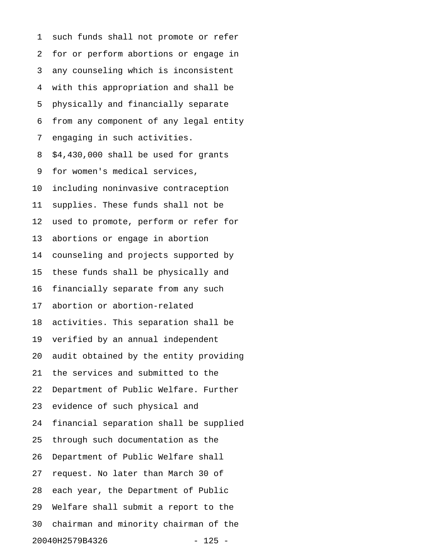1 such funds shall not promote or refer 2 for or perform abortions or engage in 3 any counseling which is inconsistent 4 with this appropriation and shall be 5 physically and financially separate 6 from any component of any legal entity 7 engaging in such activities. 8 \$4,430,000 shall be used for grants 9 for women's medical services, 10 including noninvasive contraception 11 supplies. These funds shall not be 12 used to promote, perform or refer for 13 abortions or engage in abortion 14 counseling and projects supported by 15 these funds shall be physically and 16 financially separate from any such 17 abortion or abortion-related 18 activities. This separation shall be 19 verified by an annual independent 20 audit obtained by the entity providing 21 the services and submitted to the 22 Department of Public Welfare. Further 23 evidence of such physical and 24 financial separation shall be supplied 25 through such documentation as the 26 Department of Public Welfare shall 27 request. No later than March 30 of 28 each year, the Department of Public 29 Welfare shall submit a report to the 30 chairman and minority chairman of the 20040H2579B4326 - 125 -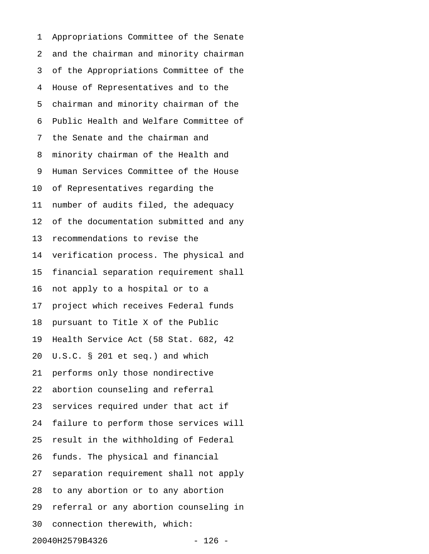1 Appropriations Committee of the Senate 2 and the chairman and minority chairman 3 of the Appropriations Committee of the 4 House of Representatives and to the 5 chairman and minority chairman of the 6 Public Health and Welfare Committee of 7 the Senate and the chairman and 8 minority chairman of the Health and 9 Human Services Committee of the House 10 of Representatives regarding the 11 number of audits filed, the adequacy 12 of the documentation submitted and any 13 recommendations to revise the 14 verification process. The physical and 15 financial separation requirement shall 16 not apply to a hospital or to a 17 project which receives Federal funds 18 pursuant to Title X of the Public 19 Health Service Act (58 Stat. 682, 42 20 U.S.C. § 201 et seq.) and which 21 performs only those nondirective 22 abortion counseling and referral 23 services required under that act if 24 failure to perform those services will 25 result in the withholding of Federal 26 funds. The physical and financial 27 separation requirement shall not apply 28 to any abortion or to any abortion 29 referral or any abortion counseling in 30 connection therewith, which: 20040H2579B4326 - 126 -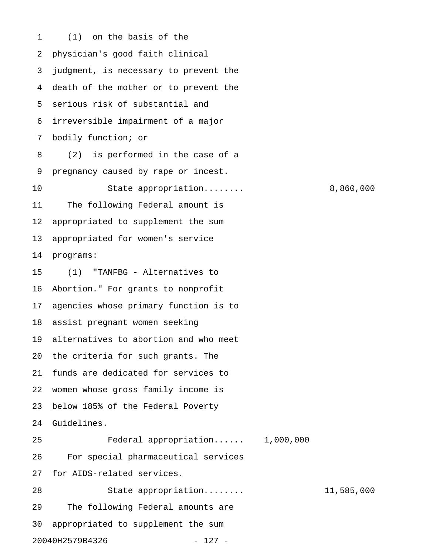1 (1) on the basis of the 2 physician's good faith clinical 3 judgment, is necessary to prevent the 4 death of the mother or to prevent the 5 serious risk of substantial and 6 irreversible impairment of a major 7 bodily function; or 8 (2) is performed in the case of a 9 pregnancy caused by rape or incest. 10 State appropriation....... 8,860,000 11 The following Federal amount is 12 appropriated to supplement the sum 13 appropriated for women's service 14 programs: 15 (1) "TANFBG - Alternatives to 16 Abortion." For grants to nonprofit 17 agencies whose primary function is to 18 assist pregnant women seeking 19 alternatives to abortion and who meet 20 the criteria for such grants. The 21 funds are dedicated for services to 22 women whose gross family income is 23 below 185% of the Federal Poverty 24 Guidelines. 25 Federal appropriation...... 1,000,000 26 For special pharmaceutical services 27 for AIDS-related services. 28 State appropriation........ 11,585,000 29 The following Federal amounts are 30 appropriated to supplement the sum 20040H2579B4326 - 127 -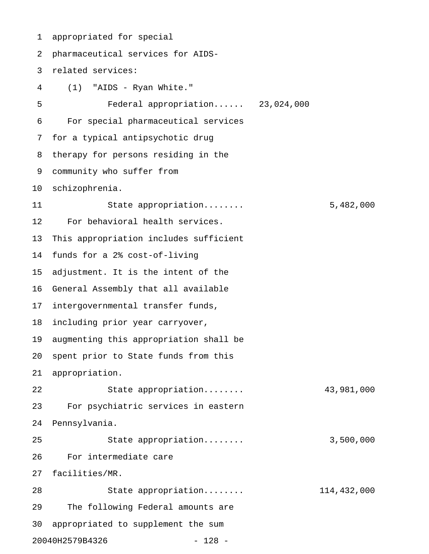1 appropriated for special 2 pharmaceutical services for AIDS-3 related services: 4 (1) "AIDS - Ryan White." 5 Federal appropriation...... 23,024,000 6 For special pharmaceutical services 7 for a typical antipsychotic drug 8 therapy for persons residing in the 9 community who suffer from 10 schizophrenia. 11 State appropriation........ 5,482,000 12 For behavioral health services. 13 This appropriation includes sufficient 14 funds for a 2% cost-of-living 15 adjustment. It is the intent of the 16 General Assembly that all available 17 intergovernmental transfer funds, 18 including prior year carryover, 19 augmenting this appropriation shall be 20 spent prior to State funds from this 21 appropriation. 22 State appropriation........ 43,981,000 23 For psychiatric services in eastern 24 Pennsylvania. 25 State appropriation........ 3,500,000 26 For intermediate care 27 facilities/MR. 28 State appropriation........ 114,432,000 29 The following Federal amounts are 30 appropriated to supplement the sum 20040H2579B4326 - 128 -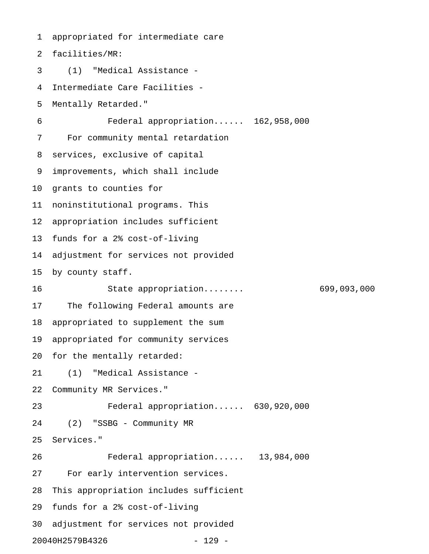1 appropriated for intermediate care 2 facilities/MR: 3 (1) "Medical Assistance - 4 Intermediate Care Facilities - 5 Mentally Retarded." 6 Federal appropriation...... 162,958,000 7 For community mental retardation 8 services, exclusive of capital 9 improvements, which shall include 10 grants to counties for 11 noninstitutional programs. This 12 appropriation includes sufficient 13 funds for a 2% cost-of-living 14 adjustment for services not provided 15 by county staff. 16 State appropriation........ 699,093,000 17 The following Federal amounts are 18 appropriated to supplement the sum 19 appropriated for community services 20 for the mentally retarded: 21 (1) "Medical Assistance - 22 Community MR Services." 23 Federal appropriation...... 630,920,000 24 (2) "SSBG - Community MR 25 Services." 26 Federal appropriation...... 13,984,000 27 For early intervention services. 28 This appropriation includes sufficient 29 funds for a 2% cost-of-living 30 adjustment for services not provided 20040H2579B4326 - 129 -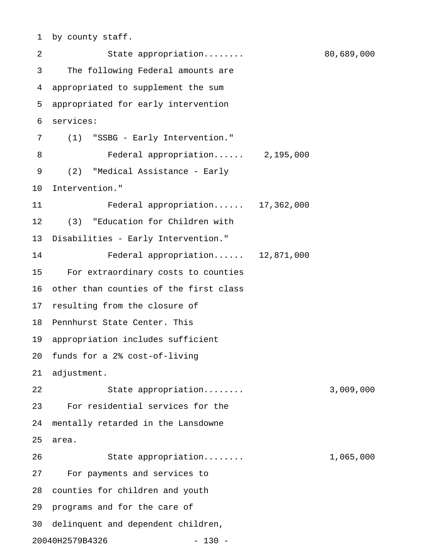1 by county staff.

2 State appropriation........ 80,689,000 3 The following Federal amounts are 4 appropriated to supplement the sum 5 appropriated for early intervention 6 services: 7 (1) "SSBG - Early Intervention." 8 Federal appropriation...... 2,195,000 9 (2) "Medical Assistance - Early 10 Intervention." 11 Federal appropriation...... 17,362,000 12 (3) "Education for Children with 13 Disabilities - Early Intervention." 14 Federal appropriation...... 12,871,000 15 For extraordinary costs to counties 16 other than counties of the first class 17 resulting from the closure of 18 Pennhurst State Center. This 19 appropriation includes sufficient 20 funds for a 2% cost-of-living 21 adjustment. 22 State appropriation........ 3,009,000 23 For residential services for the 24 mentally retarded in the Lansdowne 25 area. 26 State appropriation........ 1,065,000 27 For payments and services to 28 counties for children and youth 29 programs and for the care of 30 delinquent and dependent children, 20040H2579B4326 - 130 -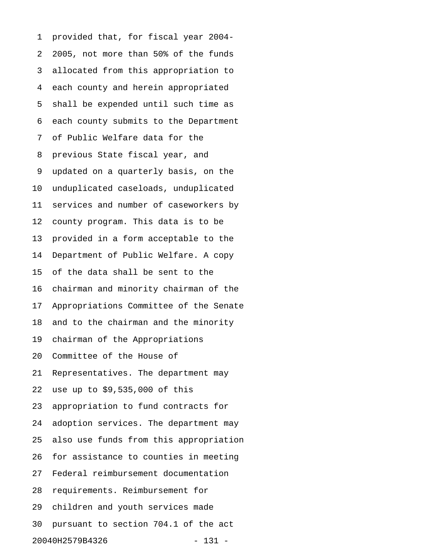1 provided that, for fiscal year 2004- 2 2005, not more than 50% of the funds 3 allocated from this appropriation to 4 each county and herein appropriated 5 shall be expended until such time as 6 each county submits to the Department 7 of Public Welfare data for the 8 previous State fiscal year, and 9 updated on a quarterly basis, on the 10 unduplicated caseloads, unduplicated 11 services and number of caseworkers by 12 county program. This data is to be 13 provided in a form acceptable to the 14 Department of Public Welfare. A copy 15 of the data shall be sent to the 16 chairman and minority chairman of the 17 Appropriations Committee of the Senate 18 and to the chairman and the minority 19 chairman of the Appropriations 20 Committee of the House of 21 Representatives. The department may 22 use up to \$9,535,000 of this 23 appropriation to fund contracts for 24 adoption services. The department may 25 also use funds from this appropriation 26 for assistance to counties in meeting 27 Federal reimbursement documentation 28 requirements. Reimbursement for 29 children and youth services made 30 pursuant to section 704.1 of the act 20040H2579B4326 - 131 -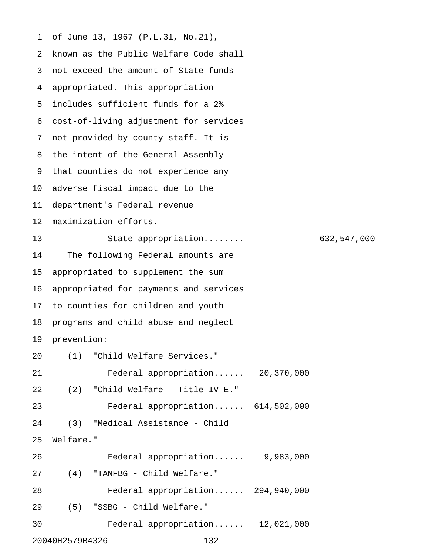1 of June 13, 1967 (P.L.31, No.21), 2 known as the Public Welfare Code shall 3 not exceed the amount of State funds 4 appropriated. This appropriation 5 includes sufficient funds for a 2% 6 cost-of-living adjustment for services 7 not provided by county staff. It is 8 the intent of the General Assembly 9 that counties do not experience any 10 adverse fiscal impact due to the 11 department's Federal revenue 12 maximization efforts. 13 State appropriation........ 632,547,000 14 The following Federal amounts are 15 appropriated to supplement the sum 16 appropriated for payments and services 17 to counties for children and youth 18 programs and child abuse and neglect 19 prevention: 20 (1) "Child Welfare Services." 21 Federal appropriation...... 20,370,000 22 (2) "Child Welfare - Title IV-E." 23 Federal appropriation...... 614,502,000 24 (3) "Medical Assistance - Child 25 Welfare." 26 Federal appropriation...... 9,983,000 27 (4) "TANFBG - Child Welfare." 28 Federal appropriation...... 294,940,000 29 (5) "SSBG - Child Welfare." 30 Federal appropriation...... 12,021,000 20040H2579B4326 - 132 -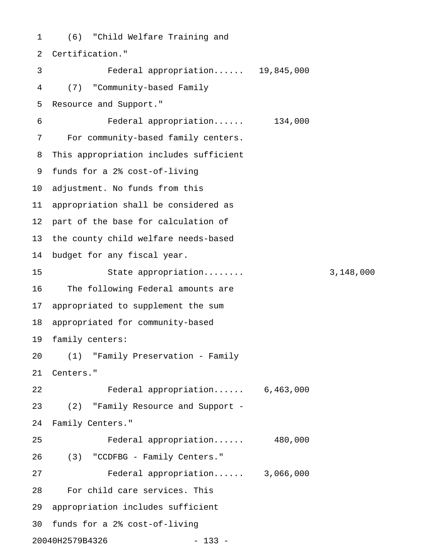1 (6) "Child Welfare Training and 2 Certification." 3 Federal appropriation...... 19,845,000 4 (7) "Community-based Family 5 Resource and Support." 6 Federal appropriation...... 134,000 7 For community-based family centers. 8 This appropriation includes sufficient 9 funds for a 2% cost-of-living 10 adjustment. No funds from this 11 appropriation shall be considered as 12 part of the base for calculation of 13 the county child welfare needs-based 14 budget for any fiscal year. 15 State appropriation........ 3,148,000 16 The following Federal amounts are 17 appropriated to supplement the sum 18 appropriated for community-based 19 family centers: 20 (1) "Family Preservation - Family 21 Centers." 22 Federal appropriation...... 6,463,000 23 (2) "Family Resource and Support - 24 Family Centers." 25 Federal appropriation...... 480,000 26 (3) "CCDFBG - Family Centers." 27 Federal appropriation...... 3,066,000 28 For child care services. This 29 appropriation includes sufficient 30 funds for a 2% cost-of-living 20040H2579B4326 - 133 -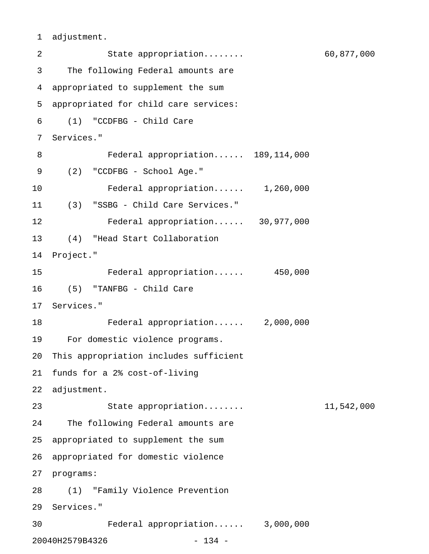1 adjustment.

2 State appropriation........ 60,877,000 3 The following Federal amounts are 4 appropriated to supplement the sum 5 appropriated for child care services: 6 (1) "CCDFBG - Child Care 7 Services." 8 Federal appropriation...... 189,114,000 9 (2) "CCDFBG - School Age." 10 Federal appropriation...... 1,260,000 11 (3) "SSBG - Child Care Services." 12 Federal appropriation...... 30,977,000 13 (4) "Head Start Collaboration 14 Project." 15 Federal appropriation...... 450,000 16 (5) "TANFBG - Child Care 17 Services." 18 Federal appropriation...... 2,000,000 19 For domestic violence programs. 20 This appropriation includes sufficient 21 funds for a 2% cost-of-living 22 adjustment. 23 State appropriation........ 11,542,000 24 The following Federal amounts are 25 appropriated to supplement the sum 26 appropriated for domestic violence 27 programs: 28 (1) "Family Violence Prevention 29 Services." 30 Federal appropriation...... 3,000,000 20040H2579B4326 - 134 -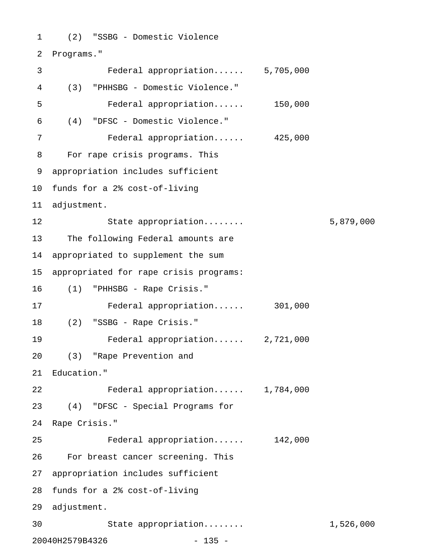1 (2) "SSBG - Domestic Violence

2 Programs." 3 Federal appropriation...... 5,705,000 4 (3) "PHHSBG - Domestic Violence." 5 Federal appropriation...... 150,000 6 (4) "DFSC - Domestic Violence." 7 Federal appropriation...... 425,000 8 For rape crisis programs. This 9 appropriation includes sufficient 10 funds for a 2% cost-of-living 11 adjustment. 12 State appropriation........ 5,879,000 13 The following Federal amounts are 14 appropriated to supplement the sum 15 appropriated for rape crisis programs: 16 (1) "PHHSBG - Rape Crisis." 17 Federal appropriation...... 301,000 18 (2) "SSBG - Rape Crisis." 19 Federal appropriation...... 2,721,000 20 (3) "Rape Prevention and 21 Education." 22 Federal appropriation...... 1,784,000 23 (4) "DFSC - Special Programs for 24 Rape Crisis." 25 Federal appropriation...... 142,000 26 For breast cancer screening. This 27 appropriation includes sufficient 28 funds for a 2% cost-of-living 29 adjustment. 30 State appropriation........ 1,526,000 20040H2579B4326 - 135 -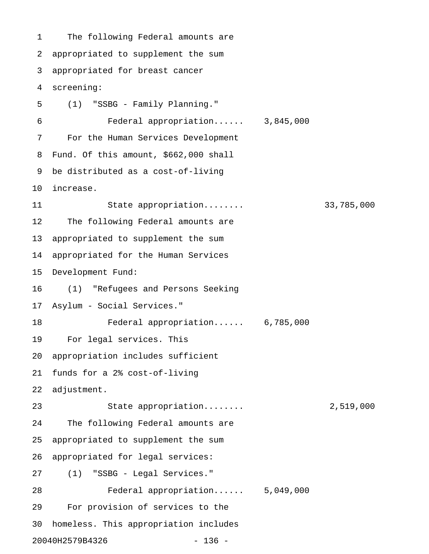1 The following Federal amounts are 2 appropriated to supplement the sum 3 appropriated for breast cancer 4 screening: 5 (1) "SSBG - Family Planning." 6 Federal appropriation...... 3,845,000 7 For the Human Services Development 8 Fund. Of this amount, \$662,000 shall 9 be distributed as a cost-of-living 10 increase. 11 State appropriation........ 33,785,000 12 The following Federal amounts are 13 appropriated to supplement the sum 14 appropriated for the Human Services 15 Development Fund: 16 (1) "Refugees and Persons Seeking 17 Asylum - Social Services." 18 Federal appropriation...... 6,785,000 19 For legal services. This 20 appropriation includes sufficient 21 funds for a 2% cost-of-living 22 adjustment. 23 State appropriation........ 2,519,000 24 The following Federal amounts are 25 appropriated to supplement the sum 26 appropriated for legal services: 27 (1) "SSBG - Legal Services." 28 Federal appropriation...... 5,049,000 29 For provision of services to the 30 homeless. This appropriation includes

20040H2579B4326 - 136 -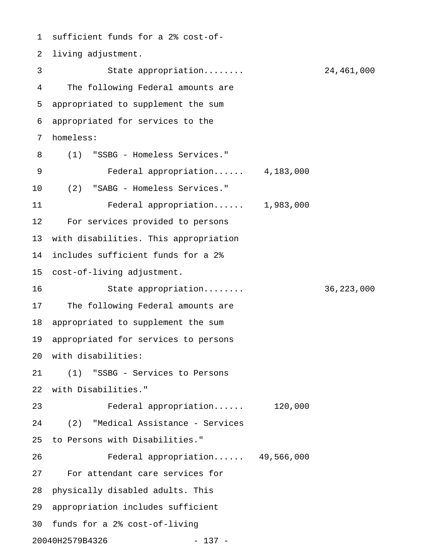1 sufficient funds for a 2% cost-of-

2 living adjustment.

3 State appropriation........ 24,461,000 4 The following Federal amounts are 5 appropriated to supplement the sum 6 appropriated for services to the 7 homeless: 8 (1) "SSBG - Homeless Services." 9 Federal appropriation...... 4,183,000 10 (2) "SABG - Homeless Services." 11 Federal appropriation...... 1,983,000 12 For services provided to persons 13 with disabilities. This appropriation 14 includes sufficient funds for a 2% 15 cost-of-living adjustment. 16 State appropriation........ 36,223,000 17 The following Federal amounts are 18 appropriated to supplement the sum 19 appropriated for services to persons 20 with disabilities: 21 (1) "SSBG - Services to Persons 22 with Disabilities." 23 Federal appropriation...... 120,000 24 (2) "Medical Assistance - Services 25 to Persons with Disabilities." 26 Federal appropriation...... 49,566,000 27 For attendant care services for 28 physically disabled adults. This 29 appropriation includes sufficient 30 funds for a 2% cost-of-living 20040H2579B4326 - 137 -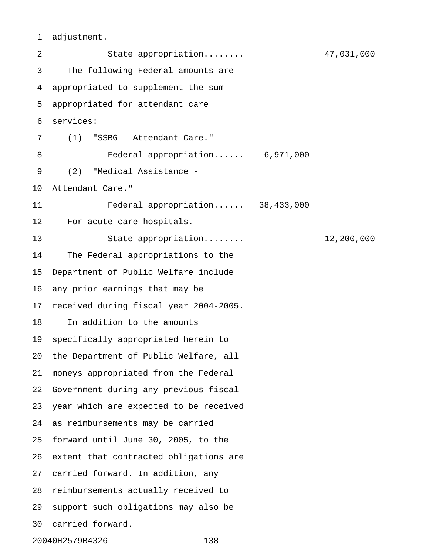1 adjustment.

2 State appropriation........ 47,031,000 3 The following Federal amounts are 4 appropriated to supplement the sum 5 appropriated for attendant care 6 services: 7 (1) "SSBG - Attendant Care." 8 Federal appropriation...... 6,971,000 9 (2) "Medical Assistance - 10 Attendant Care." 11 Federal appropriation...... 38,433,000 12 For acute care hospitals. 13 State appropriation........ 12,200,000 14 The Federal appropriations to the 15 Department of Public Welfare include 16 any prior earnings that may be 17 received during fiscal year 2004-2005. 18 In addition to the amounts 19 specifically appropriated herein to 20 the Department of Public Welfare, all 21 moneys appropriated from the Federal 22 Government during any previous fiscal 23 year which are expected to be received 24 as reimbursements may be carried 25 forward until June 30, 2005, to the 26 extent that contracted obligations are 27 carried forward. In addition, any 28 reimbursements actually received to 29 support such obligations may also be 30 carried forward. 20040H2579B4326 - 138 -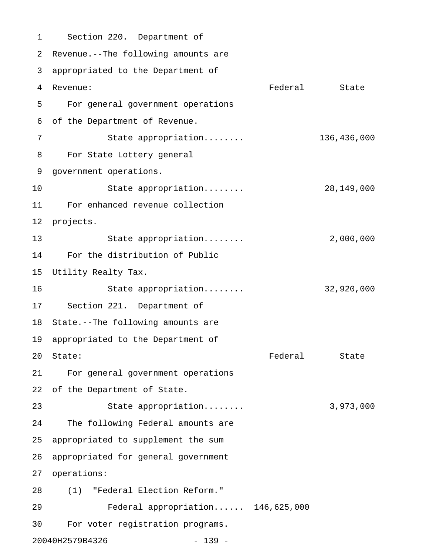1 Section 220. Department of 2 Revenue.--The following amounts are 3 appropriated to the Department of 4 Revenue: Federal State 5 For general government operations 6 of the Department of Revenue. 7 State appropriation........ 136,436,000 8 For State Lottery general 9 government operations. 10 State appropriation........ 28,149,000 11 For enhanced revenue collection 12 projects. 13 State appropriation........ 2,000,000 14 For the distribution of Public 15 Utility Realty Tax. 16 State appropriation........ 32,920,000 17 Section 221. Department of 18 State.--The following amounts are 19 appropriated to the Department of 20 State: State: State: State: State: State: State: State: State: State: State: State: State: State: State: State: State: State: State: State: State: State: State: State: State: State: State: State: State: State: State: St 21 For general government operations 22 of the Department of State. 23 State appropriation........ 3,973,000 24 The following Federal amounts are 25 appropriated to supplement the sum 26 appropriated for general government 27 operations: 28 (1) "Federal Election Reform." 29 Federal appropriation...... 146,625,000 30 For voter registration programs. 20040H2579B4326 - 139 -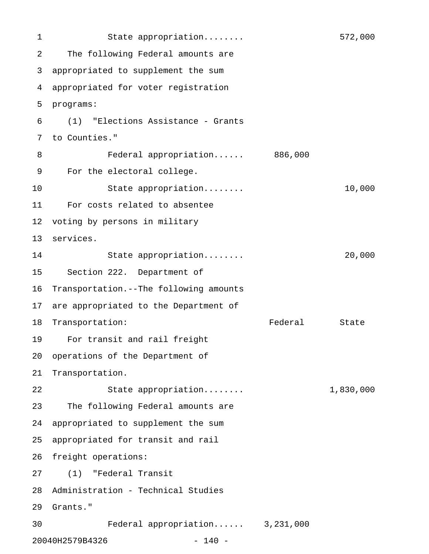1 State appropriation........ 572,000 2 The following Federal amounts are 3 appropriated to supplement the sum 4 appropriated for voter registration 5 programs: 6 (1) "Elections Assistance - Grants 7 to Counties." 8 Federal appropriation...... 886,000 9 For the electoral college. 10 State appropriation....... 10,000 11 For costs related to absentee 12 voting by persons in military 13 services. 14 State appropriation........ 20,000 15 Section 222. Department of 16 Transportation.--The following amounts 17 are appropriated to the Department of 18 Transportation: The Federal State 19 For transit and rail freight 20 operations of the Department of 21 Transportation. 22 State appropriation........ 1,830,000 23 The following Federal amounts are 24 appropriated to supplement the sum 25 appropriated for transit and rail 26 freight operations: 27 (1) "Federal Transit 28 Administration - Technical Studies 29 Grants." 30 Federal appropriation...... 3,231,000 20040H2579B4326 - 140 -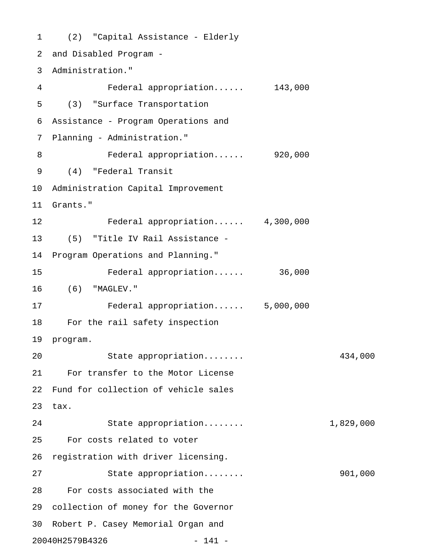1 (2) "Capital Assistance - Elderly 2 and Disabled Program - 3 Administration." 4 Federal appropriation...... 143,000 5 (3) "Surface Transportation 6 Assistance - Program Operations and 7 Planning - Administration." 8 Federal appropriation...... 920,000 9 (4) "Federal Transit 10 Administration Capital Improvement 11 Grants." 12 Federal appropriation...... 4,300,000 13 (5) "Title IV Rail Assistance - 14 Program Operations and Planning." 15 Federal appropriation...... 36,000 16 (6) "MAGLEV." 17 Federal appropriation...... 5,000,000 18 For the rail safety inspection 19 program. 20 State appropriation........ 434,000 21 For transfer to the Motor License 22 Fund for collection of vehicle sales 23 tax. 24 State appropriation........ 1,829,000 25 For costs related to voter 26 registration with driver licensing. 27 State appropriation........ 901,000 28 For costs associated with the 29 collection of money for the Governor 30 Robert P. Casey Memorial Organ and 20040H2579B4326 - 141 -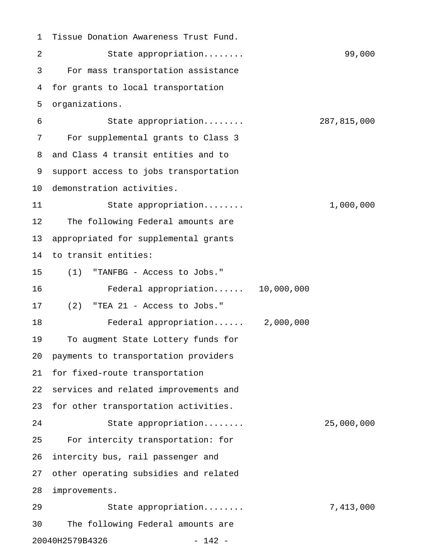1 Tissue Donation Awareness Trust Fund. 2 State appropriation........ 99,000 3 For mass transportation assistance 4 for grants to local transportation 5 organizations. 6 State appropriation........ 287,815,000 7 For supplemental grants to Class 3 8 and Class 4 transit entities and to 9 support access to jobs transportation 10 demonstration activities. 11 State appropriation........ 1,000,000 12 The following Federal amounts are 13 appropriated for supplemental grants 14 to transit entities: 15 (1) "TANFBG - Access to Jobs." 16 Federal appropriation...... 10,000,000 17 (2) "TEA 21 - Access to Jobs." 18 Federal appropriation...... 2,000,000 19 To augment State Lottery funds for 20 payments to transportation providers 21 for fixed-route transportation 22 services and related improvements and 23 for other transportation activities. 24 State appropriation........ 25,000,000 25 For intercity transportation: for 26 intercity bus, rail passenger and 27 other operating subsidies and related 28 improvements. 29 State appropriation........ 7,413,000 30 The following Federal amounts are 20040H2579B4326 - 142 -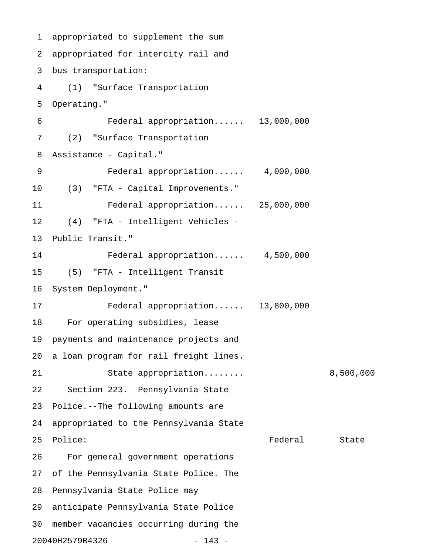```
1 appropriated to supplement the sum
 2 appropriated for intercity rail and
 3 bus transportation:
 4 (1) "Surface Transportation
 5 Operating."
 6 Federal appropriation...... 13,000,000
7 (2) "Surface Transportation
8 Assistance - Capital."
9 Federal appropriation...... 4,000,000
10 (3) "FTA - Capital Improvements."
11 Federal appropriation...... 25,000,000
12 (4) "FTA - Intelligent Vehicles -
13 Public Transit."
14 Federal appropriation...... 4,500,000
15 (5) "FTA - Intelligent Transit
16 System Deployment."
17 Federal appropriation...... 13,800,000
18 For operating subsidies, lease
19 payments and maintenance projects and
20 a loan program for rail freight lines.
21 State appropriation........ 8,500,000
22 Section 223. Pennsylvania State
23 Police.--The following amounts are
24 appropriated to the Pennsylvania State
25 Police: State State State State State State State State State State State
26 For general government operations
27 of the Pennsylvania State Police. The
28 Pennsylvania State Police may
29 anticipate Pennsylvania State Police
30 member vacancies occurring during the
20040H2579B4326 - 143 -
```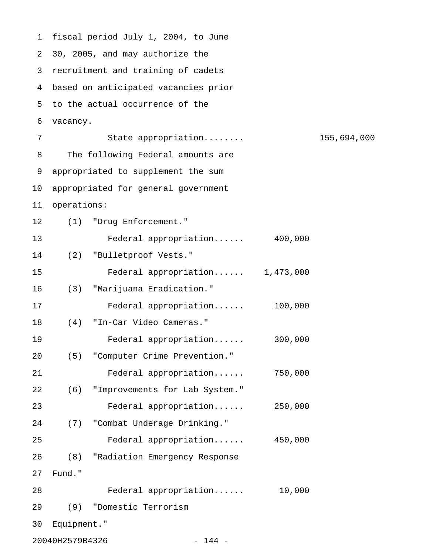| $\mathbf{1}$                |                                      | fiscal period July 1, 2004, to June |         |             |  |  |
|-----------------------------|--------------------------------------|-------------------------------------|---------|-------------|--|--|
| 2                           |                                      | 30, 2005, and may authorize the     |         |             |  |  |
| 3                           | recruitment and training of cadets   |                                     |         |             |  |  |
| 4                           | based on anticipated vacancies prior |                                     |         |             |  |  |
| 5                           | to the actual occurrence of the      |                                     |         |             |  |  |
| 6                           | vacancy.                             |                                     |         |             |  |  |
| 7                           |                                      | State appropriation                 |         | 155,694,000 |  |  |
| 8                           |                                      | The following Federal amounts are   |         |             |  |  |
| 9                           | appropriated to supplement the sum   |                                     |         |             |  |  |
| 10                          | appropriated for general government  |                                     |         |             |  |  |
| 11                          | operations:                          |                                     |         |             |  |  |
| 12                          | (1)                                  | "Drug Enforcement."                 |         |             |  |  |
| 13                          |                                      | Federal appropriation               | 400,000 |             |  |  |
| 14                          | (2)                                  | "Bulletproof Vests."                |         |             |  |  |
| 15                          |                                      | Federal appropriation $1,473,000$   |         |             |  |  |
| 16                          | (3)                                  | "Marijuana Eradication."            |         |             |  |  |
| 17                          |                                      | Federal appropriation               | 100,000 |             |  |  |
| 18                          | (4)                                  | "In-Car Video Cameras."             |         |             |  |  |
| 19                          |                                      | Federal appropriation               | 300,000 |             |  |  |
| 20                          |                                      | (5) "Computer Crime Prevention."    |         |             |  |  |
| 21                          |                                      | Federal appropriation               | 750,000 |             |  |  |
| 22                          | (6)                                  | "Improvements for Lab System."      |         |             |  |  |
| 23                          |                                      | Federal appropriation               | 250,000 |             |  |  |
| 24                          | (7)                                  | "Combat Underage Drinking."         |         |             |  |  |
| 25                          |                                      | Federal appropriation               | 450,000 |             |  |  |
| 26                          |                                      | (8) "Radiation Emergency Response   |         |             |  |  |
| 27                          | Fund."                               |                                     |         |             |  |  |
| 28                          |                                      | Federal appropriation               | 10,000  |             |  |  |
| 29                          | (9)                                  | "Domestic Terrorism                 |         |             |  |  |
| 30                          | Equipment."                          |                                     |         |             |  |  |
| 20040H2579B4326<br>$-144 -$ |                                      |                                     |         |             |  |  |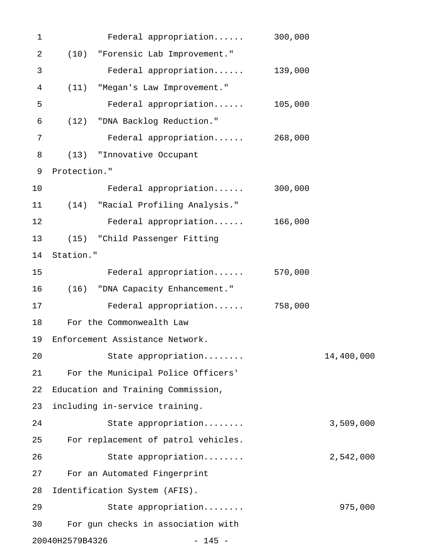| 1  | Federal appropriation               | 300,000 |            |
|----|-------------------------------------|---------|------------|
| 2  | "Forensic Lab Improvement."<br>(10) |         |            |
| 3  | Federal appropriation               | 139,000 |            |
| 4  | (11)<br>"Megan's Law Improvement."  |         |            |
| 5  | Federal appropriation 105,000       |         |            |
| 6  | (12)<br>"DNA Backlog Reduction."    |         |            |
| 7  | Federal appropriation               | 268,000 |            |
| 8  | (13) "Innovative Occupant           |         |            |
| 9  | Protection."                        |         |            |
| 10 | Federal appropriation               | 300,000 |            |
| 11 | (14) "Racial Profiling Analysis."   |         |            |
| 12 | Federal appropriation               | 166,000 |            |
| 13 | (15) "Child Passenger Fitting       |         |            |
| 14 | Station."                           |         |            |
| 15 | Federal appropriation               | 570,000 |            |
| 16 | (16) "DNA Capacity Enhancement."    |         |            |
| 17 | Federal appropriation 758,000       |         |            |
| 18 | For the Commonwealth Law            |         |            |
| 19 | Enforcement Assistance Network.     |         |            |
| 20 | State appropriation                 |         | 14,400,000 |
| 21 | For the Municipal Police Officers'  |         |            |
| 22 | Education and Training Commission,  |         |            |
| 23 | including in-service training.      |         |            |
| 24 | State appropriation                 |         | 3,509,000  |
| 25 | For replacement of patrol vehicles. |         |            |
| 26 | State appropriation                 |         | 2,542,000  |
| 27 | For an Automated Fingerprint        |         |            |
| 28 | Identification System (AFIS).       |         |            |
| 29 | State appropriation                 |         | 975,000    |
| 30 | For gun checks in association with  |         |            |
|    | 20040H2579B4326<br>$-145 -$         |         |            |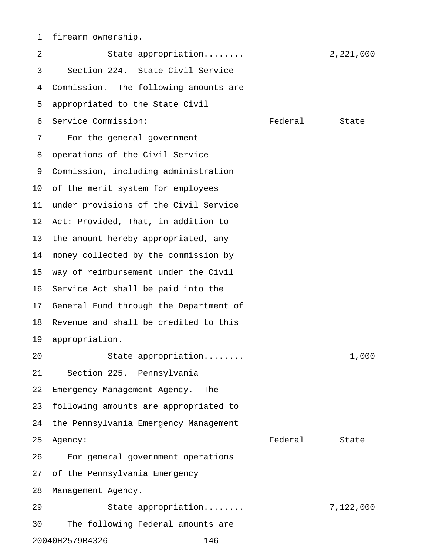1 firearm ownership.

2 State appropriation........ 2,221,000 3 Section 224. State Civil Service 4 Commission.--The following amounts are 5 appropriated to the State Civil 6 Service Commission: Federal State 7 For the general government 8 operations of the Civil Service 9 Commission, including administration 10 of the merit system for employees 11 under provisions of the Civil Service 12 Act: Provided, That, in addition to 13 the amount hereby appropriated, any 14 money collected by the commission by 15 way of reimbursement under the Civil 16 Service Act shall be paid into the 17 General Fund through the Department of 18 Revenue and shall be credited to this 19 appropriation. 20 State appropriation........ 1,000 21 Section 225. Pennsylvania 22 Emergency Management Agency.--The 23 following amounts are appropriated to 24 the Pennsylvania Emergency Management 25 Agency: Subsettle State State State State State State State State State State 26 For general government operations 27 of the Pennsylvania Emergency 28 Management Agency. 29 State appropriation........ 7,122,000 30 The following Federal amounts are 20040H2579B4326 - 146 -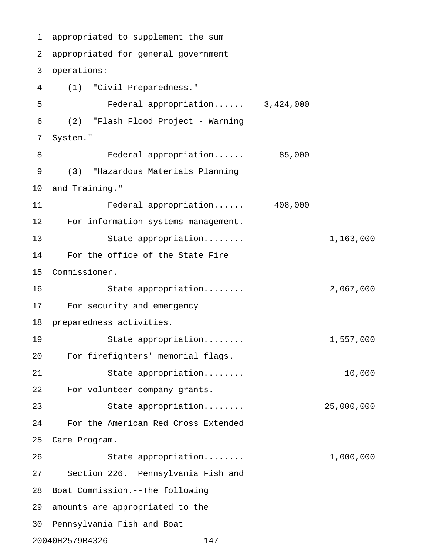1 appropriated to supplement the sum 2 appropriated for general government 3 operations: 4 (1) "Civil Preparedness." 5 Federal appropriation...... 3,424,000 6 (2) "Flash Flood Project - Warning 7 System." 8 Federal appropriation...... 85,000 9 (3) "Hazardous Materials Planning 10 and Training." 11 Federal appropriation...... 408,000 12 For information systems management. 13 State appropriation........ 1,163,000 14 For the office of the State Fire 15 Commissioner. 16 State appropriation........ 2,067,000 17 For security and emergency 18 preparedness activities. 19 State appropriation........ 1,557,000 20 For firefighters' memorial flags. 21 State appropriation........ 10,000 22 For volunteer company grants. 23 State appropriation........ 25,000,000 24 For the American Red Cross Extended 25 Care Program. 26 State appropriation........ 1,000,000 27 Section 226. Pennsylvania Fish and 28 Boat Commission.--The following 29 amounts are appropriated to the 30 Pennsylvania Fish and Boat 20040H2579B4326 - 147 -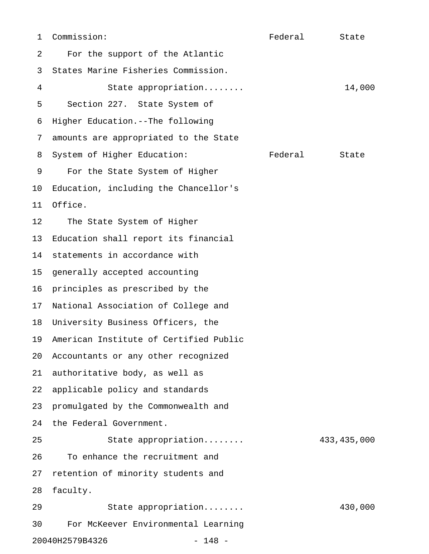1 Commission: Federal State 2 For the support of the Atlantic 3 States Marine Fisheries Commission. 4 State appropriation........ 14,000 5 Section 227. State System of 6 Higher Education.--The following 7 amounts are appropriated to the State 8 System of Higher Education: The Rederal State 9 For the State System of Higher 10 Education, including the Chancellor's 11 Office. 12 The State System of Higher 13 Education shall report its financial 14 statements in accordance with 15 generally accepted accounting 16 principles as prescribed by the 17 National Association of College and 18 University Business Officers, the 19 American Institute of Certified Public 20 Accountants or any other recognized 21 authoritative body, as well as 22 applicable policy and standards 23 promulgated by the Commonwealth and 24 the Federal Government. 25 State appropriation........ 433,435,000 26 To enhance the recruitment and 27 retention of minority students and 28 faculty. 29 State appropriation........ 430,000 30 For McKeever Environmental Learning 20040H2579B4326 - 148 -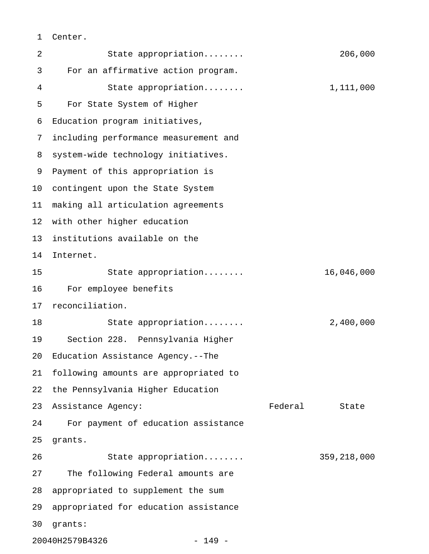1 Center.

2 State appropriation........ 206,000 3 For an affirmative action program. 4 State appropriation........ 1,111,000 5 For State System of Higher 6 Education program initiatives, 7 including performance measurement and 8 system-wide technology initiatives. 9 Payment of this appropriation is 10 contingent upon the State System 11 making all articulation agreements 12 with other higher education 13 institutions available on the 14 Internet. 15 State appropriation........ 16,046,000 16 For employee benefits 17 reconciliation. 18 State appropriation........ 2,400,000 19 Section 228. Pennsylvania Higher 20 Education Assistance Agency.--The 21 following amounts are appropriated to 22 the Pennsylvania Higher Education 23 Assistance Agency: The State State State State State State 24 For payment of education assistance 25 grants. 26 State appropriation........ 359,218,000 27 The following Federal amounts are 28 appropriated to supplement the sum 29 appropriated for education assistance 30 grants: 20040H2579B4326 - 149 -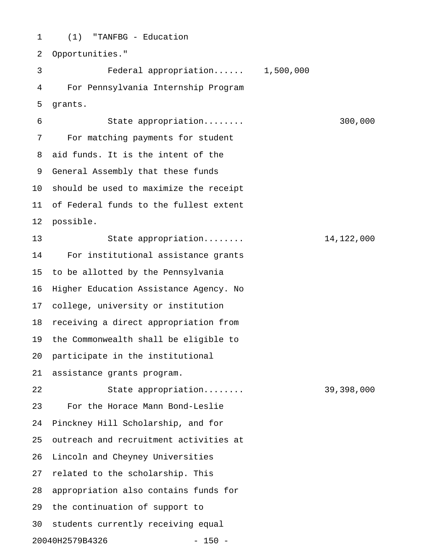1 (1) "TANFBG - Education

2 Opportunities." 3 Federal appropriation...... 1,500,000 4 For Pennsylvania Internship Program 5 grants. 6 State appropriation........ 300,000 7 For matching payments for student 8 aid funds. It is the intent of the 9 General Assembly that these funds 10 should be used to maximize the receipt 11 of Federal funds to the fullest extent 12 possible. 13 State appropriation........ 14,122,000 14 For institutional assistance grants 15 to be allotted by the Pennsylvania 16 Higher Education Assistance Agency. No 17 college, university or institution 18 receiving a direct appropriation from 19 the Commonwealth shall be eligible to 20 participate in the institutional 21 assistance grants program. 22 State appropriation........ 39,398,000 23 For the Horace Mann Bond-Leslie 24 Pinckney Hill Scholarship, and for 25 outreach and recruitment activities at 26 Lincoln and Cheyney Universities 27 related to the scholarship. This 28 appropriation also contains funds for 29 the continuation of support to 30 students currently receiving equal 20040H2579B4326 - 150 -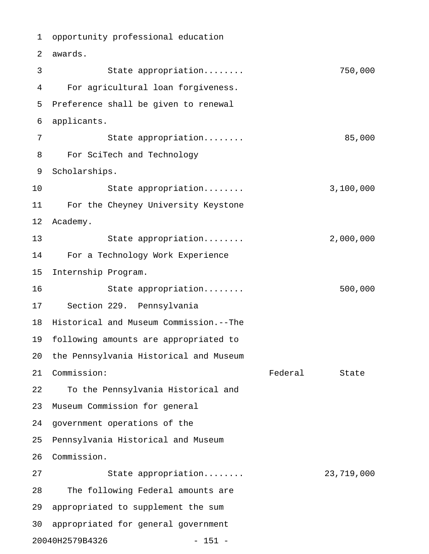1 opportunity professional education 2 awards. 3 State appropriation........ 750,000 4 For agricultural loan forgiveness. 5 Preference shall be given to renewal 6 applicants. 7 State appropriation....... 85,000 8 For SciTech and Technology 9 Scholarships. 10 State appropriation....... 3,100,000 11 For the Cheyney University Keystone 12 Academy. 13 State appropriation........ 2,000,000 14 For a Technology Work Experience 15 Internship Program. 16 State appropriation........ 500,000 17 Section 229. Pennsylvania 18 Historical and Museum Commission.--The 19 following amounts are appropriated to 20 the Pennsylvania Historical and Museum 21 Commission: Federal State 22 To the Pennsylvania Historical and 23 Museum Commission for general 24 government operations of the 25 Pennsylvania Historical and Museum 26 Commission. 27 State appropriation........ 23,719,000 28 The following Federal amounts are 29 appropriated to supplement the sum 30 appropriated for general government 20040H2579B4326 - 151 -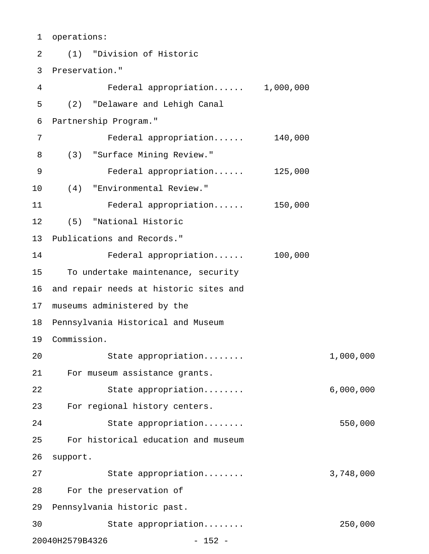1 operations: 2 (1) "Division of Historic 3 Preservation." 4 Federal appropriation...... 1,000,000 5 (2) "Delaware and Lehigh Canal 6 Partnership Program." 7 Federal appropriation...... 140,000 8 (3) "Surface Mining Review." 9 Federal appropriation...... 125,000 10 (4) "Environmental Review." 11 Federal appropriation...... 150,000 12 (5) "National Historic 13 Publications and Records." 14 Federal appropriation...... 100,000 15 To undertake maintenance, security 16 and repair needs at historic sites and 17 museums administered by the 18 Pennsylvania Historical and Museum 19 Commission. 20 State appropriation........ 1,000,000 21 For museum assistance grants. 22 State appropriation........ 6,000,000 23 For regional history centers. 24 State appropriation........ 550,000 25 For historical education and museum 26 support. 27 State appropriation........ 3,748,000 28 For the preservation of 29 Pennsylvania historic past. 30 State appropriation........ 250,000 20040H2579B4326 - 152 -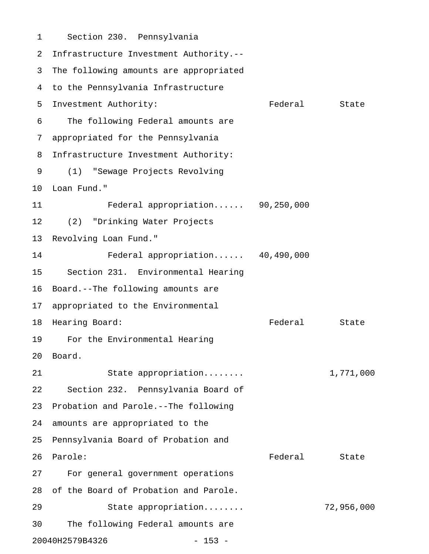1 Section 230. Pennsylvania 2 Infrastructure Investment Authority.-- 3 The following amounts are appropriated 4 to the Pennsylvania Infrastructure 5 Investment Authority: The State State State State State 6 The following Federal amounts are 7 appropriated for the Pennsylvania 8 Infrastructure Investment Authority: 9 (1) "Sewage Projects Revolving 10 Loan Fund." 11 Federal appropriation...... 90,250,000 12 (2) "Drinking Water Projects 13 Revolving Loan Fund." 14 Federal appropriation...... 40,490,000 15 Section 231. Environmental Hearing 16 Board.--The following amounts are 17 appropriated to the Environmental 18 Hearing Board: The State State State State State 19 For the Environmental Hearing 20 Board. 21 State appropriation........ 1,771,000 22 Section 232. Pennsylvania Board of 23 Probation and Parole.--The following 24 amounts are appropriated to the 25 Pennsylvania Board of Probation and 26 Parole: Entertainment of the State State State State State State State State State State State State State 27 For general government operations 28 of the Board of Probation and Parole. 29 State appropriation........ 72,956,000 30 The following Federal amounts are 20040H2579B4326 - 153 -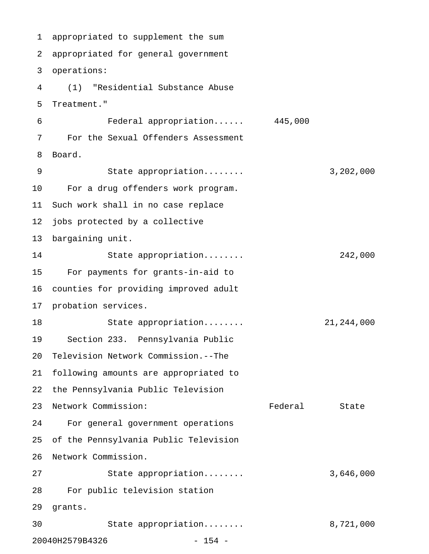1 appropriated to supplement the sum 2 appropriated for general government 3 operations: 4 (1) "Residential Substance Abuse 5 Treatment." 6 Federal appropriation...... 445,000 7 For the Sexual Offenders Assessment 8 Board. 9 State appropriation........ 3,202,000 10 For a drug offenders work program. 11 Such work shall in no case replace 12 jobs protected by a collective 13 bargaining unit. 14 State appropriation........ 242,000 15 For payments for grants-in-aid to 16 counties for providing improved adult 17 probation services. 18 State appropriation........ 21,244,000 19 Section 233. Pennsylvania Public 20 Television Network Commission.--The 21 following amounts are appropriated to 22 the Pennsylvania Public Television 23 Network Commission: Federal State 24 For general government operations 25 of the Pennsylvania Public Television 26 Network Commission. 27 State appropriation........ 3,646,000 28 For public television station 29 grants. 30 State appropriation........ 8,721,000 20040H2579B4326 - 154 -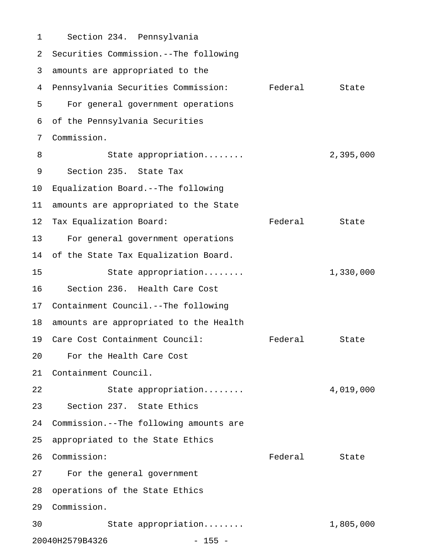1 Section 234. Pennsylvania 2 Securities Commission.--The following 3 amounts are appropriated to the 4 Pennsylvania Securities Commission: Federal State 5 For general government operations 6 of the Pennsylvania Securities 7 Commission. 8 State appropriation........ 2,395,000 9 Section 235. State Tax 10 Equalization Board.--The following 11 amounts are appropriated to the State 12 Tax Equalization Board: The Rederal State 13 For general government operations 14 of the State Tax Equalization Board. 15 State appropriation........ 1,330,000 16 Section 236. Health Care Cost 17 Containment Council.--The following 18 amounts are appropriated to the Health 19 Care Cost Containment Council: Tederal State 20 For the Health Care Cost 21 Containment Council. 22 State appropriation........ 4,019,000 23 Section 237. State Ethics 24 Commission.--The following amounts are 25 appropriated to the State Ethics 26 Commission: Federal State 27 For the general government 28 operations of the State Ethics 29 Commission. 30 State appropriation........ 1,805,000 20040H2579B4326 - 155 -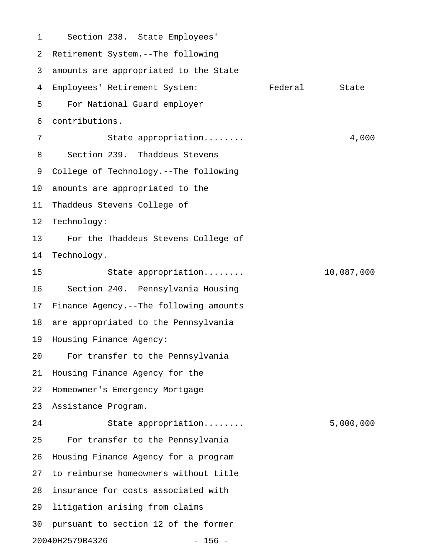1 Section 238. State Employees' 2 Retirement System.--The following 3 amounts are appropriated to the State 4 Employees' Retirement System: Federal State 5 For National Guard employer 6 contributions. 7 State appropriation........ 4,000 8 Section 239. Thaddeus Stevens 9 College of Technology.--The following 10 amounts are appropriated to the 11 Thaddeus Stevens College of 12 Technology: 13 For the Thaddeus Stevens College of 14 Technology. 15 State appropriation........ 10,087,000 16 Section 240. Pennsylvania Housing 17 Finance Agency.--The following amounts 18 are appropriated to the Pennsylvania 19 Housing Finance Agency: 20 For transfer to the Pennsylvania 21 Housing Finance Agency for the 22 Homeowner's Emergency Mortgage 23 Assistance Program. 24 State appropriation........ 5,000,000 25 For transfer to the Pennsylvania 26 Housing Finance Agency for a program 27 to reimburse homeowners without title 28 insurance for costs associated with 29 litigation arising from claims 30 pursuant to section 12 of the former 20040H2579B4326 - 156 -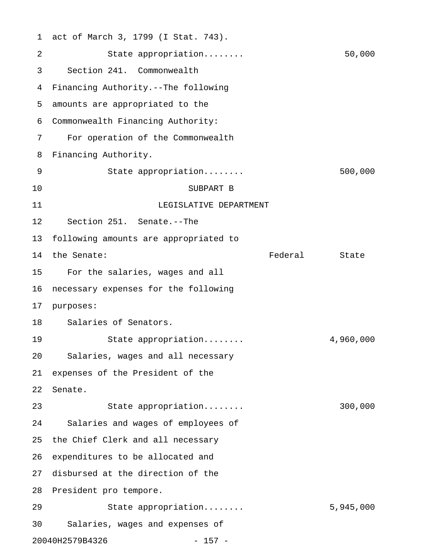1 act of March 3, 1799 (I Stat. 743). 2 State appropriation........ 50,000 3 Section 241. Commonwealth 4 Financing Authority.--The following 5 amounts are appropriated to the 6 Commonwealth Financing Authority: 7 For operation of the Commonwealth 8 Financing Authority. 9 State appropriation........ 500,000 10 SUBPART B 11 **LEGISLATIVE DEPARTMENT** 12 Section 251. Senate.--The 13 following amounts are appropriated to 14 the Senate: The Senate: The State State State State State State State 15 For the salaries, wages and all 16 necessary expenses for the following 17 purposes: 18 Salaries of Senators. 19 State appropriation........ 4,960,000 20 Salaries, wages and all necessary 21 expenses of the President of the 22 Senate. 23 State appropriation........ 300,000 24 Salaries and wages of employees of 25 the Chief Clerk and all necessary 26 expenditures to be allocated and 27 disbursed at the direction of the 28 President pro tempore. 29 State appropriation........ 5,945,000 30 Salaries, wages and expenses of 20040H2579B4326 - 157 -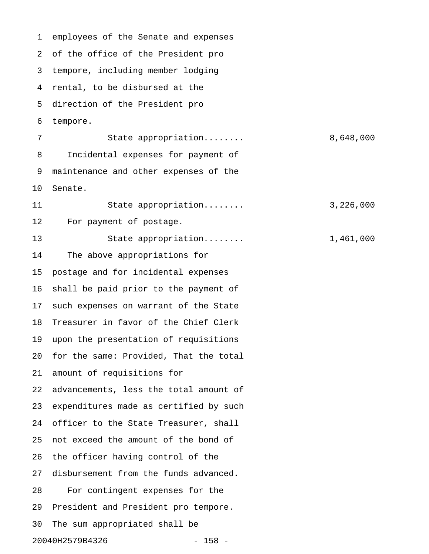1 employees of the Senate and expenses 2 of the office of the President pro 3 tempore, including member lodging 4 rental, to be disbursed at the 5 direction of the President pro 6 tempore. 7 State appropriation........ 8,648,000 8 Incidental expenses for payment of 9 maintenance and other expenses of the 10 Senate. 11 State appropriation........ 3,226,000 12 For payment of postage. 13 State appropriation........ 1,461,000 14 The above appropriations for 15 postage and for incidental expenses 16 shall be paid prior to the payment of 17 such expenses on warrant of the State 18 Treasurer in favor of the Chief Clerk 19 upon the presentation of requisitions 20 for the same: Provided, That the total 21 amount of requisitions for 22 advancements, less the total amount of 23 expenditures made as certified by such 24 officer to the State Treasurer, shall 25 not exceed the amount of the bond of 26 the officer having control of the 27 disbursement from the funds advanced. 28 For contingent expenses for the 29 President and President pro tempore. 30 The sum appropriated shall be 20040H2579B4326 - 158 -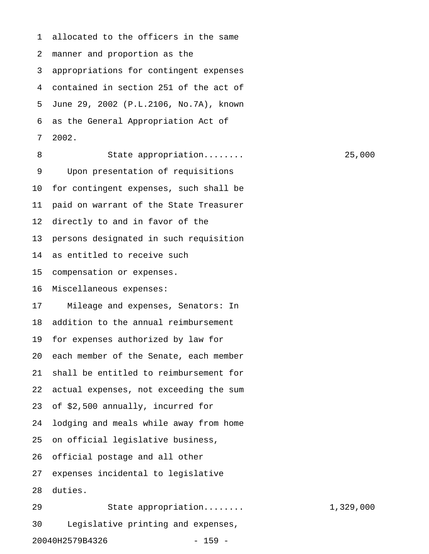1 allocated to the officers in the same 2 manner and proportion as the 3 appropriations for contingent expenses 4 contained in section 251 of the act of 5 June 29, 2002 (P.L.2106, No.7A), known 6 as the General Appropriation Act of 7 2002.

8 State appropriation........ 25,000 9 Upon presentation of requisitions 10 for contingent expenses, such shall be 11 paid on warrant of the State Treasurer 12 directly to and in favor of the 13 persons designated in such requisition 14 as entitled to receive such 15 compensation or expenses. 16 Miscellaneous expenses: 17 Mileage and expenses, Senators: In 18 addition to the annual reimbursement 19 for expenses authorized by law for 20 each member of the Senate, each member 21 shall be entitled to reimbursement for 22 actual expenses, not exceeding the sum 23 of \$2,500 annually, incurred for 24 lodging and meals while away from home 25 on official legislative business, 26 official postage and all other 27 expenses incidental to legislative 28 duties. 29 State appropriation........ 1,329,000 30 Legislative printing and expenses,

20040H2579B4326 - 159 -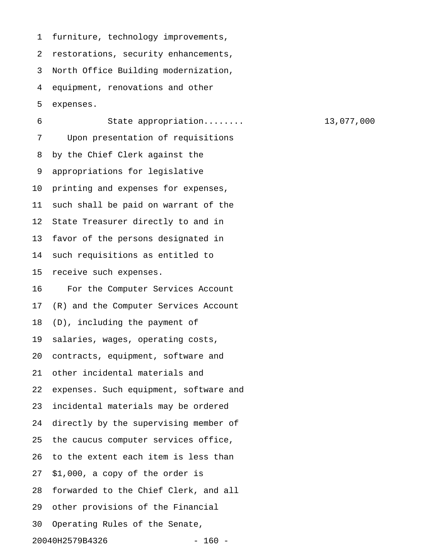1 furniture, technology improvements, 2 restorations, security enhancements, 3 North Office Building modernization, 4 equipment, renovations and other 5 expenses.

6 State appropriation........ 13,077,000 7 Upon presentation of requisitions 8 by the Chief Clerk against the 9 appropriations for legislative 10 printing and expenses for expenses, 11 such shall be paid on warrant of the 12 State Treasurer directly to and in 13 favor of the persons designated in 14 such requisitions as entitled to 15 receive such expenses. 16 For the Computer Services Account 17 (R) and the Computer Services Account 18 (D), including the payment of 19 salaries, wages, operating costs, 20 contracts, equipment, software and 21 other incidental materials and 22 expenses. Such equipment, software and 23 incidental materials may be ordered 24 directly by the supervising member of 25 the caucus computer services office, 26 to the extent each item is less than 27 \$1,000, a copy of the order is 28 forwarded to the Chief Clerk, and all 29 other provisions of the Financial 30 Operating Rules of the Senate, 20040H2579B4326 - 160 -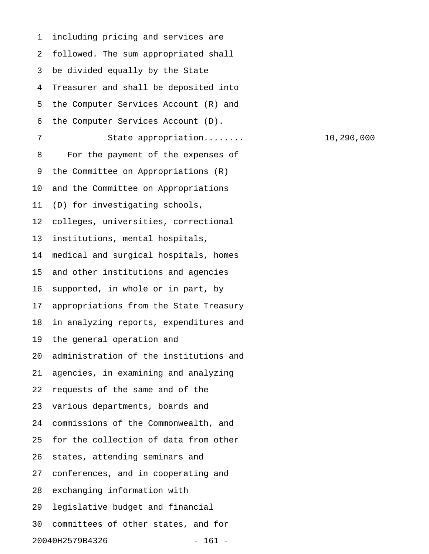1 including pricing and services are 2 followed. The sum appropriated shall 3 be divided equally by the State 4 Treasurer and shall be deposited into 5 the Computer Services Account (R) and 6 the Computer Services Account (D). 7 State appropriation........ 10,290,000 8 For the payment of the expenses of 9 the Committee on Appropriations (R) 10 and the Committee on Appropriations 11 (D) for investigating schools, 12 colleges, universities, correctional 13 institutions, mental hospitals, 14 medical and surgical hospitals, homes 15 and other institutions and agencies 16 supported, in whole or in part, by 17 appropriations from the State Treasury 18 in analyzing reports, expenditures and 19 the general operation and 20 administration of the institutions and 21 agencies, in examining and analyzing 22 requests of the same and of the 23 various departments, boards and 24 commissions of the Commonwealth, and 25 for the collection of data from other 26 states, attending seminars and 27 conferences, and in cooperating and 28 exchanging information with 29 legislative budget and financial 30 committees of other states, and for 20040H2579B4326 - 161 -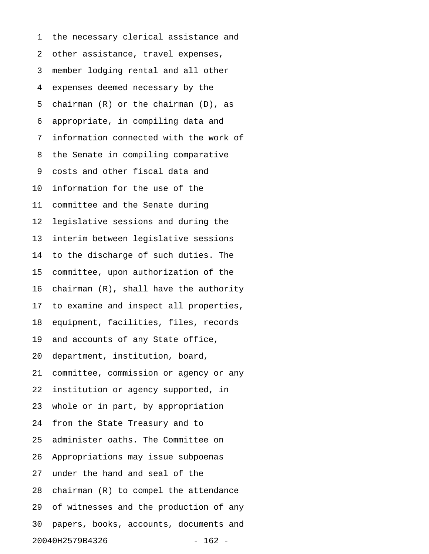1 the necessary clerical assistance and 2 other assistance, travel expenses, 3 member lodging rental and all other 4 expenses deemed necessary by the 5 chairman (R) or the chairman (D), as 6 appropriate, in compiling data and 7 information connected with the work of 8 the Senate in compiling comparative 9 costs and other fiscal data and 10 information for the use of the 11 committee and the Senate during 12 legislative sessions and during the 13 interim between legislative sessions 14 to the discharge of such duties. The 15 committee, upon authorization of the 16 chairman (R), shall have the authority 17 to examine and inspect all properties, 18 equipment, facilities, files, records 19 and accounts of any State office, 20 department, institution, board, 21 committee, commission or agency or any 22 institution or agency supported, in 23 whole or in part, by appropriation 24 from the State Treasury and to 25 administer oaths. The Committee on 26 Appropriations may issue subpoenas 27 under the hand and seal of the 28 chairman (R) to compel the attendance 29 of witnesses and the production of any 30 papers, books, accounts, documents and 20040H2579B4326 - 162 -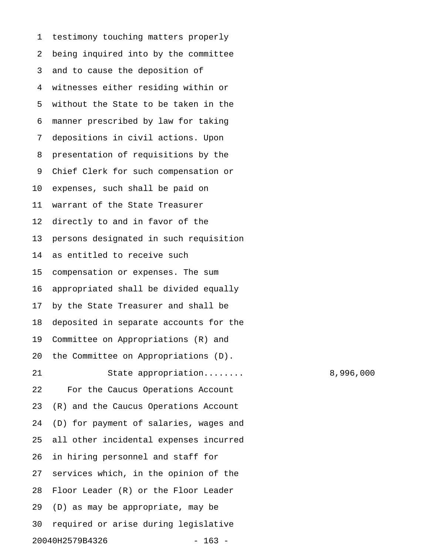1 testimony touching matters properly 2 being inquired into by the committee 3 and to cause the deposition of 4 witnesses either residing within or 5 without the State to be taken in the 6 manner prescribed by law for taking 7 depositions in civil actions. Upon 8 presentation of requisitions by the 9 Chief Clerk for such compensation or 10 expenses, such shall be paid on 11 warrant of the State Treasurer 12 directly to and in favor of the 13 persons designated in such requisition 14 as entitled to receive such 15 compensation or expenses. The sum 16 appropriated shall be divided equally 17 by the State Treasurer and shall be 18 deposited in separate accounts for the 19 Committee on Appropriations (R) and 20 the Committee on Appropriations (D). 21 State appropriation........ 8,996,000 22 For the Caucus Operations Account 23 (R) and the Caucus Operations Account 24 (D) for payment of salaries, wages and 25 all other incidental expenses incurred 26 in hiring personnel and staff for 27 services which, in the opinion of the 28 Floor Leader (R) or the Floor Leader 29 (D) as may be appropriate, may be 30 required or arise during legislative 20040H2579B4326 - 163 -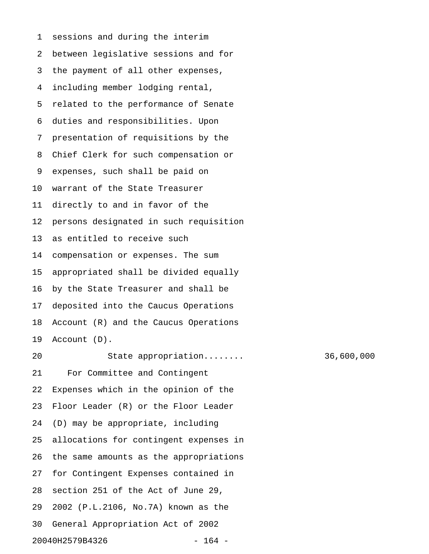1 sessions and during the interim 2 between legislative sessions and for 3 the payment of all other expenses, 4 including member lodging rental, 5 related to the performance of Senate 6 duties and responsibilities. Upon 7 presentation of requisitions by the 8 Chief Clerk for such compensation or 9 expenses, such shall be paid on 10 warrant of the State Treasurer 11 directly to and in favor of the 12 persons designated in such requisition 13 as entitled to receive such 14 compensation or expenses. The sum 15 appropriated shall be divided equally 16 by the State Treasurer and shall be 17 deposited into the Caucus Operations 18 Account (R) and the Caucus Operations 19 Account (D). 20 State appropriation........ 36,600,000

21 For Committee and Contingent 22 Expenses which in the opinion of the 23 Floor Leader (R) or the Floor Leader 24 (D) may be appropriate, including 25 allocations for contingent expenses in 26 the same amounts as the appropriations 27 for Contingent Expenses contained in 28 section 251 of the Act of June 29, 29 2002 (P.L.2106, No.7A) known as the 30 General Appropriation Act of 2002 20040H2579B4326 - 164 -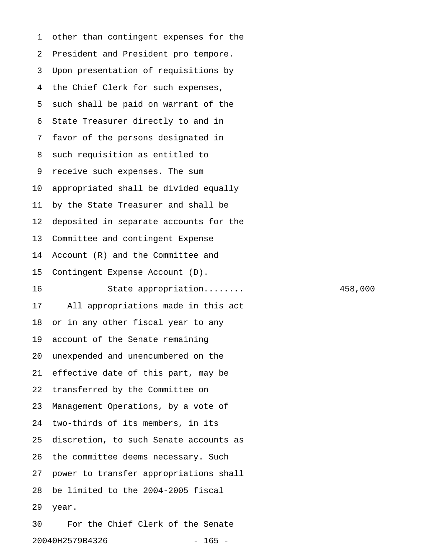1 other than contingent expenses for the 2 President and President pro tempore. 3 Upon presentation of requisitions by 4 the Chief Clerk for such expenses, 5 such shall be paid on warrant of the 6 State Treasurer directly to and in 7 favor of the persons designated in 8 such requisition as entitled to 9 receive such expenses. The sum 10 appropriated shall be divided equally 11 by the State Treasurer and shall be 12 deposited in separate accounts for the 13 Committee and contingent Expense 14 Account (R) and the Committee and 15 Contingent Expense Account (D). 16 State appropriation........ 458,000 17 All appropriations made in this act 18 or in any other fiscal year to any 19 account of the Senate remaining 20 unexpended and unencumbered on the 21 effective date of this part, may be 22 transferred by the Committee on 23 Management Operations, by a vote of 24 two-thirds of its members, in its 25 discretion, to such Senate accounts as 26 the committee deems necessary. Such 27 power to transfer appropriations shall 28 be limited to the 2004-2005 fiscal 29 year. 30 For the Chief Clerk of the Senate

20040H2579B4326 - 165 -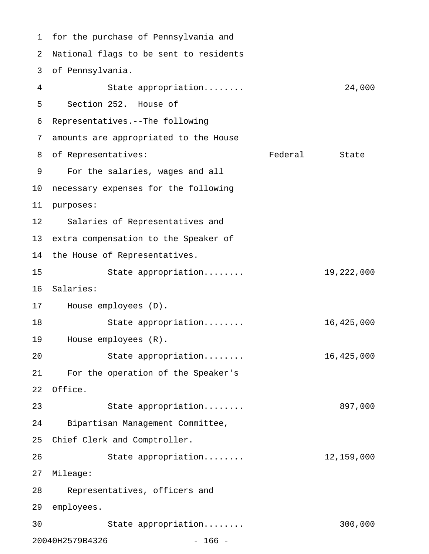1 for the purchase of Pennsylvania and 2 National flags to be sent to residents 3 of Pennsylvania. 4 State appropriation........ 24,000 5 Section 252. House of 6 Representatives.--The following 7 amounts are appropriated to the House 8 of Representatives: The Representatives: The Rederal State 9 For the salaries, wages and all 10 necessary expenses for the following 11 purposes: 12 Salaries of Representatives and 13 extra compensation to the Speaker of 14 the House of Representatives. 15 State appropriation........ 19,222,000 16 Salaries: 17 House employees (D). 18 State appropriation........ 16,425,000 19 House employees (R). 20 State appropriation........ 16,425,000 21 For the operation of the Speaker's 22 Office. 23 State appropriation........ 897,000 24 Bipartisan Management Committee, 25 Chief Clerk and Comptroller. 26 State appropriation........ 12,159,000 27 Mileage: 28 Representatives, officers and 29 employees. 30 State appropriation....... 300,000 20040H2579B4326 - 166 -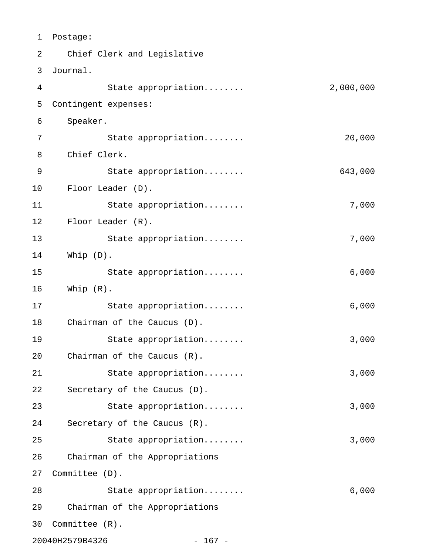1 Postage: 2 Chief Clerk and Legislative 3 Journal. 4 State appropriation........ 2,000,000 5 Contingent expenses: 6 Speaker. 7 State appropriation........ 20,000 8 Chief Clerk. 9 State appropriation........ 643,000 10 Floor Leader (D). 11 State appropriation........ 7,000 12 Floor Leader (R). 13 State appropriation........ 7,000 14 Whip (D). 15 State appropriation........ 6,000 16 Whip (R). 17 State appropriation........ 6,000 18 Chairman of the Caucus (D). 19 State appropriation........ 3,000 20 Chairman of the Caucus (R). 21 State appropriation........ 3,000 22 Secretary of the Caucus (D). 23 State appropriation........ 3,000 24 Secretary of the Caucus (R). 25 State appropriation........ 3,000 26 Chairman of the Appropriations 27 Committee (D). 28 State appropriation........ 6,000 29 Chairman of the Appropriations 30 Committee (R). 20040H2579B4326 - 167 -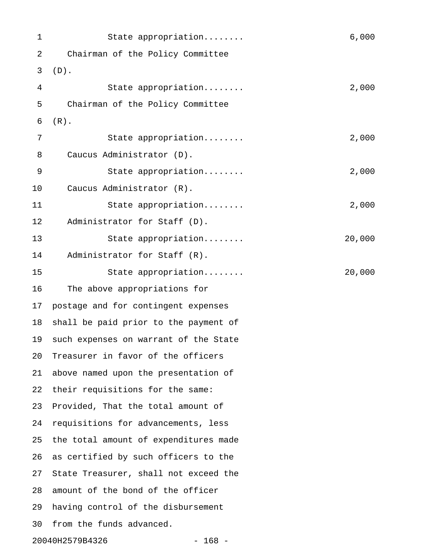| $\mathbf 1$ | State appropriation                   | 6,000  |
|-------------|---------------------------------------|--------|
| 2           | Chairman of the Policy Committee      |        |
| 3           | $(D)$ .                               |        |
| 4           | State appropriation                   | 2,000  |
| 5           | Chairman of the Policy Committee      |        |
| 6           | $(R)$ .                               |        |
| 7           | State appropriation                   | 2,000  |
| 8           | Caucus Administrator (D).             |        |
| 9           | State appropriation                   | 2,000  |
| 10          | Caucus Administrator (R).             |        |
| 11          | State appropriation                   | 2,000  |
| 12          | Administrator for Staff (D).          |        |
| 13          | State appropriation                   | 20,000 |
| 14          | Administrator for Staff (R).          |        |
| 15          | State appropriation                   | 20,000 |
| 16          | The above appropriations for          |        |
| 17          | postage and for contingent expenses   |        |
| 18          | shall be paid prior to the payment of |        |
| 19          | such expenses on warrant of the State |        |
| 20          | Treasurer in favor of the officers    |        |
| 21          | above named upon the presentation of  |        |
| 22          | their requisitions for the same:      |        |
| 23          | Provided, That the total amount of    |        |
| 24          | requisitions for advancements, less   |        |
| 25          | the total amount of expenditures made |        |
| 26          | as certified by such officers to the  |        |
| 27          | State Treasurer, shall not exceed the |        |
| 28          | amount of the bond of the officer     |        |
| 29          | having control of the disbursement    |        |
| 30          | from the funds advanced.              |        |
|             | 20040H2579B4326<br>$-168 -$           |        |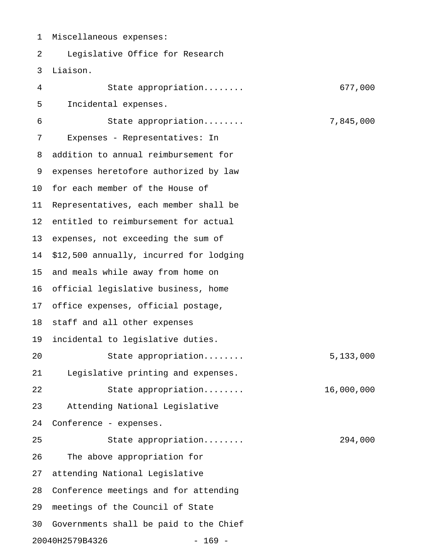1 Miscellaneous expenses:

2 Legislative Office for Research 3 Liaison. 4 State appropriation........ 677,000 5 Incidental expenses. 6 State appropriation........ 7,845,000 7 Expenses - Representatives: In 8 addition to annual reimbursement for 9 expenses heretofore authorized by law 10 for each member of the House of 11 Representatives, each member shall be 12 entitled to reimbursement for actual 13 expenses, not exceeding the sum of 14 \$12,500 annually, incurred for lodging 15 and meals while away from home on 16 official legislative business, home 17 office expenses, official postage, 18 staff and all other expenses 19 incidental to legislative duties. 20 State appropriation........ 5,133,000 21 Legislative printing and expenses. 22 State appropriation........ 16,000,000 23 Attending National Legislative 24 Conference - expenses. 25 State appropriation........ 294,000 26 The above appropriation for 27 attending National Legislative 28 Conference meetings and for attending 29 meetings of the Council of State 30 Governments shall be paid to the Chief

20040H2579B4326 - 169 -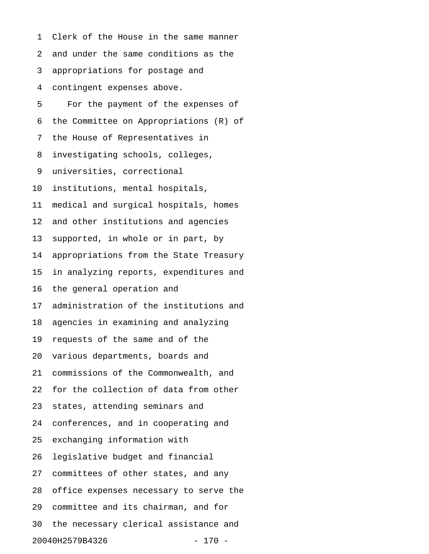1 Clerk of the House in the same manner 2 and under the same conditions as the 3 appropriations for postage and 4 contingent expenses above. 5 For the payment of the expenses of 6 the Committee on Appropriations (R) of 7 the House of Representatives in 8 investigating schools, colleges, 9 universities, correctional 10 institutions, mental hospitals, 11 medical and surgical hospitals, homes 12 and other institutions and agencies 13 supported, in whole or in part, by 14 appropriations from the State Treasury 15 in analyzing reports, expenditures and 16 the general operation and 17 administration of the institutions and 18 agencies in examining and analyzing 19 requests of the same and of the 20 various departments, boards and 21 commissions of the Commonwealth, and 22 for the collection of data from other 23 states, attending seminars and 24 conferences, and in cooperating and 25 exchanging information with 26 legislative budget and financial 27 committees of other states, and any 28 office expenses necessary to serve the 29 committee and its chairman, and for 30 the necessary clerical assistance and 20040H2579B4326 - 170 -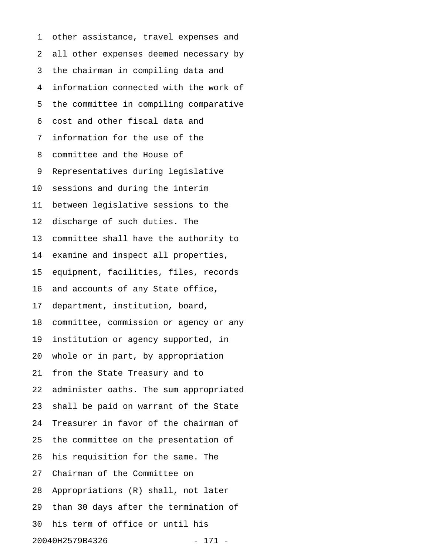1 other assistance, travel expenses and 2 all other expenses deemed necessary by 3 the chairman in compiling data and 4 information connected with the work of 5 the committee in compiling comparative 6 cost and other fiscal data and 7 information for the use of the 8 committee and the House of 9 Representatives during legislative 10 sessions and during the interim 11 between legislative sessions to the 12 discharge of such duties. The 13 committee shall have the authority to 14 examine and inspect all properties, 15 equipment, facilities, files, records 16 and accounts of any State office, 17 department, institution, board, 18 committee, commission or agency or any 19 institution or agency supported, in 20 whole or in part, by appropriation 21 from the State Treasury and to 22 administer oaths. The sum appropriated 23 shall be paid on warrant of the State 24 Treasurer in favor of the chairman of 25 the committee on the presentation of 26 his requisition for the same. The 27 Chairman of the Committee on 28 Appropriations (R) shall, not later 29 than 30 days after the termination of 30 his term of office or until his 20040H2579B4326 - 171 -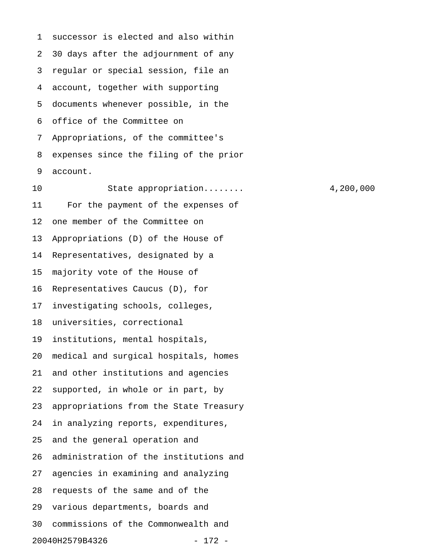1 successor is elected and also within 2 30 days after the adjournment of any 3 regular or special session, file an 4 account, together with supporting 5 documents whenever possible, in the 6 office of the Committee on 7 Appropriations, of the committee's 8 expenses since the filing of the prior 9 account. 10 State appropriation........ 4,200,000 11 For the payment of the expenses of 12 one member of the Committee on 13 Appropriations (D) of the House of 14 Representatives, designated by a 15 majority vote of the House of 16 Representatives Caucus (D), for 17 investigating schools, colleges, 18 universities, correctional 19 institutions, mental hospitals, 20 medical and surgical hospitals, homes 21 and other institutions and agencies 22 supported, in whole or in part, by 23 appropriations from the State Treasury 24 in analyzing reports, expenditures, 25 and the general operation and 26 administration of the institutions and 27 agencies in examining and analyzing 28 requests of the same and of the 29 various departments, boards and 30 commissions of the Commonwealth and

20040H2579B4326 - 172 -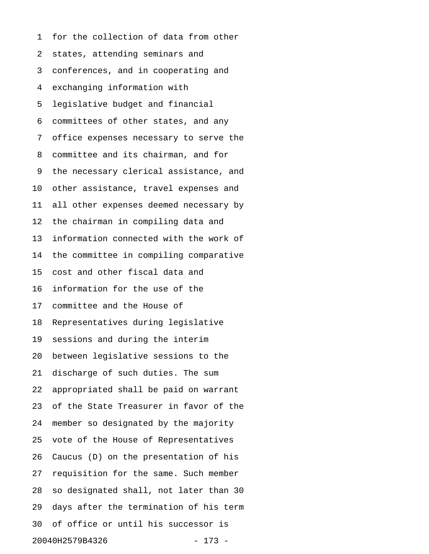1 for the collection of data from other 2 states, attending seminars and 3 conferences, and in cooperating and 4 exchanging information with 5 legislative budget and financial 6 committees of other states, and any 7 office expenses necessary to serve the 8 committee and its chairman, and for 9 the necessary clerical assistance, and 10 other assistance, travel expenses and 11 all other expenses deemed necessary by 12 the chairman in compiling data and 13 information connected with the work of 14 the committee in compiling comparative 15 cost and other fiscal data and 16 information for the use of the 17 committee and the House of 18 Representatives during legislative 19 sessions and during the interim 20 between legislative sessions to the 21 discharge of such duties. The sum 22 appropriated shall be paid on warrant 23 of the State Treasurer in favor of the 24 member so designated by the majority 25 vote of the House of Representatives 26 Caucus (D) on the presentation of his 27 requisition for the same. Such member 28 so designated shall, not later than 30 29 days after the termination of his term 30 of office or until his successor is 20040H2579B4326 - 173 -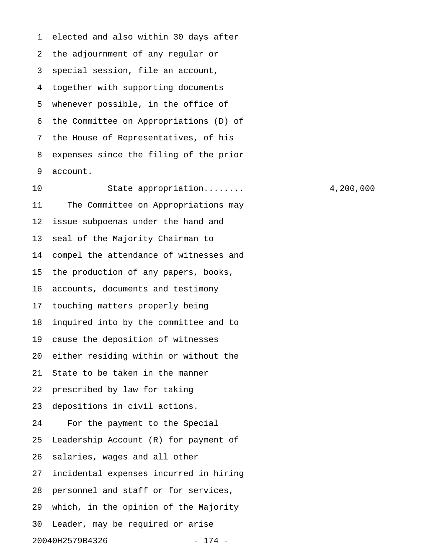1 elected and also within 30 days after 2 the adjournment of any regular or 3 special session, file an account, 4 together with supporting documents 5 whenever possible, in the office of 6 the Committee on Appropriations (D) of 7 the House of Representatives, of his 8 expenses since the filing of the prior 9 account.

10 State appropriation........ 4,200,000 11 The Committee on Appropriations may 12 issue subpoenas under the hand and 13 seal of the Majority Chairman to 14 compel the attendance of witnesses and 15 the production of any papers, books, 16 accounts, documents and testimony 17 touching matters properly being 18 inquired into by the committee and to 19 cause the deposition of witnesses 20 either residing within or without the 21 State to be taken in the manner 22 prescribed by law for taking 23 depositions in civil actions. 24 For the payment to the Special 25 Leadership Account (R) for payment of 26 salaries, wages and all other 27 incidental expenses incurred in hiring 28 personnel and staff or for services, 29 which, in the opinion of the Majority 30 Leader, may be required or arise 20040H2579B4326 - 174 -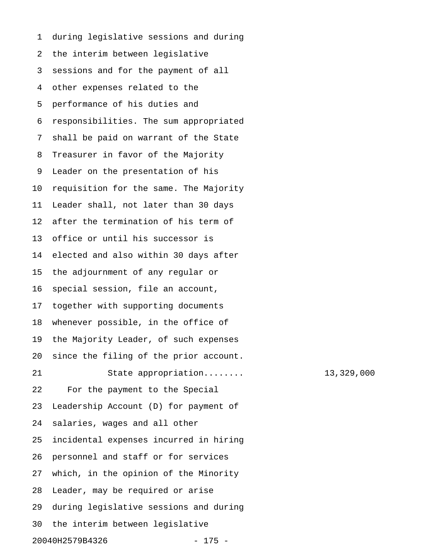1 during legislative sessions and during 2 the interim between legislative 3 sessions and for the payment of all 4 other expenses related to the 5 performance of his duties and 6 responsibilities. The sum appropriated 7 shall be paid on warrant of the State 8 Treasurer in favor of the Majority 9 Leader on the presentation of his 10 requisition for the same. The Majority 11 Leader shall, not later than 30 days 12 after the termination of his term of 13 office or until his successor is 14 elected and also within 30 days after 15 the adjournment of any regular or 16 special session, file an account, 17 together with supporting documents 18 whenever possible, in the office of 19 the Majority Leader, of such expenses 20 since the filing of the prior account. 21 State appropriation........ 13,329,000 22 For the payment to the Special 23 Leadership Account (D) for payment of 24 salaries, wages and all other 25 incidental expenses incurred in hiring 26 personnel and staff or for services 27 which, in the opinion of the Minority 28 Leader, may be required or arise 29 during legislative sessions and during 30 the interim between legislative 20040H2579B4326 - 175 -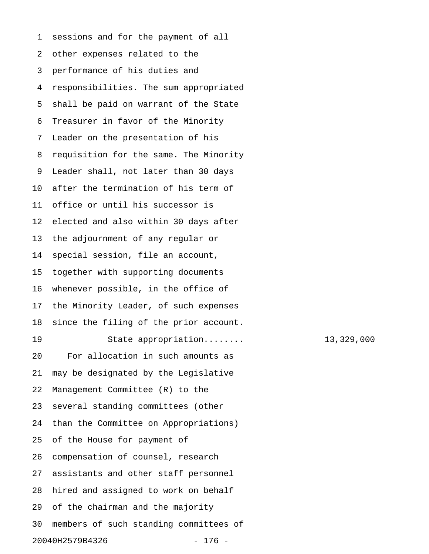1 sessions and for the payment of all 2 other expenses related to the 3 performance of his duties and 4 responsibilities. The sum appropriated 5 shall be paid on warrant of the State 6 Treasurer in favor of the Minority 7 Leader on the presentation of his 8 requisition for the same. The Minority 9 Leader shall, not later than 30 days 10 after the termination of his term of 11 office or until his successor is 12 elected and also within 30 days after 13 the adjournment of any regular or 14 special session, file an account, 15 together with supporting documents 16 whenever possible, in the office of 17 the Minority Leader, of such expenses 18 since the filing of the prior account. 19 State appropriation........ 13,329,000 20 For allocation in such amounts as 21 may be designated by the Legislative 22 Management Committee (R) to the 23 several standing committees (other 24 than the Committee on Appropriations) 25 of the House for payment of 26 compensation of counsel, research 27 assistants and other staff personnel 28 hired and assigned to work on behalf 29 of the chairman and the majority 30 members of such standing committees of 20040H2579B4326 - 176 -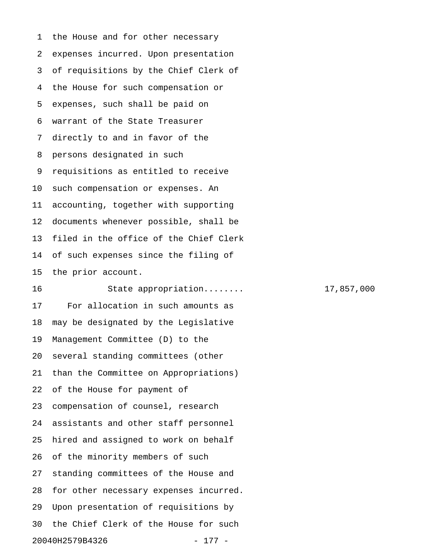1 the House and for other necessary 2 expenses incurred. Upon presentation 3 of requisitions by the Chief Clerk of 4 the House for such compensation or 5 expenses, such shall be paid on 6 warrant of the State Treasurer 7 directly to and in favor of the 8 persons designated in such 9 requisitions as entitled to receive 10 such compensation or expenses. An 11 accounting, together with supporting 12 documents whenever possible, shall be 13 filed in the office of the Chief Clerk 14 of such expenses since the filing of 15 the prior account. 16 State appropriation........ 17,857,000

17 For allocation in such amounts as 18 may be designated by the Legislative 19 Management Committee (D) to the 20 several standing committees (other 21 than the Committee on Appropriations) 22 of the House for payment of 23 compensation of counsel, research 24 assistants and other staff personnel 25 hired and assigned to work on behalf 26 of the minority members of such 27 standing committees of the House and 28 for other necessary expenses incurred. 29 Upon presentation of requisitions by 30 the Chief Clerk of the House for such 20040H2579B4326 - 177 -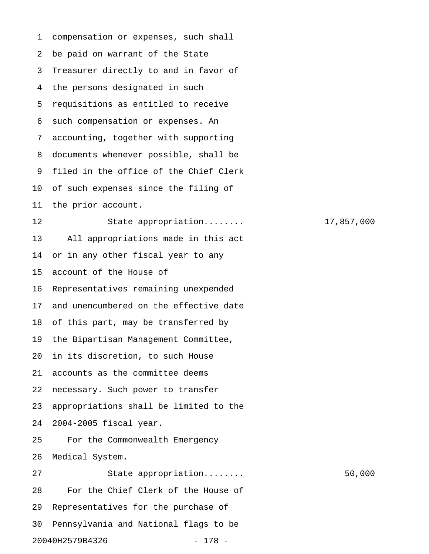1 compensation or expenses, such shall 2 be paid on warrant of the State 3 Treasurer directly to and in favor of 4 the persons designated in such 5 requisitions as entitled to receive 6 such compensation or expenses. An 7 accounting, together with supporting 8 documents whenever possible, shall be 9 filed in the office of the Chief Clerk 10 of such expenses since the filing of 11 the prior account. 12 State appropriation........ 17,857,000 13 All appropriations made in this act 14 or in any other fiscal year to any 15 account of the House of 16 Representatives remaining unexpended 17 and unencumbered on the effective date 18 of this part, may be transferred by 19 the Bipartisan Management Committee, 20 in its discretion, to such House 21 accounts as the committee deems 22 necessary. Such power to transfer 23 appropriations shall be limited to the 24 2004-2005 fiscal year. 25 For the Commonwealth Emergency 26 Medical System. 27 State appropriation........ 50,000 28 For the Chief Clerk of the House of 29 Representatives for the purchase of 30 Pennsylvania and National flags to be 20040H2579B4326 - 178 -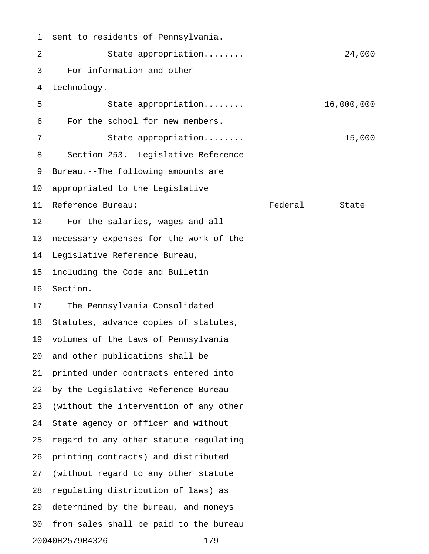1 sent to residents of Pennsylvania. 2 State appropriation........ 24,000 3 For information and other 4 technology. 5 State appropriation........ 16,000,000 6 For the school for new members. 7 State appropriation........ 15,000 8 Section 253. Legislative Reference 9 Bureau.--The following amounts are 10 appropriated to the Legislative 11 Reference Bureau: Federal State 12 For the salaries, wages and all 13 necessary expenses for the work of the 14 Legislative Reference Bureau, 15 including the Code and Bulletin 16 Section. 17 The Pennsylvania Consolidated 18 Statutes, advance copies of statutes, 19 volumes of the Laws of Pennsylvania 20 and other publications shall be 21 printed under contracts entered into 22 by the Legislative Reference Bureau 23 (without the intervention of any other 24 State agency or officer and without 25 regard to any other statute regulating 26 printing contracts) and distributed 27 (without regard to any other statute 28 regulating distribution of laws) as 29 determined by the bureau, and moneys 30 from sales shall be paid to the bureau 20040H2579B4326 - 179 -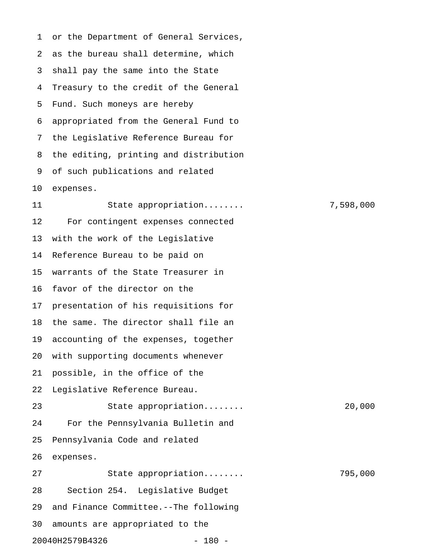2 as the bureau shall determine, which 3 shall pay the same into the State 4 Treasury to the credit of the General 5 Fund. Such moneys are hereby 6 appropriated from the General Fund to 7 the Legislative Reference Bureau for 8 the editing, printing and distribution 9 of such publications and related 10 expenses. 11 State appropriation........ 7,598,000 12 For contingent expenses connected 13 with the work of the Legislative 14 Reference Bureau to be paid on 15 warrants of the State Treasurer in 16 favor of the director on the 17 presentation of his requisitions for 18 the same. The director shall file an 19 accounting of the expenses, together 20 with supporting documents whenever 21 possible, in the office of the 22 Legislative Reference Bureau. 23 State appropriation........ 20,000 24 For the Pennsylvania Bulletin and 25 Pennsylvania Code and related 26 expenses. 27 State appropriation........ 795,000 28 Section 254. Legislative Budget 29 and Finance Committee.--The following 30 amounts are appropriated to the

1 or the Department of General Services,

20040H2579B4326 - 180 -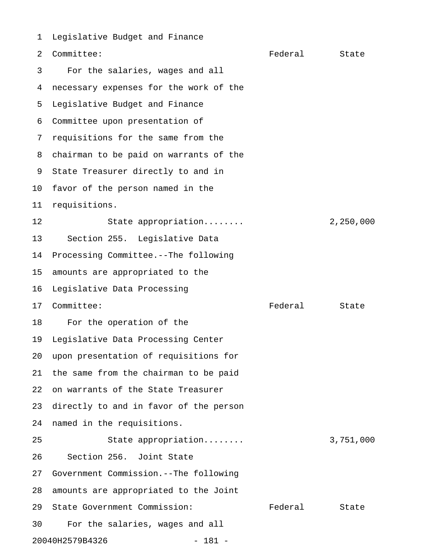1 Legislative Budget and Finance 2 Committee: Federal State 3 For the salaries, wages and all 4 necessary expenses for the work of the 5 Legislative Budget and Finance 6 Committee upon presentation of 7 requisitions for the same from the 8 chairman to be paid on warrants of the 9 State Treasurer directly to and in 10 favor of the person named in the 11 requisitions. 12 State appropriation........ 2,250,000 13 Section 255. Legislative Data 14 Processing Committee.--The following 15 amounts are appropriated to the 16 Legislative Data Processing 17 Committee: Federal State 18 For the operation of the 19 Legislative Data Processing Center 20 upon presentation of requisitions for 21 the same from the chairman to be paid 22 on warrants of the State Treasurer 23 directly to and in favor of the person 24 named in the requisitions. 25 State appropriation........ 3,751,000 26 Section 256. Joint State 27 Government Commission.--The following 28 amounts are appropriated to the Joint 29 State Government Commission: Federal State 30 For the salaries, wages and all

20040H2579B4326 - 181 -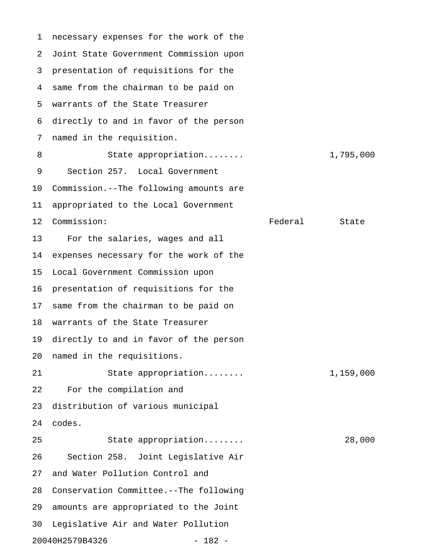1 necessary expenses for the work of the 2 Joint State Government Commission upon 3 presentation of requisitions for the 4 same from the chairman to be paid on 5 warrants of the State Treasurer 6 directly to and in favor of the person 7 named in the requisition. 8 State appropriation........ 1,795,000 9 Section 257. Local Government 10 Commission.--The following amounts are 11 appropriated to the Local Government 12 Commission: Federal State 13 For the salaries, wages and all 14 expenses necessary for the work of the 15 Local Government Commission upon 16 presentation of requisitions for the 17 same from the chairman to be paid on 18 warrants of the State Treasurer 19 directly to and in favor of the person 20 named in the requisitions. 21 State appropriation........ 1,159,000 22 For the compilation and 23 distribution of various municipal 24 codes. 25 State appropriation........ 28,000 26 Section 258. Joint Legislative Air 27 and Water Pollution Control and 28 Conservation Committee.--The following 29 amounts are appropriated to the Joint 30 Legislative Air and Water Pollution 20040H2579B4326 - 182 -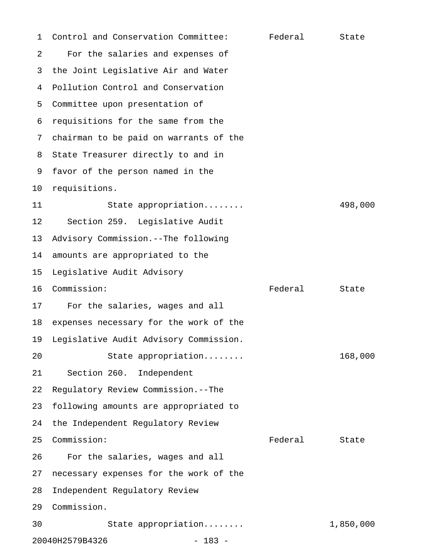1 Control and Conservation Committee: Federal State 2 For the salaries and expenses of 3 the Joint Legislative Air and Water 4 Pollution Control and Conservation 5 Committee upon presentation of 6 requisitions for the same from the 7 chairman to be paid on warrants of the 8 State Treasurer directly to and in 9 favor of the person named in the 10 requisitions. 11 State appropriation........ 498,000 12 Section 259. Legislative Audit 13 Advisory Commission.--The following 14 amounts are appropriated to the 15 Legislative Audit Advisory 16 Commission: Federal State 17 For the salaries, wages and all 18 expenses necessary for the work of the 19 Legislative Audit Advisory Commission. 20 State appropriation........ 168,000 21 Section 260. Independent 22 Regulatory Review Commission.--The 23 following amounts are appropriated to 24 the Independent Regulatory Review 25 Commission: Federal State 26 For the salaries, wages and all 27 necessary expenses for the work of the 28 Independent Regulatory Review 29 Commission. 30 State appropriation........ 1,850,000 20040H2579B4326 - 183 -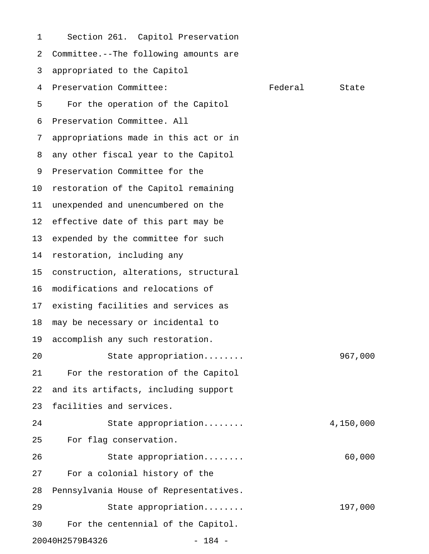1 Section 261. Capitol Preservation 2 Committee.--The following amounts are 3 appropriated to the Capitol 4 Preservation Committee: The State Rederal State 5 For the operation of the Capitol 6 Preservation Committee. All 7 appropriations made in this act or in 8 any other fiscal year to the Capitol 9 Preservation Committee for the 10 restoration of the Capitol remaining 11 unexpended and unencumbered on the 12 effective date of this part may be 13 expended by the committee for such 14 restoration, including any 15 construction, alterations, structural 16 modifications and relocations of 17 existing facilities and services as 18 may be necessary or incidental to 19 accomplish any such restoration. 20 State appropriation........ 967,000 21 For the restoration of the Capitol 22 and its artifacts, including support 23 facilities and services. 24 State appropriation........ 4,150,000 25 For flag conservation. 26 State appropriation........ 60,000 27 For a colonial history of the 28 Pennsylvania House of Representatives. 29 State appropriation........ 197,000 30 For the centennial of the Capitol. 20040H2579B4326 - 184 -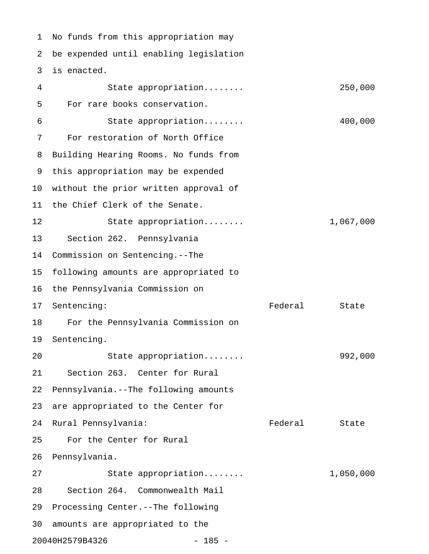1 No funds from this appropriation may 2 be expended until enabling legislation 3 is enacted. 4 State appropriation........ 250,000 5 For rare books conservation. 6 State appropriation........ 400,000 7 For restoration of North Office 8 Building Hearing Rooms. No funds from 9 this appropriation may be expended 10 without the prior written approval of 11 the Chief Clerk of the Senate. 12 State appropriation........ 1,067,000 13 Section 262. Pennsylvania 14 Commission on Sentencing.--The 15 following amounts are appropriated to 16 the Pennsylvania Commission on 17 Sentencing: The State of the State State State State State State State State State State State State State 18 For the Pennsylvania Commission on 19 Sentencing. 20 State appropriation........ 992,000 21 Section 263. Center for Rural 22 Pennsylvania.--The following amounts 23 are appropriated to the Center for 24 Rural Pennsylvania: Federal State 25 For the Center for Rural 26 Pennsylvania. 27 State appropriation........ 1,050,000 28 Section 264. Commonwealth Mail 29 Processing Center.--The following 30 amounts are appropriated to the

20040H2579B4326 - 185 -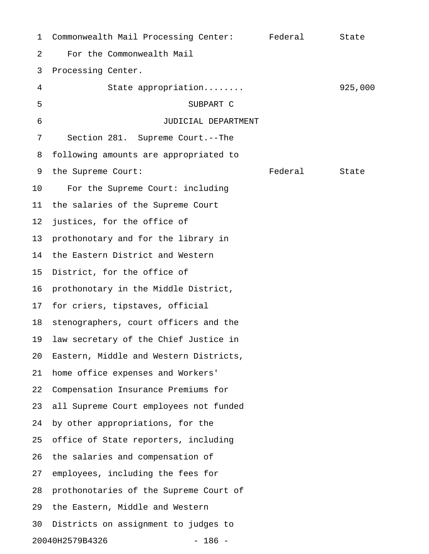1 Commonwealth Mail Processing Center: Federal State 2 For the Commonwealth Mail 3 Processing Center. 4 State appropriation........ 925,000 5 SUBPART C 6 JUDICIAL DEPARTMENT 7 Section 281. Supreme Court.--The 8 following amounts are appropriated to 9 the Supreme Court: The Supreme Court: Tederal State 10 For the Supreme Court: including 11 the salaries of the Supreme Court 12 justices, for the office of 13 prothonotary and for the library in 14 the Eastern District and Western 15 District, for the office of 16 prothonotary in the Middle District, 17 for criers, tipstaves, official 18 stenographers, court officers and the 19 law secretary of the Chief Justice in 20 Eastern, Middle and Western Districts, 21 home office expenses and Workers' 22 Compensation Insurance Premiums for 23 all Supreme Court employees not funded 24 by other appropriations, for the 25 office of State reporters, including 26 the salaries and compensation of 27 employees, including the fees for 28 prothonotaries of the Supreme Court of 29 the Eastern, Middle and Western 30 Districts on assignment to judges to 20040H2579B4326 - 186 -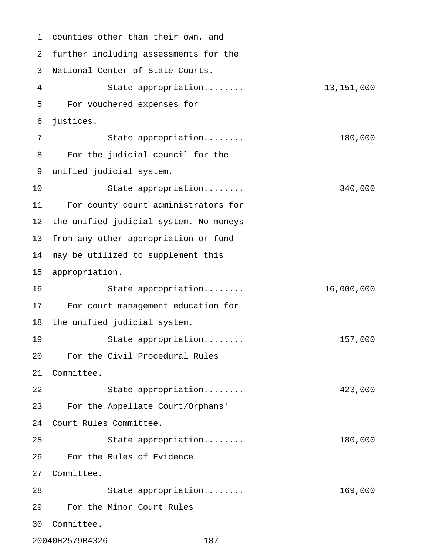1 counties other than their own, and 2 further including assessments for the 3 National Center of State Courts. 4 State appropriation........ 13,151,000 5 For vouchered expenses for 6 justices. 7 State appropriation........ 180,000 8 For the judicial council for the 9 unified judicial system. 10 State appropriation....... 340,000 11 For county court administrators for 12 the unified judicial system. No moneys 13 from any other appropriation or fund 14 may be utilized to supplement this 15 appropriation. 16 State appropriation........ 16,000,000 17 For court management education for 18 the unified judicial system. 19 State appropriation........ 157,000 20 For the Civil Procedural Rules 21 Committee. 22 State appropriation........ 423,000 23 For the Appellate Court/Orphans' 24 Court Rules Committee. 25 State appropriation........ 180,000 26 For the Rules of Evidence 27 Committee. 28 State appropriation........ 169,000 29 For the Minor Court Rules 30 Committee. 20040H2579B4326 - 187 -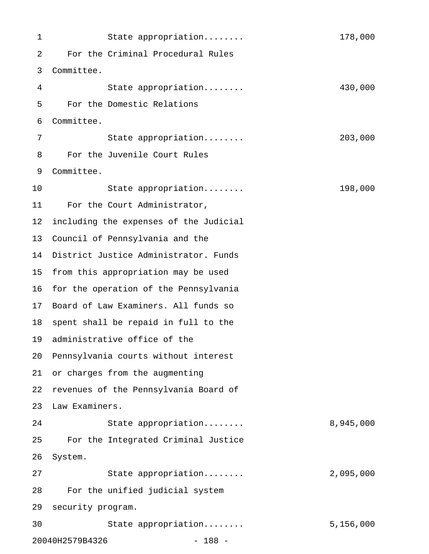| 1  | State appropriation                    | 178,000   |
|----|----------------------------------------|-----------|
| 2  | For the Criminal Procedural Rules      |           |
| 3  | Committee.                             |           |
| 4  | State appropriation                    | 430,000   |
| 5  | For the Domestic Relations             |           |
| 6  | Committee.                             |           |
| 7  | State appropriation                    | 203,000   |
| 8  | For the Juvenile Court Rules           |           |
| 9  | Committee.                             |           |
| 10 | State appropriation                    | 198,000   |
| 11 | For the Court Administrator,           |           |
| 12 | including the expenses of the Judicial |           |
| 13 | Council of Pennsylvania and the        |           |
| 14 | District Justice Administrator. Funds  |           |
| 15 | from this appropriation may be used    |           |
| 16 | for the operation of the Pennsylvania  |           |
| 17 | Board of Law Examiners. All funds so   |           |
| 18 | spent shall be repaid in full to the   |           |
| 19 | administrative office of the           |           |
| 20 | Pennsylvania courts without interest   |           |
| 21 | or charges from the augmenting         |           |
| 22 | revenues of the Pennsylvania Board of  |           |
| 23 | Law Examiners.                         |           |
| 24 | State appropriation                    | 8,945,000 |
| 25 | For the Integrated Criminal Justice    |           |
| 26 | System.                                |           |
| 27 | State appropriation                    | 2,095,000 |
| 28 | For the unified judicial system        |           |
| 29 | security program.                      |           |
| 30 | State appropriation                    | 5,156,000 |
|    | 20040H2579B4326<br>$-188 -$            |           |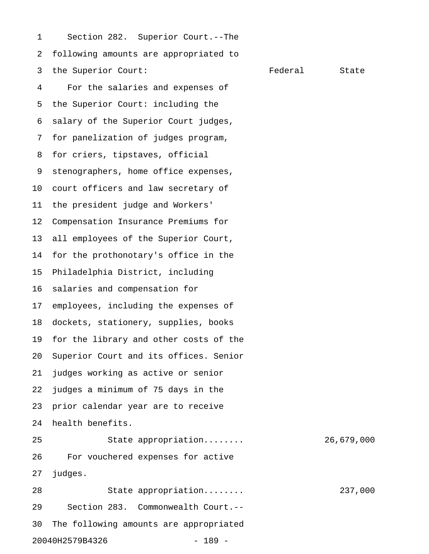1 Section 282. Superior Court.--The 2 following amounts are appropriated to 3 the Superior Court: The State State State State State State 4 For the salaries and expenses of 5 the Superior Court: including the 6 salary of the Superior Court judges, 7 for panelization of judges program, 8 for criers, tipstaves, official 9 stenographers, home office expenses, 10 court officers and law secretary of 11 the president judge and Workers' 12 Compensation Insurance Premiums for 13 all employees of the Superior Court, 14 for the prothonotary's office in the 15 Philadelphia District, including 16 salaries and compensation for 17 employees, including the expenses of 18 dockets, stationery, supplies, books 19 for the library and other costs of the 20 Superior Court and its offices. Senior 21 judges working as active or senior 22 judges a minimum of 75 days in the 23 prior calendar year are to receive 24 health benefits. 25 State appropriation........ 26,679,000 26 For vouchered expenses for active 27 judges. 28 State appropriation........ 237,000 29 Section 283. Commonwealth Court.-- 30 The following amounts are appropriated 20040H2579B4326 - 189 -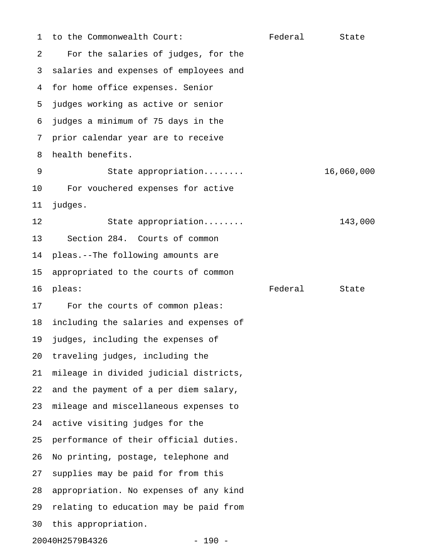1 to the Commonwealth Court: Federal State 2 For the salaries of judges, for the 3 salaries and expenses of employees and 4 for home office expenses. Senior 5 judges working as active or senior 6 judges a minimum of 75 days in the 7 prior calendar year are to receive 8 health benefits. 9 State appropriation........ 16,060,000 10 For vouchered expenses for active 11 judges. 12 State appropriation........ 143,000 13 Section 284. Courts of common 14 pleas.--The following amounts are 15 appropriated to the courts of common 16 pleas: State State State State State State State State State State State State 17 For the courts of common pleas: 18 including the salaries and expenses of 19 judges, including the expenses of 20 traveling judges, including the 21 mileage in divided judicial districts, 22 and the payment of a per diem salary, 23 mileage and miscellaneous expenses to 24 active visiting judges for the 25 performance of their official duties. 26 No printing, postage, telephone and 27 supplies may be paid for from this 28 appropriation. No expenses of any kind 29 relating to education may be paid from 30 this appropriation. 20040H2579B4326 - 190 -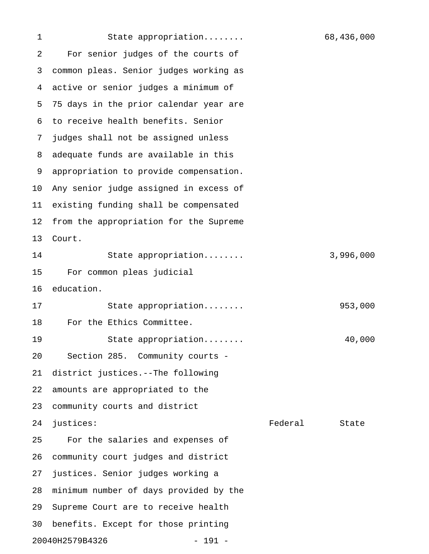1 State appropriation........ 68,436,000 2 For senior judges of the courts of 3 common pleas. Senior judges working as 4 active or senior judges a minimum of 5 75 days in the prior calendar year are 6 to receive health benefits. Senior 7 judges shall not be assigned unless 8 adequate funds are available in this 9 appropriation to provide compensation. 10 Any senior judge assigned in excess of 11 existing funding shall be compensated 12 from the appropriation for the Supreme 13 Court. 14 State appropriation........ 3,996,000 15 For common pleas judicial 16 education. 17 State appropriation........ 953,000 18 For the Ethics Committee. 19 State appropriation........ 40,000 20 Section 285. Community courts - 21 district justices.--The following 22 amounts are appropriated to the 23 community courts and district 24 justices: State State State State State State State State State State State State State State State State 25 For the salaries and expenses of 26 community court judges and district 27 justices. Senior judges working a 28 minimum number of days provided by the 29 Supreme Court are to receive health 30 benefits. Except for those printing 20040H2579B4326 - 191 -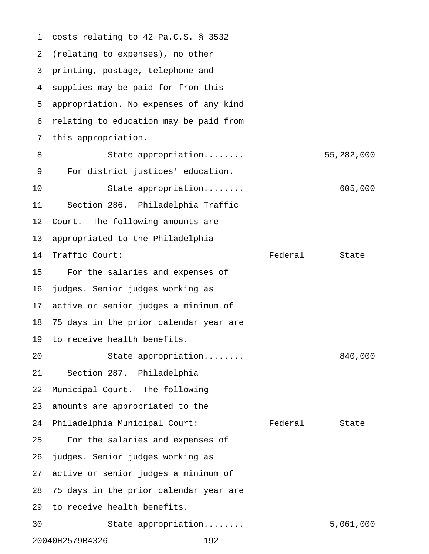1 costs relating to 42 Pa.C.S. § 3532 2 (relating to expenses), no other 3 printing, postage, telephone and 4 supplies may be paid for from this 5 appropriation. No expenses of any kind 6 relating to education may be paid from 7 this appropriation. 8 State appropriation........ 55,282,000 9 For district justices' education. 10 State appropriation........ 605,000 11 Section 286. Philadelphia Traffic 12 Court.--The following amounts are 13 appropriated to the Philadelphia 14 Traffic Court: The State of the State State State State State State State State 15 For the salaries and expenses of 16 judges. Senior judges working as 17 active or senior judges a minimum of 18 75 days in the prior calendar year are 19 to receive health benefits. 20 State appropriation........ 840,000 21 Section 287. Philadelphia 22 Municipal Court.--The following 23 amounts are appropriated to the 24 Philadelphia Municipal Court: Federal State 25 For the salaries and expenses of 26 judges. Senior judges working as 27 active or senior judges a minimum of 28 75 days in the prior calendar year are 29 to receive health benefits. 30 State appropriation........ 5,061,000 20040H2579B4326 - 192 -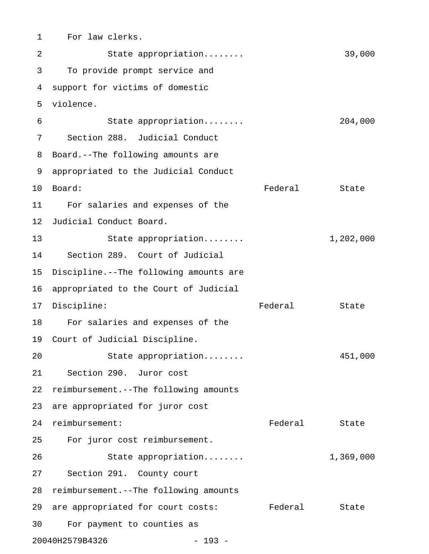1 For law clerks.

2 State appropriation........ 39,000 3 To provide prompt service and 4 support for victims of domestic 5 violence. 6 State appropriation........ 204,000 7 Section 288. Judicial Conduct 8 Board.--The following amounts are 9 appropriated to the Judicial Conduct 10 Board: State State State State State State State State State State State State 11 For salaries and expenses of the 12 Judicial Conduct Board. 13 State appropriation........ 1,202,000 14 Section 289. Court of Judicial 15 Discipline.--The following amounts are 16 appropriated to the Court of Judicial 17 Discipline: Federal State 18 For salaries and expenses of the 19 Court of Judicial Discipline. 20 State appropriation........ 451,000 21 Section 290. Juror cost 22 reimbursement.--The following amounts 23 are appropriated for juror cost 24 reimbursement: Federal State 25 For juror cost reimbursement. 26 State appropriation........ 1,369,000 27 Section 291. County court 28 reimbursement.--The following amounts 29 are appropriated for court costs: Federal State 30 For payment to counties as 20040H2579B4326 - 193 -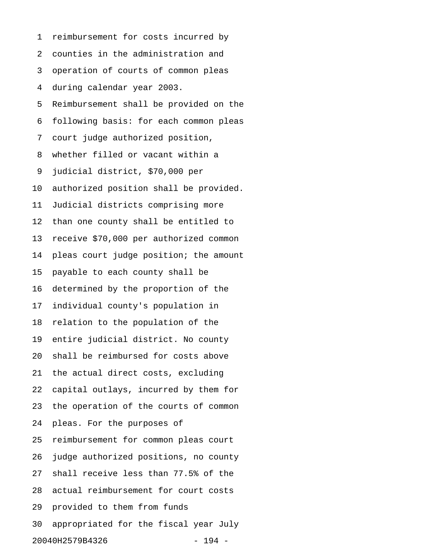1 reimbursement for costs incurred by 2 counties in the administration and 3 operation of courts of common pleas 4 during calendar year 2003. 5 Reimbursement shall be provided on the 6 following basis: for each common pleas 7 court judge authorized position, 8 whether filled or vacant within a 9 judicial district, \$70,000 per 10 authorized position shall be provided. 11 Judicial districts comprising more 12 than one county shall be entitled to 13 receive \$70,000 per authorized common 14 pleas court judge position; the amount 15 payable to each county shall be 16 determined by the proportion of the 17 individual county's population in 18 relation to the population of the 19 entire judicial district. No county 20 shall be reimbursed for costs above 21 the actual direct costs, excluding 22 capital outlays, incurred by them for 23 the operation of the courts of common 24 pleas. For the purposes of 25 reimbursement for common pleas court 26 judge authorized positions, no county 27 shall receive less than 77.5% of the 28 actual reimbursement for court costs 29 provided to them from funds 30 appropriated for the fiscal year July 20040H2579B4326 - 194 -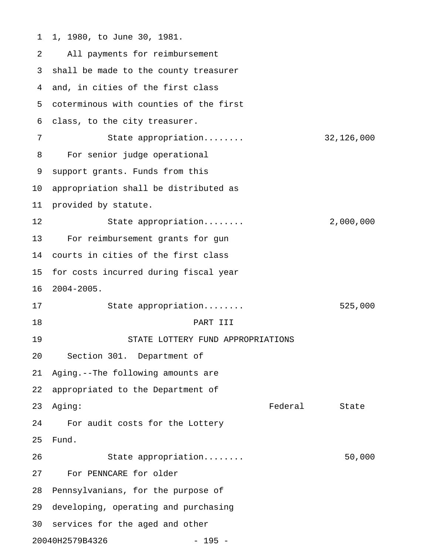1 1, 1980, to June 30, 1981. 2 All payments for reimbursement 3 shall be made to the county treasurer 4 and, in cities of the first class 5 coterminous with counties of the first 6 class, to the city treasurer. 7 State appropriation....... 32,126,000 8 For senior judge operational 9 support grants. Funds from this 10 appropriation shall be distributed as 11 provided by statute. 12 State appropriation........ 2,000,000 13 For reimbursement grants for gun 14 courts in cities of the first class 15 for costs incurred during fiscal year 16 2004-2005. 17 State appropriation........ 525,000 18 PART III 19 STATE LOTTERY FUND APPROPRIATIONS 20 Section 301. Department of 21 Aging.--The following amounts are 22 appropriated to the Department of 23 Aging: The Contract of the State of the State State State State State 24 For audit costs for the Lottery 25 Fund. 26 State appropriation........ 50,000 27 For PENNCARE for older 28 Pennsylvanians, for the purpose of 29 developing, operating and purchasing 30 services for the aged and other

20040H2579B4326 - 195 -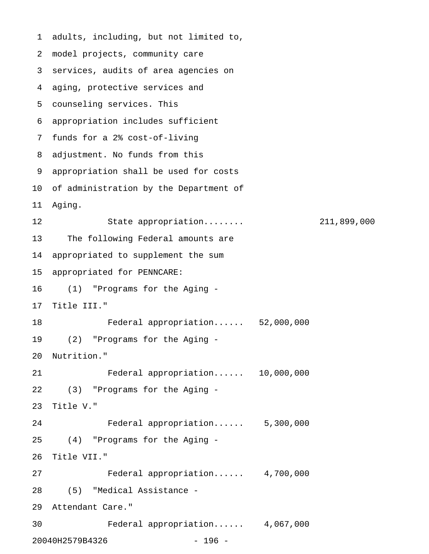1 adults, including, but not limited to, 2 model projects, community care 3 services, audits of area agencies on 4 aging, protective services and 5 counseling services. This 6 appropriation includes sufficient 7 funds for a 2% cost-of-living 8 adjustment. No funds from this 9 appropriation shall be used for costs 10 of administration by the Department of 11 Aging. 12 State appropriation........ 211,899,000 13 The following Federal amounts are 14 appropriated to supplement the sum 15 appropriated for PENNCARE: 16 (1) "Programs for the Aging - 17 Title III." 18 Federal appropriation...... 52,000,000 19 (2) "Programs for the Aging - 20 Nutrition." 21 Federal appropriation...... 10,000,000 22 (3) "Programs for the Aging - 23 Title V." 24 Federal appropriation...... 5,300,000 25 (4) "Programs for the Aging - 26 Title VII." 27 Federal appropriation...... 4,700,000 28 (5) "Medical Assistance - 29 Attendant Care." 30 Federal appropriation...... 4,067,000

20040H2579B4326 - 196 -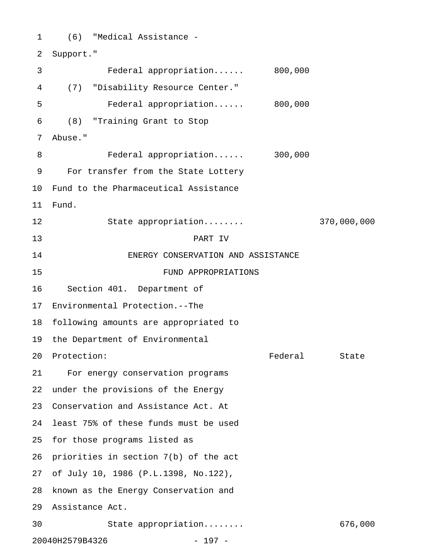1 (6) "Medical Assistance - 2 Support." 3 Federal appropriation...... 800,000 4 (7) "Disability Resource Center." 5 Federal appropriation...... 800,000 6 (8) "Training Grant to Stop 7 Abuse." 8 Federal appropriation...... 300,000 9 For transfer from the State Lottery 10 Fund to the Pharmaceutical Assistance 11 Fund. 12 State appropriation........ 370,000,000 13 PART IV 14 ENERGY CONSERVATION AND ASSISTANCE 15 FUND APPROPRIATIONS 16 Section 401. Department of 17 Environmental Protection.--The 18 following amounts are appropriated to 19 the Department of Environmental 20 Protection: Federal State 21 For energy conservation programs 22 under the provisions of the Energy 23 Conservation and Assistance Act. At 24 least 75% of these funds must be used 25 for those programs listed as 26 priorities in section 7(b) of the act 27 of July 10, 1986 (P.L.1398, No.122), 28 known as the Energy Conservation and 29 Assistance Act. 30 State appropriation........ 676,000

20040H2579B4326 - 197 -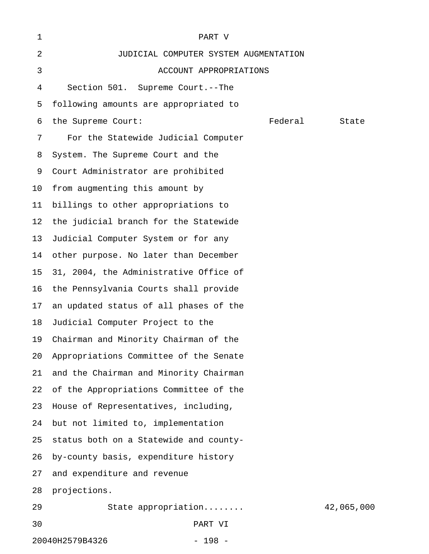| 1  | PART V                                 |         |            |
|----|----------------------------------------|---------|------------|
| 2  | JUDICIAL COMPUTER SYSTEM AUGMENTATION  |         |            |
| 3  | ACCOUNT APPROPRIATIONS                 |         |            |
| 4  | Section 501. Supreme Court.--The       |         |            |
| 5  | following amounts are appropriated to  |         |            |
| 6  | the Supreme Court:                     | Federal | State      |
| 7  | For the Statewide Judicial Computer    |         |            |
| 8  | System. The Supreme Court and the      |         |            |
| 9  | Court Administrator are prohibited     |         |            |
| 10 | from augmenting this amount by         |         |            |
| 11 | billings to other appropriations to    |         |            |
| 12 | the judicial branch for the Statewide  |         |            |
| 13 | Judicial Computer System or for any    |         |            |
| 14 | other purpose. No later than December  |         |            |
| 15 | 31, 2004, the Administrative Office of |         |            |
| 16 | the Pennsylvania Courts shall provide  |         |            |
| 17 | an updated status of all phases of the |         |            |
| 18 | Judicial Computer Project to the       |         |            |
| 19 | Chairman and Minority Chairman of the  |         |            |
| 20 | Appropriations Committee of the Senate |         |            |
| 21 | and the Chairman and Minority Chairman |         |            |
| 22 | of the Appropriations Committee of the |         |            |
| 23 | House of Representatives, including,   |         |            |
| 24 | but not limited to, implementation     |         |            |
| 25 | status both on a Statewide and county- |         |            |
| 26 | by-county basis, expenditure history   |         |            |
| 27 | and expenditure and revenue            |         |            |
| 28 | projections.                           |         |            |
| 29 | State appropriation                    |         | 42,065,000 |
| 30 | PART VI                                |         |            |
|    | 20040H2579B4326<br>$-198 -$            |         |            |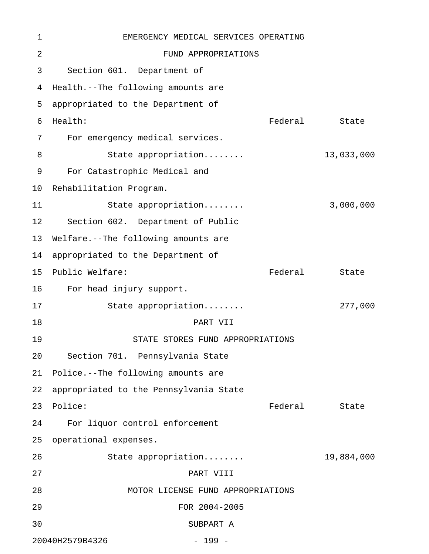| $\mathbf 1$    | EMERGENCY MEDICAL SERVICES OPERATING   |         |            |
|----------------|----------------------------------------|---------|------------|
| $\overline{a}$ | FUND APPROPRIATIONS                    |         |            |
| 3              | Section 601. Department of             |         |            |
| 4              | Health.--The following amounts are     |         |            |
| 5              | appropriated to the Department of      |         |            |
| 6              | Health:                                | Federal | State      |
| 7              | For emergency medical services.        |         |            |
| 8              | State appropriation                    |         | 13,033,000 |
| 9              | For Catastrophic Medical and           |         |            |
| 10             | Rehabilitation Program.                |         |            |
| 11             | State appropriation                    |         | 3,000,000  |
| 12             | Section 602. Department of Public      |         |            |
| 13             | Welfare.--The following amounts are    |         |            |
| 14             | appropriated to the Department of      |         |            |
| 15             | Public Welfare:                        | Federal | State      |
| 16             | For head injury support.               |         |            |
| 17             | State appropriation                    |         | 277,000    |
| 18             | PART VII                               |         |            |
| 19             | STATE STORES FUND APPROPRIATIONS       |         |            |
| 20             | Section 701. Pennsylvania State        |         |            |
| 21             | Police.--The following amounts are     |         |            |
| 22             | appropriated to the Pennsylvania State |         |            |
| 23             | Police:                                | Federal | State      |
| 24             | For liquor control enforcement         |         |            |
| 25             | operational expenses.                  |         |            |
| 26             | State appropriation                    |         | 19,884,000 |
| 27             | PART VIII                              |         |            |
| 28             | MOTOR LICENSE FUND APPROPRIATIONS      |         |            |
| 29             | FOR 2004-2005                          |         |            |
| 30             | SUBPART A                              |         |            |
|                | $-199 -$<br>20040H2579B4326            |         |            |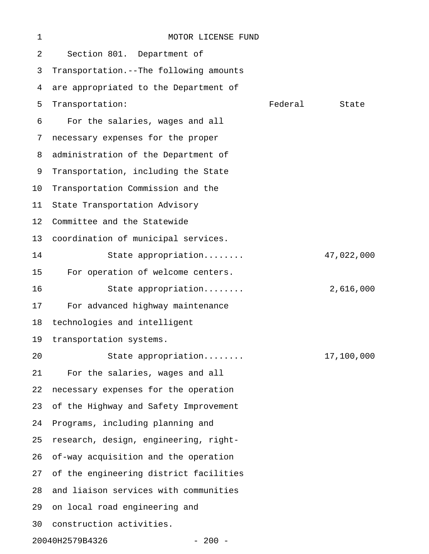| 1       | MOTOR LICENSE FUND                     |         |            |
|---------|----------------------------------------|---------|------------|
| 2       | Section 801. Department of             |         |            |
| 3       | Transportation.--The following amounts |         |            |
| 4       | are appropriated to the Department of  |         |            |
| 5       | Transportation:                        | Federal | State      |
| 6       | For the salaries, wages and all        |         |            |
| 7       | necessary expenses for the proper      |         |            |
| 8       | administration of the Department of    |         |            |
| 9       | Transportation, including the State    |         |            |
| $10 \,$ | Transportation Commission and the      |         |            |
| 11      | State Transportation Advisory          |         |            |
| 12      | Committee and the Statewide            |         |            |
| 13      | coordination of municipal services.    |         |            |
| 14      | State appropriation                    |         | 47,022,000 |
| 15      | For operation of welcome centers.      |         |            |
| 16      | State appropriation                    |         | 2,616,000  |
| 17      | For advanced highway maintenance       |         |            |
| 18      | technologies and intelligent           |         |            |
| 19      | transportation systems.                |         |            |
| 20      | State appropriation                    |         | 17,100,000 |
| 21      | For the salaries, wages and all        |         |            |
| 22      | necessary expenses for the operation   |         |            |
| 23      | of the Highway and Safety Improvement  |         |            |
| 24      | Programs, including planning and       |         |            |
| 25      | research, design, engineering, right-  |         |            |
| 26      | of-way acquisition and the operation   |         |            |
| 27      | of the engineering district facilities |         |            |
| 28      | and liaison services with communities  |         |            |
| 29      | on local road engineering and          |         |            |
| 30      | construction activities.               |         |            |
|         | 20040H2579B4326<br>$200 -$             |         |            |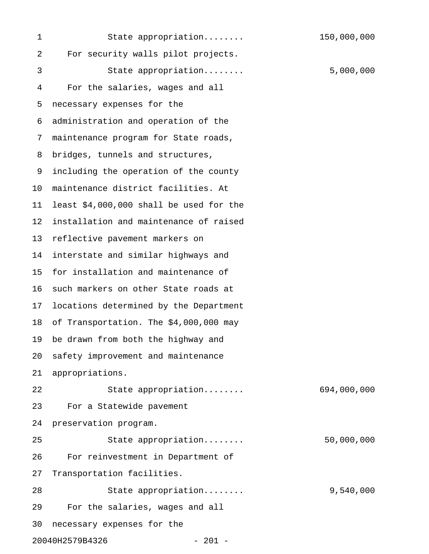1 State appropriation........ 150,000,000 2 For security walls pilot projects. 3 State appropriation........ 5,000,000 4 For the salaries, wages and all 5 necessary expenses for the 6 administration and operation of the 7 maintenance program for State roads, 8 bridges, tunnels and structures, 9 including the operation of the county 10 maintenance district facilities. At 11 least \$4,000,000 shall be used for the 12 installation and maintenance of raised 13 reflective pavement markers on 14 interstate and similar highways and 15 for installation and maintenance of 16 such markers on other State roads at 17 locations determined by the Department 18 of Transportation. The \$4,000,000 may 19 be drawn from both the highway and 20 safety improvement and maintenance 21 appropriations. 22 State appropriation........ 694,000,000 23 For a Statewide pavement 24 preservation program. 25 State appropriation........ 50,000,000 26 For reinvestment in Department of 27 Transportation facilities. 28 State appropriation........ 9,540,000 29 For the salaries, wages and all 30 necessary expenses for the 20040H2579B4326 - 201 -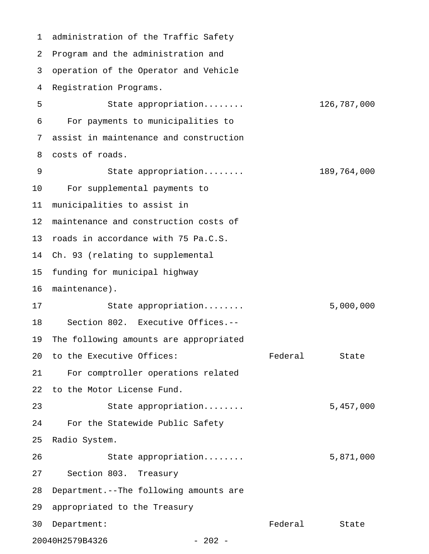1 administration of the Traffic Safety 2 Program and the administration and 3 operation of the Operator and Vehicle 4 Registration Programs. 5 State appropriation........ 126,787,000 6 For payments to municipalities to 7 assist in maintenance and construction 8 costs of roads. 9 State appropriation........ 189,764,000 10 For supplemental payments to 11 municipalities to assist in 12 maintenance and construction costs of 13 roads in accordance with 75 Pa.C.S. 14 Ch. 93 (relating to supplemental 15 funding for municipal highway 16 maintenance). 17 State appropriation........ 5,000,000 18 Section 802. Executive Offices.-- 19 The following amounts are appropriated 20 to the Executive Offices: The State State State State 21 For comptroller operations related 22 to the Motor License Fund. 23 State appropriation........ 5,457,000 24 For the Statewide Public Safety 25 Radio System. 26 State appropriation........ 5,871,000 27 Section 803. Treasury 28 Department.--The following amounts are 29 appropriated to the Treasury 30 Department: The state of the State State State State State State State State State

20040H2579B4326 - 202 -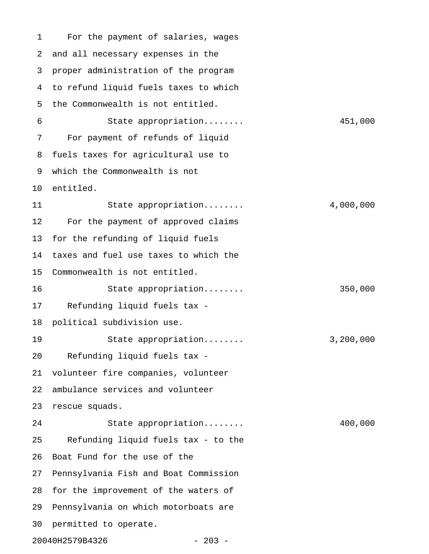1 For the payment of salaries, wages 2 and all necessary expenses in the 3 proper administration of the program 4 to refund liquid fuels taxes to which 5 the Commonwealth is not entitled. 6 State appropriation........ 451,000 7 For payment of refunds of liquid 8 fuels taxes for agricultural use to 9 which the Commonwealth is not 10 entitled. 11 State appropriation....... 4,000,000 12 For the payment of approved claims 13 for the refunding of liquid fuels 14 taxes and fuel use taxes to which the 15 Commonwealth is not entitled. 16 State appropriation........ 350,000 17 Refunding liquid fuels tax - 18 political subdivision use. 19 State appropriation........ 3,200,000 20 Refunding liquid fuels tax - 21 volunteer fire companies, volunteer 22 ambulance services and volunteer 23 rescue squads. 24 State appropriation........ 400,000 25 Refunding liquid fuels tax - to the 26 Boat Fund for the use of the 27 Pennsylvania Fish and Boat Commission 28 for the improvement of the waters of 29 Pennsylvania on which motorboats are 30 permitted to operate. 20040H2579B4326 - 203 -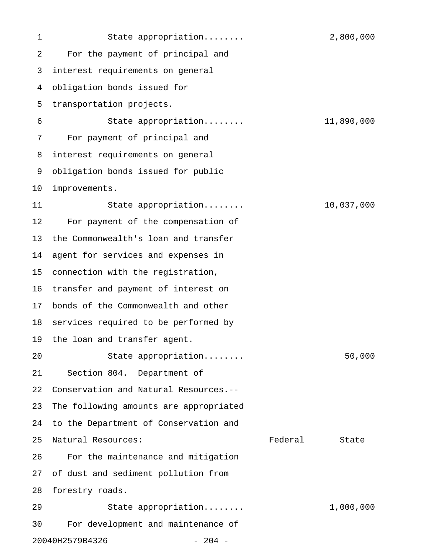1 State appropriation........ 2,800,000 2 For the payment of principal and 3 interest requirements on general 4 obligation bonds issued for 5 transportation projects. 6 State appropriation........ 11,890,000 7 For payment of principal and 8 interest requirements on general 9 obligation bonds issued for public 10 improvements. 11 State appropriation........ 10,037,000 12 For payment of the compensation of 13 the Commonwealth's loan and transfer 14 agent for services and expenses in 15 connection with the registration, 16 transfer and payment of interest on 17 bonds of the Commonwealth and other 18 services required to be performed by 19 the loan and transfer agent. 20 State appropriation........ 50,000 21 Section 804. Department of 22 Conservation and Natural Resources.-- 23 The following amounts are appropriated 24 to the Department of Conservation and 25 Natural Resources: Federal State 26 For the maintenance and mitigation 27 of dust and sediment pollution from 28 forestry roads. 29 State appropriation........ 1,000,000 30 For development and maintenance of 20040H2579B4326 - 204 -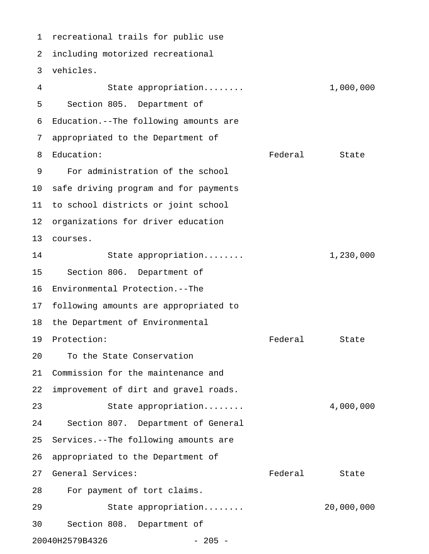1 recreational trails for public use 2 including motorized recreational 3 vehicles. 4 State appropriation........ 1,000,000 5 Section 805. Department of 6 Education.--The following amounts are 7 appropriated to the Department of 8 Education: State State State State State State State State State State State State State State State State State State State State State State State State State State State State State State State State State State State 9 For administration of the school 10 safe driving program and for payments 11 to school districts or joint school 12 organizations for driver education 13 courses. 14 State appropriation........ 1,230,000 15 Section 806. Department of 16 Environmental Protection.--The 17 following amounts are appropriated to 18 the Department of Environmental 19 Protection: The State State State State State State State State State State State 20 To the State Conservation 21 Commission for the maintenance and 22 improvement of dirt and gravel roads. 23 State appropriation........ 4,000,000 24 Section 807. Department of General 25 Services.--The following amounts are 26 appropriated to the Department of 27 General Services: The State State State State 28 For payment of tort claims. 29 State appropriation........ 20,000,000 30 Section 808. Department of 20040H2579B4326 - 205 -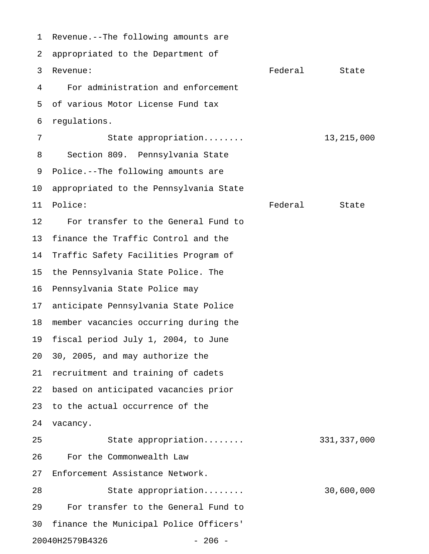1 Revenue.--The following amounts are 2 appropriated to the Department of 3 Revenue: Federal State 4 For administration and enforcement 5 of various Motor License Fund tax 6 regulations. 7 State appropriation........ 13,215,000 8 Section 809. Pennsylvania State 9 Police.--The following amounts are 10 appropriated to the Pennsylvania State 11 Police: State State State State State State State State State State State State State State State State State 12 For transfer to the General Fund to 13 finance the Traffic Control and the 14 Traffic Safety Facilities Program of 15 the Pennsylvania State Police. The 16 Pennsylvania State Police may 17 anticipate Pennsylvania State Police 18 member vacancies occurring during the 19 fiscal period July 1, 2004, to June 20 30, 2005, and may authorize the 21 recruitment and training of cadets 22 based on anticipated vacancies prior 23 to the actual occurrence of the 24 vacancy. 25 State appropriation........ 331,337,000 26 For the Commonwealth Law 27 Enforcement Assistance Network. 28 State appropriation........ 30,600,000 29 For transfer to the General Fund to 30 finance the Municipal Police Officers' 20040H2579B4326 - 206 -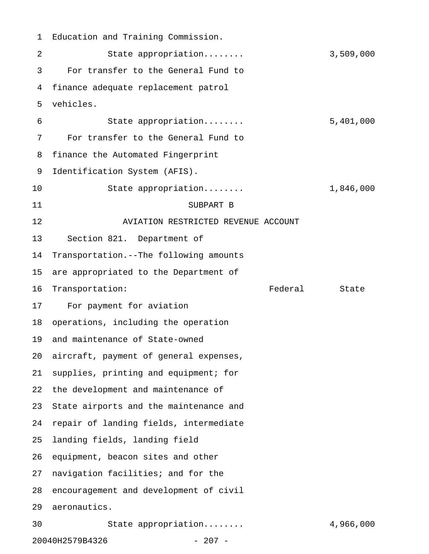1 Education and Training Commission. 2 State appropriation........ 3,509,000 3 For transfer to the General Fund to 4 finance adequate replacement patrol 5 vehicles. 6 State appropriation........ 5,401,000 7 For transfer to the General Fund to 8 finance the Automated Fingerprint 9 Identification System (AFIS). 10 State appropriation....... 1,846,000 11 SUBPART B 12 AVIATION RESTRICTED REVENUE ACCOUNT 13 Section 821. Department of 14 Transportation.--The following amounts 15 are appropriated to the Department of 16 Transportation: The State State State State State State State 17 For payment for aviation 18 operations, including the operation 19 and maintenance of State-owned 20 aircraft, payment of general expenses, 21 supplies, printing and equipment; for 22 the development and maintenance of 23 State airports and the maintenance and 24 repair of landing fields, intermediate 25 landing fields, landing field 26 equipment, beacon sites and other 27 navigation facilities; and for the 28 encouragement and development of civil 29 aeronautics. 30 State appropriation........ 4,966,000

20040H2579B4326 - 207 -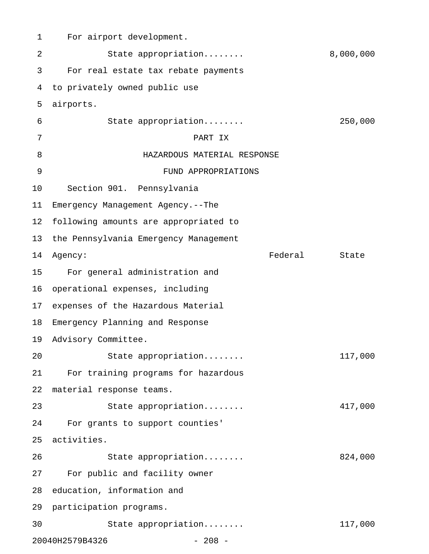1 For airport development. 2 State appropriation........ 8,000,000 3 For real estate tax rebate payments 4 to privately owned public use 5 airports. 6 State appropriation........ 250,000 7 PART IX 8 HAZARDOUS MATERIAL RESPONSE 9 FUND APPROPRIATIONS 10 Section 901. Pennsylvania 11 Emergency Management Agency.--The 12 following amounts are appropriated to 13 the Pennsylvania Emergency Management 14 Agency: State State State State State State State State State State State State 15 For general administration and 16 operational expenses, including 17 expenses of the Hazardous Material 18 Emergency Planning and Response 19 Advisory Committee. 20 State appropriation........ 117,000 21 For training programs for hazardous 22 material response teams. 23 State appropriation........ 417,000 24 For grants to support counties' 25 activities. 26 State appropriation........ 824,000 27 For public and facility owner 28 education, information and 29 participation programs. 30 State appropriation........ 117,000

20040H2579B4326 - 208 -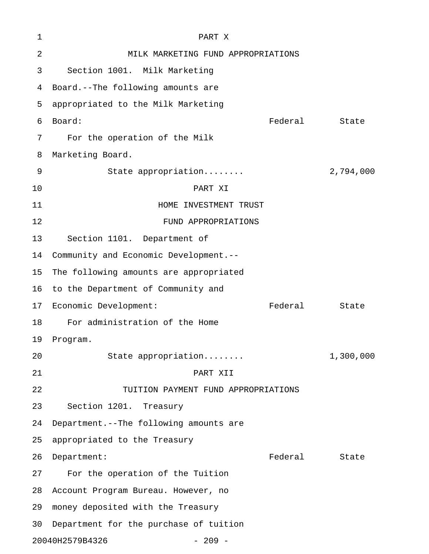| 1  | PART X                                 |         |           |
|----|----------------------------------------|---------|-----------|
| 2  | MILK MARKETING FUND APPROPRIATIONS     |         |           |
| 3  | Section 1001. Milk Marketing           |         |           |
| 4  | Board.--The following amounts are      |         |           |
| 5  | appropriated to the Milk Marketing     |         |           |
| 6  | Board:                                 | Federal | State     |
| 7  | For the operation of the Milk          |         |           |
| 8  | Marketing Board.                       |         |           |
| 9  | State appropriation                    |         | 2,794,000 |
| 10 | PART XI                                |         |           |
| 11 | HOME INVESTMENT TRUST                  |         |           |
| 12 | FUND APPROPRIATIONS                    |         |           |
| 13 | Section 1101. Department of            |         |           |
| 14 | Community and Economic Development.--  |         |           |
| 15 | The following amounts are appropriated |         |           |
| 16 | to the Department of Community and     |         |           |
| 17 | Economic Development:                  | Federal | State     |
| 18 | For administration of the Home         |         |           |
| 19 | Program.                               |         |           |
| 20 | State appropriation                    |         | 1,300,000 |
| 21 | PART XII                               |         |           |
| 22 | TUITION PAYMENT FUND APPROPRIATIONS    |         |           |
| 23 | Section 1201. Treasury                 |         |           |
| 24 | Department.--The following amounts are |         |           |
| 25 | appropriated to the Treasury           |         |           |
| 26 | Department:                            | Federal | State     |
| 27 | For the operation of the Tuition       |         |           |
| 28 | Account Program Bureau. However, no    |         |           |
| 29 | money deposited with the Treasury      |         |           |
| 30 | Department for the purchase of tuition |         |           |
|    | 20040H2579B4326<br>$-209 -$            |         |           |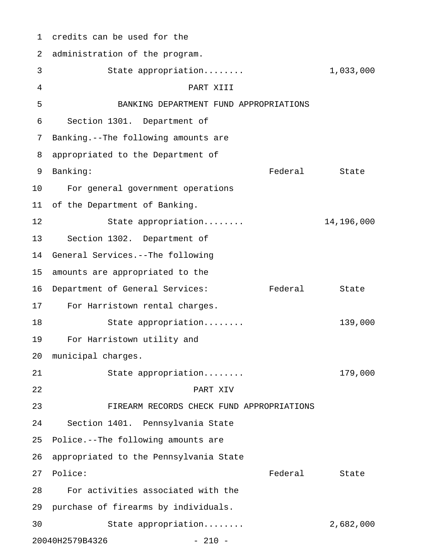1 credits can be used for the 2 administration of the program. 3 State appropriation........ 1,033,000 4 PART XIII 5 BANKING DEPARTMENT FUND APPROPRIATIONS 6 Section 1301. Department of 7 Banking.--The following amounts are 8 appropriated to the Department of 9 Banking: The State State State State State State State State State State State State State State 10 For general government operations 11 of the Department of Banking. 12 State appropriation........ 14,196,000 13 Section 1302. Department of 14 General Services.--The following 15 amounts are appropriated to the 16 Department of General Services: Federal State 17 For Harristown rental charges. 18 State appropriation........ 139,000 19 For Harristown utility and 20 municipal charges. 21 State appropriation........ 179,000 22 PART XIV 23 FIREARM RECORDS CHECK FUND APPROPRIATIONS 24 Section 1401. Pennsylvania State 25 Police.--The following amounts are 26 appropriated to the Pennsylvania State 27 Police: State State State State State State State State State State State State 28 For activities associated with the 29 purchase of firearms by individuals. 30 State appropriation........ 2,682,000 20040H2579B4326 - 210 -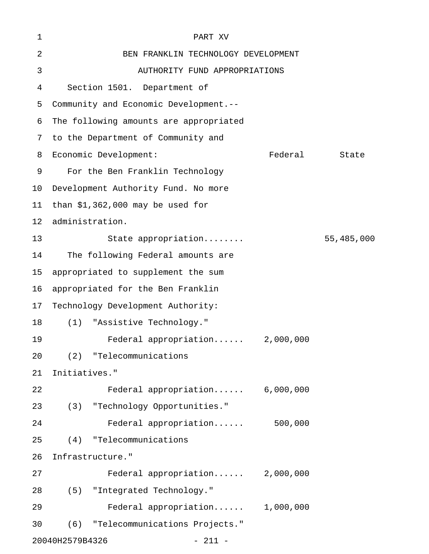| 1       | PART XV                                |            |
|---------|----------------------------------------|------------|
| 2       | BEN FRANKLIN TECHNOLOGY DEVELOPMENT    |            |
| 3       | AUTHORITY FUND APPROPRIATIONS          |            |
| 4       | Section 1501. Department of            |            |
| 5       | Community and Economic Development.--  |            |
| 6       | The following amounts are appropriated |            |
| 7       | to the Department of Community and     |            |
| 8       | Economic Development:<br>Federal       | State      |
| 9       | For the Ben Franklin Technology        |            |
| 10      | Development Authority Fund. No more    |            |
| 11      | than $$1,362,000$ may be used for      |            |
| 12      | administration.                        |            |
| 13      | State appropriation                    | 55,485,000 |
| 14      | The following Federal amounts are      |            |
| 15      | appropriated to supplement the sum     |            |
| 16      | appropriated for the Ben Franklin      |            |
| 17      | Technology Development Authority:      |            |
| 18      | "Assistive Technology."<br>(1)         |            |
| 19      | Federal appropriation $2,000,000$      |            |
| $20 \,$ | (2) "Telecommunications                |            |
| 21      | Initiatives."                          |            |
| 22      | Federal appropriation 6,000,000        |            |
| 23      | (3) "Technology Opportunities."        |            |
| 24      | Federal appropriation 500,000          |            |
| 25      | (4) "Telecommunications                |            |
| 26      | Infrastructure."                       |            |
| 27      | Federal appropriation $2,000,000$      |            |
| 28      | (5) "Integrated Technology."           |            |
| 29      | Federal appropriation 1,000,000        |            |
| 30      | (6) "Telecommunications Projects."     |            |
|         | 20040H2579B4326<br>$-211 -$            |            |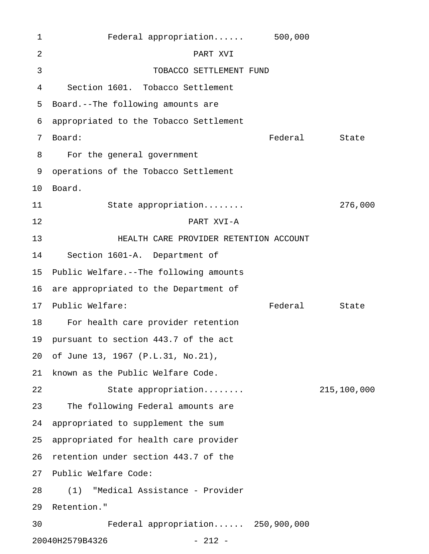1 Federal appropriation...... 500,000 2 PART XVI 3 TOBACCO SETTLEMENT FUND 4 Section 1601. Tobacco Settlement 5 Board.--The following amounts are 6 appropriated to the Tobacco Settlement 7 Board: Federal State 8 For the general government 9 operations of the Tobacco Settlement 10 Board. 11 State appropriation........ 276,000 12 PART XVI-A 13 HEALTH CARE PROVIDER RETENTION ACCOUNT 14 Section 1601-A. Department of 15 Public Welfare.--The following amounts 16 are appropriated to the Department of 17 Public Welfare: Federal State 18 For health care provider retention 19 pursuant to section 443.7 of the act 20 of June 13, 1967 (P.L.31, No.21), 21 known as the Public Welfare Code. 22 State appropriation........ 215,100,000 23 The following Federal amounts are 24 appropriated to supplement the sum 25 appropriated for health care provider 26 retention under section 443.7 of the 27 Public Welfare Code: 28 (1) "Medical Assistance - Provider 29 Retention." 30 Federal appropriation...... 250,900,000 20040H2579B4326 - 212 -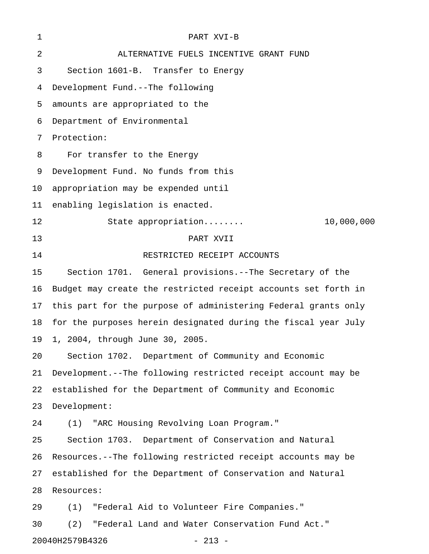| 1       | PART XVI-B                                                     |  |
|---------|----------------------------------------------------------------|--|
| 2       | ALTERNATIVE FUELS INCENTIVE GRANT FUND                         |  |
| 3       | Section 1601-B. Transfer to Energy                             |  |
| 4       | Development Fund.--The following                               |  |
| 5       | amounts are appropriated to the                                |  |
| 6       | Department of Environmental                                    |  |
| 7       | Protection:                                                    |  |
| 8       | For transfer to the Energy                                     |  |
| 9       | Development Fund. No funds from this                           |  |
| 10      | appropriation may be expended until                            |  |
| 11      | enabling legislation is enacted.                               |  |
| 12      | 10,000,000<br>State appropriation                              |  |
| 13      | PART XVII                                                      |  |
| 14      | RESTRICTED RECEIPT ACCOUNTS                                    |  |
| 15      | Section 1701. General provisions.--The Secretary of the        |  |
| 16      | Budget may create the restricted receipt accounts set forth in |  |
| 17      | this part for the purpose of administering Federal grants only |  |
| 18      | for the purposes herein designated during the fiscal year July |  |
| 19      | 1, 2004, through June 30, 2005.                                |  |
| $20 \,$ | Section 1702. Department of Community and Economic             |  |
| 21      | Development.--The following restricted receipt account may be  |  |
| 22      | established for the Department of Community and Economic       |  |
| 23      | Development:                                                   |  |
| 24      | (1) "ARC Housing Revolving Loan Program."                      |  |
| 25      | Section 1703. Department of Conservation and Natural           |  |
| 26      | Resources.--The following restricted receipt accounts may be   |  |
| 27      | established for the Department of Conservation and Natural     |  |
| 28      | Resources:                                                     |  |
| 29      | (1) "Federal Aid to Volunteer Fire Companies."                 |  |
| 30      | (2) "Federal Land and Water Conservation Fund Act."            |  |
|         | 20040H2579B4326<br>$-213 -$                                    |  |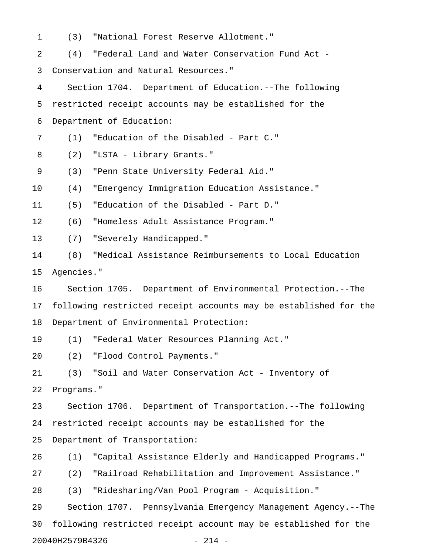1 (3) "National Forest Reserve Allotment." 2 (4) "Federal Land and Water Conservation Fund Act - 3 Conservation and Natural Resources." 4 Section 1704. Department of Education.--The following 5 restricted receipt accounts may be established for the 6 Department of Education: 7 (1) "Education of the Disabled - Part C." 8 (2) "LSTA - Library Grants." 9 (3) "Penn State University Federal Aid." 10 (4) "Emergency Immigration Education Assistance." 11 (5) "Education of the Disabled - Part D." 12 (6) "Homeless Adult Assistance Program." 13 (7) "Severely Handicapped." 14 (8) "Medical Assistance Reimbursements to Local Education 15 Agencies." 16 Section 1705. Department of Environmental Protection.--The 17 following restricted receipt accounts may be established for the 18 Department of Environmental Protection: 19 (1) "Federal Water Resources Planning Act." 20 (2) "Flood Control Payments." 21 (3) "Soil and Water Conservation Act - Inventory of 22 Programs." 23 Section 1706. Department of Transportation.--The following 24 restricted receipt accounts may be established for the 25 Department of Transportation: 26 (1) "Capital Assistance Elderly and Handicapped Programs." 27 (2) "Railroad Rehabilitation and Improvement Assistance." 28 (3) "Ridesharing/Van Pool Program - Acquisition." 29 Section 1707. Pennsylvania Emergency Management Agency.--The 30 following restricted receipt account may be established for the 20040H2579B4326 - 214 -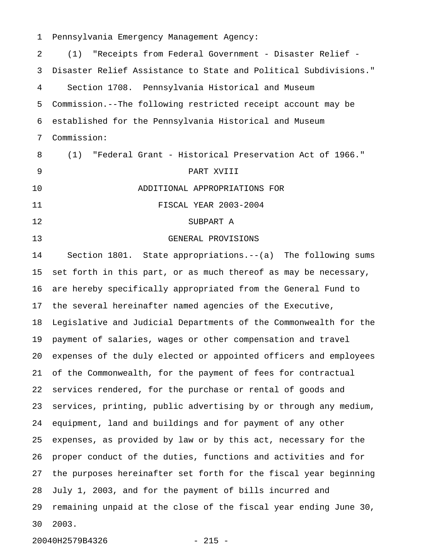1 Pennsylvania Emergency Management Agency: 2 (1) "Receipts from Federal Government - Disaster Relief - 3 Disaster Relief Assistance to State and Political Subdivisions." 4 Section 1708. Pennsylvania Historical and Museum 5 Commission.--The following restricted receipt account may be 6 established for the Pennsylvania Historical and Museum 7 Commission: 8 (1) "Federal Grant - Historical Preservation Act of 1966." 9 PART XVIII 10 ADDITIONAL APPROPRIATIONS FOR 11 FISCAL YEAR 2003-2004 12 SUBPART A 13 GENERAL PROVISIONS 14 Section 1801. State appropriations.--(a) The following sums 15 set forth in this part, or as much thereof as may be necessary, 16 are hereby specifically appropriated from the General Fund to 17 the several hereinafter named agencies of the Executive, 18 Legislative and Judicial Departments of the Commonwealth for the 19 payment of salaries, wages or other compensation and travel 20 expenses of the duly elected or appointed officers and employees 21 of the Commonwealth, for the payment of fees for contractual 22 services rendered, for the purchase or rental of goods and 23 services, printing, public advertising by or through any medium, 24 equipment, land and buildings and for payment of any other 25 expenses, as provided by law or by this act, necessary for the 26 proper conduct of the duties, functions and activities and for 27 the purposes hereinafter set forth for the fiscal year beginning 28 July 1, 2003, and for the payment of bills incurred and 29 remaining unpaid at the close of the fiscal year ending June 30, 30 2003.

20040H2579B4326 - 215 -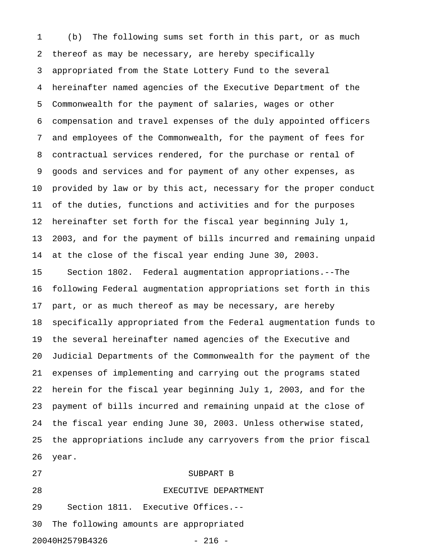1 (b) The following sums set forth in this part, or as much 2 thereof as may be necessary, are hereby specifically 3 appropriated from the State Lottery Fund to the several 4 hereinafter named agencies of the Executive Department of the 5 Commonwealth for the payment of salaries, wages or other 6 compensation and travel expenses of the duly appointed officers 7 and employees of the Commonwealth, for the payment of fees for 8 contractual services rendered, for the purchase or rental of 9 goods and services and for payment of any other expenses, as 10 provided by law or by this act, necessary for the proper conduct 11 of the duties, functions and activities and for the purposes 12 hereinafter set forth for the fiscal year beginning July 1, 13 2003, and for the payment of bills incurred and remaining unpaid 14 at the close of the fiscal year ending June 30, 2003. 15 Section 1802. Federal augmentation appropriations.--The 16 following Federal augmentation appropriations set forth in this 17 part, or as much thereof as may be necessary, are hereby 18 specifically appropriated from the Federal augmentation funds to 19 the several hereinafter named agencies of the Executive and 20 Judicial Departments of the Commonwealth for the payment of the 21 expenses of implementing and carrying out the programs stated 22 herein for the fiscal year beginning July 1, 2003, and for the 23 payment of bills incurred and remaining unpaid at the close of 24 the fiscal year ending June 30, 2003. Unless otherwise stated, 25 the appropriations include any carryovers from the prior fiscal 26 year. 27 SUBPART B

## 28 EXECUTIVE DEPARTMENT

29 Section 1811. Executive Offices.--

30 The following amounts are appropriated

20040H2579B4326 - 216 -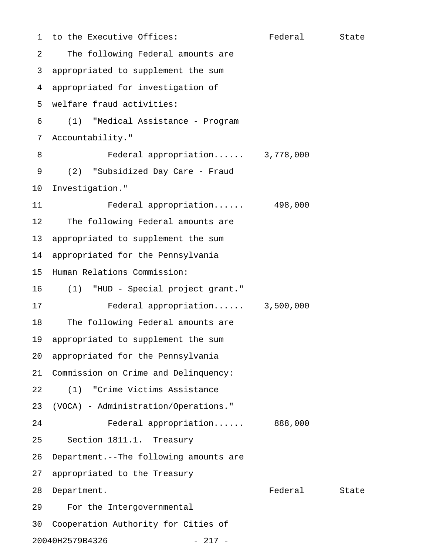1 to the Executive Offices: The State State State State 2 The following Federal amounts are 3 appropriated to supplement the sum 4 appropriated for investigation of 5 welfare fraud activities: 6 (1) "Medical Assistance - Program 7 Accountability." 8 Federal appropriation...... 3,778,000 9 (2) "Subsidized Day Care - Fraud 10 Investigation." 11 Federal appropriation...... 498,000 12 The following Federal amounts are 13 appropriated to supplement the sum 14 appropriated for the Pennsylvania 15 Human Relations Commission: 16 (1) "HUD - Special project grant." 17 Federal appropriation...... 3,500,000 18 The following Federal amounts are 19 appropriated to supplement the sum 20 appropriated for the Pennsylvania 21 Commission on Crime and Delinquency: 22 (1) "Crime Victims Assistance 23 (VOCA) - Administration/Operations." 24 Federal appropriation...... 888,000 25 Section 1811.1. Treasury 26 Department.--The following amounts are 27 appropriated to the Treasury 28 Department. The state of the state of the state state of the state state of the state of the state of the state of the state of the state of the state of the state of the state of the state of the state of the state of 29 For the Intergovernmental 30 Cooperation Authority for Cities of 20040H2579B4326 - 217 -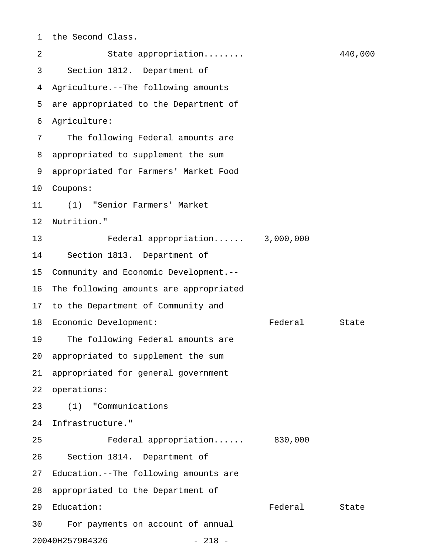1 the Second Class.

2 State appropriation........ 440,000 3 Section 1812. Department of 4 Agriculture.--The following amounts 5 are appropriated to the Department of 6 Agriculture: 7 The following Federal amounts are 8 appropriated to supplement the sum 9 appropriated for Farmers' Market Food 10 Coupons: 11 (1) "Senior Farmers' Market 12 Nutrition." 13 Federal appropriation...... 3,000,000 14 Section 1813. Department of 15 Community and Economic Development.-- 16 The following amounts are appropriated 17 to the Department of Community and 18 Economic Development: The Federal State 19 The following Federal amounts are 20 appropriated to supplement the sum 21 appropriated for general government 22 operations: 23 (1) "Communications 24 Infrastructure." 25 Federal appropriation...... 830,000 26 Section 1814. Department of 27 Education.--The following amounts are 28 appropriated to the Department of 29 Education: Federal State 30 For payments on account of annual 20040H2579B4326 - 218 -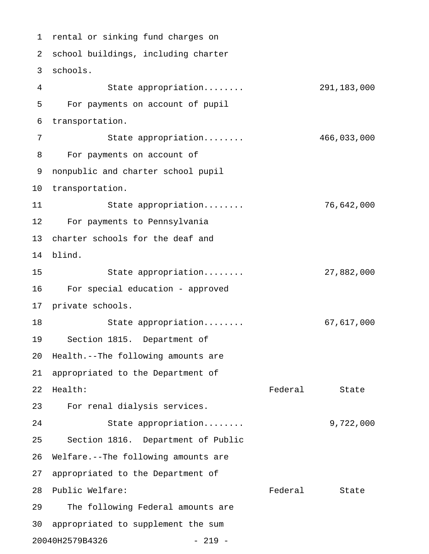1 rental or sinking fund charges on 2 school buildings, including charter 3 schools. 4 State appropriation........ 291,183,000 5 For payments on account of pupil 6 transportation. 7 State appropriation....... 466,033,000 8 For payments on account of 9 nonpublic and charter school pupil 10 transportation. 11 State appropriation........ 76,642,000 12 For payments to Pennsylvania 13 charter schools for the deaf and 14 blind. 15 State appropriation........ 27,882,000 16 For special education - approved 17 private schools. 18 State appropriation........ 67,617,000 19 Section 1815. Department of 20 Health.--The following amounts are 21 appropriated to the Department of 22 Health: State State State State State State State State State State State 23 For renal dialysis services. 24 State appropriation........ 9,722,000 25 Section 1816. Department of Public 26 Welfare.--The following amounts are 27 appropriated to the Department of 28 Public Welfare: The State State State State State State State State State State 29 The following Federal amounts are 30 appropriated to supplement the sum 20040H2579B4326 - 219 -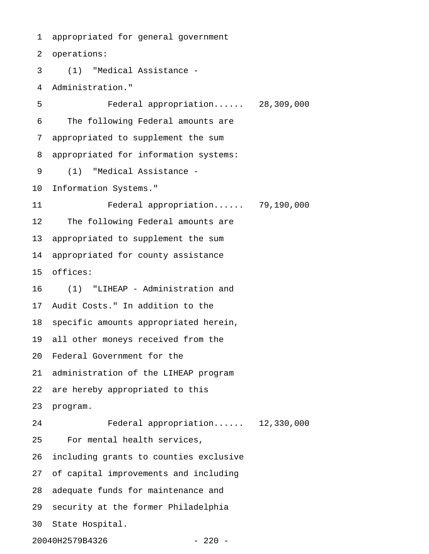1 appropriated for general government 2 operations: 3 (1) "Medical Assistance - 4 Administration." 5 Federal appropriation...... 28,309,000 6 The following Federal amounts are 7 appropriated to supplement the sum 8 appropriated for information systems: 9 (1) "Medical Assistance - 10 Information Systems." 11 Federal appropriation...... 79,190,000 12 The following Federal amounts are 13 appropriated to supplement the sum 14 appropriated for county assistance 15 offices: 16 (1) "LIHEAP - Administration and 17 Audit Costs." In addition to the 18 specific amounts appropriated herein, 19 all other moneys received from the 20 Federal Government for the 21 administration of the LIHEAP program 22 are hereby appropriated to this 23 program. 24 Federal appropriation...... 12,330,000 25 For mental health services, 26 including grants to counties exclusive 27 of capital improvements and including 28 adequate funds for maintenance and 29 security at the former Philadelphia 30 State Hospital.

20040H2579B4326 - 220 -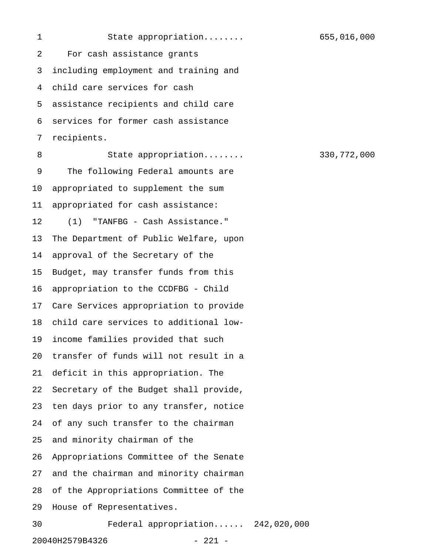1 State appropriation........ 655,016,000 2 For cash assistance grants 3 including employment and training and 4 child care services for cash 5 assistance recipients and child care 6 services for former cash assistance 7 recipients.

8 State appropriation........ 330,772,000 9 The following Federal amounts are 10 appropriated to supplement the sum 11 appropriated for cash assistance: 12 (1) "TANFBG - Cash Assistance." 13 The Department of Public Welfare, upon 14 approval of the Secretary of the 15 Budget, may transfer funds from this 16 appropriation to the CCDFBG - Child 17 Care Services appropriation to provide 18 child care services to additional low-19 income families provided that such 20 transfer of funds will not result in a 21 deficit in this appropriation. The 22 Secretary of the Budget shall provide, 23 ten days prior to any transfer, notice 24 of any such transfer to the chairman 25 and minority chairman of the 26 Appropriations Committee of the Senate 27 and the chairman and minority chairman 28 of the Appropriations Committee of the 29 House of Representatives. 30 Federal appropriation...... 242,020,000

20040H2579B4326 - 221 -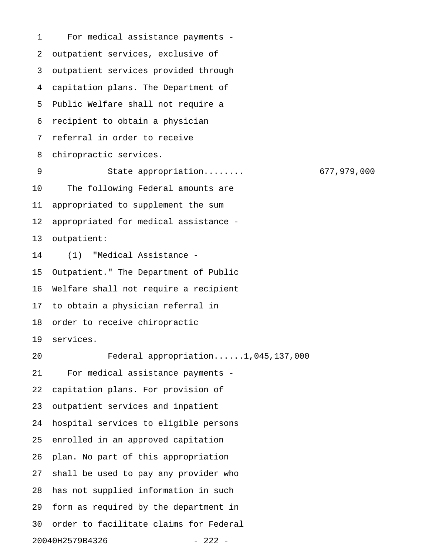1 For medical assistance payments - 2 outpatient services, exclusive of 3 outpatient services provided through 4 capitation plans. The Department of 5 Public Welfare shall not require a 6 recipient to obtain a physician 7 referral in order to receive 8 chiropractic services. 9 State appropriation........ 677,979,000 10 The following Federal amounts are 11 appropriated to supplement the sum 12 appropriated for medical assistance - 13 outpatient: 14 (1) "Medical Assistance - 15 Outpatient." The Department of Public 16 Welfare shall not require a recipient 17 to obtain a physician referral in 18 order to receive chiropractic 19 services. 20 Federal appropriation......1,045,137,000 21 For medical assistance payments - 22 capitation plans. For provision of 23 outpatient services and inpatient 24 hospital services to eligible persons 25 enrolled in an approved capitation 26 plan. No part of this appropriation 27 shall be used to pay any provider who 28 has not supplied information in such 29 form as required by the department in 30 order to facilitate claims for Federal 20040H2579B4326 - 222 -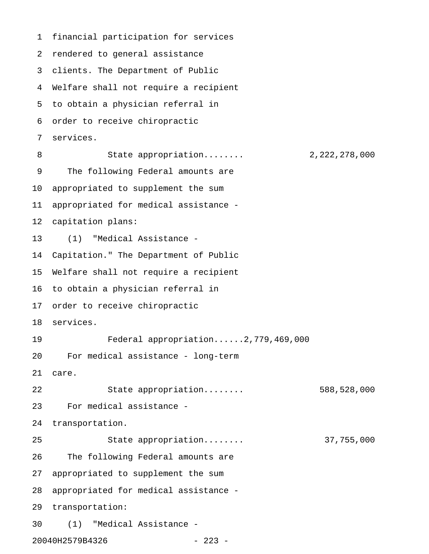1 financial participation for services 2 rendered to general assistance 3 clients. The Department of Public 4 Welfare shall not require a recipient 5 to obtain a physician referral in 6 order to receive chiropractic 7 services. 8 State appropriation........ 2,222,278,000 9 The following Federal amounts are 10 appropriated to supplement the sum 11 appropriated for medical assistance - 12 capitation plans: 13 (1) "Medical Assistance - 14 Capitation." The Department of Public 15 Welfare shall not require a recipient 16 to obtain a physician referral in 17 order to receive chiropractic 18 services. 19 Federal appropriation......2,779,469,000 20 For medical assistance - long-term 21 care. 22 State appropriation........ 588,528,000 23 For medical assistance - 24 transportation. 25 State appropriation........ 37,755,000 26 The following Federal amounts are 27 appropriated to supplement the sum 28 appropriated for medical assistance - 29 transportation: 30 (1) "Medical Assistance -

20040H2579B4326 - 223 -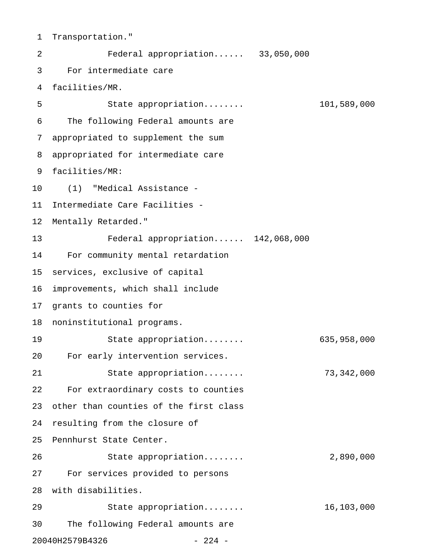1 Transportation."

2 Federal appropriation...... 33,050,000 3 For intermediate care 4 facilities/MR. 5 State appropriation........ 101,589,000 6 The following Federal amounts are 7 appropriated to supplement the sum 8 appropriated for intermediate care 9 facilities/MR: 10 (1) "Medical Assistance - 11 Intermediate Care Facilities - 12 Mentally Retarded." 13 Federal appropriation...... 142,068,000 14 For community mental retardation 15 services, exclusive of capital 16 improvements, which shall include 17 grants to counties for 18 noninstitutional programs. 19 State appropriation........ 635,958,000 20 For early intervention services. 21 State appropriation........ 73,342,000 22 For extraordinary costs to counties 23 other than counties of the first class 24 resulting from the closure of 25 Pennhurst State Center. 26 State appropriation........ 2,890,000 27 For services provided to persons 28 with disabilities. 29 State appropriation........ 16,103,000 30 The following Federal amounts are 20040H2579B4326 - 224 -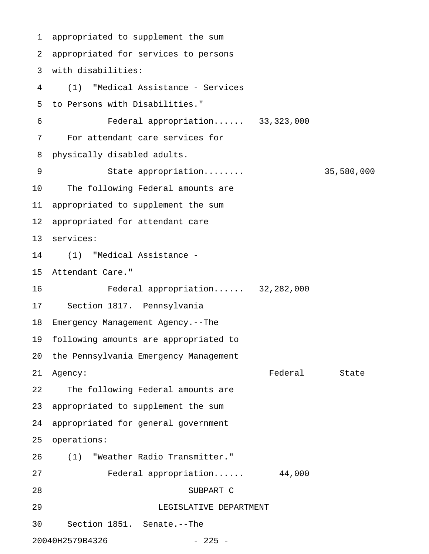1 appropriated to supplement the sum 2 appropriated for services to persons 3 with disabilities: 4 (1) "Medical Assistance - Services 5 to Persons with Disabilities." 6 Federal appropriation...... 33,323,000 7 For attendant care services for 8 physically disabled adults. 9 State appropriation........ 35,580,000 10 The following Federal amounts are 11 appropriated to supplement the sum 12 appropriated for attendant care 13 services: 14 (1) "Medical Assistance - 15 Attendant Care." 16 Federal appropriation...... 32,282,000 17 Section 1817. Pennsylvania 18 Emergency Management Agency.--The 19 following amounts are appropriated to 20 the Pennsylvania Emergency Management 21 Agency: State State State State State State State State 22 The following Federal amounts are 23 appropriated to supplement the sum 24 appropriated for general government 25 operations: 26 (1) "Weather Radio Transmitter." 27 Federal appropriation...... 44,000 28 SUBPART C 29 LEGISLATIVE DEPARTMENT 30 Section 1851. Senate.--The 20040H2579B4326 - 225 -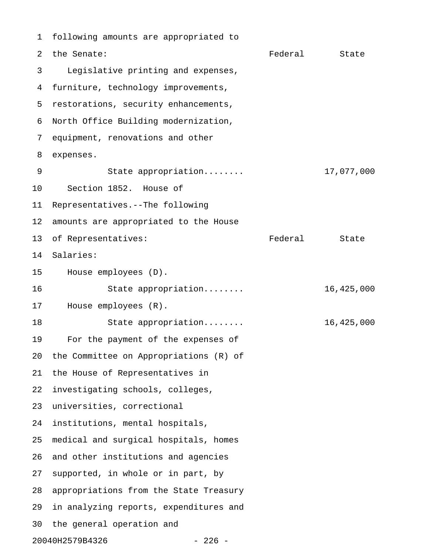1 following amounts are appropriated to 2 the Senate: The State State State State State State State State State State State State State State State State 3 Legislative printing and expenses, 4 furniture, technology improvements, 5 restorations, security enhancements, 6 North Office Building modernization, 7 equipment, renovations and other 8 expenses. 9 State appropriation........ 17,077,000 10 Section 1852. House of 11 Representatives.--The following 12 amounts are appropriated to the House 13 of Representatives: The Rederal State 14 Salaries: 15 House employees (D). 16 State appropriation........ 16,425,000 17 House employees (R). 18 State appropriation........ 16,425,000 19 For the payment of the expenses of 20 the Committee on Appropriations (R) of 21 the House of Representatives in 22 investigating schools, colleges, 23 universities, correctional 24 institutions, mental hospitals, 25 medical and surgical hospitals, homes 26 and other institutions and agencies 27 supported, in whole or in part, by 28 appropriations from the State Treasury 29 in analyzing reports, expenditures and 30 the general operation and 20040H2579B4326 - 226 -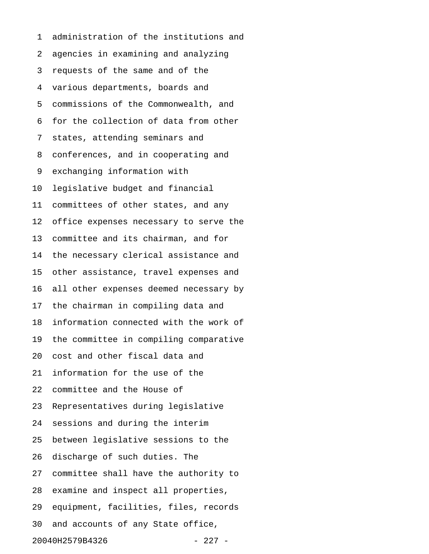1 administration of the institutions and 2 agencies in examining and analyzing 3 requests of the same and of the 4 various departments, boards and 5 commissions of the Commonwealth, and 6 for the collection of data from other 7 states, attending seminars and 8 conferences, and in cooperating and 9 exchanging information with 10 legislative budget and financial 11 committees of other states, and any 12 office expenses necessary to serve the 13 committee and its chairman, and for 14 the necessary clerical assistance and 15 other assistance, travel expenses and 16 all other expenses deemed necessary by 17 the chairman in compiling data and 18 information connected with the work of 19 the committee in compiling comparative 20 cost and other fiscal data and 21 information for the use of the 22 committee and the House of 23 Representatives during legislative 24 sessions and during the interim 25 between legislative sessions to the 26 discharge of such duties. The 27 committee shall have the authority to 28 examine and inspect all properties, 29 equipment, facilities, files, records 30 and accounts of any State office, 20040H2579B4326 - 227 -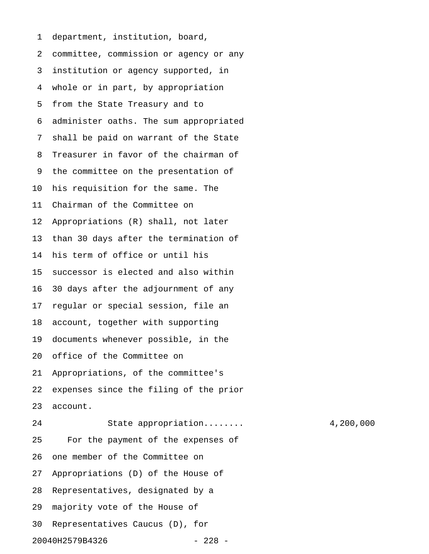1 department, institution, board, 2 committee, commission or agency or any 3 institution or agency supported, in 4 whole or in part, by appropriation 5 from the State Treasury and to 6 administer oaths. The sum appropriated 7 shall be paid on warrant of the State 8 Treasurer in favor of the chairman of 9 the committee on the presentation of 10 his requisition for the same. The 11 Chairman of the Committee on 12 Appropriations (R) shall, not later 13 than 30 days after the termination of 14 his term of office or until his 15 successor is elected and also within 16 30 days after the adjournment of any 17 regular or special session, file an 18 account, together with supporting 19 documents whenever possible, in the 20 office of the Committee on 21 Appropriations, of the committee's 22 expenses since the filing of the prior 23 account. 24 State appropriation........ 4,200,000 25 For the payment of the expenses of 26 one member of the Committee on 27 Appropriations (D) of the House of 28 Representatives, designated by a 29 majority vote of the House of 30 Representatives Caucus (D), for 20040H2579B4326 - 228 -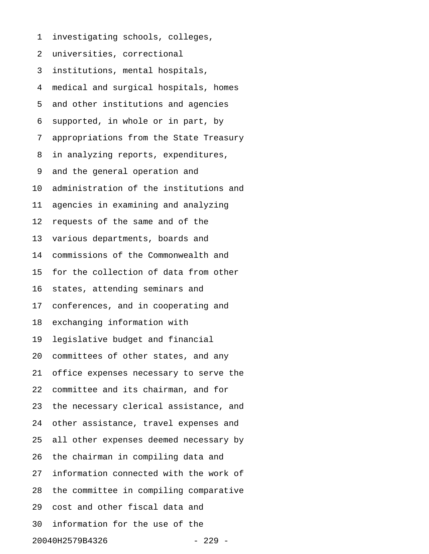1 investigating schools, colleges, 2 universities, correctional 3 institutions, mental hospitals, 4 medical and surgical hospitals, homes 5 and other institutions and agencies 6 supported, in whole or in part, by 7 appropriations from the State Treasury 8 in analyzing reports, expenditures, 9 and the general operation and 10 administration of the institutions and 11 agencies in examining and analyzing 12 requests of the same and of the 13 various departments, boards and 14 commissions of the Commonwealth and 15 for the collection of data from other 16 states, attending seminars and 17 conferences, and in cooperating and 18 exchanging information with 19 legislative budget and financial 20 committees of other states, and any 21 office expenses necessary to serve the 22 committee and its chairman, and for 23 the necessary clerical assistance, and 24 other assistance, travel expenses and 25 all other expenses deemed necessary by 26 the chairman in compiling data and 27 information connected with the work of 28 the committee in compiling comparative 29 cost and other fiscal data and 30 information for the use of the 20040H2579B4326 - 229 -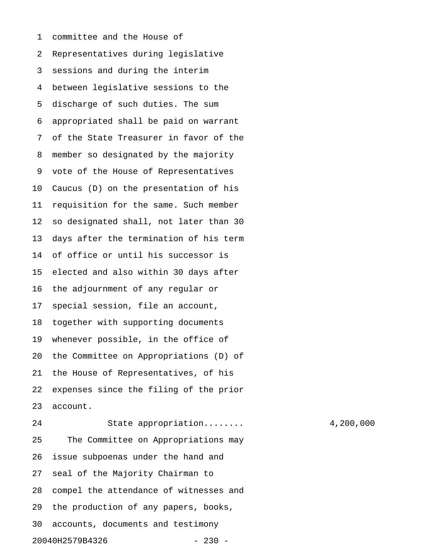1 committee and the House of 2 Representatives during legislative 3 sessions and during the interim 4 between legislative sessions to the 5 discharge of such duties. The sum 6 appropriated shall be paid on warrant 7 of the State Treasurer in favor of the 8 member so designated by the majority 9 vote of the House of Representatives 10 Caucus (D) on the presentation of his 11 requisition for the same. Such member 12 so designated shall, not later than 30 13 days after the termination of his term 14 of office or until his successor is 15 elected and also within 30 days after 16 the adjournment of any regular or 17 special session, file an account, 18 together with supporting documents 19 whenever possible, in the office of 20 the Committee on Appropriations (D) of 21 the House of Representatives, of his 22 expenses since the filing of the prior 23 account.

24 State appropriation........ 4,200,000 25 The Committee on Appropriations may 26 issue subpoenas under the hand and 27 seal of the Majority Chairman to 28 compel the attendance of witnesses and 29 the production of any papers, books, 30 accounts, documents and testimony 20040H2579B4326 - 230 -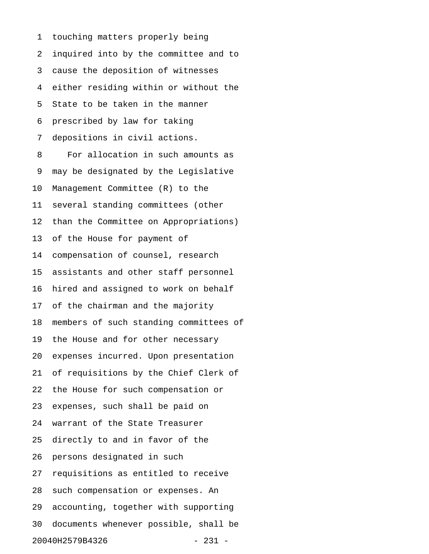1 touching matters properly being 2 inquired into by the committee and to 3 cause the deposition of witnesses 4 either residing within or without the 5 State to be taken in the manner 6 prescribed by law for taking 7 depositions in civil actions. 8 For allocation in such amounts as 9 may be designated by the Legislative 10 Management Committee (R) to the 11 several standing committees (other 12 than the Committee on Appropriations) 13 of the House for payment of 14 compensation of counsel, research 15 assistants and other staff personnel 16 hired and assigned to work on behalf 17 of the chairman and the majority 18 members of such standing committees of 19 the House and for other necessary 20 expenses incurred. Upon presentation 21 of requisitions by the Chief Clerk of 22 the House for such compensation or 23 expenses, such shall be paid on 24 warrant of the State Treasurer 25 directly to and in favor of the 26 persons designated in such 27 requisitions as entitled to receive 28 such compensation or expenses. An 29 accounting, together with supporting 30 documents whenever possible, shall be 20040H2579B4326 - 231 -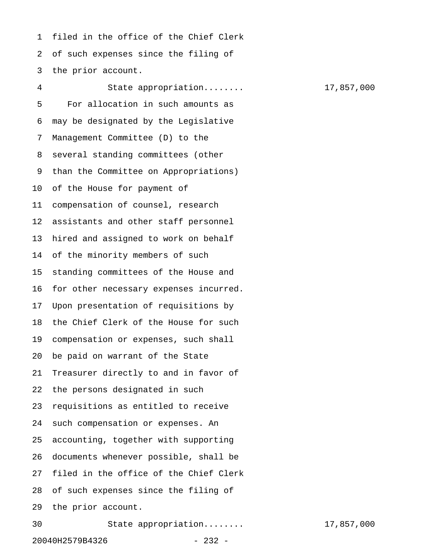1 filed in the office of the Chief Clerk 2 of such expenses since the filing of 3 the prior account.

4 State appropriation........ 17,857,000 5 For allocation in such amounts as 6 may be designated by the Legislative 7 Management Committee (D) to the 8 several standing committees (other 9 than the Committee on Appropriations) 10 of the House for payment of 11 compensation of counsel, research 12 assistants and other staff personnel 13 hired and assigned to work on behalf 14 of the minority members of such 15 standing committees of the House and 16 for other necessary expenses incurred. 17 Upon presentation of requisitions by 18 the Chief Clerk of the House for such 19 compensation or expenses, such shall 20 be paid on warrant of the State 21 Treasurer directly to and in favor of 22 the persons designated in such 23 requisitions as entitled to receive 24 such compensation or expenses. An 25 accounting, together with supporting 26 documents whenever possible, shall be 27 filed in the office of the Chief Clerk 28 of such expenses since the filing of 29 the prior account. 30 State appropriation........ 17,857,000

20040H2579B4326 - 232 -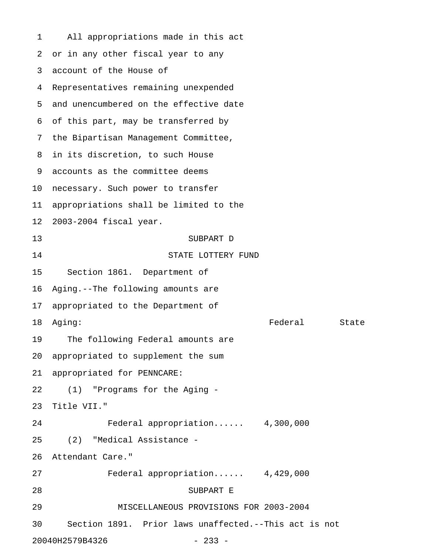1 All appropriations made in this act 2 or in any other fiscal year to any 3 account of the House of 4 Representatives remaining unexpended 5 and unencumbered on the effective date 6 of this part, may be transferred by 7 the Bipartisan Management Committee, 8 in its discretion, to such House 9 accounts as the committee deems 10 necessary. Such power to transfer 11 appropriations shall be limited to the 12 2003-2004 fiscal year. 13 SUBPART D 14 STATE LOTTERY FUND 15 Section 1861. Department of 16 Aging.--The following amounts are 17 appropriated to the Department of 18 Aging: The Contract of the State of the State State State State State State 19 The following Federal amounts are 20 appropriated to supplement the sum 21 appropriated for PENNCARE: 22 (1) "Programs for the Aging - 23 Title VII." 24 Federal appropriation...... 4,300,000 25 (2) "Medical Assistance - 26 Attendant Care." 27 Federal appropriation...... 4,429,000 28 SUBPART E 29 MISCELLANEOUS PROVISIONS FOR 2003-2004 30 Section 1891. Prior laws unaffected.--This act is not

20040H2579B4326 - 233 -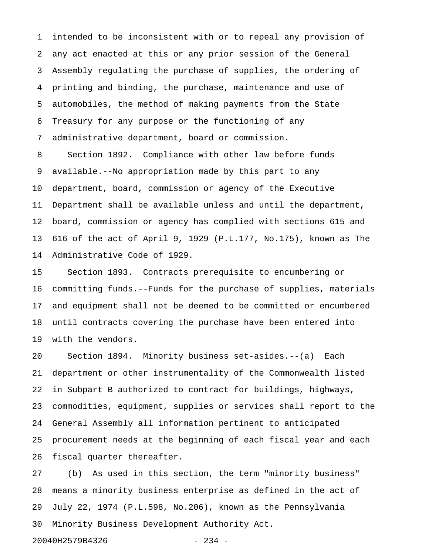1 intended to be inconsistent with or to repeal any provision of 2 any act enacted at this or any prior session of the General 3 Assembly regulating the purchase of supplies, the ordering of 4 printing and binding, the purchase, maintenance and use of 5 automobiles, the method of making payments from the State 6 Treasury for any purpose or the functioning of any 7 administrative department, board or commission.

8 Section 1892. Compliance with other law before funds 9 available.--No appropriation made by this part to any 10 department, board, commission or agency of the Executive 11 Department shall be available unless and until the department, 12 board, commission or agency has complied with sections 615 and 13 616 of the act of April 9, 1929 (P.L.177, No.175), known as The 14 Administrative Code of 1929.

15 Section 1893. Contracts prerequisite to encumbering or 16 committing funds.--Funds for the purchase of supplies, materials 17 and equipment shall not be deemed to be committed or encumbered 18 until contracts covering the purchase have been entered into 19 with the vendors.

20 Section 1894. Minority business set-asides.--(a) Each 21 department or other instrumentality of the Commonwealth listed 22 in Subpart B authorized to contract for buildings, highways, 23 commodities, equipment, supplies or services shall report to the 24 General Assembly all information pertinent to anticipated 25 procurement needs at the beginning of each fiscal year and each 26 fiscal quarter thereafter.

27 (b) As used in this section, the term "minority business" 28 means a minority business enterprise as defined in the act of 29 July 22, 1974 (P.L.598, No.206), known as the Pennsylvania 30 Minority Business Development Authority Act.

20040H2579B4326 - 234 -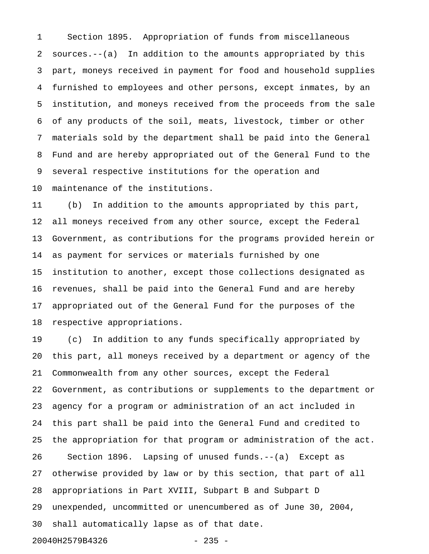1 Section 1895. Appropriation of funds from miscellaneous 2 sources.--(a) In addition to the amounts appropriated by this 3 part, moneys received in payment for food and household supplies 4 furnished to employees and other persons, except inmates, by an 5 institution, and moneys received from the proceeds from the sale 6 of any products of the soil, meats, livestock, timber or other 7 materials sold by the department shall be paid into the General 8 Fund and are hereby appropriated out of the General Fund to the 9 several respective institutions for the operation and 10 maintenance of the institutions.

11 (b) In addition to the amounts appropriated by this part, 12 all moneys received from any other source, except the Federal 13 Government, as contributions for the programs provided herein or 14 as payment for services or materials furnished by one 15 institution to another, except those collections designated as 16 revenues, shall be paid into the General Fund and are hereby 17 appropriated out of the General Fund for the purposes of the 18 respective appropriations.

19 (c) In addition to any funds specifically appropriated by 20 this part, all moneys received by a department or agency of the 21 Commonwealth from any other sources, except the Federal 22 Government, as contributions or supplements to the department or 23 agency for a program or administration of an act included in 24 this part shall be paid into the General Fund and credited to 25 the appropriation for that program or administration of the act. 26 Section 1896. Lapsing of unused funds.--(a) Except as 27 otherwise provided by law or by this section, that part of all 28 appropriations in Part XVIII, Subpart B and Subpart D 29 unexpended, uncommitted or unencumbered as of June 30, 2004, 30 shall automatically lapse as of that date.

```
20040H2579B4326 - 235 -
```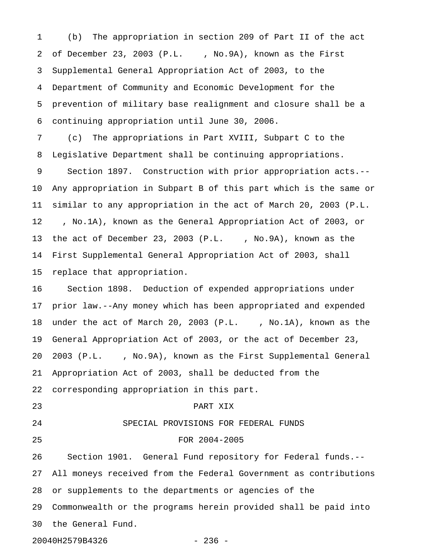1 (b) The appropriation in section 209 of Part II of the act 2 of December 23, 2003 (P.L. , No.9A), known as the First 3 Supplemental General Appropriation Act of 2003, to the 4 Department of Community and Economic Development for the 5 prevention of military base realignment and closure shall be a 6 continuing appropriation until June 30, 2006.

7 (c) The appropriations in Part XVIII, Subpart C to the 8 Legislative Department shall be continuing appropriations.

9 Section 1897. Construction with prior appropriation acts.-- 10 Any appropriation in Subpart B of this part which is the same or 11 similar to any appropriation in the act of March 20, 2003 (P.L. 12 , No.1A), known as the General Appropriation Act of 2003, or 13 the act of December 23, 2003 (P.L. , No.9A), known as the 14 First Supplemental General Appropriation Act of 2003, shall 15 replace that appropriation.

16 Section 1898. Deduction of expended appropriations under 17 prior law.--Any money which has been appropriated and expended 18 under the act of March 20, 2003 (P.L. , No.1A), known as the 19 General Appropriation Act of 2003, or the act of December 23, 20 2003 (P.L. , No.9A), known as the First Supplemental General 21 Appropriation Act of 2003, shall be deducted from the 22 corresponding appropriation in this part.

23 PART XIX 24 SPECIAL PROVISIONS FOR FEDERAL FUNDS 25 FOR 2004-2005 26 Section 1901. General Fund repository for Federal funds.-- 27 All moneys received from the Federal Government as contributions 28 or supplements to the departments or agencies of the

29 Commonwealth or the programs herein provided shall be paid into 30 the General Fund.

20040H2579B4326 - 236 -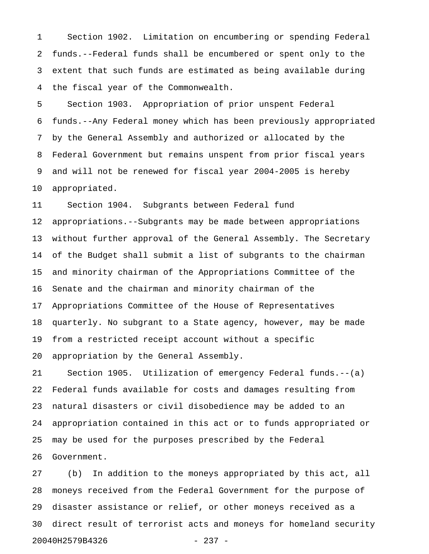1 Section 1902. Limitation on encumbering or spending Federal 2 funds.--Federal funds shall be encumbered or spent only to the 3 extent that such funds are estimated as being available during 4 the fiscal year of the Commonwealth.

5 Section 1903. Appropriation of prior unspent Federal 6 funds.--Any Federal money which has been previously appropriated 7 by the General Assembly and authorized or allocated by the 8 Federal Government but remains unspent from prior fiscal years 9 and will not be renewed for fiscal year 2004-2005 is hereby 10 appropriated.

11 Section 1904. Subgrants between Federal fund 12 appropriations.--Subgrants may be made between appropriations 13 without further approval of the General Assembly. The Secretary 14 of the Budget shall submit a list of subgrants to the chairman 15 and minority chairman of the Appropriations Committee of the 16 Senate and the chairman and minority chairman of the 17 Appropriations Committee of the House of Representatives 18 quarterly. No subgrant to a State agency, however, may be made 19 from a restricted receipt account without a specific 20 appropriation by the General Assembly.

21 Section 1905. Utilization of emergency Federal funds.--(a) 22 Federal funds available for costs and damages resulting from 23 natural disasters or civil disobedience may be added to an 24 appropriation contained in this act or to funds appropriated or 25 may be used for the purposes prescribed by the Federal 26 Government.

27 (b) In addition to the moneys appropriated by this act, all 28 moneys received from the Federal Government for the purpose of 29 disaster assistance or relief, or other moneys received as a 30 direct result of terrorist acts and moneys for homeland security 20040H2579B4326 - 237 -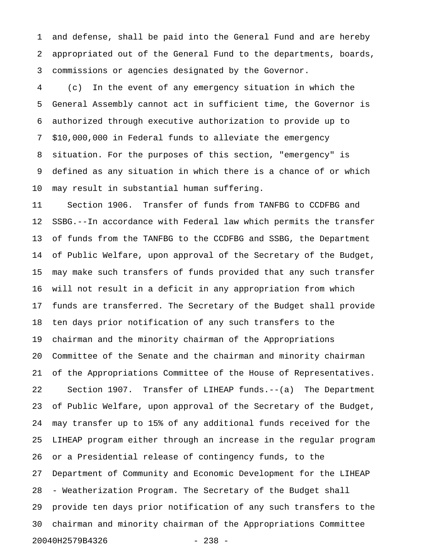1 and defense, shall be paid into the General Fund and are hereby 2 appropriated out of the General Fund to the departments, boards, 3 commissions or agencies designated by the Governor.

4 (c) In the event of any emergency situation in which the 5 General Assembly cannot act in sufficient time, the Governor is 6 authorized through executive authorization to provide up to 7 \$10,000,000 in Federal funds to alleviate the emergency 8 situation. For the purposes of this section, "emergency" is 9 defined as any situation in which there is a chance of or which 10 may result in substantial human suffering.

11 Section 1906. Transfer of funds from TANFBG to CCDFBG and 12 SSBG.--In accordance with Federal law which permits the transfer 13 of funds from the TANFBG to the CCDFBG and SSBG, the Department 14 of Public Welfare, upon approval of the Secretary of the Budget, 15 may make such transfers of funds provided that any such transfer 16 will not result in a deficit in any appropriation from which 17 funds are transferred. The Secretary of the Budget shall provide 18 ten days prior notification of any such transfers to the 19 chairman and the minority chairman of the Appropriations 20 Committee of the Senate and the chairman and minority chairman 21 of the Appropriations Committee of the House of Representatives. 22 Section 1907. Transfer of LIHEAP funds.--(a) The Department 23 of Public Welfare, upon approval of the Secretary of the Budget, 24 may transfer up to 15% of any additional funds received for the 25 LIHEAP program either through an increase in the regular program 26 or a Presidential release of contingency funds, to the 27 Department of Community and Economic Development for the LIHEAP 28 - Weatherization Program. The Secretary of the Budget shall 29 provide ten days prior notification of any such transfers to the 30 chairman and minority chairman of the Appropriations Committee 20040H2579B4326 - 238 -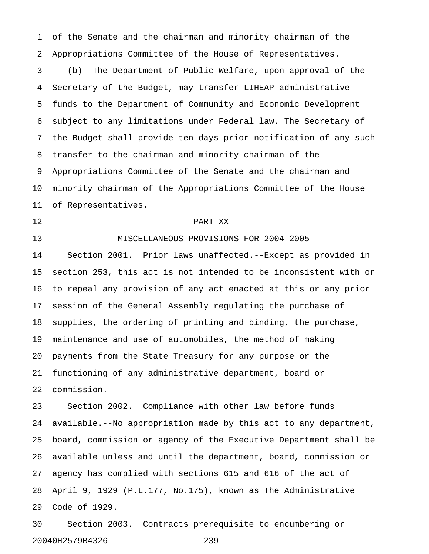1 of the Senate and the chairman and minority chairman of the 2 Appropriations Committee of the House of Representatives.

3 (b) The Department of Public Welfare, upon approval of the 4 Secretary of the Budget, may transfer LIHEAP administrative 5 funds to the Department of Community and Economic Development 6 subject to any limitations under Federal law. The Secretary of 7 the Budget shall provide ten days prior notification of any such 8 transfer to the chairman and minority chairman of the 9 Appropriations Committee of the Senate and the chairman and 10 minority chairman of the Appropriations Committee of the House 11 of Representatives.

## 12 PART XX

## 13 MISCELLANEOUS PROVISIONS FOR 2004-2005

14 Section 2001. Prior laws unaffected.--Except as provided in 15 section 253, this act is not intended to be inconsistent with or 16 to repeal any provision of any act enacted at this or any prior 17 session of the General Assembly regulating the purchase of 18 supplies, the ordering of printing and binding, the purchase, 19 maintenance and use of automobiles, the method of making 20 payments from the State Treasury for any purpose or the 21 functioning of any administrative department, board or 22 commission.

23 Section 2002. Compliance with other law before funds 24 available.--No appropriation made by this act to any department, 25 board, commission or agency of the Executive Department shall be 26 available unless and until the department, board, commission or 27 agency has complied with sections 615 and 616 of the act of 28 April 9, 1929 (P.L.177, No.175), known as The Administrative 29 Code of 1929.

30 Section 2003. Contracts prerequisite to encumbering or 20040H2579B4326 - 239 -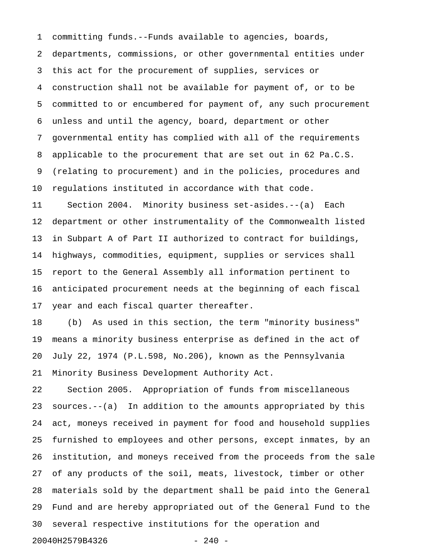1 committing funds.--Funds available to agencies, boards, 2 departments, commissions, or other governmental entities under 3 this act for the procurement of supplies, services or 4 construction shall not be available for payment of, or to be 5 committed to or encumbered for payment of, any such procurement 6 unless and until the agency, board, department or other 7 governmental entity has complied with all of the requirements 8 applicable to the procurement that are set out in 62 Pa.C.S. 9 (relating to procurement) and in the policies, procedures and 10 regulations instituted in accordance with that code. 11 Section 2004. Minority business set-asides.--(a) Each 12 department or other instrumentality of the Commonwealth listed 13 in Subpart A of Part II authorized to contract for buildings, 14 highways, commodities, equipment, supplies or services shall 15 report to the General Assembly all information pertinent to 16 anticipated procurement needs at the beginning of each fiscal 17 year and each fiscal quarter thereafter.

18 (b) As used in this section, the term "minority business" 19 means a minority business enterprise as defined in the act of 20 July 22, 1974 (P.L.598, No.206), known as the Pennsylvania 21 Minority Business Development Authority Act.

22 Section 2005. Appropriation of funds from miscellaneous 23 sources.--(a) In addition to the amounts appropriated by this 24 act, moneys received in payment for food and household supplies 25 furnished to employees and other persons, except inmates, by an 26 institution, and moneys received from the proceeds from the sale 27 of any products of the soil, meats, livestock, timber or other 28 materials sold by the department shall be paid into the General 29 Fund and are hereby appropriated out of the General Fund to the 30 several respective institutions for the operation and 20040H2579B4326 - 240 -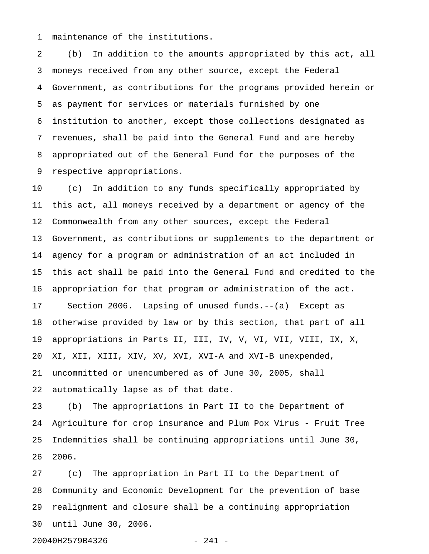1 maintenance of the institutions.

2 (b) In addition to the amounts appropriated by this act, all 3 moneys received from any other source, except the Federal 4 Government, as contributions for the programs provided herein or 5 as payment for services or materials furnished by one 6 institution to another, except those collections designated as 7 revenues, shall be paid into the General Fund and are hereby 8 appropriated out of the General Fund for the purposes of the 9 respective appropriations.

10 (c) In addition to any funds specifically appropriated by 11 this act, all moneys received by a department or agency of the 12 Commonwealth from any other sources, except the Federal 13 Government, as contributions or supplements to the department or 14 agency for a program or administration of an act included in 15 this act shall be paid into the General Fund and credited to the 16 appropriation for that program or administration of the act. 17 Section 2006. Lapsing of unused funds.--(a) Except as 18 otherwise provided by law or by this section, that part of all 19 appropriations in Parts II, III, IV, V, VI, VII, VIII, IX, X, 20 XI, XII, XIII, XIV, XV, XVI, XVI-A and XVI-B unexpended, 21 uncommitted or unencumbered as of June 30, 2005, shall 22 automatically lapse as of that date.

23 (b) The appropriations in Part II to the Department of 24 Agriculture for crop insurance and Plum Pox Virus - Fruit Tree 25 Indemnities shall be continuing appropriations until June 30, 26 2006.

27 (c) The appropriation in Part II to the Department of 28 Community and Economic Development for the prevention of base 29 realignment and closure shall be a continuing appropriation 30 until June 30, 2006.

20040H2579B4326 - 241 -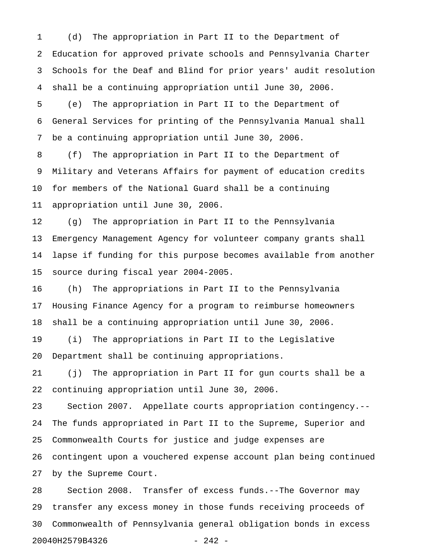1 (d) The appropriation in Part II to the Department of 2 Education for approved private schools and Pennsylvania Charter 3 Schools for the Deaf and Blind for prior years' audit resolution 4 shall be a continuing appropriation until June 30, 2006.

5 (e) The appropriation in Part II to the Department of 6 General Services for printing of the Pennsylvania Manual shall 7 be a continuing appropriation until June 30, 2006.

8 (f) The appropriation in Part II to the Department of 9 Military and Veterans Affairs for payment of education credits 10 for members of the National Guard shall be a continuing 11 appropriation until June 30, 2006.

12 (g) The appropriation in Part II to the Pennsylvania 13 Emergency Management Agency for volunteer company grants shall 14 lapse if funding for this purpose becomes available from another 15 source during fiscal year 2004-2005.

16 (h) The appropriations in Part II to the Pennsylvania 17 Housing Finance Agency for a program to reimburse homeowners 18 shall be a continuing appropriation until June 30, 2006.

19 (i) The appropriations in Part II to the Legislative 20 Department shall be continuing appropriations.

21 (j) The appropriation in Part II for gun courts shall be a 22 continuing appropriation until June 30, 2006.

23 Section 2007. Appellate courts appropriation contingency.-- 24 The funds appropriated in Part II to the Supreme, Superior and 25 Commonwealth Courts for justice and judge expenses are 26 contingent upon a vouchered expense account plan being continued 27 by the Supreme Court.

28 Section 2008. Transfer of excess funds.--The Governor may 29 transfer any excess money in those funds receiving proceeds of 30 Commonwealth of Pennsylvania general obligation bonds in excess 20040H2579B4326 - 242 -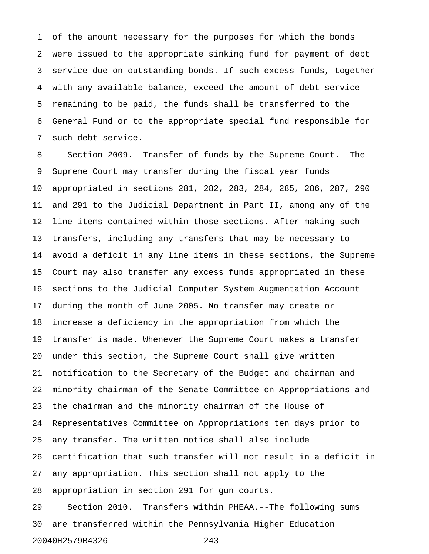1 of the amount necessary for the purposes for which the bonds 2 were issued to the appropriate sinking fund for payment of debt 3 service due on outstanding bonds. If such excess funds, together 4 with any available balance, exceed the amount of debt service 5 remaining to be paid, the funds shall be transferred to the 6 General Fund or to the appropriate special fund responsible for 7 such debt service.

8 Section 2009. Transfer of funds by the Supreme Court.--The 9 Supreme Court may transfer during the fiscal year funds 10 appropriated in sections 281, 282, 283, 284, 285, 286, 287, 290 11 and 291 to the Judicial Department in Part II, among any of the 12 line items contained within those sections. After making such 13 transfers, including any transfers that may be necessary to 14 avoid a deficit in any line items in these sections, the Supreme 15 Court may also transfer any excess funds appropriated in these 16 sections to the Judicial Computer System Augmentation Account 17 during the month of June 2005. No transfer may create or 18 increase a deficiency in the appropriation from which the 19 transfer is made. Whenever the Supreme Court makes a transfer 20 under this section, the Supreme Court shall give written 21 notification to the Secretary of the Budget and chairman and 22 minority chairman of the Senate Committee on Appropriations and 23 the chairman and the minority chairman of the House of 24 Representatives Committee on Appropriations ten days prior to 25 any transfer. The written notice shall also include 26 certification that such transfer will not result in a deficit in 27 any appropriation. This section shall not apply to the 28 appropriation in section 291 for gun courts. 29 Section 2010. Transfers within PHEAA.--The following sums

30 are transferred within the Pennsylvania Higher Education 20040H2579B4326 - 243 -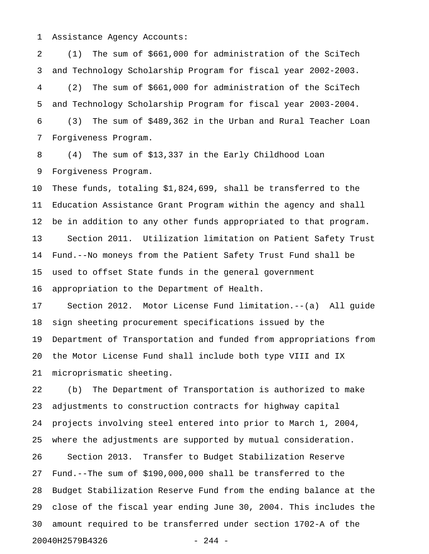1 Assistance Agency Accounts:

2 (1) The sum of \$661,000 for administration of the SciTech 3 and Technology Scholarship Program for fiscal year 2002-2003. 4 (2) The sum of \$661,000 for administration of the SciTech 5 and Technology Scholarship Program for fiscal year 2003-2004. 6 (3) The sum of \$489,362 in the Urban and Rural Teacher Loan 7 Forgiveness Program.

8 (4) The sum of \$13,337 in the Early Childhood Loan 9 Forgiveness Program.

10 These funds, totaling \$1,824,699, shall be transferred to the 11 Education Assistance Grant Program within the agency and shall 12 be in addition to any other funds appropriated to that program. 13 Section 2011. Utilization limitation on Patient Safety Trust 14 Fund.--No moneys from the Patient Safety Trust Fund shall be 15 used to offset State funds in the general government 16 appropriation to the Department of Health.

17 Section 2012. Motor License Fund limitation.--(a) All guide 18 sign sheeting procurement specifications issued by the 19 Department of Transportation and funded from appropriations from 20 the Motor License Fund shall include both type VIII and IX 21 microprismatic sheeting.

22 (b) The Department of Transportation is authorized to make 23 adjustments to construction contracts for highway capital 24 projects involving steel entered into prior to March 1, 2004, 25 where the adjustments are supported by mutual consideration. 26 Section 2013. Transfer to Budget Stabilization Reserve 27 Fund.--The sum of \$190,000,000 shall be transferred to the 28 Budget Stabilization Reserve Fund from the ending balance at the 29 close of the fiscal year ending June 30, 2004. This includes the 30 amount required to be transferred under section 1702-A of the 20040H2579B4326 - 244 -